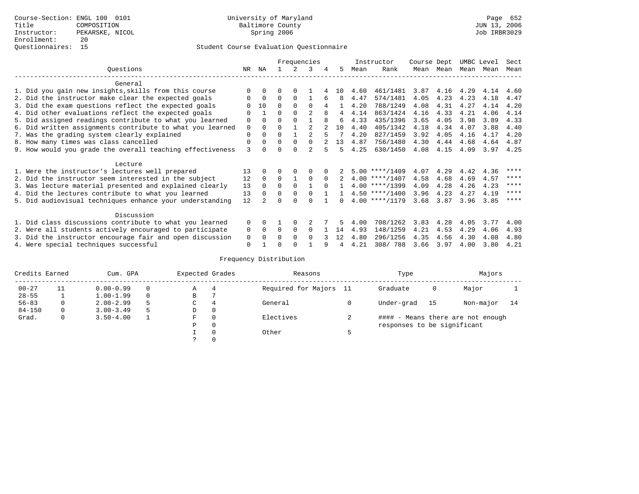|                                                           |             |              |          |          | Frequencies    |          |              |      | Instructor       | Course Dept |      | UMBC Level |      | Sect    |
|-----------------------------------------------------------|-------------|--------------|----------|----------|----------------|----------|--------------|------|------------------|-------------|------|------------|------|---------|
| Ouestions                                                 | NR.         | ΝA           |          |          | 3              | 4        | 5.           | Mean | Rank             | Mean        | Mean | Mean       | Mean | Mean    |
| General                                                   |             |              |          |          |                |          |              |      |                  |             |      |            |      |         |
| 1. Did you gain new insights, skills from this course     | $\Omega$    | $\Omega$     | O        | $\Omega$ |                |          | 1 O          | 4.60 | 461/1481         | 3.87        | 4.16 | 4.29       | 4.14 | 4.60    |
| 2. Did the instructor make clear the expected goals       | O           | $\Omega$     | $\Omega$ | $\Omega$ |                | 6        | 8            | 4.47 | 574/1481         | 4.05        | 4.23 | 4.23       | 4.18 | 4.47    |
|                                                           |             | 10           | $\Omega$ | $\Omega$ | $\Omega$       | 4        |              | 4.20 | 788/1249         | 4.08        | 4.31 | 4.27       | 4.14 | 4.20    |
| 3. Did the exam questions reflect the expected goals      |             |              |          |          |                |          |              |      |                  |             |      |            |      |         |
| 4. Did other evaluations reflect the expected goals       | $\Omega$    |              | $\Omega$ | $\Omega$ | 2              | 8        | 4            | 4.14 | 863/1424         | 4.16        | 4.33 | 4.21       | 4.06 | 4.14    |
| 5. Did assigned readings contribute to what you learned   | $\mathbf 0$ | $\Omega$     |          | $\Omega$ |                | 8        | 6            | 4.33 | 435/1396         | 3.65        | 4.05 | 3.98       | 3.89 | 4.33    |
| 6. Did written assignments contribute to what you learned | 0           | $\Omega$     |          |          | $\mathfrak{D}$ |          | 10           | 4.40 | 405/1342         | 4.18        | 4.34 | 4.07       | 3.88 | 4.40    |
| 7. Was the grading system clearly explained               | $\Omega$    | $\Omega$     | $\Omega$ |          |                |          |              | 4.20 | 827/1459         | 3.92        | 4.05 | 4.16       | 4.17 | 4.20    |
| 8. How many times was class cancelled                     | 0           | $\Omega$     | $\Omega$ | $\Omega$ | $\cap$         |          | 13           | 4.87 | 756/1480         | 4.30        | 4.44 | 4.68       | 4.64 | 4.87    |
| 9. How would you grade the overall teaching effectiveness | 3           | <sup>n</sup> | U        | $\cap$   | $\mathfrak{D}$ | 5        | 5            | 4.25 | 630/1450         | 4.08        | 4.15 | 4.09       | 3.97 | 4.25    |
| Lecture                                                   |             |              |          |          |                |          |              |      |                  |             |      |            |      |         |
| 1. Were the instructor's lectures well prepared           | 13          |              |          |          |                |          |              |      | $5.00$ ****/1409 | 4.07        | 4.29 | 4.42       | 4.36 | ****    |
| 2. Did the instructor seem interested in the subject      | 12          | $\Omega$     | $\Omega$ |          | $\Omega$       | $\Omega$ |              |      | $4.00$ ****/1407 | 4.58        | 4.68 | 4.69       | 4.57 | ****    |
| 3. Was lecture material presented and explained clearly   | 13          | $\Omega$     | $\Omega$ | $\Omega$ |                | $\cap$   |              |      | $4.00$ ****/1399 | 4.09        | 4.28 | 4.26       | 4.23 | ****    |
| 4. Did the lectures contribute to what you learned        | 13          | $\Omega$     | $\Omega$ | $\Omega$ | $\Omega$       |          |              |      | $4.50$ ****/1400 | 3.96        | 4.23 | 4.27       | 4.19 | $***$ * |
|                                                           | 12          |              |          |          |                |          | <sup>n</sup> |      | $4.00$ ****/1179 | 3.68        | 3.87 | 3.96       | 3.85 | $***$   |
| 5. Did audiovisual techniques enhance your understanding  |             |              |          |          |                |          |              |      |                  |             |      |            |      |         |
| Discussion                                                |             |              |          |          |                |          |              |      |                  |             |      |            |      |         |
| 1. Did class discussions contribute to what you learned   | $\Omega$    | $\Omega$     |          | $\Omega$ |                |          | 5            | 4.00 | 708/1262         | 3.83        | 4.28 | 4.05       | 3.77 | 4.00    |
| 2. Were all students actively encouraged to participate   | 0           | $\Omega$     | $\Omega$ | $\Omega$ | $\Omega$       |          | 14           | 4.93 | 148/1259         | 4.21        | 4.53 | 4.29       | 4.06 | 4.93    |
| 3. Did the instructor encourage fair and open discussion  | 0           | $\Omega$     | O        | $\Omega$ | $\Omega$       |          | 12           | 4.80 | 296/1256         | 4.35        | 4.56 | 4.30       | 4.08 | 4.80    |
| 4. Were special techniques successful                     | $\Omega$    |              |          |          |                |          |              | 4.21 | 308/788          | 3.66        | 3.97 | 4.00       | 3.80 | 4.21    |

| Credits Earned |             | Cum. GPA      |    | Expected Grades |          | Reasons                | Type                        |      | Majors                            |      |
|----------------|-------------|---------------|----|-----------------|----------|------------------------|-----------------------------|------|-----------------------------------|------|
| $00 - 27$      | 11          | $0.00 - 0.99$ |    | А               | 4        | Required for Majors 11 | Graduate                    | 0    | Major                             |      |
| $28 - 55$      | ┻           | $1.00 - 1.99$ |    | В               |          |                        |                             |      |                                   |      |
| $56 - 83$      | $\mathbf 0$ | $2.00 - 2.99$ |    | $\sim$<br>◡     | 4        | General                | Under-grad                  | - 15 | Non-major                         | - 14 |
| $84 - 150$     | 0           | $3.00 - 3.49$ | .5 | D               | 0        |                        |                             |      |                                   |      |
| Grad.          | 0           | $3.50 - 4.00$ |    | F               | 0        | Electives              |                             |      | #### - Means there are not enough |      |
|                |             |               |    | Ρ               | 0        |                        | responses to be significant |      |                                   |      |
|                |             |               |    |                 | $\Omega$ | Other                  |                             |      |                                   |      |
|                |             |               |    |                 |          |                        |                             |      |                                   |      |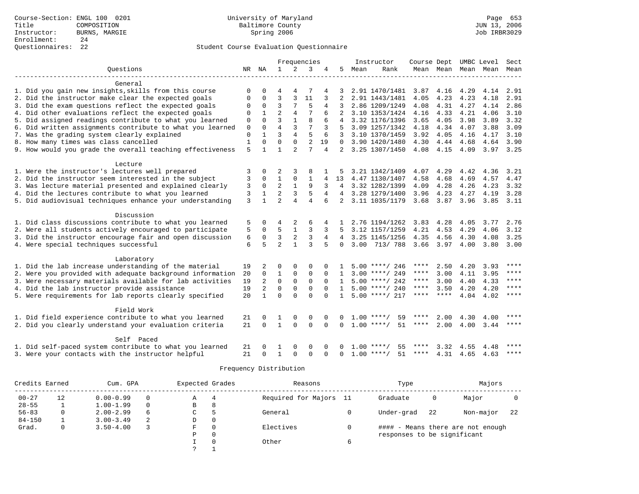### Questionnaires: 22 Student Course Evaluation Questionnaire

|                                                           |              |                |                |                | Frequencies    |                |                |      | Instructor         | Course Dept UMBC Level |             |      |                          | Sect        |
|-----------------------------------------------------------|--------------|----------------|----------------|----------------|----------------|----------------|----------------|------|--------------------|------------------------|-------------|------|--------------------------|-------------|
| Ouestions                                                 |              | NR NA          | $\mathbf{1}$   | 2              | 3              | 4              | 5              | Mean | Rank               |                        |             |      | Mean Mean Mean Mean Mean |             |
|                                                           |              |                |                |                |                |                |                |      |                    |                        |             |      |                          |             |
| General                                                   |              |                |                |                |                |                |                |      |                    |                        |             |      |                          |             |
| 1. Did you gain new insights, skills from this course     | $\Omega$     | 0              | 4              |                |                |                |                |      | 2.91 1470/1481     | 3.87                   | 4.16        | 4.29 | 4.14                     | 2.91        |
| 2. Did the instructor make clear the expected goals       | 0            | 0              | 3              | 3              | 11             | 3              | $\overline{2}$ |      | 2.91 1443/1481     | 4.05                   | 4.23        | 4.23 | 4.18                     | 2.91        |
| 3. Did the exam questions reflect the expected goals      | 0            | 0              | 3              | 7              | 5              | 4              | 3              |      | 2.86 1209/1249     | 4.08                   | 4.31        | 4.27 | 4.14                     | 2.86        |
| 4. Did other evaluations reflect the expected goals       | $\mathbf{0}$ | $\mathbf{1}$   | $\overline{a}$ | $\overline{4}$ | 7              | 6              | $\overline{2}$ |      | 3.10 1353/1424     | 4.16                   | 4.33        | 4.21 | 4.06                     | 3.10        |
| 5. Did assigned readings contribute to what you learned   | $\mathbf 0$  | $\Omega$       | 3              | $\mathbf{1}$   | 8              |                | 4              |      | 3.32 1176/1396     | 3.65                   | 4.05        | 3.98 | 3.89                     | 3.32        |
| 6. Did written assignments contribute to what you learned | $\mathbf 0$  | $\Omega$       | $\overline{4}$ | 3              | 7              | 3              |                |      | 3.09 1257/1342     | 4.18                   | 4.34        | 4.07 | 3.88                     | 3.09        |
| 7. Was the grading system clearly explained               | $\mathsf 0$  | $\mathbf{1}$   | 3              | $\overline{4}$ | 5              | 6              | 3              |      | 3.10 1370/1459     | 3.92                   | 4.05        | 4.16 | 4.17                     | 3.10        |
| 8. How many times was class cancelled                     | $1\,$        | $\Omega$       | $\Omega$       | $\Omega$       | $\overline{2}$ | 19             | $\Omega$       |      | 3.90 1420/1480     | 4.30                   | 4.44        | 4.68 | 4.64                     | 3.90        |
| 9. How would you grade the overall teaching effectiveness | 5            | $\mathbf{1}$   | 1              | $\mathfrak{D}$ | 7              | 4              | $2^{1}$        |      | 3.25 1307/1450     | 4.08                   | 4.15        | 4.09 | 3.97 3.25                |             |
|                                                           |              |                |                |                |                |                |                |      |                    |                        |             |      |                          |             |
| Lecture                                                   |              |                |                |                |                |                |                |      |                    |                        |             |      |                          |             |
| 1. Were the instructor's lectures well prepared           | 3            | 0              | 2              | 3              | 8              |                |                |      | 3.21 1342/1409     | 4.07                   | 4.29        | 4.42 | 4.36                     | 3.21        |
| 2. Did the instructor seem interested in the subject      | 3            | $\Omega$       | $\mathbf{1}$   | $\mathbf 0$    | $\mathbf{1}$   | 4              | 13             |      | 4.47 1130/1407     | 4.58                   | 4.68        | 4.69 | 4.57                     | 4.47        |
| 3. Was lecture material presented and explained clearly   | 3            | $\mathbf 0$    | $\overline{2}$ | $\mathbf{1}$   | 9              | 3              | 4              |      | 3.32 1282/1399     | 4.09                   | 4.28        | 4.26 | 4.23                     | 3.32        |
| 4. Did the lectures contribute to what you learned        | 3            | $\mathbf{1}$   | $\overline{a}$ | 3              | 5              | 4              | 4              |      | 3.28 1279/1400     | 3.96                   | 4.23        | 4.27 | 4.19                     | 3.28        |
| 5. Did audiovisual techniques enhance your understanding  | 3            |                | $\overline{a}$ | $\overline{4}$ | $\overline{4}$ | 6              | $\overline{a}$ |      | 3.11 1035/1179     | 3.68                   | 3.87        | 3.96 | 3.85                     | 3.11        |
|                                                           |              |                |                |                |                |                |                |      |                    |                        |             |      |                          |             |
| Discussion                                                |              |                |                |                |                |                |                |      |                    |                        |             |      |                          |             |
| 1. Did class discussions contribute to what you learned   | 5            | 0              | 4              | 2              | 6              |                |                |      | 2.76 1194/1262     | 3.83                   | 4.28        | 4.05 | 3.77                     | 2.76        |
| 2. Were all students actively encouraged to participate   | 5            | $\mathbf 0$    | 5              | $\mathbf{1}$   | 3              | 3              | 5              |      | 3.12 1157/1259     | 4.21                   | 4.53        | 4.29 | 4.06                     | 3.12        |
| 3. Did the instructor encourage fair and open discussion  | 6            | $\mathbf 0$    | 3              | $\overline{a}$ | 3              | $\overline{4}$ | $\overline{4}$ |      | 3.25 1145/1256     | 4.35                   | 4.56        | 4.30 | 4.08                     | 3.25        |
| 4. Were special techniques successful                     | 6            | 5              | $\overline{a}$ | $\mathbf{1}$   | 3              | 5              | $\Omega$       |      | 3.00 713/ 788      |                        | 3.66 3.97   | 4.00 | 3.80                     | 3.00        |
|                                                           |              |                |                |                |                |                |                |      |                    |                        |             |      |                          |             |
| Laboratory                                                |              |                |                |                |                |                |                |      |                    |                        |             |      |                          |             |
| 1. Did the lab increase understanding of the material     | 19           | 2              | $\Omega$       | $\Omega$       | $\Omega$       |                |                |      | $5.00$ ****/ 246   | ****                   | 2.50        | 4.20 | 3.93                     | ****        |
| 2. Were you provided with adequate background information | 20           | $\mathbf 0$    | $\mathbf{1}$   | 0              | $\mathbf 0$    | $\Omega$       | $\mathbf{1}$   |      | $3.00$ ****/ 249   | ****                   | 3.00        | 4.11 | 3.95                     | $***$       |
| 3. Were necessary materials available for lab activities  | 19           | $\overline{a}$ | $\mathbf 0$    | $\mathbf 0$    | $\mathbf 0$    | $\Omega$       | $\mathbf{1}$   |      | $5.00$ ****/ 242   | ****                   | 3.00        | 4.40 | 4.33                     | $***$       |
| 4. Did the lab instructor provide assistance              | 19           | 2              | $\Omega$       | $\Omega$       | $\Omega$       | $\Omega$       | $\mathbf{1}$   |      | $5.00$ ****/ 240   | ****                   | 3.50        | 4.20 | 4.20                     | ****        |
| 5. Were requirements for lab reports clearly specified    | 20           | $\mathbf{1}$   | $\Omega$       | $\Omega$       | $\cap$         | $\cap$         | $\mathbf{1}$   |      | $5.00$ ****/ 217   | ****                   | $* * * * *$ | 4.04 | 4.02                     | $***$       |
|                                                           |              |                |                |                |                |                |                |      |                    |                        |             |      |                          |             |
| Field Work                                                |              |                |                |                |                |                |                |      |                    |                        |             |      |                          |             |
| 1. Did field experience contribute to what you learned    | 21           | $\Omega$       | 1              | $\mathbf 0$    | $\mathbf 0$    | $\Omega$       | 0              |      | $1.00$ ****/<br>59 | ****                   | 2.00        | 4.30 | 4.00                     | ****        |
| 2. Did you clearly understand your evaluation criteria    | 21           | $\Omega$       | $\mathbf{1}$   | $\Omega$       | $\Omega$       | $\Omega$       | $\Omega$       |      | $1.00$ ****/<br>51 | ****                   | 2.00        | 4.00 | 3.44                     | $***$ * * * |
|                                                           |              |                |                |                |                |                |                |      |                    |                        |             |      |                          |             |
| Self Paced                                                |              |                |                |                |                |                |                |      |                    |                        |             |      |                          |             |
| 1. Did self-paced system contribute to what you learned   | 21           |                |                | $\Omega$       | $\Omega$       |                |                | 1.00 | ****<br>55         | ****                   | 3.32        | 4.55 | 4.48                     | $***$       |
| 3. Were your contacts with the instructor helpful         | 21           | $\Omega$       | $\mathbf{1}$   | $\Omega$       | $\Omega$       | $\Omega$       | $\Omega$       |      | 51<br>$1.00$ ****/ | $***$ * * *            | 4.31        | 4.65 | 4.63                     | $***$       |

| Credits Earned |    | Cum. GPA      |          | Expected Grades |          | Reasons             |      | Type                        |    | Majors                            |    |
|----------------|----|---------------|----------|-----------------|----------|---------------------|------|-----------------------------|----|-----------------------------------|----|
| $00 - 27$      | 12 | $0.00 - 0.99$ | 0        | Α               | 4        | Required for Majors | - 11 | Graduate                    | 0  | Major                             |    |
| $28 - 55$      |    | $1.00 - 1.99$ | $\Omega$ | в               | 8        |                     |      |                             |    |                                   |    |
| $56 - 83$      |    | $2.00 - 2.99$ | 6        | C               |          | General             |      | Under-grad                  | 22 | Non-major                         | 22 |
| $84 - 150$     |    | $3.00 - 3.49$ | 2        | D               | $\Omega$ |                     |      |                             |    |                                   |    |
| Grad.          | 0  | $3.50 - 4.00$ |          | F               |          | Electives           |      |                             |    | #### - Means there are not enough |    |
|                |    |               |          | Ρ               |          |                     |      | responses to be significant |    |                                   |    |
|                |    |               |          |                 |          | Other               | 6    |                             |    |                                   |    |
|                |    |               |          |                 |          |                     |      |                             |    |                                   |    |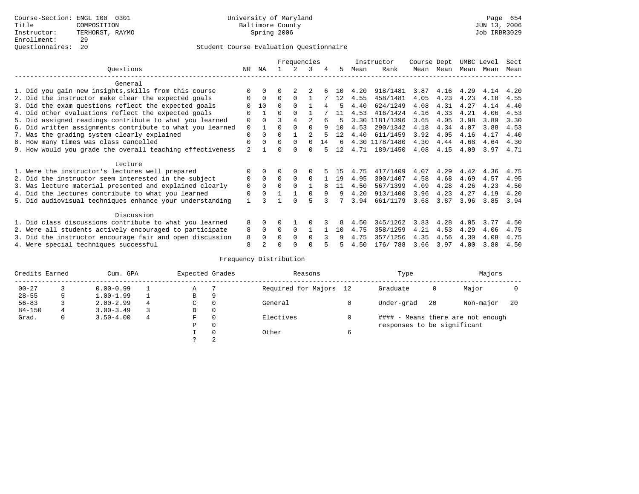|                                                           |                |          |          | Frequencies |              |    |     |      | Instructor     | Course Dept |      | UMBC Level |      | Sect |
|-----------------------------------------------------------|----------------|----------|----------|-------------|--------------|----|-----|------|----------------|-------------|------|------------|------|------|
| Ouestions                                                 | NR.            | ΝA       |          |             | 3            |    | 5.  | Mean | Rank           | Mean        | Mean | Mean       | Mean | Mean |
| General                                                   |                |          |          |             |              |    |     |      |                |             |      |            |      |      |
| 1. Did you gain new insights, skills from this course     | $\Omega$       | $\Omega$ | U        |             |              |    | 1 O | 4.20 | 918/1481       | 3.87        | 4.16 | 4.29       | 4.14 | 4.20 |
| 2. Did the instructor make clear the expected goals       | O              | $\Omega$ | $\Omega$ | $\Omega$    |              |    | 12  | 4.55 | 458/1481       | 4.05        | 4.23 | 4.23       | 4.18 | 4.55 |
| 3. Did the exam questions reflect the expected goals      |                | 10       | $\Omega$ | $\Omega$    |              | 4  | 5   | 4.40 | 624/1249       | 4.08        | 4.31 | 4.27       | 4.14 | 4.40 |
| 4. Did other evaluations reflect the expected goals       | O              |          | $\Omega$ |             |              |    | 11  | 4.53 | 416/1424       | 4.16        | 4.33 | 4.21       | 4.06 | 4.53 |
| 5. Did assigned readings contribute to what you learned   | $\mathbf 0$    | $\Omega$ |          |             |              |    |     | 3.30 | 1181/1396      | 3.65        | 4.05 | 3.98       | 3.89 | 3.30 |
| 6. Did written assignments contribute to what you learned | $\mathbf 0$    |          |          |             | $\Omega$     |    | 10  | 4.53 | 290/1342       | 4.18        | 4.34 | 4.07       | 3.88 | 4.53 |
| 7. Was the grading system clearly explained               | $\Omega$       | $\Omega$ | $\Omega$ |             |              |    | 12  | 4.40 | 611/1459       | 3.92        | 4.05 | 4.16       | 4.17 | 4.40 |
| 8. How many times was class cancelled                     | $\Omega$       | $\Omega$ | $\Omega$ | $\Omega$    | $\cap$       | 14 | 6   |      | 4.30 1178/1480 | 4.30        | 4.44 | 4.68       | 4.64 | 4.30 |
| 9. How would you grade the overall teaching effectiveness | $\mathfrak{D}$ |          | U        | $\cap$      | <sup>n</sup> |    | 12  | 4.71 | 189/1450       | 4.08        | 4.15 | 4.09       | 3.97 | 4.71 |
| Lecture                                                   |                |          |          |             |              |    |     |      |                |             |      |            |      |      |
| 1. Were the instructor's lectures well prepared           |                |          |          |             |              |    | 15  | 4.75 | 417/1409       | 4.07        | 4.29 | 4.42       | 4.36 | 4.75 |
| 2. Did the instructor seem interested in the subject      | 0              | $\Omega$ | $\Omega$ | $\Omega$    | $\Omega$     |    | 19  | 4.95 | 300/1407       | 4.58        | 4.68 | 4.69       | 4.57 | 4.95 |
| 3. Was lecture material presented and explained clearly   | $\mathbf 0$    | $\Omega$ | $\Omega$ | $\cap$      |              |    | 11  | 4.50 | 567/1399       | 4.09        | 4.28 | 4.26       | 4.23 | 4.50 |
| 4. Did the lectures contribute to what you learned        | 0              | $\Omega$ |          |             |              | q  | 9   | 4.20 | 913/1400       | 3.96        | 4.23 | 4.27       | 4.19 | 4.20 |
| 5. Did audiovisual techniques enhance your understanding  | $\mathbf{1}$   |          |          | ∩           |              |    |     | 3.94 | 661/1179       | 3.68        | 3.87 | 3.96       | 3.85 | 3.94 |
|                                                           |                |          |          |             |              |    |     |      |                |             |      |            |      |      |
| Discussion                                                |                |          |          |             |              |    |     |      |                |             |      |            |      |      |
| 1. Did class discussions contribute to what you learned   | 8              | $\Omega$ | U        |             |              |    |     | 4.50 | 345/1262       | 3.83        | 4.28 | 4.05       | 3.77 | 4.50 |
| 2. Were all students actively encouraged to participate   | 8              | $\Omega$ | $\Omega$ | $\Omega$    |              |    | 10  | 4.75 | 358/1259       | 4.21        | 4.53 | 4.29       | 4.06 | 4.75 |
| 3. Did the instructor encourage fair and open discussion  | 8              | $\Omega$ | O        | $\Omega$    | $\Omega$     |    |     | 4.75 | 357/1256       | 4.35        | 4.56 | 4.30       | 4.08 | 4.75 |
| 4. Were special techniques successful                     | 8              |          |          |             |              |    |     | 4.50 | 176/788        | 3.66        | 3.97 | 4.00       | 3.80 | 4.50 |

| Credits Earned |   | Cum. GPA      |   | Expected Grades |          | Reasons                | Type                        |    | Majors                            |     |
|----------------|---|---------------|---|-----------------|----------|------------------------|-----------------------------|----|-----------------------------------|-----|
| $00 - 27$      |   | $0.00 - 0.99$ |   | Α               |          | Required for Majors 12 | Graduate                    | 0  | Major                             |     |
| $28 - 55$      | 5 | $1.00 - 1.99$ |   | B               | 9        |                        |                             |    |                                   |     |
| $56 - 83$      |   | $2.00 - 2.99$ | 4 | C               | 0        | General                | Under-grad                  | 20 | Non-major                         | -20 |
| $84 - 150$     | 4 | $3.00 - 3.49$ |   | D               | 0        |                        |                             |    |                                   |     |
| Grad.          | 0 | $3.50 - 4.00$ | 4 | F               | 0        | Electives              |                             |    | #### - Means there are not enough |     |
|                |   |               |   | Ρ               | 0        |                        | responses to be significant |    |                                   |     |
|                |   |               |   |                 | $\Omega$ | Other                  |                             |    |                                   |     |
|                |   |               |   |                 | 2        |                        |                             |    |                                   |     |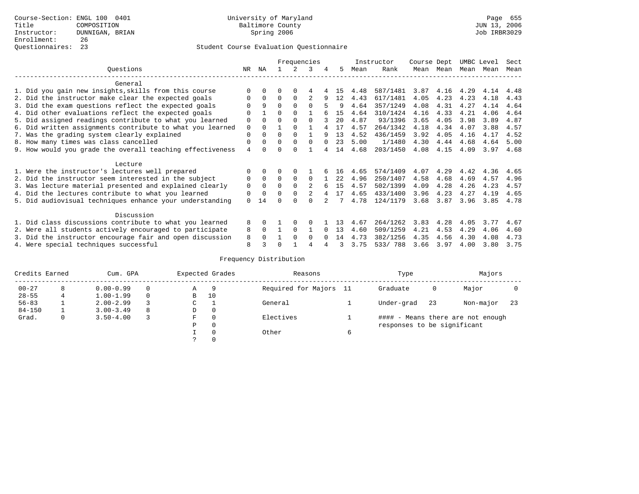|                                                           |                |              |          |          | Frequencies    |          |      |      | Instructor | Course Dept |      | UMBC Level |      | Sect |
|-----------------------------------------------------------|----------------|--------------|----------|----------|----------------|----------|------|------|------------|-------------|------|------------|------|------|
| Ouestions                                                 | NR.            | ΝA           |          |          | 3              |          | 5.   | Mean | Rank       | Mean        | Mean | Mean       | Mean | Mean |
| General                                                   |                |              |          |          |                |          |      |      |            |             |      |            |      |      |
| 1. Did you gain new insights, skills from this course     | $\Omega$       | $\Omega$     | O        | $\Omega$ | 4              |          | 15   | 4.48 | 587/1481   | 3.87        | 4.16 | 4.29       | 4.14 | 4.48 |
| 2. Did the instructor make clear the expected goals       | 0              | $\Omega$     | $\Omega$ | $\Omega$ |                | 9        | 12   | 4.43 | 617/1481   | 4.05        | 4.23 | 4.23       | 4.18 | 4.43 |
| 3. Did the exam questions reflect the expected goals      |                | 9            | $\Omega$ | $\Omega$ | $\Omega$       |          | q    | 4.64 | 357/1249   | 4.08        | 4.31 | 4.27       | 4.14 | 4.64 |
| 4. Did other evaluations reflect the expected goals       | O              |              | $\Omega$ | $\Omega$ |                |          | 15   | 4.64 | 310/1424   | 4.16        | 4.33 | 4.21       | 4.06 | 4.64 |
| 5. Did assigned readings contribute to what you learned   | $\mathbf 0$    | $\Omega$     | $\Omega$ |          | $\Omega$       |          | 20   | 4.87 | 93/1396    | 3.65        | 4.05 | 3.98       | 3.89 | 4.87 |
| 6. Did written assignments contribute to what you learned | $\mathbf 0$    | $\Omega$     |          | $\Omega$ |                |          | 17   | 4.57 | 264/1342   | 4.18        | 4.34 | 4.07       | 3.88 | 4.57 |
| 7. Was the grading system clearly explained               | $\Omega$       | $\Omega$     | $\Omega$ | $\Omega$ |                | q        | 13   | 4.52 | 436/1459   | 3.92        | 4.05 | 4.16       | 4.17 | 4.52 |
| 8. How many times was class cancelled                     | 0              | $\Omega$     | $\Omega$ | $\Omega$ | $\Omega$       | $\Omega$ | 23   | 5.00 | 1/1480     | 4.30        | 4.44 | 4.68       | 4.64 | 5.00 |
| 9. How would you grade the overall teaching effectiveness | $\overline{4}$ | <sup>n</sup> | U        | $\cap$   |                |          | 14   | 4.68 | 203/1450   | 4.08        | 4.15 | 4.09       | 3.97 | 4.68 |
| Lecture                                                   |                |              |          |          |                |          |      |      |            |             |      |            |      |      |
| 1. Were the instructor's lectures well prepared           | 0              |              |          |          |                |          | 16   | 4.65 | 574/1409   | 4.07        | 4.29 | 4.42       | 4.36 | 4.65 |
| 2. Did the instructor seem interested in the subject      | 0              | $\Omega$     | $\Omega$ | $\Omega$ | $\Omega$       |          | 22.2 | 4.96 | 250/1407   | 4.58        | 4.68 | 4.69       | 4.57 | 4.96 |
| 3. Was lecture material presented and explained clearly   | $\mathbf 0$    | $\Omega$     | $\Omega$ |          | $\mathfrak{D}$ |          | 15   | 4.57 | 502/1399   | 4.09        | 4.28 | 4.26       | 4.23 | 4.57 |
| 4. Did the lectures contribute to what you learned        | 0              | $\Omega$     |          | $\Omega$ |                |          | 17   | 4.65 | 433/1400   | 3.96        | 4.23 | 4.27       | 4.19 | 4.65 |
| 5. Did audiovisual techniques enhance your understanding  | $\Omega$       | 14           |          | ∩        |                |          |      | 4.78 | 124/1179   | 3.68        | 3.87 | 3.96       | 3.85 | 4.78 |
|                                                           |                |              |          |          |                |          |      |      |            |             |      |            |      |      |
| Discussion                                                |                |              |          |          |                |          |      |      |            |             |      |            |      |      |
| 1. Did class discussions contribute to what you learned   | 8              | $\Omega$     |          | $\Omega$ |                |          | 13   | 4.67 | 264/1262   | 3.83        | 4.28 | 4.05       | 3.77 | 4.67 |
| 2. Were all students actively encouraged to participate   | 8              | $\Omega$     |          | $\Omega$ |                |          | 13   | 4.60 | 509/1259   | 4.21        | 4.53 | 4.29       | 4.06 | 4.60 |
| 3. Did the instructor encourage fair and open discussion  | 8              |              |          | $\Omega$ | $\Omega$       |          | 14   | 4.73 | 382/1256   | 4.35        | 4.56 | 4.30       | 4.08 | 4.73 |
| 4. Were special techniques successful                     | 8              |              |          |          |                |          | 3    | 3.75 | 533/788    | 3.66        | 3.97 | 4.00       | 3.80 | 3.75 |

| Credits Earned |   | Cum. GPA      |   |   | Expected Grades | Reasons                | Type                        |    | Majors                            |     |
|----------------|---|---------------|---|---|-----------------|------------------------|-----------------------------|----|-----------------------------------|-----|
| $00 - 27$      | 8 | $0.00 - 0.99$ |   | Α | 9               | Required for Majors 11 | Graduate                    | 0  | Major                             |     |
| $28 - 55$      | 4 | $1.00 - 1.99$ |   | B | 10              |                        |                             |    |                                   |     |
| $56 - 83$      |   | $2.00 - 2.99$ |   | J |                 | General                | Under-grad                  | 23 | Non-major                         | -23 |
| $84 - 150$     |   | $3.00 - 3.49$ | 8 | D | 0               |                        |                             |    |                                   |     |
| Grad.          | 0 | $3.50 - 4.00$ |   | F | 0               | Electives              |                             |    | #### - Means there are not enough |     |
|                |   |               |   | Ρ | 0               |                        | responses to be significant |    |                                   |     |
|                |   |               |   |   | $\Omega$        | Other                  |                             |    |                                   |     |
|                |   |               |   |   |                 |                        |                             |    |                                   |     |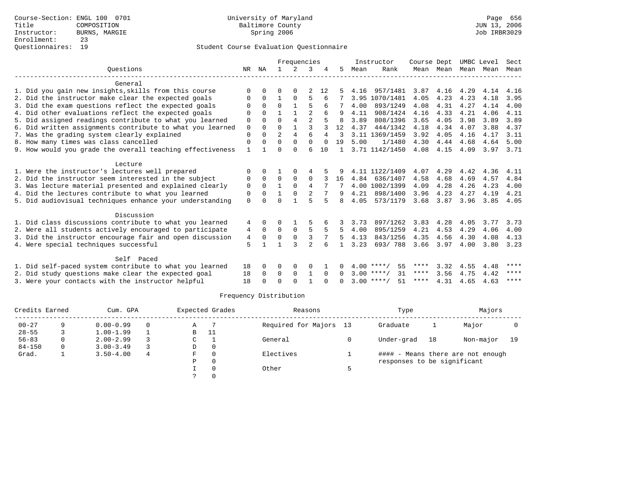|                                                           | Frequencies  |          |                |                       |                |          |              |      | Instructor                         | Course Dept  |                     |      | UMBC Level | Sect        |
|-----------------------------------------------------------|--------------|----------|----------------|-----------------------|----------------|----------|--------------|------|------------------------------------|--------------|---------------------|------|------------|-------------|
| Ouestions                                                 | NR.          | ΝA       |                | 2                     | κ              |          | 5            | Mean | Rank                               |              | Mean Mean Mean Mean |      |            | Mean        |
| General                                                   |              |          |                |                       |                |          |              |      |                                    |              |                     |      |            |             |
| 1. Did you gain new insights, skills from this course     | $\Omega$     |          | O              |                       |                | 12       |              | 4.16 | 957/1481                           | 3.87         | 4.16                | 4.29 | 4.14       | 4.16        |
| 2. Did the instructor make clear the expected goals       | 0            | $\Omega$ |                | $\Omega$              | 5              |          |              |      | 3.95 1070/1481                     | 4.05         | 4.23                | 4.23 | 4.18       | 3.95        |
| 3. Did the exam questions reflect the expected goals      | <sup>0</sup> | $\Omega$ | $\Omega$       |                       | 5              | 6        |              | 4.00 | 893/1249                           | 4.08         | 4.31                | 4.27 | 4.14       | 4.00        |
| 4. Did other evaluations reflect the expected goals       | 0            | $\Omega$ |                |                       |                | б        | 9            | 4.11 | 908/1424                           | 4.16         | 4.33                | 4.21 | 4.06       | 4.11        |
| 5. Did assigned readings contribute to what you learned   | 0            | $\Omega$ | $\Omega$       | $\overline{4}$        | $\overline{a}$ |          |              | 3.89 | 808/1396                           | 3.65         | 4.05                | 3.98 | 3.89       | 3.89        |
| 6. Did written assignments contribute to what you learned | $\mathbf 0$  | $\Omega$ | $\Omega$       |                       | 3              |          | 12           | 4.37 | 444/1342                           | 4.18         | 4.34                | 4.07 | 3.88       | 4.37        |
| 7. Was the grading system clearly explained               | $\Omega$     | $\Omega$ | $\overline{a}$ | $\overline{4}$        | ĥ              | 4        | 3            |      | 3.11 1369/1459                     | 3.92         | 4.05                | 4.16 | 4.17       | 3.11        |
| 8. How many times was class cancelled                     | $\mathbf 0$  | O        | $\Omega$       | $\Omega$              | $\Omega$       | $\Omega$ | 19           | 5.00 | 1/1480                             | 4.30         | 4.44                | 4.68 | 4.64       | 5.00        |
| 9. How would you grade the overall teaching effectiveness | $\mathbf{1}$ |          | $\Omega$       | $\cap$                | 6              | 10       | $\mathbf{1}$ |      | 3.71 1142/1450                     | 4.08         | 4.15                | 4.09 | 3.97       | 3.71        |
| Lecture                                                   |              |          |                |                       |                |          |              |      |                                    |              |                     |      |            |             |
| 1. Were the instructor's lectures well prepared           |              | 0        |                | $\Omega$              | 4              |          |              |      | 4.11 1122/1409                     | 4.07         | 4.29                | 4.42 | 4.36       | 4.11        |
| 2. Did the instructor seem interested in the subject      | 0            | $\Omega$ | $\Omega$       | $\Omega$              | $\Omega$       |          | 16           | 4.84 | 636/1407                           | 4.58         | 4.68                | 4.69 | 4.57       | 4.84        |
| 3. Was lecture material presented and explained clearly   | 0            | $\Omega$ | $\mathbf 1$    | $\Omega$              | 4              |          |              |      | 4.00 1002/1399                     | 4.09         | 4.28                | 4.26 | 4.23       | 4.00        |
| 4. Did the lectures contribute to what you learned        | 0            | $\Omega$ |                | $\Omega$              | $\overline{a}$ |          |              | 4.21 | 898/1400                           | 3.96         | 4.23                | 4.27 | 4.19       | 4.21        |
| 5. Did audiovisual techniques enhance your understanding  | $\mathbf 0$  | ∩        | ∩              |                       | 5              |          |              | 4.05 | 573/1179                           | 3.68         | 3.87                | 3.96 | 3.85       | 4.05        |
| Discussion                                                |              |          |                |                       |                |          |              |      |                                    |              |                     |      |            |             |
| 1. Did class discussions contribute to what you learned   | 4            | $\Omega$ | 0              |                       |                |          |              | 3.73 | 897/1262                           | 3.83         | 4.28                | 4.05 | 3.77       | 3.73        |
| 2. Were all students actively encouraged to participate   | 4            | $\Omega$ | $\Omega$       | $\mathbf 0$           | 5              |          |              | 4.00 | 895/1259                           | 4.21         | 4.53                | 4.29 | 4.06       | 4.00        |
| 3. Did the instructor encourage fair and open discussion  | 4            | $\Omega$ | $\Omega$       | $\Omega$              |                |          |              | 4.13 | 843/1256                           | 4.35         | 4.56                | 4.30 | 4.08       | 4.13        |
| 4. Were special techniques successful                     | 5            |          |                |                       | $\mathfrak{D}$ |          |              | 3.23 | 693/788                            | 3.66         | 3.97                | 4.00 | 3.80       | 3.23        |
|                                                           |              |          |                |                       |                |          |              |      |                                    |              |                     |      |            |             |
| Self Paced                                                |              |          |                |                       |                |          |              |      |                                    |              |                     |      |            | $***$ * * * |
| 1. Did self-paced system contribute to what you learned   | 18           | $\Omega$ | O              | 0                     | $\Omega$       |          | 0            |      | $4.00$ ****/<br>55                 | ****         | 3.32                | 4.55 | 4.48       | ****        |
| 2. Did study questions make clear the expected goal       | 18           | 0        | 0              | $\mathbf 0$<br>$\cap$ | $\mathbf{1}$   | $\Omega$ | $\Omega$     |      | 31<br>$3.00$ ****/<br>$3.00$ ****/ | ****<br>**** | 3.56                | 4.75 | 4.42       | ****        |
| 3. Were your contacts with the instructor helpful         | 18           |          | $\Omega$       |                       |                |          | <sup>n</sup> |      | 51                                 |              | 4.31                | 4.65 | 4.63       |             |

| Credits Earned |          | Cum. GPA      |          |   | Expected Grades | Reasons                | Type                        |    | Majors                            |      |
|----------------|----------|---------------|----------|---|-----------------|------------------------|-----------------------------|----|-----------------------------------|------|
| $00 - 27$      | Q        | $0.00 - 0.99$ | $\Omega$ | Α |                 | Required for Majors 13 | Graduate                    |    | Major                             |      |
| $28 - 55$      |          | $1.00 - 1.99$ |          | В | 11              |                        |                             |    |                                   |      |
| $56 - 83$      | 0        | $2.00 - 2.99$ |          | C |                 | General                | Under-grad                  | 18 | Non-major                         | - 19 |
| $84 - 150$     | $\Omega$ | $3.00 - 3.49$ |          | D | 0               |                        |                             |    |                                   |      |
| Grad.          |          | $3.50 - 4.00$ | 4        | F | $\Omega$        | Electives              |                             |    | #### - Means there are not enough |      |
|                |          |               |          | Ρ | 0               |                        | responses to be significant |    |                                   |      |
|                |          |               |          |   |                 | Other                  |                             |    |                                   |      |
|                |          |               |          |   |                 |                        |                             |    |                                   |      |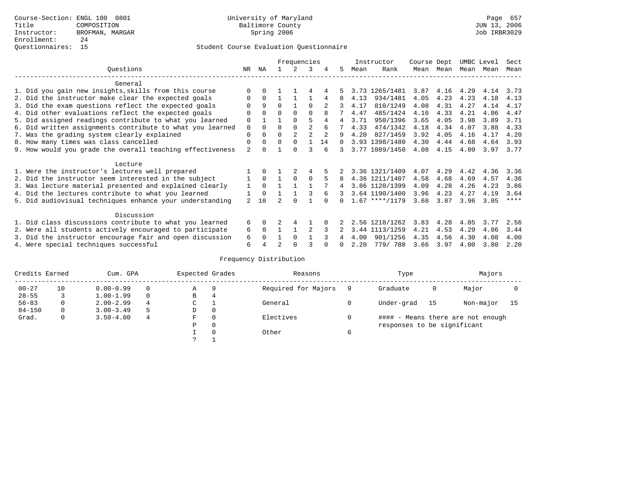|                                                           |                |              |          | Frequencies |                |    |              |      | Instructor       | Course Dept |           | UMBC Level |      | Sect |
|-----------------------------------------------------------|----------------|--------------|----------|-------------|----------------|----|--------------|------|------------------|-------------|-----------|------------|------|------|
| Ouestions                                                 | NR.            | ΝA           |          |             | 3              | 4  | 5.           | Mean | Rank             |             | Mean Mean | Mean       | Mean | Mean |
| General                                                   |                |              |          |             |                |    |              |      |                  |             |           |            |      |      |
| 1. Did you gain new insights, skills from this course     |                |              |          |             |                |    |              |      | 3.73 1265/1481   | 3.87        | 4.16      | 4.29       | 4.14 | 3.73 |
| 2. Did the instructor make clear the expected goals       | O              | $\Omega$     |          |             |                |    | 8            | 4.13 | 934/1481         | 4.05        | 4.23      | 4.23       | 4.18 | 4.13 |
| 3. Did the exam questions reflect the expected goals      |                | 9            | $\Omega$ |             | $\Omega$       |    | 3            | 4.17 | 810/1249         | 4.08        | 4.31      | 4.27       | 4.14 | 4.17 |
| 4. Did other evaluations reflect the expected goals       | O              | $\Omega$     | $\Omega$ | $\Omega$    | $\Omega$       |    |              | 4.47 | 485/1424         | 4.16        | 4.33      | 4.21       | 4.06 | 4.47 |
| 5. Did assigned readings contribute to what you learned   | $\mathbf 0$    |              |          | $\Omega$    |                |    | 4            | 3.71 | 950/1396         | 3.65        | 4.05      | 3.98       | 3.89 | 3.71 |
| 6. Did written assignments contribute to what you learned | $\mathbf 0$    | $\Omega$     | $\Omega$ | $\Omega$    | $\mathfrak{D}$ |    |              | 4.33 | 474/1342         | 4.18        | 4.34      | 4.07       | 3.88 | 4.33 |
| 7. Was the grading system clearly explained               | $\Omega$       | $\Omega$     | 0        |             |                |    | 9            | 4.20 | 827/1459         | 3.92        | 4.05      | 4.16       | 4.17 | 4.20 |
| 8. How many times was class cancelled                     | 0              | $\Omega$     | $\Omega$ | $\Omega$    |                | 14 | $\Omega$     |      | 3.93 1398/1480   | 4.30        | 4.44      | 4.68       | 4.64 | 3.93 |
| 9. How would you grade the overall teaching effectiveness | 2              | <sup>n</sup> |          | $\cap$      | ς              |    | 3            |      | 3.77 1089/1450   | 4.08        | 4.15      | 4.09       | 3.97 | 3.77 |
| Lecture                                                   |                |              |          |             |                |    |              |      |                  |             |           |            |      |      |
| 1. Were the instructor's lectures well prepared           |                |              |          |             | 4              |    |              |      | 3.36 1321/1409   | 4.07        | 4.29      | 4.42       | 4.36 | 3.36 |
| 2. Did the instructor seem interested in the subject      |                | $\Omega$     |          | $\Omega$    | $\Omega$       |    |              |      | 4.36 1211/1407   | 4.58        | 4.68      | 4.69       | 4.57 | 4.36 |
| 3. Was lecture material presented and explained clearly   |                | $\Omega$     |          |             |                |    |              |      | 3.86 1120/1399   | 4.09        | 4.28      | 4.26       | 4.23 | 3.86 |
| 4. Did the lectures contribute to what you learned        |                | $\Omega$     |          |             |                |    | 3            |      | 3.64 1190/1400   | 3.96        | 4.23      | 4.27       | 4.19 | 3.64 |
| 5. Did audiovisual techniques enhance your understanding  | $\mathfrak{D}$ | 10           |          |             |                |    |              |      | $1.67$ ****/1179 | 3.68        | 3.87      | 3.96       | 3.85 | **** |
| Discussion                                                |                |              |          |             |                |    |              |      |                  |             |           |            |      |      |
| 1. Did class discussions contribute to what you learned   | 6              | $\Omega$     |          |             |                |    |              |      | 2.56 1218/1262   | 3.83        | 4.28      | 4.05       | 3.77 | 2.56 |
| 2. Were all students actively encouraged to participate   | 6              | $\Omega$     |          |             |                |    |              | 3.44 | 1113/1259        | 4.21        | 4.53      | 4.29       | 4.06 | 3.44 |
| 3. Did the instructor encourage fair and open discussion  | 6              |              |          | $\Omega$    |                |    |              | 4.00 | 901/1256         | 4.35        | 4.56      | 4.30       | 4.08 | 4.00 |
| 4. Were special techniques successful                     | 6              |              |          |             |                |    | <sup>n</sup> | 2.20 | 779/788          | 3.66        | 3.97      | 4.00       | 3.80 | 2.20 |

| Credits Earned |    | Cum. GPA      |    | Expected Grades |          | Reasons             | Type                        |    | Majors                            |    |
|----------------|----|---------------|----|-----------------|----------|---------------------|-----------------------------|----|-----------------------------------|----|
| $00 - 27$      | 10 | $0.00 - 0.99$ |    | Α               | 9        | Required for Majors | Graduate                    | 0  | Major                             |    |
| $28 - 55$      |    | $1.00 - 1.99$ |    | B               | 4        |                     |                             |    |                                   |    |
| $56 - 83$      | 0  | $2.00 - 2.99$ | 4  | ◡               |          | General             | Under-grad                  | 15 | Non-major                         | 15 |
| $84 - 150$     | 0  | $3.00 - 3.49$ | .5 | D               | 0        |                     |                             |    |                                   |    |
| Grad.          | 0  | $3.50 - 4.00$ | 4  | F               | 0        | Electives           |                             |    | #### - Means there are not enough |    |
|                |    |               |    | Ρ               | 0        |                     | responses to be significant |    |                                   |    |
|                |    |               |    |                 | $\Omega$ | Other               |                             |    |                                   |    |
|                |    |               |    | っ               |          |                     |                             |    |                                   |    |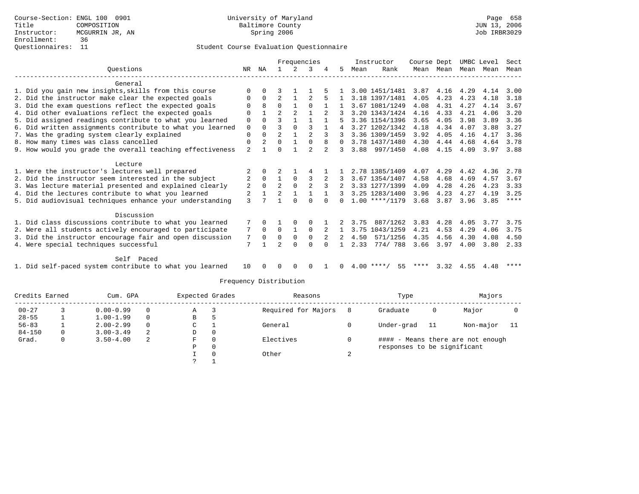### Questionnaires: 11 Student Course Evaluation Questionnaire

|                                                           |                |                |                |              | Frequencies    |                |          |      | Instructor         | Course Dept |           |      | UMBC Level | Sect    |
|-----------------------------------------------------------|----------------|----------------|----------------|--------------|----------------|----------------|----------|------|--------------------|-------------|-----------|------|------------|---------|
| Ouestions                                                 | NR             | NA             |                | 2            | 3              | 4              | 5.       | Mean | Rank               |             | Mean Mean |      | Mean Mean  | Mean    |
| General                                                   |                |                |                |              |                |                |          |      |                    |             |           |      |            |         |
| 1. Did you gain new insights, skills from this course     | $\Omega$       | $\Omega$       |                |              |                |                |          |      | 3.00 1451/1481     | 3.87        | 4.16      | 4.29 | 4.14       | 3.00    |
| 2. Did the instructor make clear the expected goals       | 0              | $\Omega$       | $\overline{a}$ |              |                |                |          |      | 3.18 1397/1481     | 4.05        | 4.23      | 4.23 | 4.18       | 3.18    |
| 3. Did the exam questions reflect the expected goals      | O              | 8              | $\Omega$       |              | $\Omega$       |                |          |      | 3.67 1081/1249     | 4.08        | 4.31      | 4.27 | 4.14       | 3.67    |
| 4. Did other evaluations reflect the expected goals       | 0              |                | $\overline{a}$ | 2            |                | $\mathfrak{D}$ |          |      | 3.20 1343/1424     | 4.16        | 4.33      | 4.21 | 4.06       | 3.20    |
| 5. Did assigned readings contribute to what you learned   | 0              | $\Omega$       | ς              | $\mathbf{1}$ |                |                |          |      | 3.36 1154/1396     | 3.65        | 4.05      | 3.98 | 3.89       | 3.36    |
| 6. Did written assignments contribute to what you learned | 0              | $\Omega$       |                | $\Omega$     | 3              |                | 4        |      | 3.27 1202/1342     | 4.18        | 4.34      | 4.07 | 3.88       | 3.27    |
| 7. Was the grading system clearly explained               | 0              | $\Omega$       | $\overline{a}$ | $\mathbf{1}$ | $\overline{2}$ |                |          |      | 3.36 1309/1459     | 3.92        | 4.05      | 4.16 | 4.17       | 3.36    |
| 8. How many times was class cancelled                     | 0              | $\overline{2}$ | 0              | $\mathbf{1}$ | $\Omega$       | 8              | $\Omega$ |      | 3.78 1437/1480     | 4.30        | 4.44      | 4.68 | 4.64       | 3.78    |
| 9. How would you grade the overall teaching effectiveness | $\overline{a}$ |                | U              |              | $\overline{2}$ |                | 3        |      | 3.88 997/1450      | 4.08        | 4.15      | 4.09 | 3.97       | 3.88    |
| Lecture                                                   |                |                |                |              |                |                |          |      |                    |             |           |      |            |         |
| 1. Were the instructor's lectures well prepared           |                | $\Omega$       |                |              | 4              |                |          |      | 2.78 1385/1409     | 4.07        | 4.29      | 4.42 | 4.36       | 2.78    |
| 2. Did the instructor seem interested in the subject      | 2              | $\Omega$       | $\mathbf{1}$   | $\Omega$     | 3              | 2              |          |      | 3.67 1354/1407     | 4.58        | 4.68      | 4.69 | 4.57       | 3.67    |
| 3. Was lecture material presented and explained clearly   | 2              | $\Omega$       | $\overline{2}$ | $\Omega$     | $\overline{2}$ |                |          |      | 3.33 1277/1399     | 4.09        | 4.28      | 4.26 | 4.23       | 3.33    |
| 4. Did the lectures contribute to what you learned        | 2              | $\overline{1}$ | $\overline{a}$ | $\mathbf{1}$ |                |                |          |      | 3.25 1283/1400     | 3.96        | 4.23      | 4.27 | 4.19       | 3.25    |
| 5. Did audiovisual techniques enhance your understanding  | 3              |                |                |              | U              |                | 0        |      | $1.00$ ****/1179   | 3.68        | 3.87      | 3.96 | 3.85       | $***$ * |
| Discussion                                                |                |                |                |              |                |                |          |      |                    |             |           |      |            |         |
| 1. Did class discussions contribute to what you learned   |                | $\Omega$       |                | $\Omega$     | 0              |                |          | 3.75 | 887/1262           | 3.83        | 4.28      | 4.05 | 3.77       | 3.75    |
| 2. Were all students actively encouraged to participate   | 7              | $\Omega$       | $\Omega$       | $\mathbf{1}$ | $\Omega$       |                | 1        |      | 3.75 1043/1259     | 4.21        | 4.53      | 4.29 | 4.06       | 3.75    |
| 3. Did the instructor encourage fair and open discussion  | 7              | $\mathbf 0$    | $\Omega$       | $\Omega$     | $\Omega$       |                | 2        | 4.50 | 571/1256           | 4.35        | 4.56      | 4.30 | 4.08       | 4.50    |
| 4. Were special techniques successful                     | 7              |                | $\overline{a}$ | $\Omega$     | $\Omega$       | $\Omega$       |          | 2.33 | 774/788            | 3.66        | 3.97      | 4.00 | 3.80       | 2.33    |
| Self Paced                                                |                |                |                |              |                |                |          |      |                    |             |           |      |            |         |
| 1. Did self-paced system contribute to what you learned   | 10             | $\Omega$       | <sup>0</sup>   | $\Omega$     | $\Omega$       |                | 0        |      | 55<br>$4.00$ ****/ | ****        | 3.32      |      | 4.55 4.48  | ****    |

| Credits Earned |    | Cum. GPA      |          | Expected Grades | Reasons             |        | Type                        |     | Majors                            |  |
|----------------|----|---------------|----------|-----------------|---------------------|--------|-----------------------------|-----|-----------------------------------|--|
| $00 - 27$      |    | $0.00 - 0.99$ | $\Omega$ | Α               | Required for Majors |        | Graduate                    | 0   | Major                             |  |
| $28 - 55$      |    | $1.00 - 1.99$ | $\Omega$ | В               |                     |        |                             |     |                                   |  |
| $56 - 83$      |    | $2.00 - 2.99$ | 0        | C               | General             |        | Under-grad                  | -11 | Non-major                         |  |
| $84 - 150$     | 0. | $3.00 - 3.49$ | 2        | D               |                     |        |                             |     |                                   |  |
| Grad.          | 0  | $3.50 - 4.00$ | 2        | F               | Electives           |        |                             |     | #### - Means there are not enough |  |
|                |    |               |          | D               |                     |        | responses to be significant |     |                                   |  |
|                |    |               |          |                 | Other               | ◠<br>∠ |                             |     |                                   |  |
|                |    |               |          |                 |                     |        |                             |     |                                   |  |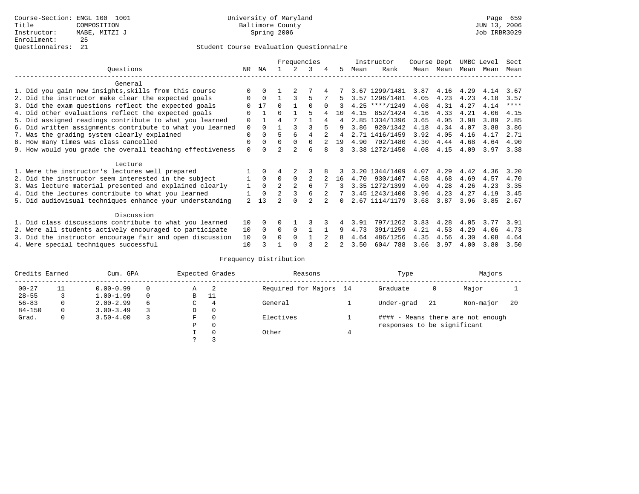### Questionnaires: 21 Student Course Evaluation Questionnaire

|                                                           |                |              |                |          | Frequencies    |          |              |      | Instructor       | Course Dept |      | UMBC Level |      | Sect        |
|-----------------------------------------------------------|----------------|--------------|----------------|----------|----------------|----------|--------------|------|------------------|-------------|------|------------|------|-------------|
| Questions                                                 | NR             | ΝA           |                |          |                | 4        | 5            | Mean | Rank             | Mean        | Mean | Mean       | Mean | Mean        |
| General                                                   |                |              |                |          |                |          |              |      |                  |             |      |            |      |             |
| 1. Did you gain new insights, skills from this course     |                | $\Omega$     |                |          |                |          |              |      | 3.67 1299/1481   | 3.87        | 4.16 | 4.29       | 4.14 | 3.67        |
| 2. Did the instructor make clear the expected goals       |                | $\Omega$     |                |          |                |          |              |      | 3.57 1296/1481   | 4.05        | 4.23 | 4.23       | 4.18 | 3.57        |
| 3. Did the exam questions reflect the expected goals      |                | 17           | $\Omega$       |          | $\Omega$       | $\Omega$ |              |      | $4.25$ ****/1249 | 4.08        | 4.31 | 4.27       | 4.14 | $***$ * * * |
| 4. Did other evaluations reflect the expected goals       | O              |              | $\Omega$       |          |                |          | 10           | 4.15 | 852/1424         | 4.16        | 4.33 | 4.21       | 4.06 | 4.15        |
| 5. Did assigned readings contribute to what you learned   | $\mathbf 0$    |              | $\overline{4}$ |          |                |          |              |      | 2.85 1334/1396   | 3.65        | 4.05 | 3.98       | 3.89 | 2.85        |
| 6. Did written assignments contribute to what you learned | 0              | $\Omega$     |                |          |                |          | 9            | 3.86 | 920/1342         | 4.18        | 4.34 | 4.07       | 3.88 | 3.86        |
| 7. Was the grading system clearly explained               | $\Omega$       | $\Omega$     | 5              | 6        |                |          |              |      | 2.71 1416/1459   | 3.92        | 4.05 | 4.16       | 4.17 | 2.71        |
| 8. How many times was class cancelled                     | 0              | $\Omega$     | 0              | $\Omega$ | $\cap$         |          | 19           | 4.90 | 702/1480         | 4.30        | 4.44 | 4.68       | 4.64 | 4.90        |
| 9. How would you grade the overall teaching effectiveness | $\Omega$       | <sup>n</sup> | $\mathcal{D}$  |          | ศ              |          | 3            |      | 3.38 1272/1450   | 4.08        | 4.15 | 4.09       | 3.97 | 3.38        |
| Lecture                                                   |                |              |                |          |                |          |              |      |                  |             |      |            |      |             |
| 1. Were the instructor's lectures well prepared           |                |              |                |          |                |          |              |      | 3.20 1344/1409   | 4.07        | 4.29 | 4.42       | 4.36 | 3.20        |
| 2. Did the instructor seem interested in the subject      |                | $\Omega$     | $\Omega$       |          | $\mathfrak{D}$ |          | 16           | 4.70 | 930/1407         | 4.58        | 4.68 | 4.69       | 4.57 | 4.70        |
| 3. Was lecture material presented and explained clearly   |                | $\Omega$     | $\mathfrak{D}$ |          |                |          |              |      | 3.35 1272/1399   | 4.09        | 4.28 | 4.26       | 4.23 | 3.35        |
| 4. Did the lectures contribute to what you learned        |                | $\Omega$     |                |          |                |          |              |      | 3.45 1243/1400   | 3.96        | 4.23 | 4.27       | 4.19 | 3.45        |
| 5. Did audiovisual techniques enhance your understanding  | $\mathfrak{D}$ | 13           |                | ∩        |                |          | <sup>n</sup> |      | 2.67 1114/1179   | 3.68        | 3.87 | 3.96       | 3.85 | 2.67        |
| Discussion                                                |                |              |                |          |                |          |              |      |                  |             |      |            |      |             |
| 1. Did class discussions contribute to what you learned   | 10             | 0            | 0              |          |                |          |              | 3.91 | 797/1262         | 3.83        | 4.28 | 4.05       | 3.77 | 3.91        |
| 2. Were all students actively encouraged to participate   | 10             | $\Omega$     | $\Omega$       | $\Omega$ |                |          | 9            | 4.73 | 391/1259         | 4.21        | 4.53 | 4.29       | 4.06 | 4.73        |
| 3. Did the instructor encourage fair and open discussion  | 10             | $\Omega$     | O              | $\Omega$ |                |          |              | 4.64 | 486/1256         | 4.35        | 4.56 | 4.30       | 4.08 | 4.64        |
| 4. Were special techniques successful                     | 10             |              |                |          |                |          |              | 3.50 | 604/788          | 3.66        | 3.97 | 4.00       | 3.80 | 3.50        |

| Credits Earned |         | Cum. GPA      |          |             | Expected Grades | Reasons                | Type                        |     | Majors                            |     |
|----------------|---------|---------------|----------|-------------|-----------------|------------------------|-----------------------------|-----|-----------------------------------|-----|
| $00 - 27$      | 11      | $0.00 - 0.99$ |          | А           | -2              | Required for Majors 14 | Graduate                    | 0   | Major                             |     |
| $28 - 55$      | 3       | $1.00 - 1.99$ | $\Omega$ | B           | 11              |                        |                             |     |                                   |     |
| $56 - 83$      | $\circ$ | $2.00 - 2.99$ | 6        | $\sim$<br>◡ | 4               | General                | Under-grad                  | -21 | Non-major                         | -20 |
| $84 - 150$     | 0       | $3.00 - 3.49$ |          | D           | 0               |                        |                             |     |                                   |     |
| Grad.          | 0       | $3.50 - 4.00$ |          | F           | 0               | Electives              |                             |     | #### - Means there are not enough |     |
|                |         |               |          | Ρ           | 0               |                        | responses to be significant |     |                                   |     |
|                |         |               |          |             | $\Omega$        | Other                  |                             |     |                                   |     |
|                |         |               |          |             |                 |                        |                             |     |                                   |     |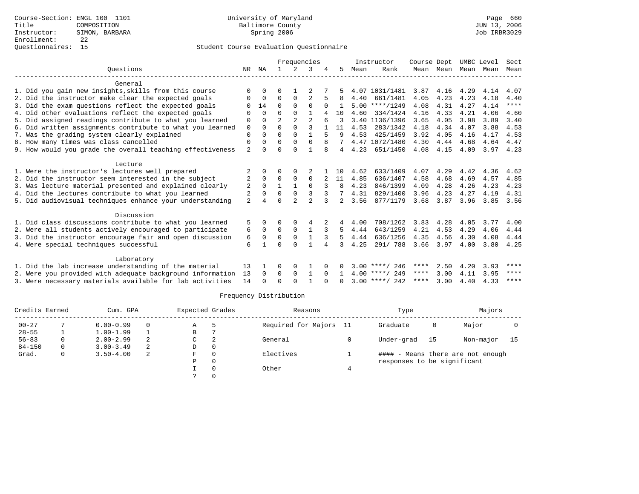|                                                                                                                     |                  | Frequencies |                |                |                   | Instructor | Course Dept   |              | UMBC Level       |             | Sect      |           |              |              |
|---------------------------------------------------------------------------------------------------------------------|------------------|-------------|----------------|----------------|-------------------|------------|---------------|--------------|------------------|-------------|-----------|-----------|--------------|--------------|
| Ouestions                                                                                                           | NR               | ΝA          |                | $\mathcal{L}$  |                   |            | 5.            | Mean         | Rank             |             | Mean Mean | Mean Mean |              | Mean         |
| General                                                                                                             |                  |             |                |                |                   |            |               |              |                  |             |           |           |              |              |
| 1. Did you gain new insights, skills from this course                                                               | $\Omega$         | $\Omega$    | U              |                |                   |            |               |              | 4.07 1031/1481   | 3.87        | 4.16      | 4.29      | 4.14         | 4.07         |
| 2. Did the instructor make clear the expected goals                                                                 | $\left( \right)$ | $\Omega$    | $\Omega$       | $\Omega$       |                   |            |               | 4.40         | 661/1481         | 4.05        | 4.23      | 4.23      | 4.18         | 4.40         |
| 3. Did the exam questions reflect the expected goals                                                                | $\Omega$         | 14          | $\Omega$       | $\Omega$       | $\Omega$          | $\Omega$   |               |              | $5.00$ ****/1249 | 4.08        | 4.31      | 4.27      | 4.14         | $***$ * * *  |
| 4. Did other evaluations reflect the expected goals                                                                 | 0                | $\Omega$    | $\Omega$       | $\Omega$       |                   | 4          | 10            | 4.60         | 334/1424         | 4.16        | 4.33      | 4.21      | 4.06         | 4.60         |
| 5. Did assigned readings contribute to what you learned                                                             | $\mathbf 0$      | $\Omega$    | $\overline{a}$ | $\overline{a}$ | $\overline{2}$    |            |               |              | 3.40 1136/1396   | 3.65        | 4.05      | 3.98      | 3.89         | 3.40         |
| 6. Did written assignments contribute to what you learned                                                           | $\mathbf 0$      | $\Omega$    | $\Omega$       | $\Omega$       | ς                 |            | 11            | 4.53         | 283/1342         | 4.18        | 4.34      | 4.07      | 3.88         | 4.53         |
| 7. Was the grading system clearly explained                                                                         | $\mathbf 0$      | $\Omega$    | $\Omega$       | $\Omega$       |                   |            | 9             | 4.53         | 425/1459         | 3.92        | 4.05      | 4.16      | 4.17         | 4.53         |
| 8. How many times was class cancelled                                                                               | $\mathbf 0$      | $\Omega$    | $\Omega$       | $\Omega$       | $\Omega$          |            |               |              | 4.47 1072/1480   | 4.30        | 4.44      | 4.68      | 4.64         | 4.47         |
| 9. How would you grade the overall teaching effectiveness                                                           | $\overline{a}$   | $\cap$      | U              | $\cap$         | $\mathbf{1}$      | 8          | 4             | 4.23         | 651/1450         | 4.08        | 4.15      | 4.09      | 3.97         | 4.23         |
|                                                                                                                     |                  |             |                |                |                   |            |               |              |                  |             |           |           |              |              |
| Lecture                                                                                                             |                  |             |                |                |                   |            |               |              |                  |             |           |           |              |              |
| 1. Were the instructor's lectures well prepared                                                                     | 2                | 0           | 0              | $\Omega$       |                   |            | 1 O           | 4.62         | 633/1409         | 4.07        | 4.29      | 4.42      | 4.36         | 4.62         |
| 2. Did the instructor seem interested in the subject                                                                |                  | $\Omega$    | $\Omega$       | $\Omega$       | $\Omega$          |            | 11            | 4.85         | 636/1407         | 4.58        | 4.68      | 4.69      | 4.57         | 4.85         |
| 3. Was lecture material presented and explained clearly                                                             | 2                | $\mathbf 0$ | 1              | 1              | $\Omega$          |            | 8             | 4.23         | 846/1399         | 4.09        | 4.28      | 4.26      | 4.23         | 4.23         |
| 4. Did the lectures contribute to what you learned                                                                  | 2                | $\Omega$    | $\Omega$       | $\Omega$       | 3                 |            |               | 4.31         | 829/1400         | 3.96        | 4.23      | 4.27      | 4.19         | 4.31         |
| 5. Did audiovisual techniques enhance your understanding                                                            | $\overline{a}$   |             | U              | $\mathcal{D}$  | $\mathfrak{D}$    |            | $\mathcal{L}$ | 3.56         | 877/1179         | 3.68        | 3.87      | 3.96      | 3.85         | 3.56         |
|                                                                                                                     |                  |             |                |                |                   |            |               |              |                  |             |           |           |              |              |
| Discussion                                                                                                          |                  | 0           | O              |                |                   |            |               |              | 708/1262         | 3.83        | 4.28      | 4.05      |              |              |
| 1. Did class discussions contribute to what you learned                                                             |                  | $\Omega$    | $\Omega$       | 0<br>$\Omega$  | 4<br>$\mathbf{1}$ | 3          | 4<br>5        | 4.00<br>4.44 | 643/1259         | 4.21        | 4.53      | 4.29      | 3.77<br>4.06 | 4.00         |
| 2. Were all students actively encouraged to participate<br>3. Did the instructor encourage fair and open discussion | 6<br>6           | $\Omega$    | $\Omega$       | $\Omega$       |                   |            | 5             | 4.44         | 636/1256         | 4.35        | 4.56      | 4.30      | 4.08         | 4.44<br>4.44 |
| 4. Were special techniques successful                                                                               | 6                |             | U              | $\cap$         | $\mathbf{1}$      | 4          | 3             | 4.25         | 291/ 788         | 3.66        | 3.97      | 4.00      | 3.80         | 4.25         |
|                                                                                                                     |                  |             |                |                |                   |            |               |              |                  |             |           |           |              |              |
| Laboratory                                                                                                          |                  |             |                |                |                   |            |               |              |                  |             |           |           |              |              |
| 1. Did the lab increase understanding of the material                                                               | 13               |             | $\Omega$       | 0              |                   |            |               |              | $3.00$ ****/ 246 | $***$ * *   | 2.50      | 4.20      | 3.93         | ****         |
| 2. Were you provided with adequate background information                                                           | 13               | $\Omega$    | $\Omega$       | $\mathbf 0$    |                   | $\Omega$   |               |              | $4.00$ ****/ 249 | $***$ * *   | 3.00      | 4.11      | 3.95         | ****         |
| 3. Were necessary materials available for lab activities                                                            | 14               |             | ∩              | $\cap$         |                   |            | <sup>n</sup>  |              | $3.00$ ****/ 242 | $***$ * * * | 3.00      | 4.40      | 4.33         | $***$ * * *  |
|                                                                                                                     |                  |             |                |                |                   |            |               |              |                  |             |           |           |              |              |

| Credits Earned |   | Cum. GPA      |   | Expected Grades |          | Reasons             |      | Type                        |    | Majors                            |    |
|----------------|---|---------------|---|-----------------|----------|---------------------|------|-----------------------------|----|-----------------------------------|----|
| $00 - 27$      |   | $0.00 - 0.99$ | 0 | Α               |          | Required for Majors | - 11 | Graduate                    | 0  | Major                             |    |
| $28 - 55$      |   | $1.00 - 1.99$ |   | В               |          |                     |      |                             |    |                                   |    |
| $56 - 83$      | 0 | $2.00 - 2.99$ | 2 | $\mathsf{C}$    | ◠        | General             |      | Under-grad                  | 15 | Non-major                         | 15 |
| $84 - 150$     | 0 | $3.00 - 3.49$ | 2 | D               | 0        |                     |      |                             |    |                                   |    |
| Grad.          | 0 | $3.50 - 4.00$ | 2 | F.              | $\Omega$ | Electives           |      |                             |    | #### - Means there are not enough |    |
|                |   |               |   | Ρ               | 0        |                     |      | responses to be significant |    |                                   |    |
|                |   |               |   |                 |          | Other               |      |                             |    |                                   |    |
|                |   |               |   |                 |          |                     |      |                             |    |                                   |    |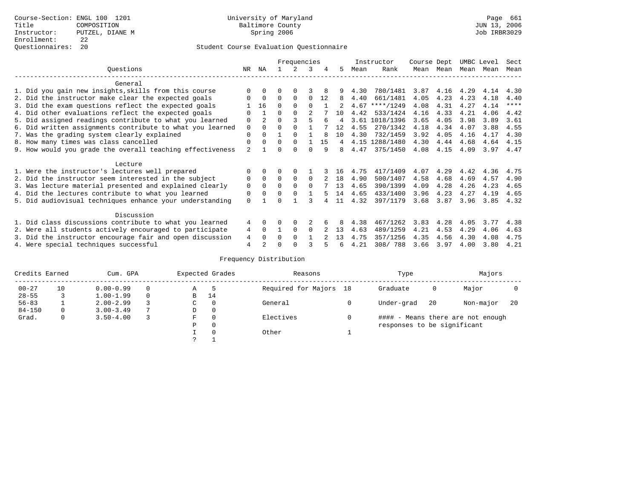### Questionnaires: 20 Student Course Evaluation Questionnaire

|                                                           |                |                |          | Frequencies |          |    |    |      | Instructor     | Course Dept |           | UMBC Level |      | Sect        |
|-----------------------------------------------------------|----------------|----------------|----------|-------------|----------|----|----|------|----------------|-------------|-----------|------------|------|-------------|
| Ouestions                                                 | NR.            | ΝA             |          |             | 3        |    | 5. | Mean | Rank           |             | Mean Mean | Mean       | Mean | Mean        |
| General                                                   |                |                |          |             |          |    |    |      |                |             |           |            |      |             |
| 1. Did you gain new insights, skills from this course     |                | $\Omega$       | 0        | 0           |          |    |    | 4.30 | 780/1481       | 3.87        | 4.16      | 4.29       | 4.14 | 4.30        |
| 2. Did the instructor make clear the expected goals       | U              | $\Omega$       | $\Omega$ | $\Omega$    | $\Omega$ | 12 | 8  | 4.40 | 661/1481       | 4.05        | 4.23      | 4.23       | 4.18 | 4.40        |
| 3. Did the exam questions reflect the expected goals      |                | 16             | $\Omega$ | $\Omega$    | $\Omega$ |    |    | 4.67 | $***/1249$     | 4.08        | 4.31      | 4.27       | 4.14 | $***$ * * * |
| 4. Did other evaluations reflect the expected goals       | O              |                | $\Omega$ | $\Omega$    |          |    | 10 | 4.42 | 533/1424       | 4.16        | 4.33      | 4.21       | 4.06 | 4.42        |
| 5. Did assigned readings contribute to what you learned   | $\mathbf 0$    | $\mathfrak{D}$ | $\Omega$ |             |          |    | 4  |      | 3.61 1018/1396 | 3.65        | 4.05      | 3.98       | 3.89 | 3.61        |
| 6. Did written assignments contribute to what you learned | $\mathbf 0$    | $\Omega$       | $\Omega$ |             |          |    | 12 | 4.55 | 270/1342       | 4.18        | 4.34      | 4.07       | 3.88 | 4.55        |
| 7. Was the grading system clearly explained               | $\mathbf 0$    | $\Omega$       |          | $\cap$      |          |    | 10 | 4.30 | 732/1459       | 3.92        | 4.05      | 4.16       | 4.17 | 4.30        |
| 8. How many times was class cancelled                     | 0              | $\Omega$       | $\Omega$ | $\Omega$    |          | 15 | 4  |      | 4.15 1288/1480 | 4.30        | 4.44      | 4.68       | 4.64 | 4.15        |
| 9. How would you grade the overall teaching effectiveness | $\mathfrak{D}$ |                | ∩        | ∩           | U        | q  | 8  | 4.47 | 375/1450       | 4.08        | 4.15      | 4.09       | 3.97 | 4.47        |
| Lecture                                                   |                |                |          |             |          |    |    |      |                |             |           |            |      |             |
| 1. Were the instructor's lectures well prepared           | O              |                |          |             |          |    | 16 | 4.75 | 417/1409       | 4.07        | 4.29      | 4.42       | 4.36 | 4.75        |
| 2. Did the instructor seem interested in the subject      | 0              | $\Omega$       | $\Omega$ | $\Omega$    | $\Omega$ |    | 18 | 4.90 | 500/1407       | 4.58        | 4.68      | 4.69       | 4.57 | 4.90        |
| 3. Was lecture material presented and explained clearly   | 0              | $\Omega$       | 0        | $\Omega$    | $\Omega$ |    | 13 | 4.65 | 390/1399       | 4.09        | 4.28      | 4.26       | 4.23 | 4.65        |
| 4. Did the lectures contribute to what you learned        | 0              | $\Omega$       | $\Omega$ |             |          |    | 14 | 4.65 | 433/1400       | 3.96        | 4.23      | 4.27       | 4.19 | 4.65        |
| 5. Did audiovisual techniques enhance your understanding  | $\Omega$       |                |          |             |          |    | 11 | 4.32 | 397/1179       | 3.68        | 3.87      | 3.96       | 3.85 | 4.32        |
| Discussion                                                |                |                |          |             |          |    |    |      |                |             |           |            |      |             |
| 1. Did class discussions contribute to what you learned   | 4              | $\Omega$       | 0        | $\Omega$    |          |    |    | 4.38 | 467/1262       | 3.83        | 4.28      | 4.05       | 3.77 | 4.38        |
| 2. Were all students actively encouraged to participate   | 4              | $\Omega$       |          | $\Omega$    | $\Omega$ |    | 13 | 4.63 | 489/1259       | 4.21        | 4.53      | 4.29       | 4.06 | 4.63        |
| 3. Did the instructor encourage fair and open discussion  | 4              | $\Omega$       | 0        | $\Omega$    |          |    | 13 | 4.75 | 357/1256       | 4.35        | 4.56      | 4.30       | 4.08 | 4.75        |
| 4. Were special techniques successful                     | 4              |                |          |             |          |    | 6  | 4.21 | 308/788        | 3.66        | 3.97      | 4.00       | 3.80 | 4.21        |

| Credits Earned |    | Cum. GPA      |             | Expected Grades | Reasons                |   | Type                        |     | Majors                            |     |
|----------------|----|---------------|-------------|-----------------|------------------------|---|-----------------------------|-----|-----------------------------------|-----|
| $00 - 27$      | 10 | $0.00 - 0.99$ | Α           | -5              | Required for Majors 18 |   | Graduate                    | 0   | Major                             |     |
| $28 - 55$      | 3  | $1.00 - 1.99$ | B           | 14              |                        |   |                             |     |                                   |     |
| $56 - 83$      |    | $2.00 - 2.99$ | $\sim$<br>◡ | 0               | General                |   | Under-grad                  | -20 | Non-major                         | -20 |
| $84 - 150$     | 0  | $3.00 - 3.49$ | D           | 0               |                        |   |                             |     |                                   |     |
| Grad.          | 0  | $3.50 - 4.00$ | F           | 0               | Electives              | 0 |                             |     | #### - Means there are not enough |     |
|                |    |               | Ρ           | 0               |                        |   | responses to be significant |     |                                   |     |
|                |    |               |             | $\Omega$        | Other                  |   |                             |     |                                   |     |
|                |    |               | C           |                 |                        |   |                             |     |                                   |     |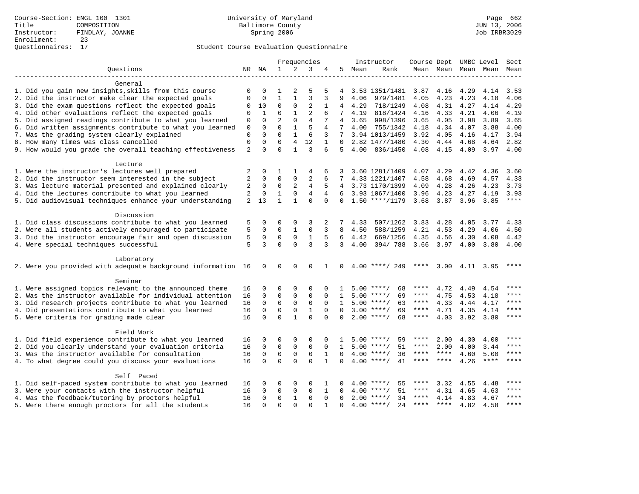|                                                              |                |             |                |                | Frequencies    |              |                 |      | Instructor         | Course Dept UMBC Level |               |      |             | Sect        |
|--------------------------------------------------------------|----------------|-------------|----------------|----------------|----------------|--------------|-----------------|------|--------------------|------------------------|---------------|------|-------------|-------------|
| Ouestions                                                    |                | NR NA       | $\mathbf{1}$   | 2              | 3              | 4            | 5               | Mean | Rank               |                        | Mean Mean     |      | Mean Mean   | Mean        |
|                                                              |                |             |                |                |                |              |                 |      |                    |                        |               |      |             |             |
| General                                                      |                |             |                |                |                |              |                 |      |                    |                        |               |      |             |             |
| 1. Did you gain new insights, skills from this course        | 0              | $\Omega$    | 1              | 2              | 5              | 5            | 4               |      | 3.53 1351/1481     | 3.87                   | 4.16          | 4.29 | 4.14        | 3.53        |
| 2. Did the instructor make clear the expected goals          | $\Omega$       | 0           | $\mathbf{1}$   | $\mathbf{1}$   | 3              | 3            | 9               | 4.06 | 979/1481           | 4.05                   | 4.23          | 4.23 | 4.18        | 4.06        |
| 3. Did the exam questions reflect the expected goals         | 0              | 10          | $\mathbf 0$    | $\mathbf{0}$   | 2              | $\mathbf{1}$ | $4\overline{ }$ | 4.29 | 718/1249           | 4.08                   | 4.31          | 4.27 | 4.14        | 4.29        |
| 4. Did other evaluations reflect the expected goals          | 0              | 1           | 0              | $\mathbf{1}$   | 2              | 6            | 7               | 4.19 | 818/1424           | 4.16                   | 4.33          | 4.21 | 4.06        | 4.19        |
| 5. Did assigned readings contribute to what you learned      | 0              | $\Omega$    | $\overline{a}$ | $\Omega$       | $\overline{4}$ | 7            | 4               | 3.65 | 998/1396           | 3.65                   | 4.05          | 3.98 | 3.89        | 3.65        |
| 6. Did written assignments contribute to what you learned    | $\mathbf 0$    | $\mathbf 0$ | $\Omega$       | $\mathbf{1}$   | 5              | 4            | $7^{\circ}$     | 4.00 | 755/1342           | 4.18                   | 4.34          | 4.07 | 3.88        | 4.00        |
| 7. Was the grading system clearly explained                  | $\mathbf 0$    | $\Omega$    | $\Omega$       | $\mathbf{1}$   | 6              | 3            | 7               |      | 3.94 1013/1459     | 3.92                   | 4.05          | 4.16 | 4.17        | 3.94        |
| 8. How many times was class cancelled                        | $\mathbf 0$    | $\Omega$    | $\Omega$       | $\overline{4}$ | 12             | $\mathbf{1}$ | $\Omega$        |      | 2.82 1477/1480     | 4.30                   | 4.44          | 4.68 | 4.64        | 2.82        |
| 9. How would you grade the overall teaching effectiveness    | $\overline{2}$ | $\Omega$    | $\Omega$       | $\mathbf{1}$   | 3              | 6            | 5.              | 4.00 | 836/1450           | 4.08                   | 4.15          | 4.09 | $3.97$ 4.00 |             |
|                                                              |                |             |                |                |                |              |                 |      |                    |                        |               |      |             |             |
| Lecture                                                      |                |             |                |                |                |              |                 |      |                    |                        |               |      |             |             |
| 1. Were the instructor's lectures well prepared              | 2              | $\mathbf 0$ | 1              | 1              | 4              | 6            | 3               |      | 3.60 1281/1409     | 4.07                   | 4.29          | 4.42 | 4.36        | 3.60        |
| 2. Did the instructor seem interested in the subject         | $\overline{c}$ | $\mathbf 0$ | $\mathbf 0$    | $\mathbf 0$    | 2              | 6            | 7               |      | 4.33 1221/1407     | 4.58                   | 4.68          | 4.69 | 4.57        | 4.33        |
| 3. Was lecture material presented and explained clearly      | 2              | $\mathbf 0$ | 0              | 2              | 4              | 5            | $\overline{4}$  |      | 3.73 1170/1399     | 4.09                   | 4.28          | 4.26 | 4.23        | 3.73        |
| 4. Did the lectures contribute to what you learned           | 2              | $\mathbf 0$ | $\mathbf{1}$   | $\mathbf 0$    | $\overline{4}$ | 4            | 6               |      | 3.93 1067/1400     | 3.96                   | 4.23          | 4.27 | 4.19        | 3.93        |
| 5. Did audiovisual techniques enhance your understanding     | $\overline{2}$ | 13          | $\mathbf{1}$   | $\mathbf{1}$   | $\Omega$       | $\Omega$     | $\Omega$        |      | $1.50$ ****/1179   | 3.68                   | 3.87          | 3.96 | 3.85        | $***$       |
|                                                              |                |             |                |                |                |              |                 |      |                    |                        |               |      |             |             |
| Discussion                                                   |                |             |                |                |                |              |                 |      |                    |                        |               |      |             |             |
| 1. Did class discussions contribute to what you learned      | 5              | 0           | 0              | $\Omega$       | 3              | 2            | 7               | 4.33 | 507/1262           | 3.83                   | 4.28          | 4.05 | 3.77        | 4.33        |
| 2. Were all students actively encouraged to participate      | 5              | $\mathbf 0$ | 0              | 1              | 0              | 3            | 8               | 4.50 | 588/1259           | 4.21                   | 4.53          | 4.29 | 4.06        | 4.50        |
| 3. Did the instructor encourage fair and open discussion     | 5              | $\mathbf 0$ | $\mathbf 0$    | 0              | 1              | 5            | 6               | 4.42 | 669/1256           | 4.35                   | 4.56          | 4.30 | 4.08        | 4.42        |
| 4. Were special techniques successful                        | 5              | 3           | $\mathbf 0$    | $\Omega$       | 3              | 3            | $\overline{3}$  | 4.00 | 394/788            |                        | $3.66$ $3.97$ | 4.00 | 3.80        | 4.00        |
|                                                              |                |             |                |                |                |              |                 |      |                    |                        |               |      |             |             |
| Laboratory                                                   |                |             |                |                |                |              |                 |      |                    |                        |               |      |             |             |
| 2. Were you provided with adequate background information 16 |                | $\mathbf 0$ | 0              | $\Omega$       | $\Omega$       |              | $\Omega$        |      | $4.00$ ****/ 249   | ****                   | 3.00          | 4.11 | 3.95        | ****        |
|                                                              |                |             |                |                |                |              |                 |      |                    |                        |               |      |             |             |
| Seminar                                                      |                |             |                |                |                |              |                 |      |                    |                        |               |      |             |             |
| 1. Were assigned topics relevant to the announced theme      | 16             | 0           | $\Omega$       | $\mathbf 0$    | $\Omega$       | $\Omega$     | 1               |      | $5.00$ ****/<br>68 | ****                   | 4.72          | 4.49 | 4.54        | $***$ * * * |
| 2. Was the instructor available for individual attention     | 16             | $\mathbf 0$ | $\mathbf 0$    | $\mathsf 0$    | $\mathbf 0$    | $\Omega$     | $\mathbf{1}$    |      | $5.00$ ****/<br>69 | $***$ * * *            | 4.75          | 4.53 | 4.18        | ****        |
| 3. Did research projects contribute to what you learned      | 16             | $\mathbf 0$ | $\mathbf 0$    | $\mathbf 0$    | $\mathbf 0$    | $\Omega$     | $\mathbf{1}$    |      | $5.00$ ****/<br>63 | ****                   | 4.33          | 4.44 | 4.17        | ****        |
| 4. Did presentations contribute to what you learned          | 16             | $\mathbf 0$ | $\mathbf 0$    | $\mathbf{0}$   | $\mathbf{1}$   | $\Omega$     | $\Omega$        |      | $3.00$ ****/<br>69 | ****                   | 4.71          | 4.35 | 4.14        | ****        |
| 5. Were criteria for grading made clear                      | 16             | $\Omega$    | $\Omega$       | $\mathbf{1}$   | $\Omega$       | $\Omega$     | $\Omega$        |      | $2.00$ ****/<br>68 | ****                   | 4.03          | 3.92 | 3.80        | $***$       |
|                                                              |                |             |                |                |                |              |                 |      |                    |                        |               |      |             |             |
| Field Work                                                   |                |             |                |                |                |              |                 |      |                    |                        |               |      |             |             |
| 1. Did field experience contribute to what you learned       | 16             | 0           | 0              | $\mathbf 0$    | $\Omega$       | $\Omega$     | 1               |      | $5.00$ ****/<br>59 | ****                   | 2.00          | 4.30 | 4.00        | ****        |
| 2. Did you clearly understand your evaluation criteria       | 16             | $\mathbf 0$ | 0              | 0              | 0              | $\Omega$     | $\mathbf{1}$    |      | $5.00$ ****/<br>51 | ****                   | 2.00          | 4.00 | 3.44        | ****        |
| 3. Was the instructor available for consultation             | 16             | $\Omega$    | $\mathbf 0$    | $\mathbf 0$    | 0              | $\mathbf{1}$ | $\Omega$        |      | $4.00$ ****/<br>36 | ****                   | $***$ *       | 4.60 | 5.00        | ****        |
| 4. To what degree could you discuss your evaluations         | 16             | $\Omega$    | $\mathbf 0$    | $\Omega$       | $\Omega$       | $\mathbf{1}$ | $\Omega$        |      | $4.00$ ****/<br>41 | ****                   | $***$ *       | 4.26 | $***$ * * * | $* * * *$   |
|                                                              |                |             |                |                |                |              |                 |      |                    |                        |               |      |             |             |
| Self Paced                                                   |                |             |                |                |                |              |                 |      |                    |                        |               |      |             |             |
| 1. Did self-paced system contribute to what you learned      | 16             | $\Omega$    | $\Omega$       | $\Omega$       | $\Omega$       |              |                 |      | 55<br>$4.00$ ****/ | ****                   | 3.32          | 4.55 | 4.48        | ****        |
| 3. Were your contacts with the instructor helpful            | 16             | $\Omega$    | $\mathbf 0$    | $\Omega$       | $\Omega$       | $\mathbf{1}$ | $\Omega$        | 4.00 | 51<br>$***$ /      | ****                   | 4.31          | 4.65 | 4.63        | ****        |
| 4. Was the feedback/tutoring by proctors helpful             | 16             | 0           | 0              | 1              | 0              | $\Omega$     | $\Omega$        |      | $2.00$ ****/<br>34 | ****                   | 4.14          | 4.83 | 4.67        | ****        |
| 5. Were there enough proctors for all the students           | 16             | $\Omega$    | $\Omega$       | $\Omega$       | $\Omega$       | 1            | $\Omega$        |      | $4.00$ ****/<br>24 | $***$ * *              | ****          | 4.82 | 4.58        | $***$ * * * |
|                                                              |                |             |                |                |                |              |                 |      |                    |                        |               |      |             |             |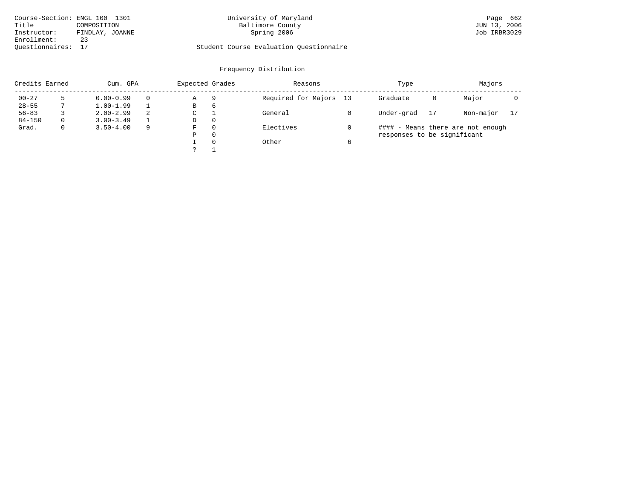| Course-Section: ENGL 100 1301 |                 | University of Maryland                  | Page 662     |
|-------------------------------|-----------------|-----------------------------------------|--------------|
| Title                         | COMPOSITION     | Baltimore County                        | JUN 13, 2006 |
| Instructor:                   | FINDLAY, JOANNE | Spring 2006                             | Job IRBR3029 |
| Enrollment:                   |                 |                                         |              |
| Ouestionnaires: 17            |                 | Student Course Evaluation Questionnaire |              |

# University of Maryland 1992 Page 662<br>Baltimore County 13, 2006

# Questionnaires: 17 Student Course Evaluation Questionnaire

| Credits Earned |             | Cum. GPA      |   | Expected Grades |          | Reasons                | Type                        |    | Majors                            |    |
|----------------|-------------|---------------|---|-----------------|----------|------------------------|-----------------------------|----|-----------------------------------|----|
| $00 - 27$      |             | $0.00 - 0.99$ |   | Α               | 9        | Required for Majors 13 | Graduate                    | 0  | Major                             |    |
| $28 - 55$      |             | $1.00 - 1.99$ |   | В               | 6        |                        |                             |    |                                   |    |
| $56 - 83$      |             | $2.00 - 2.99$ | 2 | C               |          | General                | Under-grad                  | 17 | Non-major                         | 17 |
| $84 - 150$     | $\Omega$    | $3.00 - 3.49$ |   | D               | $\Omega$ |                        |                             |    |                                   |    |
| Grad.          | $\mathbf 0$ | $3.50 - 4.00$ | 9 | F               | $\Omega$ | Electives              |                             |    | #### - Means there are not enough |    |
|                |             |               |   | Ρ               | $\Omega$ |                        | responses to be significant |    |                                   |    |
|                |             |               |   |                 | $\Omega$ | Other                  |                             |    |                                   |    |
|                |             |               |   |                 |          |                        |                             |    |                                   |    |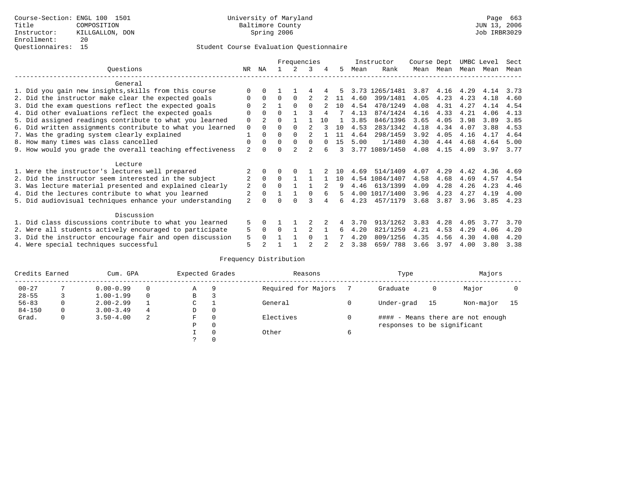|                                                           |                |                |          | Frequencies |          |        |     |      | Instructor     | Course Dept |      | UMBC Level |      | Sect |
|-----------------------------------------------------------|----------------|----------------|----------|-------------|----------|--------|-----|------|----------------|-------------|------|------------|------|------|
| Ouestions                                                 | NR.            | ΝA             |          |             | 3        |        | 5.  | Mean | Rank           | Mean        | Mean | Mean       | Mean | Mean |
| General                                                   |                |                |          |             |          |        |     |      |                |             |      |            |      |      |
| 1. Did you gain new insights, skills from this course     | $\Omega$       | $\cap$         |          |             |          |        |     |      | 3.73 1265/1481 | 3.87        | 4.16 | 4.29       | 4.14 | 3.73 |
| 2. Did the instructor make clear the expected goals       | 0              | $\Omega$       | $\Omega$ | $\Omega$    |          |        | 11  | 4.60 | 399/1481       | 4.05        | 4.23 | 4.23       | 4.18 | 4.60 |
| 3. Did the exam questions reflect the expected goals      |                | $\mathfrak{D}$ |          | $\Omega$    | $\Omega$ |        | 10  | 4.54 | 470/1249       | 4.08        | 4.31 | 4.27       | 4.14 | 4.54 |
| 4. Did other evaluations reflect the expected goals       | O              | $\Omega$       | $\Omega$ |             |          |        |     | 4.13 | 874/1424       | 4.16        | 4.33 | 4.21       | 4.06 | 4.13 |
| 5. Did assigned readings contribute to what you learned   | $\mathbf 0$    |                | 0        |             |          | 10     |     | 3.85 | 846/1396       | 3.65        | 4.05 | 3.98       | 3.89 | 3.85 |
| 6. Did written assignments contribute to what you learned | $\mathbf 0$    | $\Omega$       | $\Omega$ | $\Omega$    |          |        | 10  | 4.53 | 283/1342       | 4.18        | 4.34 | 4.07       | 3.88 | 4.53 |
| 7. Was the grading system clearly explained               |                | $\Omega$       | $\Omega$ | $\Omega$    |          |        | 11  | 4.64 | 298/1459       | 3.92        | 4.05 | 4.16       | 4.17 | 4.64 |
| 8. How many times was class cancelled                     | $\Omega$       | $\Omega$       | $\Omega$ | $\Omega$    | $\Omega$ | $\cap$ | 15  | 5.00 | 1/1480         | 4.30        | 4.44 | 4.68       | 4.64 | 5.00 |
| 9. How would you grade the overall teaching effectiveness | $\overline{a}$ | <sup>n</sup>   | U        |             |          |        | 3   |      | 3.77 1089/1450 | 4.08        | 4.15 | 4.09       | 3.97 | 3.77 |
|                                                           |                |                |          |             |          |        |     |      |                |             |      |            |      |      |
| Lecture                                                   |                |                |          |             |          |        |     |      |                |             |      |            |      |      |
| 1. Were the instructor's lectures well prepared           |                |                |          |             |          |        | 1 O | 4.69 | 514/1409       | 4.07        | 4.29 | 4.42       | 4.36 | 4.69 |
| 2. Did the instructor seem interested in the subject      | $\overline{2}$ | $\Omega$       | $\Omega$ |             |          |        | 10  |      | 4.54 1084/1407 | 4.58        | 4.68 | 4.69       | 4.57 | 4.54 |
| 3. Was lecture material presented and explained clearly   | 2              | $\Omega$       | $\Omega$ |             |          |        | 9   | 4.46 | 613/1399       | 4.09        | 4.28 | 4.26       | 4.23 | 4.46 |
| 4. Did the lectures contribute to what you learned        |                | $\Omega$       |          |             |          |        | 5   |      | 4.00 1017/1400 | 3.96        | 4.23 | 4.27       | 4.19 | 4.00 |
| 5. Did audiovisual techniques enhance your understanding  | $\overline{a}$ |                |          |             |          |        | б.  | 4.23 | 457/1179       | 3.68        | 3.87 | 3.96       | 3.85 | 4.23 |
|                                                           |                |                |          |             |          |        |     |      |                |             |      |            |      |      |
| Discussion                                                |                |                |          |             |          |        |     |      |                |             |      |            |      |      |
| 1. Did class discussions contribute to what you learned   | 5              | 0              |          |             |          |        |     | 3.70 | 913/1262       | 3.83        | 4.28 | 4.05       | 3.77 | 3.70 |
| 2. Were all students actively encouraged to participate   | 5              | $\Omega$       | O        |             |          |        | 6   | 4.20 | 821/1259       | 4.21        | 4.53 | 4.29       | 4.06 | 4.20 |
| 3. Did the instructor encourage fair and open discussion  | 5              | $\Omega$       |          |             | $\Omega$ |        |     | 4.20 | 809/1256       | 4.35        | 4.56 | 4.30       | 4.08 | 4.20 |
| 4. Were special techniques successful                     | 5              |                |          |             |          |        |     | 3.38 | 659/788        | 3.66        | 3.97 | 4.00       | 3.80 | 3.38 |

| Credits Earned |              | Cum. GPA      |          | Expected Grades |          | Reasons             | Type                        |      | Majors                            |    |
|----------------|--------------|---------------|----------|-----------------|----------|---------------------|-----------------------------|------|-----------------------------------|----|
| $00 - 27$      |              | $0.00 - 0.99$ |          | Α               | 9        | Required for Majors | Graduate                    | 0    | Major                             |    |
| $28 - 55$      |              | $1.00 - 1.99$ | $\Omega$ | В               | 3        |                     |                             |      |                                   |    |
| $56 - 83$      | $\mathbf{0}$ | $2.00 - 2.99$ |          | C               |          | General             | Under-grad                  | - 15 | Non-major                         | 15 |
| $84 - 150$     | $\Omega$     | $3.00 - 3.49$ | 4        | D               | 0        |                     |                             |      |                                   |    |
| Grad.          | $\mathbf{0}$ | $3.50 - 4.00$ | -2       | F               | $\Omega$ | Electives           |                             |      | #### - Means there are not enough |    |
|                |              |               |          | P               | 0        |                     | responses to be significant |      |                                   |    |
|                |              |               |          |                 | $\Omega$ | Other               |                             |      |                                   |    |
|                |              |               |          |                 |          |                     |                             |      |                                   |    |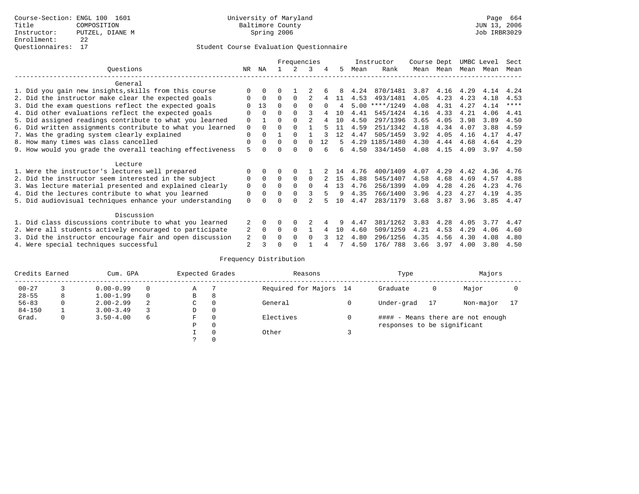### Questionnaires: 17 Student Course Evaluation Questionnaire

|                                                           |             |              |          | Frequencies |                |          |                |      | Instructor     | Course Dept |           | UMBC Level |      | Sect        |
|-----------------------------------------------------------|-------------|--------------|----------|-------------|----------------|----------|----------------|------|----------------|-------------|-----------|------------|------|-------------|
| Ouestions                                                 | NR.         | ΝA           |          |             | 3              | 4        | 5.             | Mean | Rank           |             | Mean Mean | Mean       | Mean | Mean        |
| General                                                   |             |              |          |             |                |          |                |      |                |             |           |            |      |             |
| 1. Did you gain new insights, skills from this course     |             | $\Omega$     | 0        |             |                |          |                | 4.24 | 870/1481       | 3.87        | 4.16      | 4.29       | 4.14 | 4.24        |
| 2. Did the instructor make clear the expected goals       | O           | $\Omega$     | $\Omega$ | $\Omega$    |                |          | 11             | 4.53 | 493/1481       | 4.05        | 4.23      | 4.23       | 4.18 | 4.53        |
| 3. Did the exam questions reflect the expected goals      |             | 13           | $\Omega$ | $\Omega$    | $\Omega$       | $\Omega$ | $\overline{4}$ | 5.00 | $***/1249$     | 4.08        | 4.31      | 4.27       | 4.14 | $***$ * * * |
| 4. Did other evaluations reflect the expected goals       | O           | $\Omega$     | $\Omega$ | $\Omega$    |                |          | 10             | 4.41 | 545/1424       | 4.16        | 4.33      | 4.21       | 4.06 | 4.41        |
| 5. Did assigned readings contribute to what you learned   | $\mathbf 0$ |              | $\Omega$ | $\Omega$    | $\mathfrak{D}$ |          | 10             | 4.50 | 297/1396       | 3.65        | 4.05      | 3.98       | 3.89 | 4.50        |
| 6. Did written assignments contribute to what you learned | $\mathbf 0$ | $\Omega$     | $\Omega$ |             |                |          | 11             | 4.59 | 251/1342       | 4.18        | 4.34      | 4.07       | 3.88 | 4.59        |
| 7. Was the grading system clearly explained               | $\Omega$    | $\Omega$     |          | $\cap$      |                |          | 12             | 4.47 | 505/1459       | 3.92        | 4.05      | 4.16       | 4.17 | 4.47        |
| 8. How many times was class cancelled                     | 0           | $\Omega$     | $\Omega$ | $\Omega$    |                | 12       | 5.             |      | 4.29 1185/1480 | 4.30        | 4.44      | 4.68       | 4.64 | 4.29        |
| 9. How would you grade the overall teaching effectiveness | 5           | <sup>n</sup> | U        | $\cap$      | U              |          | б.             | 4.50 | 334/1450       | 4.08        | 4.15      | 4.09       | 3.97 | 4.50        |
| Lecture                                                   |             |              |          |             |                |          |                |      |                |             |           |            |      |             |
| 1. Were the instructor's lectures well prepared           | $\Omega$    |              |          |             |                |          | 14             | 4.76 | 400/1409       | 4.07        | 4.29      | 4.42       | 4.36 | 4.76        |
| 2. Did the instructor seem interested in the subject      | 0           | $\Omega$     | $\Omega$ | $\Omega$    | $\Omega$       |          | 15             | 4.88 | 545/1407       | 4.58        | 4.68      | 4.69       | 4.57 | 4.88        |
| 3. Was lecture material presented and explained clearly   | 0           | $\Omega$     | 0        | $\Omega$    | $\Omega$       |          | 13             | 4.76 | 256/1399       | 4.09        | 4.28      | 4.26       | 4.23 | 4.76        |
| 4. Did the lectures contribute to what you learned        | 0           | $\Omega$     | O        | $\Omega$    |                |          | 9              | 4.35 | 766/1400       | 3.96        | 4.23      | 4.27       | 4.19 | 4.35        |
| 5. Did audiovisual techniques enhance your understanding  | $\Omega$    |              |          | ∩           |                |          | 10             | 4.47 | 283/1179       | 3.68        | 3.87      | 3.96       | 3.85 | 4.47        |
| Discussion                                                |             |              |          |             |                |          |                |      |                |             |           |            |      |             |
| 1. Did class discussions contribute to what you learned   |             | $\Omega$     | O        | $\Omega$    |                |          |                | 4.47 | 381/1262       | 3.83        | 4.28      | 4.05       | 3.77 | 4.47        |
| 2. Were all students actively encouraged to participate   | 2           | $\Omega$     | $\Omega$ | $\Omega$    |                |          | 10             | 4.60 | 509/1259       | 4.21        | 4.53      | 4.29       | 4.06 | 4.60        |
| 3. Did the instructor encourage fair and open discussion  | 2           | $\Omega$     | O        | $\Omega$    | $\Omega$       |          | 12             | 4.80 | 296/1256       | 4.35        | 4.56      | 4.30       | 4.08 | 4.80        |
| 4. Were special techniques successful                     | 2           |              |          |             |                |          |                | 4.50 | 176/788        | 3.66        | 3.97      | 4.00       | 3.80 | 4.50        |

| Credits Earned |   | Cum. GPA      |   | Expected Grades |          | Reasons                |   | Type                        |    | Majors                            |  |
|----------------|---|---------------|---|-----------------|----------|------------------------|---|-----------------------------|----|-----------------------------------|--|
| $00 - 27$      |   | $0.00 - 0.99$ |   | Α               |          | Required for Majors 14 |   | Graduate                    | 0  | Major                             |  |
| $28 - 55$      | 8 | $1.00 - 1.99$ |   | В               | 8        |                        |   |                             |    |                                   |  |
| $56 - 83$      | 0 | $2.00 - 2.99$ | 2 | $\sim$<br>◡     | 0        | General                |   | Under-grad                  | 17 | Non-major                         |  |
| $84 - 150$     |   | $3.00 - 3.49$ |   | D               | 0        |                        |   |                             |    |                                   |  |
| Grad.          | 0 | $3.50 - 4.00$ | 6 | F               | 0        | Electives              | 0 |                             |    | #### - Means there are not enough |  |
|                |   |               |   | Ρ               | 0        |                        |   | responses to be significant |    |                                   |  |
|                |   |               |   |                 | $\Omega$ | Other                  |   |                             |    |                                   |  |
|                |   |               |   |                 |          |                        |   |                             |    |                                   |  |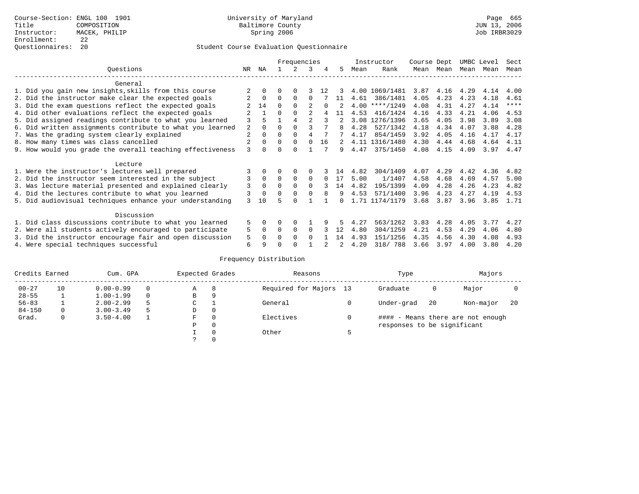### Questionnaires: 20 Student Course Evaluation Questionnaire

|                                                           |                |              |          | Frequencies |                |              |    |      | Instructor       | Course Dept |      | UMBC Level |      | Sect |
|-----------------------------------------------------------|----------------|--------------|----------|-------------|----------------|--------------|----|------|------------------|-------------|------|------------|------|------|
| Ouestions                                                 | NR.            | ΝA           |          |             | 3              |              | 5. | Mean | Rank             | Mean        | Mean | Mean       | Mean | Mean |
| General                                                   |                |              |          |             |                |              |    |      |                  |             |      |            |      |      |
| 1. Did you gain new insights, skills from this course     |                |              | O        | $\Omega$    |                | 12           |    |      | 4.00 1069/1481   | 3.87        | 4.16 | 4.29       | 4.14 | 4.00 |
| 2. Did the instructor make clear the expected goals       |                | $\Omega$     | $\Omega$ | $\Omega$    | $\cap$         |              | 11 | 4.61 | 386/1481         | 4.05        | 4.23 | 4.23       | 4.18 | 4.61 |
| 3. Did the exam questions reflect the expected goals      |                | 14           | $\Omega$ |             |                | <sup>0</sup> |    |      | $4.00$ ****/1249 | 4.08        | 4.31 | 4.27       | 4.14 | **** |
| 4. Did other evaluations reflect the expected goals       |                |              | $\Omega$ |             |                |              | 11 | 4.53 | 416/1424         | 4.16        | 4.33 | 4.21       | 4.06 | 4.53 |
| 5. Did assigned readings contribute to what you learned   | 3              |              |          |             | $\mathfrak{D}$ |              |    |      | 3.08 1276/1396   | 3.65        | 4.05 | 3.98       | 3.89 | 3.08 |
| 6. Did written assignments contribute to what you learned | 2              | $\Omega$     | $\Omega$ |             |                |              | 8  | 4.28 | 527/1342         | 4.18        | 4.34 | 4.07       | 3.88 | 4.28 |
| 7. Was the grading system clearly explained               | $\overline{a}$ | $\Omega$     | $\Omega$ | $\Omega$    | 4              |              |    | 4.17 | 854/1459         | 3.92        | 4.05 | 4.16       | 4.17 | 4.17 |
| 8. How many times was class cancelled                     |                | $\Omega$     | $\Omega$ | $\Omega$    | $\Omega$       | 16           | 2  |      | 4.11 1316/1480   | 4.30        | 4.44 | 4.68       | 4.64 | 4.11 |
| 9. How would you grade the overall teaching effectiveness | 3              | <sup>n</sup> | U        | $\cap$      |                |              | 9  | 4.47 | 375/1450         | 4.08        | 4.15 | 4.09       | 3.97 | 4.47 |
|                                                           |                |              |          |             |                |              |    |      |                  |             |      |            |      |      |
| Lecture                                                   |                |              |          |             |                |              |    |      |                  |             |      |            |      |      |
| 1. Were the instructor's lectures well prepared           |                |              |          |             |                |              | 14 | 4.82 | 304/1409         | 4.07        | 4.29 | 4.42       | 4.36 | 4.82 |
| 2. Did the instructor seem interested in the subject      | 3              | $\Omega$     | $\Omega$ | $\Omega$    | $\Omega$       | $\Omega$     | 17 | 5.00 | 1/1407           | 4.58        | 4.68 | 4.69       | 4.57 | 5.00 |
| 3. Was lecture material presented and explained clearly   | 3              | $\Omega$     | $\Omega$ | $\Omega$    | $\Omega$       |              | 14 | 4.82 | 195/1399         | 4.09        | 4.28 | 4.26       | 4.23 | 4.82 |
| 4. Did the lectures contribute to what you learned        | 3              | $\Omega$     | $\Omega$ | $\Omega$    |                |              | 9  | 4.53 | 571/1400         | 3.96        | 4.23 | 4.27       | 4.19 | 4.53 |
| 5. Did audiovisual techniques enhance your understanding  | 3              | 10           |          | ∩           |                |              |    |      | 1.71 1174/1179   | 3.68        | 3.87 | 3.96       | 3.85 | 1.71 |
|                                                           |                |              |          |             |                |              |    |      |                  |             |      |            |      |      |
| Discussion                                                |                |              |          |             |                |              |    |      |                  |             |      |            |      |      |
| 1. Did class discussions contribute to what you learned   | 5              | $\Omega$     | U        | $\Omega$    |                |              |    | 4.27 | 563/1262         | 3.83        | 4.28 | 4.05       | 3.77 | 4.27 |
| 2. Were all students actively encouraged to participate   | 5              | $\Omega$     | $\Omega$ | $\Omega$    | $\Omega$       |              | 12 | 4.80 | 304/1259         | 4.21        | 4.53 | 4.29       | 4.06 | 4.80 |
| 3. Did the instructor encourage fair and open discussion  | 5              | $\Omega$     | O        | $\Omega$    | $\Omega$       |              | 14 | 4.93 | 151/1256         | 4.35        | 4.56 | 4.30       | 4.08 | 4.93 |
| 4. Were special techniques successful                     | 6              |              |          |             |                |              |    | 4.20 | 318/ 788         | 3.66        | 3.97 | 4.00       | 3.80 | 4.20 |

| Credits Earned |    | Cum. GPA      |    | Expected Grades |    | Reasons                | Type                        |    | Majors                            |    |
|----------------|----|---------------|----|-----------------|----|------------------------|-----------------------------|----|-----------------------------------|----|
| $00 - 27$      | 10 | $0.00 - 0.99$ |    | Α               | 8  | Required for Majors 13 | Graduate                    | 0  | Major                             |    |
| $28 - 55$      |    | $1.00 - 1.99$ |    | В               | -9 |                        |                             |    |                                   |    |
| $56 - 83$      |    | $2.00 - 2.99$ | 5  | $\sim$<br>◡     |    | General                | Under-grad                  | 20 | Non-major                         | 20 |
| $84 - 150$     | 0  | $3.00 - 3.49$ | -5 | D               | 0  |                        |                             |    |                                   |    |
| Grad.          | 0  | $3.50 - 4.00$ |    | F               |    | Electives              |                             |    | #### - Means there are not enough |    |
|                |    |               |    | Ρ               | 0  |                        | responses to be significant |    |                                   |    |
|                |    |               |    |                 | 0  | Other                  |                             |    |                                   |    |
|                |    |               |    | $\mathcal{L}$   |    |                        |                             |    |                                   |    |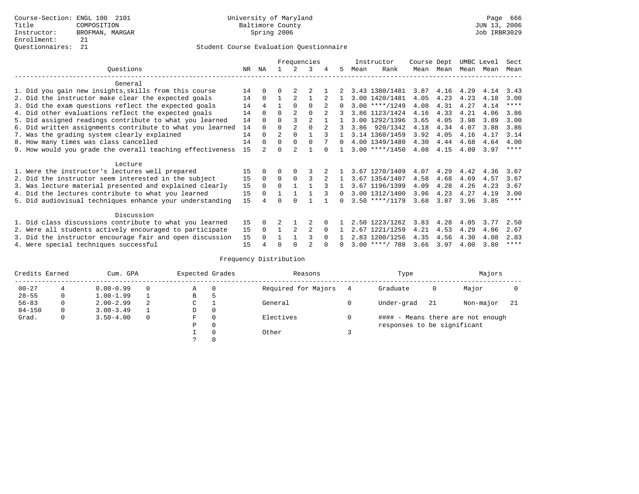### Questionnaires: 21 Student Course Evaluation Questionnaire

|                                                           |    |          |                |                | Frequencies    |          |          |      | Instructor       | Course Dept |           | UMBC Level |      | Sect        |
|-----------------------------------------------------------|----|----------|----------------|----------------|----------------|----------|----------|------|------------------|-------------|-----------|------------|------|-------------|
| Ouestions                                                 | NR | ΝA       |                |                | 3              | 4        | 5.       | Mean | Rank             |             | Mean Mean | Mean Mean  |      | Mean        |
| General                                                   |    |          |                |                |                |          |          |      |                  |             |           |            |      |             |
| 1. Did you gain new insights, skills from this course     | 14 | $\Omega$ | $\Omega$       |                |                |          |          |      | 3.43 1380/1481   | 3.87        | 4.16      | 4.29       | 4.14 | 3.43        |
| 2. Did the instructor make clear the expected goals       | 14 | $\Omega$ |                | 2              |                |          |          |      | 3.00 1420/1481   | 4.05        | 4.23      | 4.23       | 4.18 | 3.00        |
| 3. Did the exam questions reflect the expected goals      | 14 | 4        |                | $\Omega$       | $\Omega$       |          | $\Omega$ |      | $3.00$ ****/1249 | 4.08        | 4.31      | 4.27       | 4.14 | $***$ * * * |
| 4. Did other evaluations reflect the expected goals       | 14 | $\Omega$ | $\Omega$       | $\mathfrak{D}$ | $\Omega$       |          |          |      | 3.86 1123/1424   | 4.16        | 4.33      | 4.21       | 4.06 | 3.86        |
| 5. Did assigned readings contribute to what you learned   | 14 | $\Omega$ | 0              | ζ              | $\overline{a}$ |          |          |      | 3.00 1292/1396   | 3.65        | 4.05      | 3.98       | 3.89 | 3.00        |
| 6. Did written assignments contribute to what you learned | 14 | $\Omega$ | $\Omega$       | $\mathfrak{D}$ |                |          |          |      | 3.86 920/1342    | 4.18        | 4.34      | 4.07       | 3.88 | 3.86        |
| 7. Was the grading system clearly explained               | 14 | $\Omega$ | $\overline{a}$ | $\Omega$       |                |          |          |      | 3.14 1360/1459   | 3.92        | 4.05      | 4.16       | 4.17 | 3.14        |
| 8. How many times was class cancelled                     | 14 | $\Omega$ | $\Omega$       | $\Omega$       |                |          | 0        |      | 4.00 1349/1480   | 4.30        | 4.44      | 4.68       | 4.64 | 4.00        |
| 9. How would you grade the overall teaching effectiveness | 15 |          | U              |                |                |          |          |      | $3.00$ ****/1450 | 4.08        | 4.15      | 4.09       | 3.97 | $***$ * * * |
| Lecture                                                   |    |          |                |                |                |          |          |      |                  |             |           |            |      |             |
| 1. Were the instructor's lectures well prepared           | 15 |          |                | $\Omega$       |                |          |          |      | 3.67 1270/1409   | 4.07        | 4.29      | 4.42       | 4.36 | 3.67        |
| 2. Did the instructor seem interested in the subject      | 15 | $\Omega$ | $\Omega$       | $\Omega$       |                |          |          |      | 3.67 1354/1407   | 4.58        | 4.68      | 4.69       | 4.57 | 3.67        |
| 3. Was lecture material presented and explained clearly   | 15 | $\Omega$ | $\Omega$       |                |                |          |          |      | 3.67 1196/1399   | 4.09        | 4.28      | 4.26       | 4.23 | 3.67        |
| 4. Did the lectures contribute to what you learned        | 15 | $\Omega$ |                |                |                |          | 0        |      | 3.00 1312/1400   | 3.96        | 4.23      | 4.27       | 4.19 | 3.00        |
| 5. Did audiovisual techniques enhance your understanding  | 15 |          |                |                |                |          |          |      | $3.50$ ****/1179 | 3.68        | 3.87      | 3.96       | 3.85 | ****        |
| Discussion                                                |    |          |                |                |                |          |          |      |                  |             |           |            |      |             |
| 1. Did class discussions contribute to what you learned   | 15 | $\Omega$ |                |                |                |          |          |      | 2.50 1223/1262   | 3.83        | 4.28      | 4.05       | 3.77 | 2.50        |
| 2. Were all students actively encouraged to participate   | 15 | $\Omega$ |                |                | 2              | $\Omega$ |          | 2.67 | 1221/1259        | 4.21        | 4.53      | 4.29       | 4.06 | 2.67        |
| 3. Did the instructor encourage fair and open discussion  | 15 |          |                |                |                |          |          |      | 2.83 1200/1256   | 4.35        | 4.56      | 4.30       | 4.08 | 2.83        |
| 4. Were special techniques successful                     | 15 |          |                |                |                |          |          |      | $3.00$ ****/ 788 | 3.66        | 3.97      | 4.00       | 3.80 | $***$ * * * |

| Credits Earned |          | Cum. GPA      |   | Expected Grades |          | Reasons             | Type                        |     | Majors                            |     |
|----------------|----------|---------------|---|-----------------|----------|---------------------|-----------------------------|-----|-----------------------------------|-----|
| $00 - 27$      |          | $0.00 - 0.99$ |   | Α               | $\Omega$ | Required for Majors | Graduate                    | 0   | Major                             |     |
| $28 - 55$      | 0        | $1.00 - 1.99$ |   | В               | -5       |                     |                             |     |                                   |     |
| $56 - 83$      | $\Omega$ | $2.00 - 2.99$ | 2 | ◡               |          | General             | Under-grad                  | -21 | Non-major                         | -21 |
| $84 - 150$     | 0        | $3.00 - 3.49$ |   | D               | 0        |                     |                             |     |                                   |     |
| Grad.          | 0        | $3.50 - 4.00$ |   | F               | 0        | Electives           |                             |     | #### - Means there are not enough |     |
|                |          |               |   | Ρ               | 0        |                     | responses to be significant |     |                                   |     |
|                |          |               |   |                 | $\Omega$ | Other               |                             |     |                                   |     |
|                |          |               |   |                 |          |                     |                             |     |                                   |     |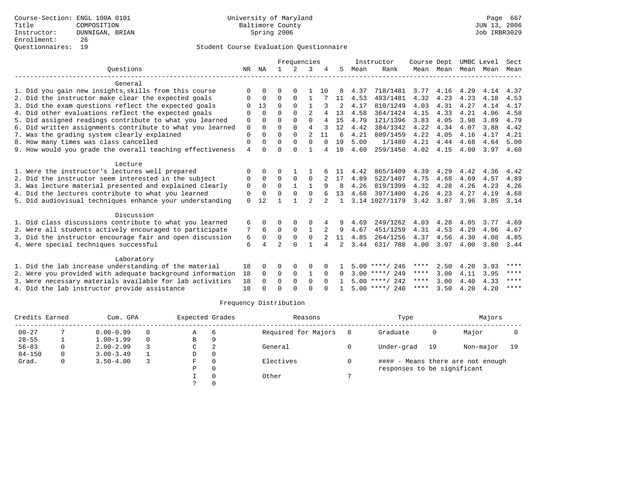? 0

### Student Course Evaluation Questionnaire

|                                                           |                |          |                | Frequencies   |                |          |                |      | Instructor       | Course Dept |                   | UMBC Level |      | Sect                |
|-----------------------------------------------------------|----------------|----------|----------------|---------------|----------------|----------|----------------|------|------------------|-------------|-------------------|------------|------|---------------------|
| Ouestions                                                 | NR.            | ΝA       |                | $\mathcal{L}$ | κ              |          | 5.             | Mean | Rank             |             | Mean Mean         | Mean       | Mean | Mean                |
| General                                                   |                |          |                |               |                |          |                |      |                  |             |                   |            |      |                     |
| 1. Did you gain new insights, skills from this course     | O              | 0        | O              |               |                | 10       | 8              | 4.37 | 718/1481         | 3.77        | 4.16              | 4.29       | 4.14 | 4.37                |
| 2. Did the instructor make clear the expected goals       | 0              | 0        | $\Omega$       | $\Omega$      |                |          | 11             | 4.53 | 493/1481         | 4.32        | 4.23              | 4.23       | 4.18 | 4.53                |
| 3. Did the exam questions reflect the expected goals      | $\Omega$       | 13       | $\Omega$       | $\Omega$      |                |          | $\mathfrak{D}$ | 4.17 | 810/1249         | 4.03        | 4.31              | 4.27       | 4.14 | 4.17                |
| 4. Did other evaluations reflect the expected goals       | $\Omega$       | $\Omega$ | $\Omega$       | $\cap$        | $\mathfrak{D}$ |          | 13             | 4.58 | 364/1424         | 4.15        | 4.33              | 4.21       | 4.06 | 4.58                |
| 5. Did assigned readings contribute to what you learned   | $\mathbf 0$    | $\Omega$ | $\Omega$       | $\Omega$      | $\Omega$       | 4        | 15             | 4.79 | 121/1396         | 3.83        | 4.05              | 3.98       | 3.89 | 4.79                |
| 6. Did written assignments contribute to what you learned | $\mathbf 0$    | $\Omega$ | $\Omega$       | $\Omega$      | $\overline{4}$ |          | 12             | 4.42 | 384/1342         | 4.22        | 4.34              | 4.07       | 3.88 | 4.42                |
| 7. Was the grading system clearly explained               | $\mathbf{0}$   | $\Omega$ | 0              | $\Omega$      | $\overline{c}$ | 11       | 6              | 4.21 | 809/1459         | 4.22        | 4.05              | 4.16       | 4.17 | 4.21                |
| 8. How many times was class cancelled                     | 0              | $\Omega$ | $\Omega$       | $\Omega$      | $\Omega$       | $\Omega$ | 19             | 5.00 | 1/1480           | 4.21        | 4.44              | 4.68       | 4.64 | 5.00                |
| 9. How would you grade the overall teaching effectiveness | $\overline{4}$ | $\Omega$ | O              | $\Omega$      |                |          | 10             | 4.60 | 259/1450         | 4.02        | 4.15              | 4.09       |      | 3.97 4.60           |
| Lecture                                                   |                |          |                |               |                |          |                |      |                  |             |                   |            |      |                     |
| 1. Were the instructor's lectures well prepared           | 0              | $\Omega$ | 0              |               |                |          | 11             | 4.42 | 865/1409         | 4.39        | 4.29              | 4.42       | 4.36 | 4.42                |
| 2. Did the instructor seem interested in the subject      | 0              | $\Omega$ | $\Omega$       | $\mathbf 0$   | 0              |          | 17             | 4.89 | 522/1407         | 4.75        | 4.68              | 4.69       | 4.57 | 4.89                |
| 3. Was lecture material presented and explained clearly   | 0              | $\Omega$ | $\Omega$       | $\mathbf{1}$  | $\mathbf{1}$   | 9        | 8              | 4.26 | 819/1399         | 4.32        | 4.28              | 4.26       | 4.23 | 4.26                |
| 4. Did the lectures contribute to what you learned        | 0              | $\Omega$ | $\Omega$       | $\Omega$      | $\Omega$       |          | 13             | 4.68 | 397/1400         | 4.26        | 4.23              | 4.27       | 4.19 | 4.68                |
| 5. Did audiovisual techniques enhance your understanding  | $\mathbf 0$    | 12       |                |               | $\mathfrak{D}$ |          | $\mathbf{1}$   |      | 3.14 1027/1179   |             | $3.42 \quad 3.87$ | 3.96       | 3.85 | 3.14                |
| Discussion                                                |                |          |                |               |                |          |                |      |                  |             |                   |            |      |                     |
| 1. Did class discussions contribute to what you learned   | 6              | 0        | 0              | $\Omega$      | O              |          | 9              | 4.69 | 249/1262         | 4.03        | 4.28              | 4.05       | 3.77 | 4.69                |
| 2. Were all students actively encouraged to participate   | 7              | $\Omega$ | $\Omega$       | $\Omega$      | 1              | 2        | 9              | 4.67 | 451/1259         | 4.31        | 4.53              | 4.29       | 4.06 | 4.67                |
| 3. Did the instructor encourage fair and open discussion  | 6              | 0        | 0              | $\mathbf 0$   | $\mathbf 0$    |          | 11             | 4.85 | 264/1256         | 4.37        | 4.56              | 4.30       | 4.08 | 4.85                |
| 4. Were special techniques successful                     | 6              |          | $\mathfrak{D}$ | $\Omega$      | 1              |          | 2              | 3.44 | 631/ 788         | 4.00        | 3.97              | 4.00       | 3.80 | 3.44                |
|                                                           |                |          |                |               |                |          |                |      |                  |             |                   |            |      |                     |
| Laboratory                                                |                |          |                |               |                |          |                |      |                  |             |                   |            |      | ****                |
| 1. Did the lab increase understanding of the material     | 18             | $\Omega$ | O              | $\Omega$      | O              |          |                |      | $5.00$ ****/ 246 | ****        | 2.50              | 4.20       | 3.93 |                     |
| 2. Were you provided with adequate background information | 18             | $\Omega$ | $\Omega$       | $\Omega$      | $\mathbf{1}$   | $\Omega$ | $\Omega$       |      | $3.00$ ****/ 249 | ****        | 3.00              | 4.11       | 3.95 | $***$ * * *<br>**** |
| 3. Were necessary materials available for lab activities  | 18             | $\Omega$ | $\Omega$       | $\Omega$      | $\Omega$       | $\cap$   |                |      | $5.00$ ****/ 242 | $***$ * * * | 3.00              | 4.40       | 4.33 |                     |
| 4. Did the lab instructor provide assistance              | 18             | ∩        | ∩              | ∩             | $\cap$         |          |                |      | $5.00$ ****/ 240 | ****        | 3.50              | 4.20       | 4.20 | ****                |

| Credits Earned |   | Cum. GPA      | Expected Grades |          | Reasons             | Type                        |    | Majors                            |      |
|----------------|---|---------------|-----------------|----------|---------------------|-----------------------------|----|-----------------------------------|------|
| $00 - 27$      |   | $0.00 - 0.99$ | Α               | 6        | Required for Majors | Graduate                    | 0  | Major                             |      |
| $28 - 55$      |   | $1.00 - 1.99$ | В               | 9        |                     |                             |    |                                   |      |
| $56 - 83$      | 0 | $2.00 - 2.99$ | C               |          | General             | Under-grad                  | 19 | Non-major                         | - 19 |
| $84 - 150$     | 0 | $3.00 - 3.49$ | D               | $\Omega$ |                     |                             |    |                                   |      |
| Grad.          | 0 | $3.50 - 4.00$ | ਸਾ              | $\Omega$ | Electives           |                             |    | #### - Means there are not enough |      |
|                |   |               | D               | $\Omega$ |                     | responses to be significant |    |                                   |      |
|                |   |               |                 |          | Other               |                             |    |                                   |      |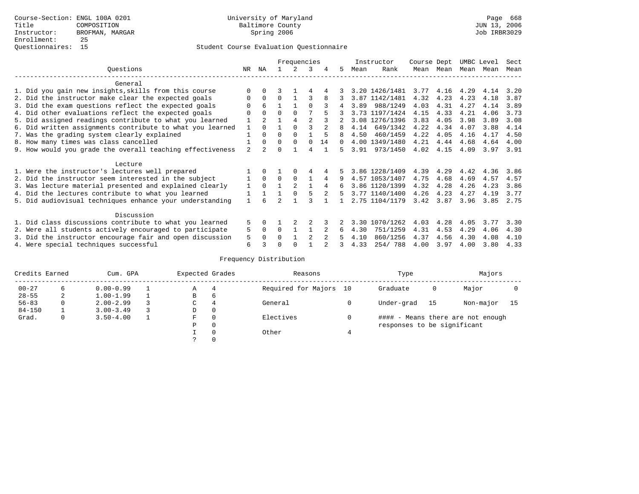|                                                           |                |                |          | Frequencies    |                |    |          |      | Instructor     | Course Dept |           | UMBC Level |      | Sect |
|-----------------------------------------------------------|----------------|----------------|----------|----------------|----------------|----|----------|------|----------------|-------------|-----------|------------|------|------|
| Ouestions                                                 | NR.            | ΝA             |          |                | 3              |    | 5.       | Mean | Rank           |             | Mean Mean | Mean       | Mean | Mean |
| General                                                   |                |                |          |                |                |    |          |      |                |             |           |            |      |      |
| 1. Did you gain new insights, skills from this course     |                |                |          |                |                |    |          |      | 3.20 1426/1481 | 3.77        | 4.16      | 4.29       | 4.14 | 3.20 |
| 2. Did the instructor make clear the expected goals       | $\Omega$       | 0              | $\Omega$ |                |                |    |          |      | 3.87 1142/1481 | 4.32        | 4.23      | 4.23       | 4.18 | 3.87 |
| 3. Did the exam questions reflect the expected goals      |                | 6              |          |                | $\cap$         |    | 4        | 3.89 | 988/1249       | 4.03        | 4.31      | 4.27       | 4.14 | 3.89 |
| 4. Did other evaluations reflect the expected goals       | ∩              |                | $\Omega$ |                |                |    |          |      | 3.73 1197/1424 | 4.15        | 4.33      | 4.21       | 4.06 | 3.73 |
| 5. Did assigned readings contribute to what you learned   |                | $\mathfrak{D}$ |          |                | $\mathfrak{D}$ |    |          |      | 3.08 1276/1396 | 3.83        | 4.05      | 3.98       | 3.89 | 3.08 |
| 6. Did written assignments contribute to what you learned |                | $\cap$         |          |                |                |    | 8        | 4.14 | 649/1342       | 4.22        | 4.34      | 4.07       | 3.88 | 4.14 |
| 7. Was the grading system clearly explained               |                | $\Omega$       | $\Omega$ |                |                |    |          | 4.50 | 460/1459       | 4.22        | 4.05      | 4.16       | 4.17 | 4.50 |
| 8. How many times was class cancelled                     |                | <sup>0</sup>   | $\Omega$ | $\Omega$       | $\Omega$       | 14 | $\Omega$ |      | 4.00 1349/1480 | 4.21        | 4.44      | 4.68       | 4.64 | 4.00 |
| 9. How would you grade the overall teaching effectiveness | $\mathfrak{D}$ |                | U        |                | 4              |    | 5.       | 3.91 | 973/1450       | 4.02        | 4.15      | 4.09       | 3.97 | 3.91 |
| Lecture                                                   |                |                |          |                |                |    |          |      |                |             |           |            |      |      |
| 1. Were the instructor's lectures well prepared           |                |                |          |                |                |    |          |      | 3.86 1228/1409 | 4.39        | 4.29      | 4.42       | 4.36 | 3.86 |
| 2. Did the instructor seem interested in the subject      |                | $\Omega$       | $\Omega$ | $\Omega$       |                | 4  |          |      | 4.57 1053/1407 | 4.75        | 4.68      | 4.69       | 4.57 | 4.57 |
| 3. Was lecture material presented and explained clearly   |                | $\Omega$       |          | $\mathfrak{D}$ |                |    |          |      | 3.86 1120/1399 | 4.32        | 4.28      | 4.26       | 4.23 | 3.86 |
| 4. Did the lectures contribute to what you learned        |                |                |          |                |                |    | 5.       |      | 3.77 1140/1400 | 4.26        | 4.23      | 4.27       | 4.19 | 3.77 |
| 5. Did audiovisual techniques enhance your understanding  |                |                |          |                |                |    |          |      | 2.75 1104/1179 | 3.42        | 3.87      | 3.96       | 3.85 | 2.75 |
| Discussion                                                |                |                |          |                |                |    |          |      |                |             |           |            |      |      |
| 1. Did class discussions contribute to what you learned   | 5              |                |          |                |                |    |          | 3.30 | 1070/1262      | 4.03        | 4.28      | 4.05       | 3.77 | 3.30 |
| 2. Were all students actively encouraged to participate   | 5              | 0              | $\Omega$ |                |                |    | 6        | 4.30 | 751/1259       | 4.31        | 4.53      | 4.29       | 4.06 | 4.30 |
| 3. Did the instructor encourage fair and open discussion  | 5              |                | O        |                |                |    |          | 4.10 | 860/1256       | 4.37        | 4.56      | 4.30       | 4.08 | 4.10 |
| 4. Were special techniques successful                     | 6              |                |          |                |                |    |          | 4.33 | 254/788        | 4.00        | 3.97      | 4.00       | 3.80 | 4.33 |

| Credits Earned |   | Cum. GPA      | Expected Grades |          | Reasons                |   | Type                        |    | Majors                            |    |
|----------------|---|---------------|-----------------|----------|------------------------|---|-----------------------------|----|-----------------------------------|----|
| $00 - 27$      | 6 | $0.00 - 0.99$ | А               | 4        | Required for Majors 10 |   | Graduate                    | 0  | Major                             |    |
| $28 - 55$      | 2 | $1.00 - 1.99$ | В               | 6        |                        |   |                             |    |                                   |    |
| $56 - 83$      | 0 | $2.00 - 2.99$ | $\sim$<br>◡     | 4        | General                |   | Under-grad                  | 15 | Non-major                         | 15 |
| $84 - 150$     |   | $3.00 - 3.49$ | D               | 0        |                        |   |                             |    |                                   |    |
| Grad.          | 0 | $3.50 - 4.00$ | F               | 0        | Electives              | 0 |                             |    | #### - Means there are not enough |    |
|                |   |               | Ρ               | 0        |                        |   | responses to be significant |    |                                   |    |
|                |   |               |                 | $\Omega$ | Other                  |   |                             |    |                                   |    |
|                |   |               |                 |          |                        |   |                             |    |                                   |    |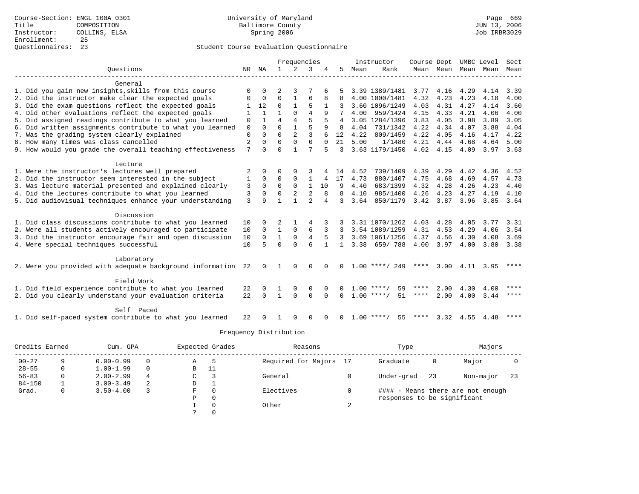|                                                                                                                      | Frequencies         |                    |                |                |                |          |              |      | Instructor                       | Course Dept  |                     |              | UMBC Level   | Sect         |
|----------------------------------------------------------------------------------------------------------------------|---------------------|--------------------|----------------|----------------|----------------|----------|--------------|------|----------------------------------|--------------|---------------------|--------------|--------------|--------------|
| Ouestions                                                                                                            |                     | NR NA              | $\mathbf{1}$   | 2              | 3              |          | 5            | Mean | Rank                             |              | Mean Mean Mean Mean |              |              | Mean         |
|                                                                                                                      |                     |                    |                |                |                |          |              |      |                                  |              |                     |              |              |              |
| General<br>1. Did you gain new insights, skills from this course                                                     | ∩                   |                    |                |                |                |          |              |      |                                  |              | 4.16                | 4.29         |              |              |
| 2. Did the instructor make clear the expected goals                                                                  | ∩                   | $\Omega$           | $\Omega$       |                | 6              |          |              |      | 3.39 1389/1481<br>4.00 1000/1481 | 3.77<br>4.32 | 4.23                | 4.23         | 4.14<br>4.18 | 3.39<br>4.00 |
|                                                                                                                      |                     | 12                 | $\Omega$       |                | 5              |          |              |      | 3.60 1096/1249                   | 4.03         | 4.31                | 4.27         | 4.14         | 3.60         |
| 3. Did the exam questions reflect the expected goals                                                                 |                     |                    |                | $\Omega$       | $\overline{4}$ | 9        |              |      |                                  |              | 4.33                |              |              | 4.00         |
| 4. Did other evaluations reflect the expected goals                                                                  |                     |                    | $\overline{4}$ | $\overline{4}$ | 5              |          |              | 4.00 | 959/1424                         | 4.15         |                     | 4.21         | 4.06         | 3.05         |
| 5. Did assigned readings contribute to what you learned<br>6. Did written assignments contribute to what you learned | 0                   | $\Omega$           | $\Omega$       |                | 5              |          | 4<br>8       |      | 3.05 1284/1396<br>4.04 731/1342  | 3.83         | 4.05<br>4.34        | 3.98<br>4.07 | 3.89<br>3.88 | 4.04         |
|                                                                                                                      | $\mathbf 0$         | $\Omega$           | $\Omega$       | $\overline{2}$ | 3              |          | 12           | 4.22 |                                  | 4.22         |                     |              |              |              |
| 7. Was the grading system clearly explained                                                                          | $\Omega$            |                    | $\Omega$       | $\Omega$       | $\Omega$       | $\Omega$ | 21           | 5.00 | 809/1459                         | 4.22<br>4.21 | 4.05                | 4.16         | 4.17         | 4.22<br>5.00 |
| 8. How many times was class cancelled<br>9. How would you grade the overall teaching effectiveness                   | $\overline{2}$<br>7 | $\Omega$<br>$\cap$ | $\Omega$       |                | 7              | 5        |              |      | 1/1480<br>3.63 1179/1450         | 4.02         | 4.44<br>4.15        | 4.68<br>4.09 | 4.64<br>3.97 | 3.63         |
|                                                                                                                      |                     |                    |                |                |                |          | 3            |      |                                  |              |                     |              |              |              |
| Lecture                                                                                                              |                     |                    |                |                |                |          |              |      |                                  |              |                     |              |              |              |
| 1. Were the instructor's lectures well prepared                                                                      | 2                   | $\Omega$           |                |                |                |          | 14           | 4.52 | 739/1409                         | 4.39         | 4.29                | 4.42         | 4.36         | 4.52         |
| 2. Did the instructor seem interested in the subject                                                                 | 1                   | $\Omega$           | $\Omega$       | $\Omega$       |                | 4        | 17           | 4.73 | 880/1407                         | 4.75         | 4.68                | 4.69         | 4.57         | 4.73         |
| 3. Was lecture material presented and explained clearly                                                              | 3                   | $\mathbf 0$        | $\mathbf 0$    | $\mathbf 0$    | $\mathbf{1}$   | 10       | 9            | 4.40 | 683/1399                         | 4.32         | 4.28                | 4.26         | 4.23         | 4.40         |
| 4. Did the lectures contribute to what you learned                                                                   | 3                   | $\Omega$           | $\Omega$       | $\mathbf{2}$   | $\overline{2}$ |          | R            | 4.10 | 985/1400                         | 4.26         | 4.23                | 4.27         | 4.19         | 4.10         |
| 5. Did audiovisual techniques enhance your understanding                                                             | 3                   | 9                  | 1              |                | $\overline{a}$ | 4        | २            | 3.64 | 850/1179                         | 3.42         | 3.87                | 3.96         | 3.85         | 3.64         |
|                                                                                                                      |                     |                    |                |                |                |          |              |      |                                  |              |                     |              |              |              |
| Discussion                                                                                                           |                     |                    |                |                |                |          |              |      |                                  |              |                     |              |              |              |
| 1. Did class discussions contribute to what you learned                                                              | 10                  |                    | 2              |                | 4              |          |              |      | 3.31 1070/1262                   | 4.03         | 4.28                | 4.05         | 3.77         | 3.31         |
| 2. Were all students actively encouraged to participate                                                              | 10                  | $\Omega$           | $\mathbf{1}$   | $\Omega$       | 6              | 3        |              |      | 3.54 1089/1259                   | 4.31         | 4.53                | 4.29         | 4.06         | 3.54         |
| 3. Did the instructor encourage fair and open discussion                                                             | 10                  | $\Omega$           | $\mathbf{1}$   | $\Omega$       | $\overline{4}$ | 5        | 3            |      | 3.69 1061/1256                   | 4.37         | 4.56                | 4.30         | 4.08         | 3.69         |
| 4. Were special techniques successful                                                                                | 10                  | 5                  | $\Omega$       | $\Omega$       |                |          |              | 3.38 | 659/788                          | 4.00         | 3.97                | 4.00         | 3.80         | 3.38         |
|                                                                                                                      |                     |                    |                |                |                |          |              |      |                                  |              |                     |              |              |              |
| Laboratory<br>2. Were you provided with adequate background information                                              |                     |                    |                |                | ∩              |          |              |      | $1.00$ ****/ 249                 | ****         |                     | 3.004.11     | 3.95         | ****         |
|                                                                                                                      | 22                  |                    |                |                |                |          |              |      |                                  |              |                     |              |              |              |
| Field Work                                                                                                           |                     |                    |                |                |                |          |              |      |                                  |              |                     |              |              |              |
| 1. Did field experience contribute to what you learned                                                               | 22                  |                    |                |                | $\Omega$       |          |              | 1.00 | 59<br>****/                      | ****         | 2.00                | 4.30         | 4.00         | ****         |
| 2. Did you clearly understand your evaluation criteria                                                               | 22                  | $\Omega$           |                | $\Omega$       | $\Omega$       | $\Omega$ | $\Omega$     |      | $1.00$ ****/<br>51               | ****         | 2.00                | 4.00         | 3.44         | ****         |
| Self Paced                                                                                                           |                     |                    |                |                |                |          |              |      |                                  |              |                     |              |              |              |
| 1. Did self-paced system contribute to what you learned                                                              | 22                  |                    |                |                | ∩              |          | <sup>n</sup> |      | 55<br>$1.00$ ****/               | ****         | 3.32                | 4.55         | 4.48         | ****         |
|                                                                                                                      |                     |                    |                |                |                |          |              |      |                                  |              |                     |              |              |              |

|            | Credits Earned<br>Cum. GPA |               | Expected Grades |    |          | Reasons                |   | Type                        |    | Majors                            |     |
|------------|----------------------------|---------------|-----------------|----|----------|------------------------|---|-----------------------------|----|-----------------------------------|-----|
| $00 - 27$  |                            | $0.00 - 0.99$ |                 | Α  |          | Required for Majors 17 |   | Graduate                    | 0  | Major                             |     |
| $28 - 55$  |                            | $1.00 - 1.99$ | $\Omega$        | B  | 11       |                        |   |                             |    |                                   |     |
| $56 - 83$  | 0                          | $2.00 - 2.99$ | 4               | C. |          | General                |   | Under-grad                  | 23 | Non-major                         | -23 |
| $84 - 150$ |                            | $3.00 - 3.49$ | 2               | D  |          |                        |   |                             |    |                                   |     |
| Grad.      | 0                          | $3.50 - 4.00$ |                 | F  | $\Omega$ | Electives              |   |                             |    | #### - Means there are not enough |     |
|            |                            |               |                 | Ρ  | 0        |                        |   | responses to be significant |    |                                   |     |
|            |                            |               |                 |    | $\Omega$ | Other                  | ▵ |                             |    |                                   |     |
|            |                            |               |                 |    |          |                        |   |                             |    |                                   |     |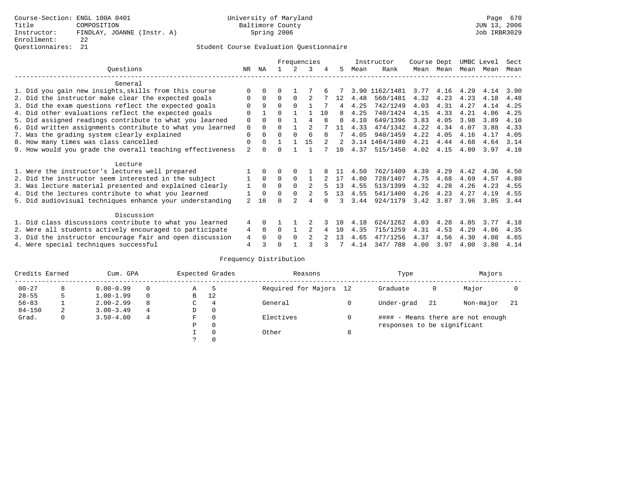### Questionnaires: 21 Student Course Evaluation Questionnaire

|                                                           | Frequencies    |              |          |              |                |               | Instructor     | Course Dept |                |      | UMBC Level | Sect |      |      |
|-----------------------------------------------------------|----------------|--------------|----------|--------------|----------------|---------------|----------------|-------------|----------------|------|------------|------|------|------|
| Ouestions                                                 | NR.            | ΝA           |          |              | 3              | 4             | 5.             | Mean        | Rank           |      | Mean Mean  | Mean | Mean | Mean |
| General                                                   |                |              |          |              |                |               |                |             |                |      |            |      |      |      |
| 1. Did you gain new insights, skills from this course     | $\Omega$       | $\Omega$     | 0        |              |                |               |                |             | 3.90 1162/1481 | 3.77 | 4.16       | 4.29 | 4.14 | 3.90 |
| 2. Did the instructor make clear the expected goals       | $\Omega$       | $\Omega$     | $\Omega$ | $\Omega$     |                |               | 12             | 4.48        | 560/1481       | 4.32 | 4.23       | 4.23 | 4.18 | 4.48 |
| 3. Did the exam questions reflect the expected goals      |                | 9            | $\Omega$ | $\Omega$     |                |               | $\overline{4}$ | 4.25        | 742/1249       | 4.03 | 4.31       | 4.27 | 4.14 | 4.25 |
| 4. Did other evaluations reflect the expected goals       | $\Omega$       |              | $\Omega$ |              |                | 10            | 8              | 4.25        | 740/1424       | 4.15 | 4.33       | 4.21 | 4.06 | 4.25 |
| 5. Did assigned readings contribute to what you learned   | $\mathbf 0$    | $\Omega$     | $\Omega$ |              | 4              | 8             | 8              | 4.10        | 649/1396       | 3.83 | 4.05       | 3.98 | 3.89 | 4.10 |
| 6. Did written assignments contribute to what you learned | $\mathbf 0$    | $\Omega$     |          |              | $\mathfrak{D}$ |               | 11             | 4.33        | 474/1342       | 4.22 | 4.34       | 4.07 | 3.88 | 4.33 |
| 7. Was the grading system clearly explained               |                |              | $\Omega$ | $\Omega$     | $\epsilon$     | 8             |                | 4.05        | 940/1459       | 4.22 | 4.05       | 4.16 | 4.17 | 4.05 |
| 8. How many times was class cancelled                     |                |              |          | $\mathbf{1}$ | 15             | $\mathcal{D}$ | $2^{\circ}$    |             | 3.14 1464/1480 | 4.21 | 4.44       | 4.68 | 4.64 | 3.14 |
| 9. How would you grade the overall teaching effectiveness | 2              | <sup>n</sup> | U        |              |                |               | 10             | 4.37        | 515/1450       | 4.02 | 4.15       | 4.09 | 3.97 | 4.18 |
| Lecture                                                   |                |              |          |              |                |               |                |             |                |      |            |      |      |      |
| 1. Were the instructor's lectures well prepared           |                |              |          |              |                |               | 11             | 4.50        | 762/1409       | 4.39 | 4.29       | 4.42 | 4.36 | 4.50 |
| 2. Did the instructor seem interested in the subject      | 1              | $\Omega$     | $\Omega$ | $\Omega$     |                | 2             | 17             | 4.80        | 728/1407       | 4.75 | 4.68       | 4.69 | 4.57 | 4.80 |
| 3. Was lecture material presented and explained clearly   |                | $\Omega$     | $\Omega$ | $\Omega$     |                |               | 13             | 4.55        | 513/1399       | 4.32 | 4.28       | 4.26 | 4.23 | 4.55 |
| 4. Did the lectures contribute to what you learned        |                | $\Omega$     | $\Omega$ | $\Omega$     | $\mathfrak{D}$ |               | 13             | 4.55        | 541/1400       | 4.26 | 4.23       | 4.27 | 4.19 | 4.55 |
| 5. Did audiovisual techniques enhance your understanding  | $\mathfrak{D}$ | 10           |          |              | 4              |               | 3              | 3.44        | 924/1179       | 3.42 | 3.87       | 3.96 | 3.85 | 3.44 |
| Discussion                                                |                |              |          |              |                |               |                |             |                |      |            |      |      |      |
| 1. Did class discussions contribute to what you learned   |                |              |          |              |                |               | 1 O            | 4.18        | 624/1262       | 4.03 | 4.28       | 4.05 | 3.77 | 4.18 |
| 2. Were all students actively encouraged to participate   |                |              | $\Omega$ |              | $\mathfrak{D}$ |               | 10             | 4.35        | 715/1259       | 4.31 | 4.53       | 4.29 | 4.06 | 4.35 |
| 3. Did the instructor encourage fair and open discussion  |                |              | $\cap$   | $\cap$       | $\mathcal{D}$  |               | 13             | 4.65        | 477/1256       | 4.37 | 4.56       | 4.30 | 4.08 | 4.65 |
| 4. Were special techniques successful                     | 4              |              |          |              |                |               |                | 4.14        | 347/ 788       | 4.00 | 3.97       | 4.00 | 3.80 | 4.14 |

|            | Credits Earned |                          | Cum. GPA |                        |          | Reasons   |   | Type                        |     | Majors                            |     |
|------------|----------------|--------------------------|----------|------------------------|----------|-----------|---|-----------------------------|-----|-----------------------------------|-----|
| $00 - 27$  | 8              | $0.00 - 0.99$<br>-5<br>Α |          | Required for Majors 12 |          | Graduate  | 0 | Major                       |     |                                   |     |
| $28 - 55$  | 5              | $1.00 - 1.99$            |          | B                      | 12       |           |   |                             |     |                                   |     |
| $56 - 83$  |                | $2.00 - 2.99$            | 8        | C                      | 4        | General   |   | Under-grad                  | -21 | Non-major                         | -21 |
| $84 - 150$ | 2              | $3.00 - 3.49$            | 4        | D                      | 0        |           |   |                             |     |                                   |     |
| Grad.      | 0              | $3.50 - 4.00$            | 4        | F                      | 0        | Electives |   |                             |     | #### - Means there are not enough |     |
|            |                |                          |          | Ρ                      | 0        |           |   | responses to be significant |     |                                   |     |
|            |                |                          |          |                        | $\Omega$ | Other     | 8 |                             |     |                                   |     |
|            |                |                          |          |                        |          |           |   |                             |     |                                   |     |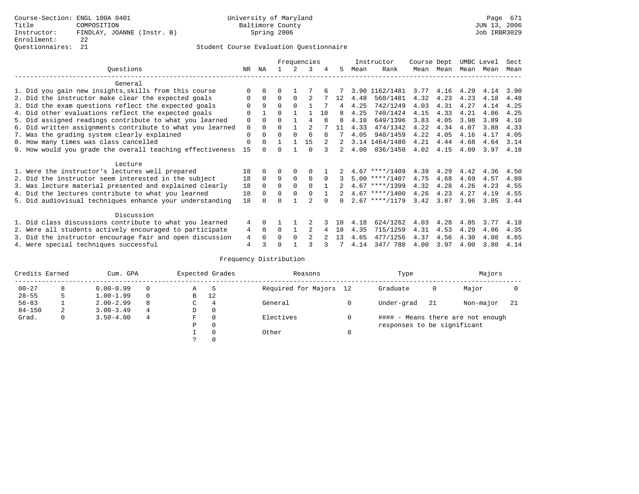### Questionnaires: 21 Student Course Evaluation Questionnaire

|                                                           |          |          | Frequencies |               |                | Instructor |                | Course Dept |                  |      | UMBC Level | Sect |           |      |
|-----------------------------------------------------------|----------|----------|-------------|---------------|----------------|------------|----------------|-------------|------------------|------|------------|------|-----------|------|
| Ouestions                                                 | NR       | ΝA       |             | $\mathcal{L}$ | 3              | 4          | 5              | Mean        | Rank             |      | Mean Mean  |      | Mean Mean | Mean |
| General                                                   |          |          |             |               |                |            |                |             |                  |      |            |      |           |      |
| 1. Did you gain new insights, skills from this course     | $\Omega$ | $\Omega$ | $\Omega$    |               |                |            |                |             | 3.90 1162/1481   | 3.77 | 4.16       | 4.29 | 4.14      | 3.90 |
| 2. Did the instructor make clear the expected goals       | O        | $\Omega$ | $\Omega$    | $\Omega$      |                |            | 12             | 4.48        | 560/1481         | 4.32 | 4.23       | 4.23 | 4.18      | 4.48 |
| 3. Did the exam questions reflect the expected goals      |          | 9        | $\Omega$    | $\Omega$      |                |            | 4              | 4.25        | 742/1249         | 4.03 | 4.31       | 4.27 | 4.14      | 4.25 |
| 4. Did other evaluations reflect the expected goals       | $\Omega$ |          | 0           |               |                | 10         | 8              | 4.25        | 740/1424         | 4.15 | 4.33       | 4.21 | 4.06      | 4.25 |
| 5. Did assigned readings contribute to what you learned   | 0        | $\Omega$ | 0           |               | 4              | 8          | 8              | 4.10        | 649/1396         | 3.83 | 4.05       | 3.98 | 3.89      | 4.10 |
| 6. Did written assignments contribute to what you learned | 0        | 0        |             |               |                |            | 11             | 4.33        | 474/1342         | 4.22 | 4.34       | 4.07 | 3.88      | 4.33 |
| 7. Was the grading system clearly explained               | 0        | $\Omega$ | 0           | $\Omega$      | $\epsilon$     | 8          |                | 4.05        | 940/1459         | 4.22 | 4.05       | 4.16 | 4.17      | 4.05 |
| 8. How many times was class cancelled                     |          |          |             | $\mathbf{1}$  | 15             | 2          | $2^{\circ}$    |             | 3.14 1464/1480   | 4.21 | 4.44       | 4.68 | 4.64      | 3.14 |
| 9. How would you grade the overall teaching effectiveness | 15       |          | U           |               | $\cap$         |            | $\overline{2}$ | 4.00        | 836/1450         | 4.02 | 4.15       | 4.09 | 3.97      | 4.18 |
| Lecture                                                   |          |          |             |               |                |            |                |             |                  |      |            |      |           |      |
| 1. Were the instructor's lectures well prepared           | 18       |          | 0           | 0             | 0              |            |                |             | $4.67$ ****/1409 | 4.39 | 4.29       | 4.42 | 4.36      | 4.50 |
| 2. Did the instructor seem interested in the subject      | 18       | $\Omega$ | $\Omega$    | $\Omega$      | $\Omega$       | $\Omega$   |                |             | $5.00$ ****/1407 | 4.75 | 4.68       | 4.69 | 4.57      | 4.80 |
| 3. Was lecture material presented and explained clearly   | 18       | $\Omega$ | 0           | $\Omega$      | $\Omega$       |            |                |             | $4.67$ ****/1399 | 4.32 | 4.28       | 4.26 | 4.23      | 4.55 |
| 4. Did the lectures contribute to what you learned        | 18       | $\Omega$ | $\Omega$    | $\Omega$      | $\Omega$       |            | $2^{\circ}$    |             | $4.67$ ****/1400 | 4.26 | 4.23       | 4.27 | 4.19      | 4.55 |
| 5. Did audiovisual techniques enhance your understanding  | 18       |          | ∩           |               | $\mathfrak{D}$ |            | <sup>n</sup>   |             | $2.67$ ****/1179 | 3.42 | 3.87       | 3.96 | 3.85      | 3.44 |
| Discussion                                                |          |          |             |               |                |            |                |             |                  |      |            |      |           |      |
| 1. Did class discussions contribute to what you learned   | 4        | $\Omega$ |             |               |                |            | 1 O            | 4.18        | 624/1262         | 4.03 | 4.28       | 4.05 | 3.77      | 4.18 |
| 2. Were all students actively encouraged to participate   |          |          | $\Omega$    |               | 2              |            | 10             | 4.35        | 715/1259         | 4.31 | 4.53       | 4.29 | 4.06      | 4.35 |
| 3. Did the instructor encourage fair and open discussion  |          |          |             | $\Omega$      |                |            | 13             | 4.65        | 477/1256         | 4.37 | 4.56       | 4.30 | 4.08      | 4.65 |
| 4. Were special techniques successful                     | 4        |          |             |               |                |            |                | 4.14        | 347/788          | 4.00 | 3.97       | 4.00 | 3.80      | 4.14 |

| Credits Earned |              | Cum. GPA      |   |               | Expected Grades | Reasons                |   | Type                        |    | Majors                            |     |
|----------------|--------------|---------------|---|---------------|-----------------|------------------------|---|-----------------------------|----|-----------------------------------|-----|
| $00 - 27$      | 8            | $0.00 - 0.99$ |   | Α             |                 | Required for Majors 12 |   | Graduate                    | 0  | Major                             |     |
| $28 - 55$      |              | $1.00 - 1.99$ |   | B             | 12              |                        |   |                             |    |                                   |     |
| $56 - 83$      |              | $2.00 - 2.99$ | 8 | C.            | $\overline{4}$  | General                |   | Under-grad                  | 21 | Non-major                         | -21 |
| $84 - 150$     | 2            | $3.00 - 3.49$ | 4 | D             | $\Omega$        |                        |   |                             |    |                                   |     |
| Grad.          | $\mathbf{0}$ | $3.50 - 4.00$ | 4 | F             | $\Omega$        | Electives              |   |                             |    | #### - Means there are not enough |     |
|                |              |               |   | Ρ             | $\Omega$        |                        |   | responses to be significant |    |                                   |     |
|                |              |               |   |               | $\Omega$        | Other                  | 8 |                             |    |                                   |     |
|                |              |               |   | $\mathcal{L}$ | $\Omega$        |                        |   |                             |    |                                   |     |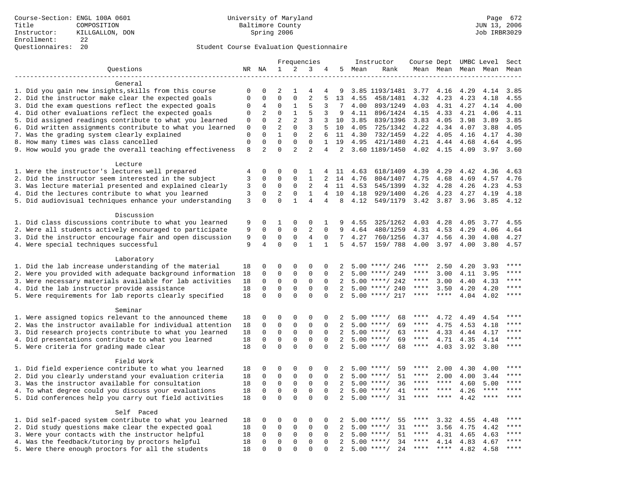### Questionnaires: 20 Student Course Evaluation Questionnaire

|                                                                                                                     |             |                            | Frequencies          |                            |                            |                                | Instructor | Course Dept UMBC Level |                                          |             |              | Sect         |                     |             |
|---------------------------------------------------------------------------------------------------------------------|-------------|----------------------------|----------------------|----------------------------|----------------------------|--------------------------------|------------|------------------------|------------------------------------------|-------------|--------------|--------------|---------------------|-------------|
| Questions                                                                                                           |             | NR NA                      | 1                    | 2                          | 3                          | 4                              | 5          | Mean                   | Rank                                     |             |              |              | Mean Mean Mean Mean | Mean        |
|                                                                                                                     |             |                            |                      |                            |                            |                                |            |                        |                                          |             |              |              |                     |             |
| General                                                                                                             |             |                            |                      |                            |                            |                                |            |                        |                                          |             |              |              |                     |             |
| 1. Did you gain new insights, skills from this course                                                               | $\mathbf 0$ | 0                          | 2                    | 1                          | 4                          | 4                              | 9          |                        | 3.85 1193/1481                           | 3.77        | 4.16         | 4.29         | 4.14                | 3.85        |
| 2. Did the instructor make clear the expected goals                                                                 | $\mathbf 0$ | $\mathbf 0$                | $\Omega$             | $\mathbf 0$                | $\overline{2}$             | 5                              | 13         | 4.55                   | 458/1481                                 | 4.32        | 4.23         | 4.23         | 4.18                | 4.55        |
| 3. Did the exam questions reflect the expected goals                                                                | $\mathbf 0$ | 4                          | $\mathbf 0$          | 1                          | 5                          | 3                              | 7          | 4.00                   | 893/1249                                 | 4.03        | 4.31         | 4.27         | 4.14                | 4.00        |
| 4. Did other evaluations reflect the expected goals                                                                 | 0           | $\overline{2}$             | $\mathbf{0}$         | $1\,$                      | 5                          | 3                              | 9          | 4.11                   | 896/1424                                 | 4.15        | 4.33         | 4.21         | 4.06                | 4.11        |
| 5. Did assigned readings contribute to what you learned                                                             | $\mathsf 0$ | $\mathbf 0$                | $\overline{2}$       | 2                          | 3                          | 3                              | 10         | 3.85                   | 839/1396                                 | 3.83        | 4.05         | 3.98         | 3.89                | 3.85        |
| 6. Did written assignments contribute to what you learned                                                           | 0           | $\mathbf 0$                | $\overline{2}$       | $\mathbf 0$                | 3                          | 5                              | 10         | 4.05                   | 725/1342                                 | 4.22        | 4.34         | 4.07         | 3.88                | 4.05        |
| 7. Was the grading system clearly explained                                                                         | $\mathbf 0$ | $\Omega$                   | $\mathbf{1}$         | $\mathbf 0$                | 2                          | 6                              | 11         | 4.30                   | 732/1459                                 | 4.22        | 4.05         | 4.16         | 4.17                | 4.30        |
| 8. How many times was class cancelled                                                                               | $\mathbf 0$ | $\Omega$<br>$\overline{a}$ | $\Omega$<br>$\Omega$ | $\Omega$<br>$\overline{a}$ | $\Omega$<br>$\overline{a}$ | $\mathbf{1}$<br>$\overline{4}$ | 19<br>2    | 4.95                   | 421/1480                                 | 4.21        | 4.44         | 4.68         | 4.64                | 4.95        |
| 9. How would you grade the overall teaching effectiveness                                                           | 8           |                            |                      |                            |                            |                                |            |                        | 3.60 1189/1450                           | 4.02        | 4.15         | 4.09         | 3.97                | 3.60        |
| Lecture                                                                                                             |             |                            |                      |                            |                            |                                |            |                        |                                          |             |              |              |                     |             |
| 1. Were the instructor's lectures well prepared                                                                     | 4           | $\mathbf 0$                | $\mathbf 0$          | $\Omega$                   | 1                          |                                | 4 11       | 4.63                   | 618/1409                                 | 4.39        | 4.29         | 4.42         | 4.36                | 4.63        |
| 2. Did the instructor seem interested in the subject                                                                | 3           | $\mathbf 0$                | $\mathbf{0}$         | $\mathbf 0$                | 1                          | 2                              | 14         | 4.76                   | 804/1407                                 | 4.75        | 4.68         | 4.69         | 4.57                | 4.76        |
| 3. Was lecture material presented and explained clearly                                                             | 3           | 0                          | $\mathbf 0$          | $\mathbf 0$                | 2                          | $\overline{4}$                 | 11         | 4.53                   | 545/1399                                 | 4.32        | 4.28         | 4.26         | 4.23                | 4.53        |
| 4. Did the lectures contribute to what you learned                                                                  | 3           | $\mathbf 0$                | 2                    | $\mathbf 0$                | $\mathbf{1}$               | $\overline{4}$                 | 10         | 4.18                   | 929/1400                                 | 4.26        | 4.23         | 4.27         | 4.19                | 4.18        |
| 5. Did audiovisual techniques enhance your understanding                                                            | 3           | $\Omega$                   | $\Omega$             | $\mathbf{1}$               | $\overline{4}$             | $\overline{4}$                 | 8          | 4.12                   | 549/1179                                 | 3.42        | 3.87         | 3.96         | 3.85                | 4.12        |
|                                                                                                                     |             |                            |                      |                            |                            |                                |            |                        |                                          |             |              |              |                     |             |
| Discussion                                                                                                          |             |                            |                      |                            |                            |                                |            |                        |                                          |             |              |              |                     |             |
| 1. Did class discussions contribute to what you learned                                                             | 9           | $\mathbf 0$                | 1                    | $\mathbf 0$                | 0                          | 1                              | 9          | 4.55                   | 325/1262                                 | 4.03        | 4.28         | 4.05         | 3.77                | 4.55        |
| 2. Were all students actively encouraged to participate                                                             | 9           | 0                          | $\mathbf{0}$         | $\mathbf 0$                | 2                          | $\Omega$                       | 9          | 4.64                   | 480/1259                                 | 4.31        | 4.53         | 4.29         | 4.06                | 4.64        |
| 3. Did the instructor encourage fair and open discussion                                                            | 9           | $\mathbf 0$                | $\mathbf 0$          | $\mathbf 0$                | $\overline{4}$             | $\mathbf 0$                    | 7          | 4.27                   | 760/1256                                 | 4.37        | 4.56         | 4.30         | 4.08                | 4.27        |
| 4. Were special techniques successful                                                                               | 9           | 4                          | $\Omega$             | $\Omega$                   | $\mathbf{1}$               | $\mathbf{1}$                   | .5         | 4.57                   | 159/ 788                                 | 4.00        | 3.97         | 4.00         | 3.80                | 4.57        |
|                                                                                                                     |             |                            |                      |                            |                            |                                |            |                        |                                          |             |              |              |                     |             |
| Laboratory                                                                                                          |             |                            |                      |                            |                            |                                |            |                        |                                          |             |              |              |                     |             |
| 1. Did the lab increase understanding of the material                                                               | 18          | $\mathbf 0$                | $\mathbf{0}$         | $\mathbf 0$                | $\mathbf{0}$               | $\mathbf 0$                    |            |                        | $5.00$ ****/ 246                         | $***$ * *   | 2.50         | 4.20         | 3.93                | $* * * *$   |
| 2. Were you provided with adequate background information                                                           | 18          | $\mathbf 0$                | $\mathbf 0$          | $\mathsf 0$                | $\mathsf 0$                | 0                              | 2          | 5.00                   | ****/ 249                                | ****        | 3.00         | 4.11         | 3.95                | ****        |
| 3. Were necessary materials available for lab activities                                                            | 18          | 0                          | $\mathbf 0$          | 0                          | $\mathsf 0$                | 0                              | 2          |                        | $5.00$ ****/ 242                         | $***$ * *   | 3.00         | 4.40         | 4.33                | $***$ *     |
| 4. Did the lab instructor provide assistance                                                                        | 18          | $\Omega$                   | $\mathbf{0}$         | $\mathbf 0$                | $\mathbf{0}$               | $\Omega$                       | 2          |                        | $5.00$ ****/ 240                         | $***$ * *   | 3.50         | 4.20         | 4.20                | ****        |
| 5. Were requirements for lab reports clearly specified                                                              | 18          | $\Omega$                   | $\Omega$             | $\Omega$                   | $\Omega$                   | $\Omega$                       | 2          |                        | $5.00$ ****/ 217                         | $***$ * * * | ****         | 4.04         | 4.02                | ****        |
|                                                                                                                     |             |                            |                      |                            |                            |                                |            |                        |                                          |             |              |              |                     |             |
| Seminar                                                                                                             |             |                            | $\mathbf{0}$         | $\mathbf 0$                |                            | $\Omega$                       |            |                        |                                          | ****        |              |              |                     | $***$       |
| 1. Were assigned topics relevant to the announced theme<br>2. Was the instructor available for individual attention | 18<br>18    | 0<br>$\mathbf 0$           | $\mathsf 0$          | $\mathsf{O}\xspace$        | 0<br>$\mathbf 0$           | $\mathbf 0$                    | 2<br>2     |                        | $5.00$ ****/<br>68<br>$5.00$ ****/<br>69 | ****        | 4.72<br>4.75 | 4.49         | 4.54                | ****        |
| 3. Did research projects contribute to what you learned                                                             | 18          | $\mathbf 0$                | $\mathbf 0$          | $\mathsf 0$                | $\mathsf 0$                | $\mathbf 0$                    | 2          |                        | $5.00$ ****/<br>63                       | ****        | 4.33         | 4.53<br>4.44 | 4.18<br>4.17        | * * * *     |
| 4. Did presentations contribute to what you learned                                                                 | 18          | $\mathbf 0$                | $\mathbf 0$          | $\mathbf 0$                | $\mathbf 0$                | 0                              | 2          |                        | $5.00$ ****/<br>69                       | $***$ * *   | 4.71         | 4.35         | 4.14                | $***$       |
| 5. Were criteria for grading made clear                                                                             | 18          | $\Omega$                   | $\Omega$             | $\Omega$                   | $\Omega$                   | $\Omega$                       | 2          |                        | $5.00$ ****/<br>68                       | ****        | 4.03         | 3.92         | 3.80                | ****        |
|                                                                                                                     |             |                            |                      |                            |                            |                                |            |                        |                                          |             |              |              |                     |             |
| Field Work                                                                                                          |             |                            |                      |                            |                            |                                |            |                        |                                          |             |              |              |                     |             |
| 1. Did field experience contribute to what you learned                                                              | 18          | $\mathbf 0$                | $\mathbf 0$          | $\mathsf 0$                | $\mathsf 0$                | $\mathbf 0$                    | 2          |                        | $5.00$ ****/<br>59                       | ****        | 2.00         | 4.30         | 4.00                | $***$ * * * |
| 2. Did you clearly understand your evaluation criteria                                                              | 18          | 0                          | $\mathbf{0}$         | $\mathbf 0$                | 0                          | $\Omega$                       | 2          | 5.00                   | $***$ /<br>51                            | ****        | 2.00         | 4.00         | 3.44                | ****        |
| 3. Was the instructor available for consultation                                                                    | 18          | $\mathbf 0$                | $\mathbf 0$          | $\mathbf 0$                | $\mathbf 0$                | 0                              | 2          |                        | $5.00$ ****/<br>36                       | ****        | ****         | 4.60         | 5.00                | ****        |
| 4. To what degree could you discuss your evaluations                                                                | 18          | $\mathbf 0$                | $\mathbf 0$          | $\mathbf 0$                | $\mathsf 0$                | $\mathbf 0$                    | 2          | 5.00                   | 41<br>$***/$                             | ****        | $***$        | 4.26         | ****                | ****        |
| 5. Did conferences help you carry out field activities                                                              | 18          | $\Omega$                   | $\Omega$             | $\Omega$                   | $\Omega$                   | $\Omega$                       | 2          | 5.00                   | 31<br>$***$ /                            | $***$ * * * | $***$ *      | 4.42         | $***$ * * *         | ****        |
|                                                                                                                     |             |                            |                      |                            |                            |                                |            |                        |                                          |             |              |              |                     |             |
| Self Paced                                                                                                          |             |                            |                      |                            |                            |                                |            |                        |                                          |             |              |              |                     |             |
| 1. Did self-paced system contribute to what you learned                                                             | 18          | 0                          | $\mathbf 0$          | $\mathbf 0$                | $\mathbf{0}$               | $\mathbf 0$                    | 2          | 5.00                   | $***/$<br>55                             | ****        | 3.32         | 4.55         | 4.48                |             |
| 2. Did study questions make clear the expected goal                                                                 | 18          | 0                          | $\mathbf 0$          | $\mathbf 0$                | $\mathsf 0$                | $\mathbf 0$                    | 2          | 5.00                   | 31<br>$***/$                             | ****        | 3.56         | 4.75         | 4.42                | ****        |
| 3. Were your contacts with the instructor helpful                                                                   | 18          | 0                          | 0                    | 0                          | 0                          | $\Omega$                       | 2          | 5.00                   | $***$ /<br>51                            | ****        | 4.31         | 4.65         | 4.63                | ****        |
| 4. Was the feedback/tutoring by proctors helpful                                                                    | 18          | 0                          | $\mathbf 0$          | $\mathbf 0$                | $\mathbf{0}$               | $\Omega$                       | 2          |                        | $5.00$ ****/<br>34                       | ****        | 4.14         | 4.83         | 4.67                | $***$       |
| 5. Were there enough proctors for all the students                                                                  | 18          | $\Omega$                   | $\Omega$             | $\Omega$                   | $\Omega$                   | $\Omega$                       | 2          |                        | $5.00$ ****/<br>24                       | $***$ * *   | $***$ *      | 4.82         | 4.58                | $***$       |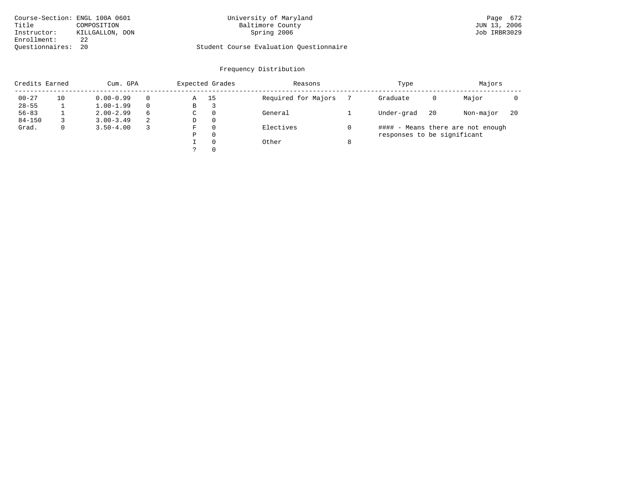| Course-Section: ENGL 100A 0601 |                 | University of Maryland                  | Page 672     |
|--------------------------------|-----------------|-----------------------------------------|--------------|
| Title                          | COMPOSITION     | Baltimore County                        | JUN 13, 2006 |
| Instructor:                    | KILLGALLON, DON | Spring 2006                             | Job IRBR3029 |
| Enrollment:                    | 22              |                                         |              |
| Ouestionnaires: 20             |                 | Student Course Evaluation Ouestionnaire |              |

# University of Maryland 1992 Page 672<br>Baltimore County 100A 0601 UNIVERSITY 010A 0601 UNIVERSITY 010A 0601 UNIVERSITY 010A 0708

# Questionnaires: 20 Student Course Evaluation Questionnaire

|            | Credits Earned<br>Cum. GPA |               | Expected Grades |   |                            | Reasons   | Type                        |    | Majors                            |    |
|------------|----------------------------|---------------|-----------------|---|----------------------------|-----------|-----------------------------|----|-----------------------------------|----|
| $00 - 27$  | 10                         | $0.00 - 0.99$ |                 | Α | Required for Majors<br>-15 |           | Graduate                    | 0  | Major                             |    |
| $28 - 55$  |                            | $1.00 - 1.99$ | $\Omega$        | В | 3                          |           |                             |    |                                   |    |
| $56 - 83$  |                            | $2.00 - 2.99$ | 6               | C | $\Omega$                   | General   | Under-grad                  | 20 | Non-major                         | 20 |
| $84 - 150$ |                            | $3.00 - 3.49$ | 2               | D | $\Omega$                   |           |                             |    |                                   |    |
| Grad.      |                            | $3.50 - 4.00$ |                 | F | $\Omega$                   | Electives |                             |    | #### - Means there are not enough |    |
|            |                            |               |                 | Ρ | 0                          |           | responses to be significant |    |                                   |    |
|            |                            |               |                 |   | $\Omega$                   | Other     |                             |    |                                   |    |
|            |                            |               |                 |   | $\Omega$                   |           |                             |    |                                   |    |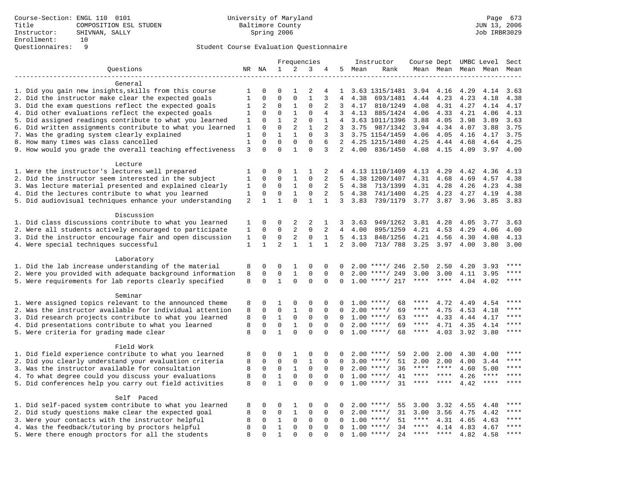| $\mathbf{1}$<br>2<br>3<br>5 Mean<br>Questions<br>NR NA<br>Rank<br>Mean Mean Mean Mean Mean<br>4<br>General<br>1. Did you gain new insights, skills from this course<br>$\Omega$<br>$\Omega$<br>$\overline{2}$<br>3.63 1315/1481<br>3.94<br>4.16<br>4.29<br>3.63<br>1<br>1<br>4<br>4.14<br>$\mathbf{1}$<br>2. Did the instructor make clear the expected goals<br>$\mathbf{1}$<br>0<br>$\Omega$<br>0<br>$\mathbf{1}$<br>3<br>4<br>4.38<br>693/1481<br>4.44<br>4.23<br>4.23<br>4.18<br>4.38<br>3. Did the exam questions reflect the expected goals<br>2<br>$\Omega$<br>$\mathbf{1}$<br>$\mathbf 0$<br>$\overline{2}$<br>3<br>4.17<br>810/1249<br>4.31<br>4.27<br>4.17<br>1<br>4.08<br>4.14<br>$\mathbf{1}$<br>4. Did other evaluations reflect the expected goals<br>$\Omega$<br>$\Omega$<br>$\mathbf 0$<br>$\mathbf{1}$<br>$\overline{4}$<br>3<br>4.13<br>885/1424<br>4.06<br>4.33<br>4.21<br>4.06<br>4.13<br>$\overline{a}$<br>5. Did assigned readings contribute to what you learned<br>$\Omega$<br>$\mathbf{1}$<br>$\mathbf 0$<br>3.63<br>1<br>1<br>$\overline{4}$<br>3.63 1011/1396<br>3.88<br>4.05<br>3.98<br>3.89<br>6. Did written assignments contribute to what you learned<br>$\Omega$<br>2<br>$\mathbf{1}$<br>2<br>3.75<br>1<br>$\Omega$<br>$3 -$<br>3.75 987/1342<br>3.94<br>4.34<br>4.07<br>3.88<br>7. Was the grading system clearly explained<br>$\mathbf{1}$<br>$\mathbf{1}$<br>$\mathbf{1}$<br>$\Omega$<br>$\mathbf 0$<br>3<br>$\overline{3}$<br>4.06<br>4.17<br>3.75<br>3.75 1154/1459<br>4.05<br>4.16<br>8. How many times was class cancelled<br>$\Omega$<br>$\Omega$<br>$\mathbf 0$<br>$\mathbf{1}$<br>$\Omega$<br>6<br>2 4.25 1215/1480<br>4.25<br>4.44<br>4.68<br>4.64<br>4.25<br>9. How would you grade the overall teaching effectiveness<br>$\Omega$<br>$\Omega$<br>$\mathbf{1}$<br>$\Omega$<br>3<br>3<br>2<br>4.00<br>836/1450<br>4.08<br>4.15<br>4.09<br>3.97<br>4.00<br>Lecture<br>1. Were the instructor's lectures well prepared<br>$\mathbf{1}$<br>2<br>1<br>0<br>0<br>1<br>4.13 1110/1409<br>4.13<br>4.29<br>4.42<br>4.36<br>4.13<br>4<br>2. Did the instructor seem interested in the subject<br>$\mathbf{0}$<br>$\mathbf{1}$<br>$\mathbf 0$<br>$\mathbf{1}$<br>0<br>2<br>5<br>4.38 1200/1407<br>4.31<br>4.68<br>4.69<br>4.57<br>4.38<br>3. Was lecture material presented and explained clearly<br>$\Omega$<br>$\mathbf{1}$<br>1<br>$\Omega$<br>$\Omega$<br>2<br>.5<br>4.38<br>713/1399<br>4.31<br>4.28<br>4.23<br>4.38<br>4.26<br>4. Did the lectures contribute to what you learned<br>$\mathbf{1}$<br>$\mathbf 0$<br>$\mathbf{1}$<br>$\mathsf 0$<br>2<br>5<br>4.25<br>4.23<br>4.27<br>4.38<br>0<br>4.38<br>741/1400<br>4.19<br>5. Did audiovisual techniques enhance your understanding<br>$\mathbf{1}$<br>2<br>$\mathbf{1}$<br>$\Omega$<br>$\mathbf{1}$<br>$\mathbf{1}$<br>3<br>3.83<br>739/1179<br>3.77 3.87<br>3.96<br>3.85<br>3.83<br>Discussion<br>1. Did class discussions contribute to what you learned<br>2<br>$\mathfrak{D}$<br>0<br>$\Omega$<br>3.63<br>949/1262<br>3.81<br>4.28<br>4.05<br>3.63<br>1<br>1<br>3<br>3.77<br>2<br>$\mathbf 0$<br>2. Were all students actively encouraged to participate<br>$\mathbf{1}$<br>0<br>$\mathbf 0$<br>2<br>$\overline{4}$<br>4.00<br>4.21<br>4.53<br>4.29<br>4.00<br>895/1259<br>4.06<br>3. Did the instructor encourage fair and open discussion<br>$\mathbf 0$<br>$1\,$<br>0<br>2<br>$\mathsf 0$<br>$\mathbf{1}$<br>5<br>4.13<br>848/1256<br>4.21<br>4.56<br>4.08<br>4.30<br>4.13<br>$\overline{a}$<br>$\mathbf{1}$<br>$\mathbf{1}$<br>$\mathbf{1}$<br>$\mathbf{1}$<br>$\mathbf{1}$<br>$\overline{2}$<br>3.00<br>713/ 788<br>3.25<br>3.97<br>4. Were special techniques successful<br>4.00<br>3.80<br>3.00<br>Laboratory<br>1. Did the lab increase understanding of the material<br>$***$<br>8<br>0<br>0<br>1<br>$\mathbf 0$<br>$\mathbf 0$<br>$2.00$ ****/ 246<br>2.50<br>2.50<br>4.20<br>3.93<br>0<br>2. Were you provided with adequate background information<br>8<br>$\mathbf 0$<br>$\mathbf{1}$<br>$\mathbf 0$<br>$***$<br>0<br>$\mathbf 0$<br>$\Omega$<br>$2.00$ ****/ 249<br>3.00<br>3.00<br>4.11<br>3.95<br>5. Were requirements for lab reports clearly specified<br>8<br>$\Omega$<br>$\mathbf{1}$<br>$\Omega$<br>$\Omega$<br>$***$ * * *<br>$***$<br>$\Omega$<br>$\Omega$<br>$1.00$ ****/ 217<br>****<br>4.04<br>4.02<br>Seminar<br>1. Were assigned topics relevant to the announced theme<br>$***$<br>$\mathbf 0$<br>8<br>$\Omega$<br>1<br>0<br>$\Omega$<br>$1.00$ ****/<br>68<br>****<br>4.72<br>4.49<br>0<br>4.54<br>2. Was the instructor available for individual attention<br>$\mathbf 0$<br>$***$<br>8<br>$\Omega$<br>$\Omega$<br>$\mathbf{1}$<br>$\Omega$<br>$2.00$ ****/<br>69<br>****<br>4.75<br>4.53<br>4.18<br>0<br>3. Did research projects contribute to what you learned<br>$\Omega$<br>$\mathbf{1}$<br>****<br>8<br>$\Omega$<br>$\Omega$<br>$\Omega$<br>$1.00$ ****/<br>63<br>****<br>4.33<br>4.44<br>4.17<br>$\Omega$<br>$\mathbf 0$<br>$\mathbf{1}$<br>$\mathbf 0$<br>****<br>4. Did presentations contribute to what you learned<br>8<br>0<br>$\mathbf 0$<br>$2.00$ ****/<br>69<br>4.71<br>$\Omega$<br>****<br>4.35<br>4.14<br>5. Were criteria for grading made clear<br>8<br>0<br>$\mathbf{1}$<br>$\Omega$<br>$\Omega$<br>$1.00$ ****/<br>68<br>$\star\star\star\star$<br>$***$<br>$\Omega$<br>4.03<br>3.92<br>3.80<br>$\Omega$<br>Field Work<br>1. Did field experience contribute to what you learned<br>$***$ * * *<br>0<br>$\Omega$<br>1<br>0<br>59<br>2.00<br>2.00<br>4.30<br>8<br>0<br>0<br>$2.00$ ****/<br>4.00<br>2. Did you clearly understand your evaluation criteria<br>8<br>$\mathbf 0$<br>$\mathbf 0$<br>$\mathsf 0$<br>$\mathbf{1}$<br>$\mathbf 0$<br>$3.00$ ****/<br>51<br>2.00<br>3.44<br>$***$ * * *<br>0<br>2.00<br>4.00<br>3. Was the instructor available for consultation<br>8<br>$\mathbf 0$<br>$\mathbf 0$<br>$\mathbf{1}$<br>$\mathbf 0$<br>$\Omega$<br>$2.00$ ****/<br>36<br>$***$ * * *<br>$***$<br>5.00<br>$***$<br>$\Omega$<br>4.60<br>4. To what degree could you discuss your evaluations<br>8<br>$\Omega$<br>$\mathbf{1}$<br>$\mathbf 0$<br>$\Omega$<br>$1.00$ ****/<br>$***$<br>$\Omega$<br>41<br>****<br>****<br>4.26<br>****<br>$\Omega$<br>$\mathbf{1}$<br>31<br>****<br>5. Did conferences help you carry out field activities<br>8<br>$\Omega$<br>$\Omega$<br>$\Omega$<br>$\Omega$<br>$1.00$ ****/<br>****<br>$***$ *<br>4.42<br>$***$ * * *<br>$\Omega$<br>Self Paced<br>1. Did self-paced system contribute to what you learned<br>$***$ * * *<br>$\Omega$<br>8<br>0<br>0<br>1<br>0<br>$2.00$ ****/<br>55<br>3.00<br>3.32<br>4.55<br>4.48<br>0<br>2. Did study questions make clear the expected goal<br>8<br>$\mathbf 0$<br>$\mathbf{1}$<br>$\mathbf 0$<br>$***$ * * *<br>$\Omega$<br>$\Omega$<br>$2.00$ ****/<br>31<br>3.00<br>3.56<br>4.75<br>4.42<br>$\Omega$<br>3. Were your contacts with the instructor helpful<br>$***$ * * *<br>****<br>8<br>0<br>1<br>$\mathbf 0$<br>0<br>$\mathbf 0$<br>$1.00$ ****/<br>51<br>4.31<br>4.65<br>4.63<br>0<br>4. Was the feedback/tutoring by proctors helpful<br>8<br>$\mathbf{1}$<br>$\Omega$<br>$1.00$ ****/<br>34<br>$***$ * * *<br>4.14<br>****<br>$\Omega$<br>0<br>$\Omega$<br>$\Omega$<br>4.83<br>4.67<br>5. Were there enough proctors for all the students<br>$\mathsf{R}$<br>$\mathbf{1}$<br>$\Omega$<br>$1.00$ ****/<br>24<br>**** ****<br>$***$<br>$\Omega$<br>$\Omega$<br>$\Omega$<br>4.82<br>4.58<br>$\Omega$ | Frequencies |  |  | Instructor |  | Course Dept |  | UMBC Level | Sect |  |  |
|-------------------------------------------------------------------------------------------------------------------------------------------------------------------------------------------------------------------------------------------------------------------------------------------------------------------------------------------------------------------------------------------------------------------------------------------------------------------------------------------------------------------------------------------------------------------------------------------------------------------------------------------------------------------------------------------------------------------------------------------------------------------------------------------------------------------------------------------------------------------------------------------------------------------------------------------------------------------------------------------------------------------------------------------------------------------------------------------------------------------------------------------------------------------------------------------------------------------------------------------------------------------------------------------------------------------------------------------------------------------------------------------------------------------------------------------------------------------------------------------------------------------------------------------------------------------------------------------------------------------------------------------------------------------------------------------------------------------------------------------------------------------------------------------------------------------------------------------------------------------------------------------------------------------------------------------------------------------------------------------------------------------------------------------------------------------------------------------------------------------------------------------------------------------------------------------------------------------------------------------------------------------------------------------------------------------------------------------------------------------------------------------------------------------------------------------------------------------------------------------------------------------------------------------------------------------------------------------------------------------------------------------------------------------------------------------------------------------------------------------------------------------------------------------------------------------------------------------------------------------------------------------------------------------------------------------------------------------------------------------------------------------------------------------------------------------------------------------------------------------------------------------------------------------------------------------------------------------------------------------------------------------------------------------------------------------------------------------------------------------------------------------------------------------------------------------------------------------------------------------------------------------------------------------------------------------------------------------------------------------------------------------------------------------------------------------------------------------------------------------------------------------------------------------------------------------------------------------------------------------------------------------------------------------------------------------------------------------------------------------------------------------------------------------------------------------------------------------------------------------------------------------------------------------------------------------------------------------------------------------------------------------------------------------------------------------------------------------------------------------------------------------------------------------------------------------------------------------------------------------------------------------------------------------------------------------------------------------------------------------------------------------------------------------------------------------------------------------------------------------------------------------------------------------------------------------------------------------------------------------------------------------------------------------------------------------------------------------------------------------------------------------------------------------------------------------------------------------------------------------------------------------------------------------------------------------------------------------------------------------------------------------------------------------------------------------------------------------------------------------------------------------------------------------------------------------------------------------------------------------------------------------------------------------------------------------------------------------------------------------------------------------------------------------------------------------------------------------------------------------------------------------------------------------------------------------------------------------------------------------------------------------------------------------------------------------------------------------------------------------------------------------------------------------------------------------------------------------------------------------------------------------------------------------------------------------------------------------------------------------------------------------------------------------------------------------------------------------------------------------------------------------------------------------------------------------------------------------------------------------------------------------------------------------------------------------------------------------------------------------------------------------------------------------------------------------------------------------------------------------------------------------------------------------------------------------------------------------------------------------------------------------------------------------------------------------------------------------------------------------------------------------------------------------------------------------------------------------------------------------------------------------------------------------------------------------------------------------------------------------------------------------------------------------------------------------------------------------------------------------------------------------------------------------------------------------|-------------|--|--|------------|--|-------------|--|------------|------|--|--|
|                                                                                                                                                                                                                                                                                                                                                                                                                                                                                                                                                                                                                                                                                                                                                                                                                                                                                                                                                                                                                                                                                                                                                                                                                                                                                                                                                                                                                                                                                                                                                                                                                                                                                                                                                                                                                                                                                                                                                                                                                                                                                                                                                                                                                                                                                                                                                                                                                                                                                                                                                                                                                                                                                                                                                                                                                                                                                                                                                                                                                                                                                                                                                                                                                                                                                                                                                                                                                                                                                                                                                                                                                                                                                                                                                                                                                                                                                                                                                                                                                                                                                                                                                                                                                                                                                                                                                                                                                                                                                                                                                                                                                                                                                                                                                                                                                                                                                                                                                                                                                                                                                                                                                                                                                                                                                                                                                                                                                                                                                                                                                                                                                                                                                                                                                                                                                                                                                                                                                                                                                                                                                                                                                                                                                                                                                                                                                                                                                                                                                                                                                                                                                                                                                                                                                                                                                                                                                                                                                                                                                                                                                                                                                                                                                                                                                                                                                                                                                                           |             |  |  |            |  |             |  |            |      |  |  |
|                                                                                                                                                                                                                                                                                                                                                                                                                                                                                                                                                                                                                                                                                                                                                                                                                                                                                                                                                                                                                                                                                                                                                                                                                                                                                                                                                                                                                                                                                                                                                                                                                                                                                                                                                                                                                                                                                                                                                                                                                                                                                                                                                                                                                                                                                                                                                                                                                                                                                                                                                                                                                                                                                                                                                                                                                                                                                                                                                                                                                                                                                                                                                                                                                                                                                                                                                                                                                                                                                                                                                                                                                                                                                                                                                                                                                                                                                                                                                                                                                                                                                                                                                                                                                                                                                                                                                                                                                                                                                                                                                                                                                                                                                                                                                                                                                                                                                                                                                                                                                                                                                                                                                                                                                                                                                                                                                                                                                                                                                                                                                                                                                                                                                                                                                                                                                                                                                                                                                                                                                                                                                                                                                                                                                                                                                                                                                                                                                                                                                                                                                                                                                                                                                                                                                                                                                                                                                                                                                                                                                                                                                                                                                                                                                                                                                                                                                                                                                                           |             |  |  |            |  |             |  |            |      |  |  |
|                                                                                                                                                                                                                                                                                                                                                                                                                                                                                                                                                                                                                                                                                                                                                                                                                                                                                                                                                                                                                                                                                                                                                                                                                                                                                                                                                                                                                                                                                                                                                                                                                                                                                                                                                                                                                                                                                                                                                                                                                                                                                                                                                                                                                                                                                                                                                                                                                                                                                                                                                                                                                                                                                                                                                                                                                                                                                                                                                                                                                                                                                                                                                                                                                                                                                                                                                                                                                                                                                                                                                                                                                                                                                                                                                                                                                                                                                                                                                                                                                                                                                                                                                                                                                                                                                                                                                                                                                                                                                                                                                                                                                                                                                                                                                                                                                                                                                                                                                                                                                                                                                                                                                                                                                                                                                                                                                                                                                                                                                                                                                                                                                                                                                                                                                                                                                                                                                                                                                                                                                                                                                                                                                                                                                                                                                                                                                                                                                                                                                                                                                                                                                                                                                                                                                                                                                                                                                                                                                                                                                                                                                                                                                                                                                                                                                                                                                                                                                                           |             |  |  |            |  |             |  |            |      |  |  |
|                                                                                                                                                                                                                                                                                                                                                                                                                                                                                                                                                                                                                                                                                                                                                                                                                                                                                                                                                                                                                                                                                                                                                                                                                                                                                                                                                                                                                                                                                                                                                                                                                                                                                                                                                                                                                                                                                                                                                                                                                                                                                                                                                                                                                                                                                                                                                                                                                                                                                                                                                                                                                                                                                                                                                                                                                                                                                                                                                                                                                                                                                                                                                                                                                                                                                                                                                                                                                                                                                                                                                                                                                                                                                                                                                                                                                                                                                                                                                                                                                                                                                                                                                                                                                                                                                                                                                                                                                                                                                                                                                                                                                                                                                                                                                                                                                                                                                                                                                                                                                                                                                                                                                                                                                                                                                                                                                                                                                                                                                                                                                                                                                                                                                                                                                                                                                                                                                                                                                                                                                                                                                                                                                                                                                                                                                                                                                                                                                                                                                                                                                                                                                                                                                                                                                                                                                                                                                                                                                                                                                                                                                                                                                                                                                                                                                                                                                                                                                                           |             |  |  |            |  |             |  |            |      |  |  |
|                                                                                                                                                                                                                                                                                                                                                                                                                                                                                                                                                                                                                                                                                                                                                                                                                                                                                                                                                                                                                                                                                                                                                                                                                                                                                                                                                                                                                                                                                                                                                                                                                                                                                                                                                                                                                                                                                                                                                                                                                                                                                                                                                                                                                                                                                                                                                                                                                                                                                                                                                                                                                                                                                                                                                                                                                                                                                                                                                                                                                                                                                                                                                                                                                                                                                                                                                                                                                                                                                                                                                                                                                                                                                                                                                                                                                                                                                                                                                                                                                                                                                                                                                                                                                                                                                                                                                                                                                                                                                                                                                                                                                                                                                                                                                                                                                                                                                                                                                                                                                                                                                                                                                                                                                                                                                                                                                                                                                                                                                                                                                                                                                                                                                                                                                                                                                                                                                                                                                                                                                                                                                                                                                                                                                                                                                                                                                                                                                                                                                                                                                                                                                                                                                                                                                                                                                                                                                                                                                                                                                                                                                                                                                                                                                                                                                                                                                                                                                                           |             |  |  |            |  |             |  |            |      |  |  |
|                                                                                                                                                                                                                                                                                                                                                                                                                                                                                                                                                                                                                                                                                                                                                                                                                                                                                                                                                                                                                                                                                                                                                                                                                                                                                                                                                                                                                                                                                                                                                                                                                                                                                                                                                                                                                                                                                                                                                                                                                                                                                                                                                                                                                                                                                                                                                                                                                                                                                                                                                                                                                                                                                                                                                                                                                                                                                                                                                                                                                                                                                                                                                                                                                                                                                                                                                                                                                                                                                                                                                                                                                                                                                                                                                                                                                                                                                                                                                                                                                                                                                                                                                                                                                                                                                                                                                                                                                                                                                                                                                                                                                                                                                                                                                                                                                                                                                                                                                                                                                                                                                                                                                                                                                                                                                                                                                                                                                                                                                                                                                                                                                                                                                                                                                                                                                                                                                                                                                                                                                                                                                                                                                                                                                                                                                                                                                                                                                                                                                                                                                                                                                                                                                                                                                                                                                                                                                                                                                                                                                                                                                                                                                                                                                                                                                                                                                                                                                                           |             |  |  |            |  |             |  |            |      |  |  |
|                                                                                                                                                                                                                                                                                                                                                                                                                                                                                                                                                                                                                                                                                                                                                                                                                                                                                                                                                                                                                                                                                                                                                                                                                                                                                                                                                                                                                                                                                                                                                                                                                                                                                                                                                                                                                                                                                                                                                                                                                                                                                                                                                                                                                                                                                                                                                                                                                                                                                                                                                                                                                                                                                                                                                                                                                                                                                                                                                                                                                                                                                                                                                                                                                                                                                                                                                                                                                                                                                                                                                                                                                                                                                                                                                                                                                                                                                                                                                                                                                                                                                                                                                                                                                                                                                                                                                                                                                                                                                                                                                                                                                                                                                                                                                                                                                                                                                                                                                                                                                                                                                                                                                                                                                                                                                                                                                                                                                                                                                                                                                                                                                                                                                                                                                                                                                                                                                                                                                                                                                                                                                                                                                                                                                                                                                                                                                                                                                                                                                                                                                                                                                                                                                                                                                                                                                                                                                                                                                                                                                                                                                                                                                                                                                                                                                                                                                                                                                                           |             |  |  |            |  |             |  |            |      |  |  |
|                                                                                                                                                                                                                                                                                                                                                                                                                                                                                                                                                                                                                                                                                                                                                                                                                                                                                                                                                                                                                                                                                                                                                                                                                                                                                                                                                                                                                                                                                                                                                                                                                                                                                                                                                                                                                                                                                                                                                                                                                                                                                                                                                                                                                                                                                                                                                                                                                                                                                                                                                                                                                                                                                                                                                                                                                                                                                                                                                                                                                                                                                                                                                                                                                                                                                                                                                                                                                                                                                                                                                                                                                                                                                                                                                                                                                                                                                                                                                                                                                                                                                                                                                                                                                                                                                                                                                                                                                                                                                                                                                                                                                                                                                                                                                                                                                                                                                                                                                                                                                                                                                                                                                                                                                                                                                                                                                                                                                                                                                                                                                                                                                                                                                                                                                                                                                                                                                                                                                                                                                                                                                                                                                                                                                                                                                                                                                                                                                                                                                                                                                                                                                                                                                                                                                                                                                                                                                                                                                                                                                                                                                                                                                                                                                                                                                                                                                                                                                                           |             |  |  |            |  |             |  |            |      |  |  |
|                                                                                                                                                                                                                                                                                                                                                                                                                                                                                                                                                                                                                                                                                                                                                                                                                                                                                                                                                                                                                                                                                                                                                                                                                                                                                                                                                                                                                                                                                                                                                                                                                                                                                                                                                                                                                                                                                                                                                                                                                                                                                                                                                                                                                                                                                                                                                                                                                                                                                                                                                                                                                                                                                                                                                                                                                                                                                                                                                                                                                                                                                                                                                                                                                                                                                                                                                                                                                                                                                                                                                                                                                                                                                                                                                                                                                                                                                                                                                                                                                                                                                                                                                                                                                                                                                                                                                                                                                                                                                                                                                                                                                                                                                                                                                                                                                                                                                                                                                                                                                                                                                                                                                                                                                                                                                                                                                                                                                                                                                                                                                                                                                                                                                                                                                                                                                                                                                                                                                                                                                                                                                                                                                                                                                                                                                                                                                                                                                                                                                                                                                                                                                                                                                                                                                                                                                                                                                                                                                                                                                                                                                                                                                                                                                                                                                                                                                                                                                                           |             |  |  |            |  |             |  |            |      |  |  |
|                                                                                                                                                                                                                                                                                                                                                                                                                                                                                                                                                                                                                                                                                                                                                                                                                                                                                                                                                                                                                                                                                                                                                                                                                                                                                                                                                                                                                                                                                                                                                                                                                                                                                                                                                                                                                                                                                                                                                                                                                                                                                                                                                                                                                                                                                                                                                                                                                                                                                                                                                                                                                                                                                                                                                                                                                                                                                                                                                                                                                                                                                                                                                                                                                                                                                                                                                                                                                                                                                                                                                                                                                                                                                                                                                                                                                                                                                                                                                                                                                                                                                                                                                                                                                                                                                                                                                                                                                                                                                                                                                                                                                                                                                                                                                                                                                                                                                                                                                                                                                                                                                                                                                                                                                                                                                                                                                                                                                                                                                                                                                                                                                                                                                                                                                                                                                                                                                                                                                                                                                                                                                                                                                                                                                                                                                                                                                                                                                                                                                                                                                                                                                                                                                                                                                                                                                                                                                                                                                                                                                                                                                                                                                                                                                                                                                                                                                                                                                                           |             |  |  |            |  |             |  |            |      |  |  |
|                                                                                                                                                                                                                                                                                                                                                                                                                                                                                                                                                                                                                                                                                                                                                                                                                                                                                                                                                                                                                                                                                                                                                                                                                                                                                                                                                                                                                                                                                                                                                                                                                                                                                                                                                                                                                                                                                                                                                                                                                                                                                                                                                                                                                                                                                                                                                                                                                                                                                                                                                                                                                                                                                                                                                                                                                                                                                                                                                                                                                                                                                                                                                                                                                                                                                                                                                                                                                                                                                                                                                                                                                                                                                                                                                                                                                                                                                                                                                                                                                                                                                                                                                                                                                                                                                                                                                                                                                                                                                                                                                                                                                                                                                                                                                                                                                                                                                                                                                                                                                                                                                                                                                                                                                                                                                                                                                                                                                                                                                                                                                                                                                                                                                                                                                                                                                                                                                                                                                                                                                                                                                                                                                                                                                                                                                                                                                                                                                                                                                                                                                                                                                                                                                                                                                                                                                                                                                                                                                                                                                                                                                                                                                                                                                                                                                                                                                                                                                                           |             |  |  |            |  |             |  |            |      |  |  |
|                                                                                                                                                                                                                                                                                                                                                                                                                                                                                                                                                                                                                                                                                                                                                                                                                                                                                                                                                                                                                                                                                                                                                                                                                                                                                                                                                                                                                                                                                                                                                                                                                                                                                                                                                                                                                                                                                                                                                                                                                                                                                                                                                                                                                                                                                                                                                                                                                                                                                                                                                                                                                                                                                                                                                                                                                                                                                                                                                                                                                                                                                                                                                                                                                                                                                                                                                                                                                                                                                                                                                                                                                                                                                                                                                                                                                                                                                                                                                                                                                                                                                                                                                                                                                                                                                                                                                                                                                                                                                                                                                                                                                                                                                                                                                                                                                                                                                                                                                                                                                                                                                                                                                                                                                                                                                                                                                                                                                                                                                                                                                                                                                                                                                                                                                                                                                                                                                                                                                                                                                                                                                                                                                                                                                                                                                                                                                                                                                                                                                                                                                                                                                                                                                                                                                                                                                                                                                                                                                                                                                                                                                                                                                                                                                                                                                                                                                                                                                                           |             |  |  |            |  |             |  |            |      |  |  |
|                                                                                                                                                                                                                                                                                                                                                                                                                                                                                                                                                                                                                                                                                                                                                                                                                                                                                                                                                                                                                                                                                                                                                                                                                                                                                                                                                                                                                                                                                                                                                                                                                                                                                                                                                                                                                                                                                                                                                                                                                                                                                                                                                                                                                                                                                                                                                                                                                                                                                                                                                                                                                                                                                                                                                                                                                                                                                                                                                                                                                                                                                                                                                                                                                                                                                                                                                                                                                                                                                                                                                                                                                                                                                                                                                                                                                                                                                                                                                                                                                                                                                                                                                                                                                                                                                                                                                                                                                                                                                                                                                                                                                                                                                                                                                                                                                                                                                                                                                                                                                                                                                                                                                                                                                                                                                                                                                                                                                                                                                                                                                                                                                                                                                                                                                                                                                                                                                                                                                                                                                                                                                                                                                                                                                                                                                                                                                                                                                                                                                                                                                                                                                                                                                                                                                                                                                                                                                                                                                                                                                                                                                                                                                                                                                                                                                                                                                                                                                                           |             |  |  |            |  |             |  |            |      |  |  |
|                                                                                                                                                                                                                                                                                                                                                                                                                                                                                                                                                                                                                                                                                                                                                                                                                                                                                                                                                                                                                                                                                                                                                                                                                                                                                                                                                                                                                                                                                                                                                                                                                                                                                                                                                                                                                                                                                                                                                                                                                                                                                                                                                                                                                                                                                                                                                                                                                                                                                                                                                                                                                                                                                                                                                                                                                                                                                                                                                                                                                                                                                                                                                                                                                                                                                                                                                                                                                                                                                                                                                                                                                                                                                                                                                                                                                                                                                                                                                                                                                                                                                                                                                                                                                                                                                                                                                                                                                                                                                                                                                                                                                                                                                                                                                                                                                                                                                                                                                                                                                                                                                                                                                                                                                                                                                                                                                                                                                                                                                                                                                                                                                                                                                                                                                                                                                                                                                                                                                                                                                                                                                                                                                                                                                                                                                                                                                                                                                                                                                                                                                                                                                                                                                                                                                                                                                                                                                                                                                                                                                                                                                                                                                                                                                                                                                                                                                                                                                                           |             |  |  |            |  |             |  |            |      |  |  |
|                                                                                                                                                                                                                                                                                                                                                                                                                                                                                                                                                                                                                                                                                                                                                                                                                                                                                                                                                                                                                                                                                                                                                                                                                                                                                                                                                                                                                                                                                                                                                                                                                                                                                                                                                                                                                                                                                                                                                                                                                                                                                                                                                                                                                                                                                                                                                                                                                                                                                                                                                                                                                                                                                                                                                                                                                                                                                                                                                                                                                                                                                                                                                                                                                                                                                                                                                                                                                                                                                                                                                                                                                                                                                                                                                                                                                                                                                                                                                                                                                                                                                                                                                                                                                                                                                                                                                                                                                                                                                                                                                                                                                                                                                                                                                                                                                                                                                                                                                                                                                                                                                                                                                                                                                                                                                                                                                                                                                                                                                                                                                                                                                                                                                                                                                                                                                                                                                                                                                                                                                                                                                                                                                                                                                                                                                                                                                                                                                                                                                                                                                                                                                                                                                                                                                                                                                                                                                                                                                                                                                                                                                                                                                                                                                                                                                                                                                                                                                                           |             |  |  |            |  |             |  |            |      |  |  |
|                                                                                                                                                                                                                                                                                                                                                                                                                                                                                                                                                                                                                                                                                                                                                                                                                                                                                                                                                                                                                                                                                                                                                                                                                                                                                                                                                                                                                                                                                                                                                                                                                                                                                                                                                                                                                                                                                                                                                                                                                                                                                                                                                                                                                                                                                                                                                                                                                                                                                                                                                                                                                                                                                                                                                                                                                                                                                                                                                                                                                                                                                                                                                                                                                                                                                                                                                                                                                                                                                                                                                                                                                                                                                                                                                                                                                                                                                                                                                                                                                                                                                                                                                                                                                                                                                                                                                                                                                                                                                                                                                                                                                                                                                                                                                                                                                                                                                                                                                                                                                                                                                                                                                                                                                                                                                                                                                                                                                                                                                                                                                                                                                                                                                                                                                                                                                                                                                                                                                                                                                                                                                                                                                                                                                                                                                                                                                                                                                                                                                                                                                                                                                                                                                                                                                                                                                                                                                                                                                                                                                                                                                                                                                                                                                                                                                                                                                                                                                                           |             |  |  |            |  |             |  |            |      |  |  |
|                                                                                                                                                                                                                                                                                                                                                                                                                                                                                                                                                                                                                                                                                                                                                                                                                                                                                                                                                                                                                                                                                                                                                                                                                                                                                                                                                                                                                                                                                                                                                                                                                                                                                                                                                                                                                                                                                                                                                                                                                                                                                                                                                                                                                                                                                                                                                                                                                                                                                                                                                                                                                                                                                                                                                                                                                                                                                                                                                                                                                                                                                                                                                                                                                                                                                                                                                                                                                                                                                                                                                                                                                                                                                                                                                                                                                                                                                                                                                                                                                                                                                                                                                                                                                                                                                                                                                                                                                                                                                                                                                                                                                                                                                                                                                                                                                                                                                                                                                                                                                                                                                                                                                                                                                                                                                                                                                                                                                                                                                                                                                                                                                                                                                                                                                                                                                                                                                                                                                                                                                                                                                                                                                                                                                                                                                                                                                                                                                                                                                                                                                                                                                                                                                                                                                                                                                                                                                                                                                                                                                                                                                                                                                                                                                                                                                                                                                                                                                                           |             |  |  |            |  |             |  |            |      |  |  |
|                                                                                                                                                                                                                                                                                                                                                                                                                                                                                                                                                                                                                                                                                                                                                                                                                                                                                                                                                                                                                                                                                                                                                                                                                                                                                                                                                                                                                                                                                                                                                                                                                                                                                                                                                                                                                                                                                                                                                                                                                                                                                                                                                                                                                                                                                                                                                                                                                                                                                                                                                                                                                                                                                                                                                                                                                                                                                                                                                                                                                                                                                                                                                                                                                                                                                                                                                                                                                                                                                                                                                                                                                                                                                                                                                                                                                                                                                                                                                                                                                                                                                                                                                                                                                                                                                                                                                                                                                                                                                                                                                                                                                                                                                                                                                                                                                                                                                                                                                                                                                                                                                                                                                                                                                                                                                                                                                                                                                                                                                                                                                                                                                                                                                                                                                                                                                                                                                                                                                                                                                                                                                                                                                                                                                                                                                                                                                                                                                                                                                                                                                                                                                                                                                                                                                                                                                                                                                                                                                                                                                                                                                                                                                                                                                                                                                                                                                                                                                                           |             |  |  |            |  |             |  |            |      |  |  |
|                                                                                                                                                                                                                                                                                                                                                                                                                                                                                                                                                                                                                                                                                                                                                                                                                                                                                                                                                                                                                                                                                                                                                                                                                                                                                                                                                                                                                                                                                                                                                                                                                                                                                                                                                                                                                                                                                                                                                                                                                                                                                                                                                                                                                                                                                                                                                                                                                                                                                                                                                                                                                                                                                                                                                                                                                                                                                                                                                                                                                                                                                                                                                                                                                                                                                                                                                                                                                                                                                                                                                                                                                                                                                                                                                                                                                                                                                                                                                                                                                                                                                                                                                                                                                                                                                                                                                                                                                                                                                                                                                                                                                                                                                                                                                                                                                                                                                                                                                                                                                                                                                                                                                                                                                                                                                                                                                                                                                                                                                                                                                                                                                                                                                                                                                                                                                                                                                                                                                                                                                                                                                                                                                                                                                                                                                                                                                                                                                                                                                                                                                                                                                                                                                                                                                                                                                                                                                                                                                                                                                                                                                                                                                                                                                                                                                                                                                                                                                                           |             |  |  |            |  |             |  |            |      |  |  |
|                                                                                                                                                                                                                                                                                                                                                                                                                                                                                                                                                                                                                                                                                                                                                                                                                                                                                                                                                                                                                                                                                                                                                                                                                                                                                                                                                                                                                                                                                                                                                                                                                                                                                                                                                                                                                                                                                                                                                                                                                                                                                                                                                                                                                                                                                                                                                                                                                                                                                                                                                                                                                                                                                                                                                                                                                                                                                                                                                                                                                                                                                                                                                                                                                                                                                                                                                                                                                                                                                                                                                                                                                                                                                                                                                                                                                                                                                                                                                                                                                                                                                                                                                                                                                                                                                                                                                                                                                                                                                                                                                                                                                                                                                                                                                                                                                                                                                                                                                                                                                                                                                                                                                                                                                                                                                                                                                                                                                                                                                                                                                                                                                                                                                                                                                                                                                                                                                                                                                                                                                                                                                                                                                                                                                                                                                                                                                                                                                                                                                                                                                                                                                                                                                                                                                                                                                                                                                                                                                                                                                                                                                                                                                                                                                                                                                                                                                                                                                                           |             |  |  |            |  |             |  |            |      |  |  |
|                                                                                                                                                                                                                                                                                                                                                                                                                                                                                                                                                                                                                                                                                                                                                                                                                                                                                                                                                                                                                                                                                                                                                                                                                                                                                                                                                                                                                                                                                                                                                                                                                                                                                                                                                                                                                                                                                                                                                                                                                                                                                                                                                                                                                                                                                                                                                                                                                                                                                                                                                                                                                                                                                                                                                                                                                                                                                                                                                                                                                                                                                                                                                                                                                                                                                                                                                                                                                                                                                                                                                                                                                                                                                                                                                                                                                                                                                                                                                                                                                                                                                                                                                                                                                                                                                                                                                                                                                                                                                                                                                                                                                                                                                                                                                                                                                                                                                                                                                                                                                                                                                                                                                                                                                                                                                                                                                                                                                                                                                                                                                                                                                                                                                                                                                                                                                                                                                                                                                                                                                                                                                                                                                                                                                                                                                                                                                                                                                                                                                                                                                                                                                                                                                                                                                                                                                                                                                                                                                                                                                                                                                                                                                                                                                                                                                                                                                                                                                                           |             |  |  |            |  |             |  |            |      |  |  |
|                                                                                                                                                                                                                                                                                                                                                                                                                                                                                                                                                                                                                                                                                                                                                                                                                                                                                                                                                                                                                                                                                                                                                                                                                                                                                                                                                                                                                                                                                                                                                                                                                                                                                                                                                                                                                                                                                                                                                                                                                                                                                                                                                                                                                                                                                                                                                                                                                                                                                                                                                                                                                                                                                                                                                                                                                                                                                                                                                                                                                                                                                                                                                                                                                                                                                                                                                                                                                                                                                                                                                                                                                                                                                                                                                                                                                                                                                                                                                                                                                                                                                                                                                                                                                                                                                                                                                                                                                                                                                                                                                                                                                                                                                                                                                                                                                                                                                                                                                                                                                                                                                                                                                                                                                                                                                                                                                                                                                                                                                                                                                                                                                                                                                                                                                                                                                                                                                                                                                                                                                                                                                                                                                                                                                                                                                                                                                                                                                                                                                                                                                                                                                                                                                                                                                                                                                                                                                                                                                                                                                                                                                                                                                                                                                                                                                                                                                                                                                                           |             |  |  |            |  |             |  |            |      |  |  |
|                                                                                                                                                                                                                                                                                                                                                                                                                                                                                                                                                                                                                                                                                                                                                                                                                                                                                                                                                                                                                                                                                                                                                                                                                                                                                                                                                                                                                                                                                                                                                                                                                                                                                                                                                                                                                                                                                                                                                                                                                                                                                                                                                                                                                                                                                                                                                                                                                                                                                                                                                                                                                                                                                                                                                                                                                                                                                                                                                                                                                                                                                                                                                                                                                                                                                                                                                                                                                                                                                                                                                                                                                                                                                                                                                                                                                                                                                                                                                                                                                                                                                                                                                                                                                                                                                                                                                                                                                                                                                                                                                                                                                                                                                                                                                                                                                                                                                                                                                                                                                                                                                                                                                                                                                                                                                                                                                                                                                                                                                                                                                                                                                                                                                                                                                                                                                                                                                                                                                                                                                                                                                                                                                                                                                                                                                                                                                                                                                                                                                                                                                                                                                                                                                                                                                                                                                                                                                                                                                                                                                                                                                                                                                                                                                                                                                                                                                                                                                                           |             |  |  |            |  |             |  |            |      |  |  |
|                                                                                                                                                                                                                                                                                                                                                                                                                                                                                                                                                                                                                                                                                                                                                                                                                                                                                                                                                                                                                                                                                                                                                                                                                                                                                                                                                                                                                                                                                                                                                                                                                                                                                                                                                                                                                                                                                                                                                                                                                                                                                                                                                                                                                                                                                                                                                                                                                                                                                                                                                                                                                                                                                                                                                                                                                                                                                                                                                                                                                                                                                                                                                                                                                                                                                                                                                                                                                                                                                                                                                                                                                                                                                                                                                                                                                                                                                                                                                                                                                                                                                                                                                                                                                                                                                                                                                                                                                                                                                                                                                                                                                                                                                                                                                                                                                                                                                                                                                                                                                                                                                                                                                                                                                                                                                                                                                                                                                                                                                                                                                                                                                                                                                                                                                                                                                                                                                                                                                                                                                                                                                                                                                                                                                                                                                                                                                                                                                                                                                                                                                                                                                                                                                                                                                                                                                                                                                                                                                                                                                                                                                                                                                                                                                                                                                                                                                                                                                                           |             |  |  |            |  |             |  |            |      |  |  |
|                                                                                                                                                                                                                                                                                                                                                                                                                                                                                                                                                                                                                                                                                                                                                                                                                                                                                                                                                                                                                                                                                                                                                                                                                                                                                                                                                                                                                                                                                                                                                                                                                                                                                                                                                                                                                                                                                                                                                                                                                                                                                                                                                                                                                                                                                                                                                                                                                                                                                                                                                                                                                                                                                                                                                                                                                                                                                                                                                                                                                                                                                                                                                                                                                                                                                                                                                                                                                                                                                                                                                                                                                                                                                                                                                                                                                                                                                                                                                                                                                                                                                                                                                                                                                                                                                                                                                                                                                                                                                                                                                                                                                                                                                                                                                                                                                                                                                                                                                                                                                                                                                                                                                                                                                                                                                                                                                                                                                                                                                                                                                                                                                                                                                                                                                                                                                                                                                                                                                                                                                                                                                                                                                                                                                                                                                                                                                                                                                                                                                                                                                                                                                                                                                                                                                                                                                                                                                                                                                                                                                                                                                                                                                                                                                                                                                                                                                                                                                                           |             |  |  |            |  |             |  |            |      |  |  |
|                                                                                                                                                                                                                                                                                                                                                                                                                                                                                                                                                                                                                                                                                                                                                                                                                                                                                                                                                                                                                                                                                                                                                                                                                                                                                                                                                                                                                                                                                                                                                                                                                                                                                                                                                                                                                                                                                                                                                                                                                                                                                                                                                                                                                                                                                                                                                                                                                                                                                                                                                                                                                                                                                                                                                                                                                                                                                                                                                                                                                                                                                                                                                                                                                                                                                                                                                                                                                                                                                                                                                                                                                                                                                                                                                                                                                                                                                                                                                                                                                                                                                                                                                                                                                                                                                                                                                                                                                                                                                                                                                                                                                                                                                                                                                                                                                                                                                                                                                                                                                                                                                                                                                                                                                                                                                                                                                                                                                                                                                                                                                                                                                                                                                                                                                                                                                                                                                                                                                                                                                                                                                                                                                                                                                                                                                                                                                                                                                                                                                                                                                                                                                                                                                                                                                                                                                                                                                                                                                                                                                                                                                                                                                                                                                                                                                                                                                                                                                                           |             |  |  |            |  |             |  |            |      |  |  |
|                                                                                                                                                                                                                                                                                                                                                                                                                                                                                                                                                                                                                                                                                                                                                                                                                                                                                                                                                                                                                                                                                                                                                                                                                                                                                                                                                                                                                                                                                                                                                                                                                                                                                                                                                                                                                                                                                                                                                                                                                                                                                                                                                                                                                                                                                                                                                                                                                                                                                                                                                                                                                                                                                                                                                                                                                                                                                                                                                                                                                                                                                                                                                                                                                                                                                                                                                                                                                                                                                                                                                                                                                                                                                                                                                                                                                                                                                                                                                                                                                                                                                                                                                                                                                                                                                                                                                                                                                                                                                                                                                                                                                                                                                                                                                                                                                                                                                                                                                                                                                                                                                                                                                                                                                                                                                                                                                                                                                                                                                                                                                                                                                                                                                                                                                                                                                                                                                                                                                                                                                                                                                                                                                                                                                                                                                                                                                                                                                                                                                                                                                                                                                                                                                                                                                                                                                                                                                                                                                                                                                                                                                                                                                                                                                                                                                                                                                                                                                                           |             |  |  |            |  |             |  |            |      |  |  |
|                                                                                                                                                                                                                                                                                                                                                                                                                                                                                                                                                                                                                                                                                                                                                                                                                                                                                                                                                                                                                                                                                                                                                                                                                                                                                                                                                                                                                                                                                                                                                                                                                                                                                                                                                                                                                                                                                                                                                                                                                                                                                                                                                                                                                                                                                                                                                                                                                                                                                                                                                                                                                                                                                                                                                                                                                                                                                                                                                                                                                                                                                                                                                                                                                                                                                                                                                                                                                                                                                                                                                                                                                                                                                                                                                                                                                                                                                                                                                                                                                                                                                                                                                                                                                                                                                                                                                                                                                                                                                                                                                                                                                                                                                                                                                                                                                                                                                                                                                                                                                                                                                                                                                                                                                                                                                                                                                                                                                                                                                                                                                                                                                                                                                                                                                                                                                                                                                                                                                                                                                                                                                                                                                                                                                                                                                                                                                                                                                                                                                                                                                                                                                                                                                                                                                                                                                                                                                                                                                                                                                                                                                                                                                                                                                                                                                                                                                                                                                                           |             |  |  |            |  |             |  |            |      |  |  |
|                                                                                                                                                                                                                                                                                                                                                                                                                                                                                                                                                                                                                                                                                                                                                                                                                                                                                                                                                                                                                                                                                                                                                                                                                                                                                                                                                                                                                                                                                                                                                                                                                                                                                                                                                                                                                                                                                                                                                                                                                                                                                                                                                                                                                                                                                                                                                                                                                                                                                                                                                                                                                                                                                                                                                                                                                                                                                                                                                                                                                                                                                                                                                                                                                                                                                                                                                                                                                                                                                                                                                                                                                                                                                                                                                                                                                                                                                                                                                                                                                                                                                                                                                                                                                                                                                                                                                                                                                                                                                                                                                                                                                                                                                                                                                                                                                                                                                                                                                                                                                                                                                                                                                                                                                                                                                                                                                                                                                                                                                                                                                                                                                                                                                                                                                                                                                                                                                                                                                                                                                                                                                                                                                                                                                                                                                                                                                                                                                                                                                                                                                                                                                                                                                                                                                                                                                                                                                                                                                                                                                                                                                                                                                                                                                                                                                                                                                                                                                                           |             |  |  |            |  |             |  |            |      |  |  |
|                                                                                                                                                                                                                                                                                                                                                                                                                                                                                                                                                                                                                                                                                                                                                                                                                                                                                                                                                                                                                                                                                                                                                                                                                                                                                                                                                                                                                                                                                                                                                                                                                                                                                                                                                                                                                                                                                                                                                                                                                                                                                                                                                                                                                                                                                                                                                                                                                                                                                                                                                                                                                                                                                                                                                                                                                                                                                                                                                                                                                                                                                                                                                                                                                                                                                                                                                                                                                                                                                                                                                                                                                                                                                                                                                                                                                                                                                                                                                                                                                                                                                                                                                                                                                                                                                                                                                                                                                                                                                                                                                                                                                                                                                                                                                                                                                                                                                                                                                                                                                                                                                                                                                                                                                                                                                                                                                                                                                                                                                                                                                                                                                                                                                                                                                                                                                                                                                                                                                                                                                                                                                                                                                                                                                                                                                                                                                                                                                                                                                                                                                                                                                                                                                                                                                                                                                                                                                                                                                                                                                                                                                                                                                                                                                                                                                                                                                                                                                                           |             |  |  |            |  |             |  |            |      |  |  |
|                                                                                                                                                                                                                                                                                                                                                                                                                                                                                                                                                                                                                                                                                                                                                                                                                                                                                                                                                                                                                                                                                                                                                                                                                                                                                                                                                                                                                                                                                                                                                                                                                                                                                                                                                                                                                                                                                                                                                                                                                                                                                                                                                                                                                                                                                                                                                                                                                                                                                                                                                                                                                                                                                                                                                                                                                                                                                                                                                                                                                                                                                                                                                                                                                                                                                                                                                                                                                                                                                                                                                                                                                                                                                                                                                                                                                                                                                                                                                                                                                                                                                                                                                                                                                                                                                                                                                                                                                                                                                                                                                                                                                                                                                                                                                                                                                                                                                                                                                                                                                                                                                                                                                                                                                                                                                                                                                                                                                                                                                                                                                                                                                                                                                                                                                                                                                                                                                                                                                                                                                                                                                                                                                                                                                                                                                                                                                                                                                                                                                                                                                                                                                                                                                                                                                                                                                                                                                                                                                                                                                                                                                                                                                                                                                                                                                                                                                                                                                                           |             |  |  |            |  |             |  |            |      |  |  |
|                                                                                                                                                                                                                                                                                                                                                                                                                                                                                                                                                                                                                                                                                                                                                                                                                                                                                                                                                                                                                                                                                                                                                                                                                                                                                                                                                                                                                                                                                                                                                                                                                                                                                                                                                                                                                                                                                                                                                                                                                                                                                                                                                                                                                                                                                                                                                                                                                                                                                                                                                                                                                                                                                                                                                                                                                                                                                                                                                                                                                                                                                                                                                                                                                                                                                                                                                                                                                                                                                                                                                                                                                                                                                                                                                                                                                                                                                                                                                                                                                                                                                                                                                                                                                                                                                                                                                                                                                                                                                                                                                                                                                                                                                                                                                                                                                                                                                                                                                                                                                                                                                                                                                                                                                                                                                                                                                                                                                                                                                                                                                                                                                                                                                                                                                                                                                                                                                                                                                                                                                                                                                                                                                                                                                                                                                                                                                                                                                                                                                                                                                                                                                                                                                                                                                                                                                                                                                                                                                                                                                                                                                                                                                                                                                                                                                                                                                                                                                                           |             |  |  |            |  |             |  |            |      |  |  |
|                                                                                                                                                                                                                                                                                                                                                                                                                                                                                                                                                                                                                                                                                                                                                                                                                                                                                                                                                                                                                                                                                                                                                                                                                                                                                                                                                                                                                                                                                                                                                                                                                                                                                                                                                                                                                                                                                                                                                                                                                                                                                                                                                                                                                                                                                                                                                                                                                                                                                                                                                                                                                                                                                                                                                                                                                                                                                                                                                                                                                                                                                                                                                                                                                                                                                                                                                                                                                                                                                                                                                                                                                                                                                                                                                                                                                                                                                                                                                                                                                                                                                                                                                                                                                                                                                                                                                                                                                                                                                                                                                                                                                                                                                                                                                                                                                                                                                                                                                                                                                                                                                                                                                                                                                                                                                                                                                                                                                                                                                                                                                                                                                                                                                                                                                                                                                                                                                                                                                                                                                                                                                                                                                                                                                                                                                                                                                                                                                                                                                                                                                                                                                                                                                                                                                                                                                                                                                                                                                                                                                                                                                                                                                                                                                                                                                                                                                                                                                                           |             |  |  |            |  |             |  |            |      |  |  |
|                                                                                                                                                                                                                                                                                                                                                                                                                                                                                                                                                                                                                                                                                                                                                                                                                                                                                                                                                                                                                                                                                                                                                                                                                                                                                                                                                                                                                                                                                                                                                                                                                                                                                                                                                                                                                                                                                                                                                                                                                                                                                                                                                                                                                                                                                                                                                                                                                                                                                                                                                                                                                                                                                                                                                                                                                                                                                                                                                                                                                                                                                                                                                                                                                                                                                                                                                                                                                                                                                                                                                                                                                                                                                                                                                                                                                                                                                                                                                                                                                                                                                                                                                                                                                                                                                                                                                                                                                                                                                                                                                                                                                                                                                                                                                                                                                                                                                                                                                                                                                                                                                                                                                                                                                                                                                                                                                                                                                                                                                                                                                                                                                                                                                                                                                                                                                                                                                                                                                                                                                                                                                                                                                                                                                                                                                                                                                                                                                                                                                                                                                                                                                                                                                                                                                                                                                                                                                                                                                                                                                                                                                                                                                                                                                                                                                                                                                                                                                                           |             |  |  |            |  |             |  |            |      |  |  |
|                                                                                                                                                                                                                                                                                                                                                                                                                                                                                                                                                                                                                                                                                                                                                                                                                                                                                                                                                                                                                                                                                                                                                                                                                                                                                                                                                                                                                                                                                                                                                                                                                                                                                                                                                                                                                                                                                                                                                                                                                                                                                                                                                                                                                                                                                                                                                                                                                                                                                                                                                                                                                                                                                                                                                                                                                                                                                                                                                                                                                                                                                                                                                                                                                                                                                                                                                                                                                                                                                                                                                                                                                                                                                                                                                                                                                                                                                                                                                                                                                                                                                                                                                                                                                                                                                                                                                                                                                                                                                                                                                                                                                                                                                                                                                                                                                                                                                                                                                                                                                                                                                                                                                                                                                                                                                                                                                                                                                                                                                                                                                                                                                                                                                                                                                                                                                                                                                                                                                                                                                                                                                                                                                                                                                                                                                                                                                                                                                                                                                                                                                                                                                                                                                                                                                                                                                                                                                                                                                                                                                                                                                                                                                                                                                                                                                                                                                                                                                                           |             |  |  |            |  |             |  |            |      |  |  |
|                                                                                                                                                                                                                                                                                                                                                                                                                                                                                                                                                                                                                                                                                                                                                                                                                                                                                                                                                                                                                                                                                                                                                                                                                                                                                                                                                                                                                                                                                                                                                                                                                                                                                                                                                                                                                                                                                                                                                                                                                                                                                                                                                                                                                                                                                                                                                                                                                                                                                                                                                                                                                                                                                                                                                                                                                                                                                                                                                                                                                                                                                                                                                                                                                                                                                                                                                                                                                                                                                                                                                                                                                                                                                                                                                                                                                                                                                                                                                                                                                                                                                                                                                                                                                                                                                                                                                                                                                                                                                                                                                                                                                                                                                                                                                                                                                                                                                                                                                                                                                                                                                                                                                                                                                                                                                                                                                                                                                                                                                                                                                                                                                                                                                                                                                                                                                                                                                                                                                                                                                                                                                                                                                                                                                                                                                                                                                                                                                                                                                                                                                                                                                                                                                                                                                                                                                                                                                                                                                                                                                                                                                                                                                                                                                                                                                                                                                                                                                                           |             |  |  |            |  |             |  |            |      |  |  |
|                                                                                                                                                                                                                                                                                                                                                                                                                                                                                                                                                                                                                                                                                                                                                                                                                                                                                                                                                                                                                                                                                                                                                                                                                                                                                                                                                                                                                                                                                                                                                                                                                                                                                                                                                                                                                                                                                                                                                                                                                                                                                                                                                                                                                                                                                                                                                                                                                                                                                                                                                                                                                                                                                                                                                                                                                                                                                                                                                                                                                                                                                                                                                                                                                                                                                                                                                                                                                                                                                                                                                                                                                                                                                                                                                                                                                                                                                                                                                                                                                                                                                                                                                                                                                                                                                                                                                                                                                                                                                                                                                                                                                                                                                                                                                                                                                                                                                                                                                                                                                                                                                                                                                                                                                                                                                                                                                                                                                                                                                                                                                                                                                                                                                                                                                                                                                                                                                                                                                                                                                                                                                                                                                                                                                                                                                                                                                                                                                                                                                                                                                                                                                                                                                                                                                                                                                                                                                                                                                                                                                                                                                                                                                                                                                                                                                                                                                                                                                                           |             |  |  |            |  |             |  |            |      |  |  |
|                                                                                                                                                                                                                                                                                                                                                                                                                                                                                                                                                                                                                                                                                                                                                                                                                                                                                                                                                                                                                                                                                                                                                                                                                                                                                                                                                                                                                                                                                                                                                                                                                                                                                                                                                                                                                                                                                                                                                                                                                                                                                                                                                                                                                                                                                                                                                                                                                                                                                                                                                                                                                                                                                                                                                                                                                                                                                                                                                                                                                                                                                                                                                                                                                                                                                                                                                                                                                                                                                                                                                                                                                                                                                                                                                                                                                                                                                                                                                                                                                                                                                                                                                                                                                                                                                                                                                                                                                                                                                                                                                                                                                                                                                                                                                                                                                                                                                                                                                                                                                                                                                                                                                                                                                                                                                                                                                                                                                                                                                                                                                                                                                                                                                                                                                                                                                                                                                                                                                                                                                                                                                                                                                                                                                                                                                                                                                                                                                                                                                                                                                                                                                                                                                                                                                                                                                                                                                                                                                                                                                                                                                                                                                                                                                                                                                                                                                                                                                                           |             |  |  |            |  |             |  |            |      |  |  |
|                                                                                                                                                                                                                                                                                                                                                                                                                                                                                                                                                                                                                                                                                                                                                                                                                                                                                                                                                                                                                                                                                                                                                                                                                                                                                                                                                                                                                                                                                                                                                                                                                                                                                                                                                                                                                                                                                                                                                                                                                                                                                                                                                                                                                                                                                                                                                                                                                                                                                                                                                                                                                                                                                                                                                                                                                                                                                                                                                                                                                                                                                                                                                                                                                                                                                                                                                                                                                                                                                                                                                                                                                                                                                                                                                                                                                                                                                                                                                                                                                                                                                                                                                                                                                                                                                                                                                                                                                                                                                                                                                                                                                                                                                                                                                                                                                                                                                                                                                                                                                                                                                                                                                                                                                                                                                                                                                                                                                                                                                                                                                                                                                                                                                                                                                                                                                                                                                                                                                                                                                                                                                                                                                                                                                                                                                                                                                                                                                                                                                                                                                                                                                                                                                                                                                                                                                                                                                                                                                                                                                                                                                                                                                                                                                                                                                                                                                                                                                                           |             |  |  |            |  |             |  |            |      |  |  |
|                                                                                                                                                                                                                                                                                                                                                                                                                                                                                                                                                                                                                                                                                                                                                                                                                                                                                                                                                                                                                                                                                                                                                                                                                                                                                                                                                                                                                                                                                                                                                                                                                                                                                                                                                                                                                                                                                                                                                                                                                                                                                                                                                                                                                                                                                                                                                                                                                                                                                                                                                                                                                                                                                                                                                                                                                                                                                                                                                                                                                                                                                                                                                                                                                                                                                                                                                                                                                                                                                                                                                                                                                                                                                                                                                                                                                                                                                                                                                                                                                                                                                                                                                                                                                                                                                                                                                                                                                                                                                                                                                                                                                                                                                                                                                                                                                                                                                                                                                                                                                                                                                                                                                                                                                                                                                                                                                                                                                                                                                                                                                                                                                                                                                                                                                                                                                                                                                                                                                                                                                                                                                                                                                                                                                                                                                                                                                                                                                                                                                                                                                                                                                                                                                                                                                                                                                                                                                                                                                                                                                                                                                                                                                                                                                                                                                                                                                                                                                                           |             |  |  |            |  |             |  |            |      |  |  |
|                                                                                                                                                                                                                                                                                                                                                                                                                                                                                                                                                                                                                                                                                                                                                                                                                                                                                                                                                                                                                                                                                                                                                                                                                                                                                                                                                                                                                                                                                                                                                                                                                                                                                                                                                                                                                                                                                                                                                                                                                                                                                                                                                                                                                                                                                                                                                                                                                                                                                                                                                                                                                                                                                                                                                                                                                                                                                                                                                                                                                                                                                                                                                                                                                                                                                                                                                                                                                                                                                                                                                                                                                                                                                                                                                                                                                                                                                                                                                                                                                                                                                                                                                                                                                                                                                                                                                                                                                                                                                                                                                                                                                                                                                                                                                                                                                                                                                                                                                                                                                                                                                                                                                                                                                                                                                                                                                                                                                                                                                                                                                                                                                                                                                                                                                                                                                                                                                                                                                                                                                                                                                                                                                                                                                                                                                                                                                                                                                                                                                                                                                                                                                                                                                                                                                                                                                                                                                                                                                                                                                                                                                                                                                                                                                                                                                                                                                                                                                                           |             |  |  |            |  |             |  |            |      |  |  |
|                                                                                                                                                                                                                                                                                                                                                                                                                                                                                                                                                                                                                                                                                                                                                                                                                                                                                                                                                                                                                                                                                                                                                                                                                                                                                                                                                                                                                                                                                                                                                                                                                                                                                                                                                                                                                                                                                                                                                                                                                                                                                                                                                                                                                                                                                                                                                                                                                                                                                                                                                                                                                                                                                                                                                                                                                                                                                                                                                                                                                                                                                                                                                                                                                                                                                                                                                                                                                                                                                                                                                                                                                                                                                                                                                                                                                                                                                                                                                                                                                                                                                                                                                                                                                                                                                                                                                                                                                                                                                                                                                                                                                                                                                                                                                                                                                                                                                                                                                                                                                                                                                                                                                                                                                                                                                                                                                                                                                                                                                                                                                                                                                                                                                                                                                                                                                                                                                                                                                                                                                                                                                                                                                                                                                                                                                                                                                                                                                                                                                                                                                                                                                                                                                                                                                                                                                                                                                                                                                                                                                                                                                                                                                                                                                                                                                                                                                                                                                                           |             |  |  |            |  |             |  |            |      |  |  |
|                                                                                                                                                                                                                                                                                                                                                                                                                                                                                                                                                                                                                                                                                                                                                                                                                                                                                                                                                                                                                                                                                                                                                                                                                                                                                                                                                                                                                                                                                                                                                                                                                                                                                                                                                                                                                                                                                                                                                                                                                                                                                                                                                                                                                                                                                                                                                                                                                                                                                                                                                                                                                                                                                                                                                                                                                                                                                                                                                                                                                                                                                                                                                                                                                                                                                                                                                                                                                                                                                                                                                                                                                                                                                                                                                                                                                                                                                                                                                                                                                                                                                                                                                                                                                                                                                                                                                                                                                                                                                                                                                                                                                                                                                                                                                                                                                                                                                                                                                                                                                                                                                                                                                                                                                                                                                                                                                                                                                                                                                                                                                                                                                                                                                                                                                                                                                                                                                                                                                                                                                                                                                                                                                                                                                                                                                                                                                                                                                                                                                                                                                                                                                                                                                                                                                                                                                                                                                                                                                                                                                                                                                                                                                                                                                                                                                                                                                                                                                                           |             |  |  |            |  |             |  |            |      |  |  |
|                                                                                                                                                                                                                                                                                                                                                                                                                                                                                                                                                                                                                                                                                                                                                                                                                                                                                                                                                                                                                                                                                                                                                                                                                                                                                                                                                                                                                                                                                                                                                                                                                                                                                                                                                                                                                                                                                                                                                                                                                                                                                                                                                                                                                                                                                                                                                                                                                                                                                                                                                                                                                                                                                                                                                                                                                                                                                                                                                                                                                                                                                                                                                                                                                                                                                                                                                                                                                                                                                                                                                                                                                                                                                                                                                                                                                                                                                                                                                                                                                                                                                                                                                                                                                                                                                                                                                                                                                                                                                                                                                                                                                                                                                                                                                                                                                                                                                                                                                                                                                                                                                                                                                                                                                                                                                                                                                                                                                                                                                                                                                                                                                                                                                                                                                                                                                                                                                                                                                                                                                                                                                                                                                                                                                                                                                                                                                                                                                                                                                                                                                                                                                                                                                                                                                                                                                                                                                                                                                                                                                                                                                                                                                                                                                                                                                                                                                                                                                                           |             |  |  |            |  |             |  |            |      |  |  |
|                                                                                                                                                                                                                                                                                                                                                                                                                                                                                                                                                                                                                                                                                                                                                                                                                                                                                                                                                                                                                                                                                                                                                                                                                                                                                                                                                                                                                                                                                                                                                                                                                                                                                                                                                                                                                                                                                                                                                                                                                                                                                                                                                                                                                                                                                                                                                                                                                                                                                                                                                                                                                                                                                                                                                                                                                                                                                                                                                                                                                                                                                                                                                                                                                                                                                                                                                                                                                                                                                                                                                                                                                                                                                                                                                                                                                                                                                                                                                                                                                                                                                                                                                                                                                                                                                                                                                                                                                                                                                                                                                                                                                                                                                                                                                                                                                                                                                                                                                                                                                                                                                                                                                                                                                                                                                                                                                                                                                                                                                                                                                                                                                                                                                                                                                                                                                                                                                                                                                                                                                                                                                                                                                                                                                                                                                                                                                                                                                                                                                                                                                                                                                                                                                                                                                                                                                                                                                                                                                                                                                                                                                                                                                                                                                                                                                                                                                                                                                                           |             |  |  |            |  |             |  |            |      |  |  |
|                                                                                                                                                                                                                                                                                                                                                                                                                                                                                                                                                                                                                                                                                                                                                                                                                                                                                                                                                                                                                                                                                                                                                                                                                                                                                                                                                                                                                                                                                                                                                                                                                                                                                                                                                                                                                                                                                                                                                                                                                                                                                                                                                                                                                                                                                                                                                                                                                                                                                                                                                                                                                                                                                                                                                                                                                                                                                                                                                                                                                                                                                                                                                                                                                                                                                                                                                                                                                                                                                                                                                                                                                                                                                                                                                                                                                                                                                                                                                                                                                                                                                                                                                                                                                                                                                                                                                                                                                                                                                                                                                                                                                                                                                                                                                                                                                                                                                                                                                                                                                                                                                                                                                                                                                                                                                                                                                                                                                                                                                                                                                                                                                                                                                                                                                                                                                                                                                                                                                                                                                                                                                                                                                                                                                                                                                                                                                                                                                                                                                                                                                                                                                                                                                                                                                                                                                                                                                                                                                                                                                                                                                                                                                                                                                                                                                                                                                                                                                                           |             |  |  |            |  |             |  |            |      |  |  |
|                                                                                                                                                                                                                                                                                                                                                                                                                                                                                                                                                                                                                                                                                                                                                                                                                                                                                                                                                                                                                                                                                                                                                                                                                                                                                                                                                                                                                                                                                                                                                                                                                                                                                                                                                                                                                                                                                                                                                                                                                                                                                                                                                                                                                                                                                                                                                                                                                                                                                                                                                                                                                                                                                                                                                                                                                                                                                                                                                                                                                                                                                                                                                                                                                                                                                                                                                                                                                                                                                                                                                                                                                                                                                                                                                                                                                                                                                                                                                                                                                                                                                                                                                                                                                                                                                                                                                                                                                                                                                                                                                                                                                                                                                                                                                                                                                                                                                                                                                                                                                                                                                                                                                                                                                                                                                                                                                                                                                                                                                                                                                                                                                                                                                                                                                                                                                                                                                                                                                                                                                                                                                                                                                                                                                                                                                                                                                                                                                                                                                                                                                                                                                                                                                                                                                                                                                                                                                                                                                                                                                                                                                                                                                                                                                                                                                                                                                                                                                                           |             |  |  |            |  |             |  |            |      |  |  |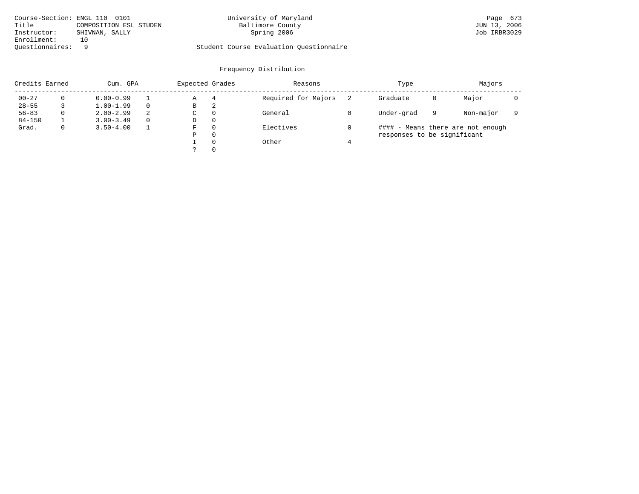| Course-Section: ENGL 110 0101 |                        | University of Maryland                  | Page 673     |
|-------------------------------|------------------------|-----------------------------------------|--------------|
| Title                         | COMPOSITION ESL STUDEN | Baltimore County                        | JUN 13, 2006 |
| Instructor:                   | SHIVNAN, SALLY         | Spring 2006                             | Job IRBR3029 |
| Enrollment:                   |                        |                                         |              |
| Ouestionnaires:               |                        | Student Course Evaluation Questionnaire |              |

| Credits Earned |   | Cum. GPA      | Expected Grades |             | Reasons  | Type                |                             | Majors |                                   |  |
|----------------|---|---------------|-----------------|-------------|----------|---------------------|-----------------------------|--------|-----------------------------------|--|
| $00 - 27$      | 0 | $0.00 - 0.99$ |                 | Α           | 4        | Required for Majors | Graduate                    | 0      | Major                             |  |
| $28 - 55$      |   | $1.00 - 1.99$ |                 | В           | 2        |                     |                             |        |                                   |  |
| $56 - 83$      | 0 | $2.00 - 2.99$ | 2               | $\sim$<br>◡ | 0        | General             | Under-grad                  | 9      | Non-major                         |  |
| $84 - 150$     |   | $3.00 - 3.49$ |                 | D           | 0        |                     |                             |        |                                   |  |
| Grad.          | 0 | $3.50 - 4.00$ |                 | F           | 0        | Electives           |                             |        | #### - Means there are not enough |  |
|                |   |               |                 | Ρ           | 0        |                     | responses to be significant |        |                                   |  |
|                |   |               |                 |             | $\Omega$ | Other               |                             |        |                                   |  |
|                |   |               |                 | C           |          |                     |                             |        |                                   |  |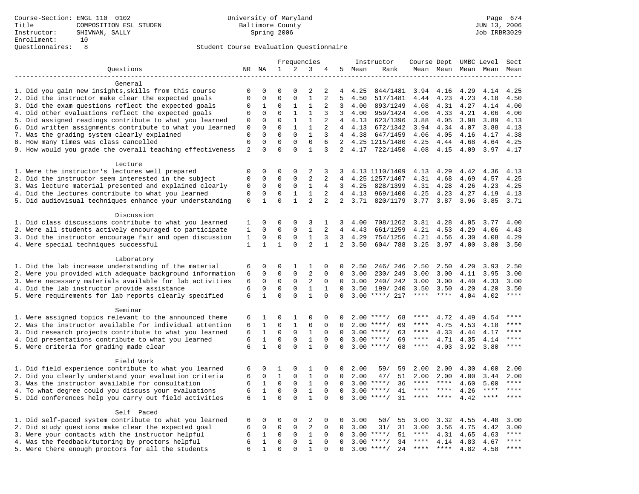|                                                           | Frequencies  |                              |              |              | Instructor     | Course Dept UMBC Level |                 |        |                    | Sect                |                 |                     |                     |               |
|-----------------------------------------------------------|--------------|------------------------------|--------------|--------------|----------------|------------------------|-----------------|--------|--------------------|---------------------|-----------------|---------------------|---------------------|---------------|
| Questions                                                 |              | NR NA                        | $\mathbf{1}$ | 2            | 3              | 4                      |                 | 5 Mean | Rank               |                     |                 | Mean Mean Mean Mean |                     | Mean          |
| --------------------                                      |              |                              |              |              |                |                        |                 |        |                    |                     |                 |                     |                     |               |
| General                                                   |              |                              |              |              |                |                        |                 |        |                    |                     |                 |                     |                     |               |
| 1. Did you gain new insights, skills from this course     | 0            | 0                            | O            | $\Omega$     | $\overline{2}$ | 2                      | 4               | 4.25   | 844/1481           | 3.94                | 4.16            | 4.29                | 4.14                | 4.25          |
| 2. Did the instructor make clear the expected goals       | $\Omega$     | 0                            | $\Omega$     | $\Omega$     | $\mathbf{1}$   | $\overline{2}$         | 5               | 4.50   | 517/1481           | 4.44                | 4.23            | 4.23                | 4.18                | 4.50          |
| 3. Did the exam questions reflect the expected goals      | $\Omega$     | 1                            | $\Omega$     | 1            | 1              | 2                      | 3               | 4.00   | 893/1249           | 4.08                | 4.31            | 4.27                | 4.14                | 4.00          |
| 4. Did other evaluations reflect the expected goals       | $\Omega$     | $\Omega$                     | $\Omega$     | $\mathbf{1}$ | $\mathbf{1}$   | 3                      | 3               | 4.00   | 959/1424           | 4.06                | 4.33            | 4.21                | 4.06                | 4.00          |
| 5. Did assigned readings contribute to what you learned   | 0            | $\mathbf 0$                  | $\mathbf 0$  | $\mathbf{1}$ | $\mathbf{1}$   | 2                      | $\overline{4}$  | 4.13   | 623/1396           | 3.88                | 4.05            | 3.98                | 3.89                | 4.13          |
| 6. Did written assignments contribute to what you learned | 0            | $\Omega$                     | $\Omega$     | $\mathbf{1}$ | $\mathbf{1}$   | $\overline{a}$         | $4\overline{ }$ | 4.13   | 672/1342           | 3.94                | 4.34            | 4.07                | 3.88                | 4.13          |
| 7. Was the grading system clearly explained               | $\Omega$     | $\Omega$                     | $\Omega$     | $\Omega$     | $\mathbf{1}$   | 3                      | $4\overline{ }$ | 4.38   | 647/1459           | 4.06                | 4.05            | 4.16                | 4.17                | 4.38          |
| 8. How many times was class cancelled                     | $\mathbf 0$  | 0                            | $\mathbf{0}$ | 0            | $\mathbf 0$    | 6                      | 2               |        | 4.25 1215/1480     | 4.25                | 4.44            | 4.68                | 4.64                | 4.25          |
| 9. How would you grade the overall teaching effectiveness | 2            | $\Omega$                     | $\Omega$     | $\Omega$     | $\mathbf{1}$   | 3                      | $\overline{2}$  |        | 4.17 722/1450      | 4.08                | 4.15            | 4.09                | 3.97                | 4.17          |
| Lecture                                                   |              |                              |              |              |                |                        |                 |        |                    |                     |                 |                     |                     |               |
| 1. Were the instructor's lectures well prepared           | $\mathbf 0$  | $\Omega$                     | $\Omega$     | $\Omega$     | 2              | 3                      | 3               |        | 4.13 1110/1409     | 4.13                | 4.29            | 4.42                | 4.36                | 4.13          |
| 2. Did the instructor seem interested in the subject      | 0            | $\mathbf 0$                  | $\mathbf 0$  | 0            | $\overline{c}$ | 2                      | 4               |        | 4.25 1257/1407     | 4.31                | 4.68            | 4.69                | 4.57                | 4.25          |
| 3. Was lecture material presented and explained clearly   | 0            | $\mathbf 0$                  | $\mathsf 0$  | $\mathsf 0$  | $\mathbf{1}$   | 4                      | $\mathbf{3}$    | 4.25   | 828/1399           | 4.31                | 4.28            | 4.26                | 4.23                | 4.25          |
| 4. Did the lectures contribute to what you learned        | $\mathbf 0$  | $\mathbf 0$                  | $\mathbf 0$  | $\mathbf{1}$ | $\mathbf{1}$   | 2                      | $\overline{4}$  | 4.13   | 969/1400           | 4.25                | 4.23            | 4.27                | 4.19                | 4.13          |
| 5. Did audiovisual techniques enhance your understanding  | $\mathbf 0$  | $\mathbf{1}$                 | $\Omega$     | $\mathbf{1}$ | $\overline{a}$ | 2                      | $\overline{2}$  | 3.71   | 820/1179           | 3.77                | 3.87            | 3.96                | 3.85                | 3.71          |
|                                                           |              |                              |              |              |                |                        |                 |        |                    |                     |                 |                     |                     |               |
| Discussion                                                |              |                              |              |              |                |                        |                 |        |                    |                     |                 |                     |                     |               |
| 1. Did class discussions contribute to what you learned   | 1            | $\Omega$                     | $\Omega$     | 0            | 3              | 1                      | 3               | 4.00   | 708/1262           | 3.81                | 4.28            | 4.05                | 3.77                | 4.00          |
| 2. Were all students actively encouraged to participate   | $\mathbf 1$  | $\Omega$                     | $\Omega$     | $\Omega$     | $\mathbf{1}$   | $\overline{a}$         | 4               | 4.43   | 661/1259           | 4.21                | 4.53            | 4.29                | 4.06                | 4.43          |
| 3. Did the instructor encourage fair and open discussion  | $1\,$        | 0                            | $\mathbf 0$  | $\mathsf 0$  | $\mathbf{1}$   | 3                      | 3               | 4.29   | 754/1256           | 4.21                | 4.56            | 4.30                | 4.08                | 4.29          |
| 4. Were special techniques successful                     | $\mathbf{1}$ | 1                            | $\mathbf{1}$ | $\Omega$     | $\overline{2}$ | $\mathbf{1}$           | $\overline{a}$  | 3.50   | 604/788            | 3.25                | 3.97            | 4.00                | 3.80                | 3.50          |
|                                                           |              |                              |              |              |                |                        |                 |        |                    |                     |                 |                     |                     |               |
| Laboratory                                                |              |                              |              |              |                |                        |                 |        |                    |                     |                 |                     |                     |               |
| 1. Did the lab increase understanding of the material     | 6            | 0                            | $\Omega$     | 1            | 1              | $\mathbf 0$            | 0               | 2.50   | 246/246            | 2.50                | 2.50            | 4.20                | 3.93                | 2.50          |
| 2. Were you provided with adequate background information | 6            | 0                            | $\mathbf{0}$ | 0            | $\overline{c}$ | $\Omega$               | $\Omega$        | 3.00   | 230/249            | 3.00                | 3.00            | 4.11                | 3.95                | 3.00          |
| 3. Were necessary materials available for lab activities  | 6            | 0                            | $\mathbf 0$  | $\mathbf 0$  | 2              | $\mathbf 0$            | $\Omega$        | 3.00   | 240/242            | 3.00                | 3.00            | 4.40                | 4.33                | 3.00          |
| 4. Did the lab instructor provide assistance              | 6            | $\Omega$                     | $\Omega$     | $\Omega$     | $\mathbf{1}$   | $\mathbf{1}$           | $\Omega$        | 3.50   | 199/ 240           | 3.50                | 3.50            | 4.20                | 4.20                | 3.50          |
| 5. Were requirements for lab reports clearly specified    | 6            | $\mathbf{1}$                 | $\mathbf 0$  | $\Omega$     | $\mathbf{1}$   | $\mathbf 0$            | $\mathbf 0$     |        | $3.00$ ****/ 217   | $***$ * * *         | $***$           | 4.04                | 4.02                | $***$         |
|                                                           |              |                              |              |              |                |                        |                 |        |                    |                     |                 |                     |                     |               |
| Seminar                                                   |              |                              |              |              |                |                        |                 |        |                    |                     |                 |                     |                     |               |
| 1. Were assigned topics relevant to the announced theme   | 6            | 1                            | 0            | 1            | $\Omega$       | 0                      | 0               |        | $2.00$ ****/<br>68 | ****                | 4.72            | 4.49                | 4.54                | $***$         |
| 2. Was the instructor available for individual attention  | 6            | $\mathbf{1}$                 | $\mathbf 0$  | $\mathbf{1}$ | $\mathbf 0$    | $\mathbf 0$            | 0               |        | $2.00$ ****/<br>69 | ****                | 4.75            | 4.53                | 4.18                | ****          |
| 3. Did research projects contribute to what you learned   | 6            | $\mathbf{1}$                 | $\mathbf 0$  | $\mathbf 0$  | $\mathbf{1}$   | $\Omega$               | $\Omega$        |        | $3.00$ ****/<br>63 | $***$ * * *         | 4.33            | 4.44                | 4.17                | ****          |
| 4. Did presentations contribute to what you learned       | 6            | $\mathbf{1}$                 | $\mathbf 0$  | $\mathbf 0$  | $\mathbf{1}$   | $\Omega$               | $\Omega$        | 3.00   | $***/$<br>69       | $***$ * * *         | 4.71            | 4.35                | 4.14                | $***$         |
| 5. Were criteria for grading made clear                   | 6            | $\mathbf{1}$                 | $\Omega$     | $\Omega$     | $\mathbf{1}$   | $\Omega$               | $\Omega$        |        | $3.00$ ****/<br>68 | $***$ * * *         | 4.03            | 3.92                | 3.80                | $***$         |
| Field Work                                                |              |                              |              |              |                |                        |                 |        |                    |                     |                 |                     |                     |               |
|                                                           | 6            | 0                            |              | 0            | 1              | 0                      |                 | 2.00   | 59/                |                     |                 |                     |                     | 2.00          |
| 1. Did field experience contribute to what you learned    |              |                              | 1            |              |                |                        | 0               |        | 59                 | 2.00                | 2.00            | 4.30                | 4.00                |               |
| 2. Did you clearly understand your evaluation criteria    | 6            | $\mathbf 0$                  | $\mathbf{1}$ | $\Omega$     | $\mathbf{1}$   | $\Omega$               | $\Omega$        | 2.00   | 47/<br>51          | 2.00<br>$***$ * * * | 2.00<br>$***$ * | 4.00                | 3.44                | 2.00<br>$***$ |
| 3. Was the instructor available for consultation          | 6            | $\mathbf{1}$                 | $\mathbf 0$  | $\mathbf 0$  | $\mathbf{1}$   | $\Omega$               | $\Omega$        |        | $3.00$ ****/<br>36 | $***$ * *           | $***$ *         | 4.60                | 5.00<br>$***$ * * * | ****          |
| 4. To what degree could you discuss your evaluations      | 6<br>6       | $\mathbf{1}$<br>$\mathbf{1}$ | $\mathbf 0$  | $\mathbf 0$  | $\mathbf{1}$   | $\Omega$               | $\Omega$        | 3.00   | $***$ /<br>41      | ****                | $* * * *$       | 4.26                | $***$ * * *         | $***$ * * *   |
| 5. Did conferences help you carry out field activities    |              |                              | $\Omega$     | $\Omega$     | $\mathbf{1}$   | $\Omega$               | $\Omega$        | 3.00   | $***$ /<br>31      |                     |                 | 4.42                |                     |               |
| Self Paced                                                |              |                              |              |              |                |                        |                 |        |                    |                     |                 |                     |                     |               |
| 1. Did self-paced system contribute to what you learned   | 6            | 0                            | 0            | 0            | 2              | 0                      | 0               | 3.00   | 55<br>50/          | 3.00                | 3.32            | 4.55                | 4.48                | 3.00          |
| 2. Did study questions make clear the expected goal       | 6            | 0                            | $\mathbf 0$  | $\mathbf 0$  | $\overline{2}$ | $\mathbf 0$            | 0               | 3.00   | 31/<br>31          | 3.00                | 3.56            | 4.75                | 4.42                | 3.00          |
| 3. Were your contacts with the instructor helpful         | 6            | 1                            | 0            | $\mathbf 0$  | 1              | $\Omega$               | $\Omega$        | 3.00   | $***$ /<br>51      | $***$ * * *         | 4.31            | 4.65                | 4.63                | $***$         |
| 4. Was the feedback/tutoring by proctors helpful          | 6            | $\mathbf{1}$                 | $\mathbf 0$  | $\mathbf 0$  | $\mathbf{1}$   | $\Omega$               | $\Omega$        | 3.00   | $***/$<br>34       | ****                | 4.14            | 4.83                | 4.67                | $***$         |
| 5. Were there enough proctors for all the students        | 6            | $\mathbf{1}$                 | $\Omega$     | $\Omega$     | $\mathbf{1}$   | $\Omega$               | $\Omega$        | 3.00   | $***/$<br>24       | $***$ * *           | $***$ * * *     | 4.82                | 4.58                | $***$         |
|                                                           |              |                              |              |              |                |                        |                 |        |                    |                     |                 |                     |                     |               |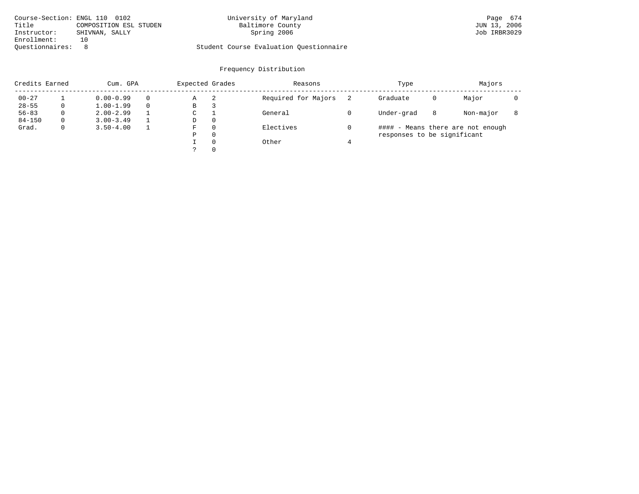| Course-Section: ENGL 110 0102 |                        | University of Maryland                  | Page 674     |
|-------------------------------|------------------------|-----------------------------------------|--------------|
| Title                         | COMPOSITION ESL STUDEN | Baltimore County                        | JUN 13, 2006 |
| Instructor:                   | SHIVNAN, SALLY         | Spring 2006                             | Job IRBR3029 |
| Enrollment:                   | 1 N                    |                                         |              |
| Ouestionnaires:               |                        | Student Course Evaluation Questionnaire |              |

| Credits Earned | Cum. GPA |               |          | Expected Grades |          | Reasons             | Type                              |   | Majors    |  |
|----------------|----------|---------------|----------|-----------------|----------|---------------------|-----------------------------------|---|-----------|--|
| $00 - 27$      |          | $0.00 - 0.99$ | $\Omega$ | Α               | -2       | Required for Majors | Graduate                          | 0 | Major     |  |
| $28 - 55$      |          | $1.00 - 1.99$ | $\Omega$ | В               | 3        |                     |                                   |   |           |  |
| $56 - 83$      |          | $2.00 - 2.99$ |          | C               |          | General             | Under-grad                        | 8 | Non-major |  |
| $84 - 150$     |          | $3.00 - 3.49$ |          | D               | 0        |                     |                                   |   |           |  |
| Grad.          |          | $3.50 - 4.00$ |          | F               | $\Omega$ | Electives           | #### - Means there are not enough |   |           |  |
|                |          |               |          | Ρ               | 0        |                     | responses to be significant       |   |           |  |
|                |          |               |          |                 | $\Omega$ | Other               |                                   |   |           |  |
|                |          |               |          |                 | $\Omega$ |                     |                                   |   |           |  |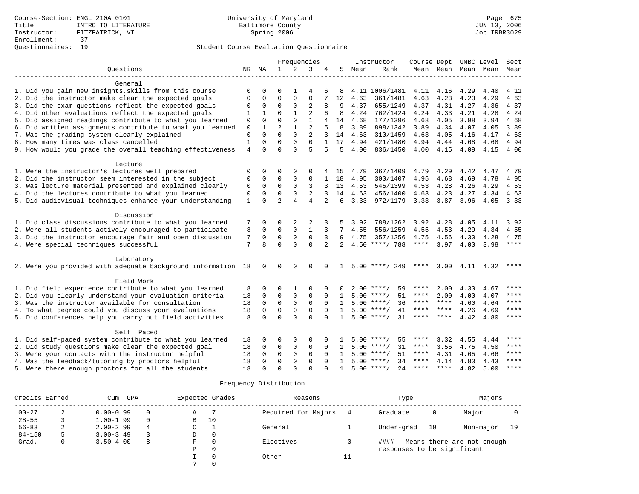|                                                              |                |              |                | Frequencies             |                |                |                |      | Instructor         | Course Dept  |                   |                              | UMBC Level | Sect      |
|--------------------------------------------------------------|----------------|--------------|----------------|-------------------------|----------------|----------------|----------------|------|--------------------|--------------|-------------------|------------------------------|------------|-----------|
| Ouestions                                                    | NR NA          |              | $\mathbf{1}$   | $\overline{a}$          | 3              | 4              | 5              | Mean | Rank               |              | Mean Mean         |                              | Mean Mean  | Mean      |
|                                                              |                |              |                |                         |                |                |                |      |                    |              |                   |                              |            |           |
| General                                                      |                |              |                |                         |                |                |                |      |                    |              |                   |                              |            |           |
| 1. Did you gain new insights, skills from this course        | $\Omega$       | 0            | O              | 1                       | 4              | 6              | 8              |      | 4.11 1006/1481     | 4.11 4.16    |                   | 4.29                         | 4.40       | 4.11      |
| 2. Did the instructor make clear the expected goals          | $\Omega$       | $\Omega$     | $\Omega$       | $\Omega$                | $\mathbf 0$    |                | 12             | 4.63 | 361/1481           | 4.63         | 4.23              | 4.23                         | 4.29       | 4.63      |
| 3. Did the exam questions reflect the expected goals         | 0              | $\mathbf 0$  | $\mathbf 0$    | 0                       | 2              | 8              | 9              | 4.37 | 655/1249           | 4.37         | 4.31              | 4.27                         | 4.36       | 4.37      |
| 4. Did other evaluations reflect the expected goals          | 1              | $\mathbf{1}$ | $\Omega$       | $\mathbf{1}$            | $\overline{a}$ | 6              | 8              | 4.24 | 762/1424           | 4.24         | 4.33              | 4.21                         | 4.28       | 4.24      |
| 5. Did assigned readings contribute to what you learned      | $\mathbf 0$    | $\Omega$     | $\Omega$       | $\Omega$                | $\mathbf{1}$   | 4              | 14             | 4.68 | 177/1396           | 4.68         | 4.05              | 3.98                         | 3.94       | 4.68      |
| 6. Did written assignments contribute to what you learned    | $\mathbf 0$    | $\mathbf{1}$ | $\overline{a}$ | $\mathbf{1}$            | $\overline{2}$ | 5              | 8              | 3.89 | 898/1342           | 3.89         | 4.34              | 4.07                         | 4.05       | 3.89      |
| 7. Was the grading system clearly explained                  | $\mathbf{0}$   | 0            | $\Omega$       | $\mathbf 0$             | $\overline{2}$ | 3              | 14             | 4.63 | 310/1459           | 4.63         | 4.05              | 4.16                         | 4.17       | 4.63      |
| 8. How many times was class cancelled                        | $\mathbf{1}$   | $\Omega$     | $\Omega$       | $\Omega$                | $\Omega$       | $\mathbf{1}$   | 17             | 4.94 | 421/1480           | 4.94         | 4.44              | 4.68                         | 4.68       | 4.94      |
| 9. How would you grade the overall teaching effectiveness    | $\overline{4}$ | $\cap$       | $\Omega$       | $\cap$                  | $\sqrt{2}$     | 5              | 5              | 4.00 | 836/1450           | 4.00         | 4.15              | 4.09                         | 4.15       | 4.00      |
|                                                              |                |              |                |                         |                |                |                |      |                    |              |                   |                              |            |           |
| Lecture                                                      |                |              |                |                         |                |                |                |      |                    |              |                   |                              |            |           |
| 1. Were the instructor's lectures well prepared              | $\mathbf 0$    | 0            | 0              | 0                       | $\mathbf 0$    |                | 4 15           | 4.79 | 367/1409           | 4.79         | 4.29              | 4.42                         | 4.47       | 4.79      |
| 2. Did the instructor seem interested in the subject         | $\Omega$       | $\Omega$     | $\Omega$       | $\Omega$                | $\Omega$       |                | 18             | 4.95 | 300/1407           | 4.95         | 4.68              | 4.69                         | 4.78       | 4.95      |
| 3. Was lecture material presented and explained clearly      | 0              | $\mathbf 0$  | $\Omega$       | $\Omega$                | 3              | 3              | 13             | 4.53 | 545/1399           | 4.53         | 4.28              | 4.26                         | 4.29       | 4.53      |
| 4. Did the lectures contribute to what you learned           | $\mathbf 0$    | $\Omega$     | $\Omega$       | $\Omega$                | 2              | 3              | 14             | 4.63 | 456/1400           | 4.63         | 4.23              | 4.27                         | 4.34       | 4.63      |
| 5. Did audiovisual techniques enhance your understanding     | $\mathbf{1}$   | $\Omega$     | $\overline{a}$ | 4                       | 4              | 2              | 6              | 3.33 | 972/1179           |              | $3.33 \quad 3.87$ | 3.96                         | 4.05 3.33  |           |
|                                                              |                |              |                |                         |                |                |                |      |                    |              |                   |                              |            |           |
| Discussion                                                   |                |              |                |                         |                |                |                |      |                    |              |                   |                              |            |           |
| 1. Did class discussions contribute to what you learned      | 7              | 0            | 0              | 2                       | 2              |                | 5              | 3.92 | 788/1262           | 3.92         | 4.28              | 4.05                         | 4.11       | 3.92      |
| 2. Were all students actively encouraged to participate      | 8              | 0            | $\mathbf 0$    | $\mathbf 0$             | $\mathbf{1}$   | 3              | 7              | 4.55 | 556/1259           | 4.55         | 4.53              | 4.29                         | 4.34       | 4.55      |
| 3. Did the instructor encourage fair and open discussion     | 7              | 0            | $\mathbf 0$    | $\mathbf 0$             | $\mathbf 0$    | 3              | 9              | 4.75 | 357/1256           | 4.75         | 4.56              | 4.30                         | 4.28       | 4.75      |
| 4. Were special techniques successful                        | 7              | 8            | $\Omega$       | $\Omega$                | $\Omega$       | $\overline{2}$ | $\overline{2}$ |      | $4.50$ ****/ 788   | $***$ * * *  | 3.97              | 4.00                         | 3.98       | $***$     |
|                                                              |                |              |                |                         |                |                |                |      |                    |              |                   |                              |            |           |
| Laboratory                                                   |                |              |                |                         |                |                |                |      |                    |              |                   |                              |            |           |
| 2. Were you provided with adequate background information 18 |                | $\Omega$     | $\Omega$       | $\Omega$                | $\Omega$       | $\Omega$       | $\mathbf{1}$   |      | $5.00$ ****/ 249   | ****         |                   | $3.00 \quad 4.11 \quad 4.32$ |            | ****      |
|                                                              |                |              |                |                         |                |                |                |      |                    |              |                   |                              |            |           |
| Field Work                                                   |                |              |                |                         |                |                |                |      |                    |              |                   |                              |            |           |
| 1. Did field experience contribute to what you learned       | 18             | 0            | 0              | 1                       | $\Omega$       |                | 0              |      | $2.00$ ****/<br>59 | ****         | 2.00              | 4.30                         | 4.67       | $***$     |
| 2. Did you clearly understand your evaluation criteria       | 18             | $\mathbf 0$  | $\mathbf 0$    | $\mathbf 0$             | $\mathbf 0$    | $\Omega$       | 1              |      | $5.00$ ****/<br>51 | ****         | 2.00              | 4.00                         | 4.07       | ****      |
| 3. Was the instructor available for consultation             | 18             | $\Omega$     | $\mathbf 0$    | $\mathbf 0$             | $\mathbf 0$    | $\Omega$       | $\mathbf{1}$   |      | $5.00$ ****/<br>36 | ****         | $***$             | 4.60                         | 4.64       | ****      |
| 4. To what degree could you discuss your evaluations         | 18             | $\Omega$     | $\mathbf 0$    | $\mathbf 0$             | $\mathbf 0$    | $\Omega$       | $\mathbf{1}$   |      | $5.00$ ****/<br>41 | ****         | $* * * * *$       | 4.26                         | 4.69       | ****      |
| 5. Did conferences help you carry out field activities       | 18             | $\Omega$     | $\Omega$       | $\Omega$                | $\Omega$       | $\cap$         | $\mathbf{1}$   |      | $5.00$ ****/<br>31 | ****         | $* * * * *$       | 4.42                         | 4.80       | ****      |
|                                                              |                |              |                |                         |                |                |                |      |                    |              |                   |                              |            |           |
|                                                              |                |              |                |                         |                |                |                |      |                    |              |                   |                              |            |           |
| Self Paced                                                   |                | $\Omega$     | $\Omega$       | $\Omega$                | $\Omega$       |                |                |      |                    | ****         |                   |                              |            | ****      |
| 1. Did self-paced system contribute to what you learned      | 18             |              |                |                         |                |                |                |      | 55<br>$5.00$ ****/ |              | 3.32              | 4.55                         | 4.44       | ****      |
| 2. Did study questions make clear the expected goal          | 18             | $\Omega$     | $\mathbf 0$    | $\mathbf 0$             | $\mathbf 0$    | $\Omega$       | $\mathbf{1}$   |      | $5.00$ ****/<br>31 | ****         | 3.56              | 4.75                         | 4.50       | ****      |
| 3. Were your contacts with the instructor helpful            | 18             | $\Omega$     | $\mathbf 0$    | $\mathbf 0$             | $\mathbf 0$    | $\Omega$       | $\mathbf{1}$   |      | $5.00$ ****/<br>51 | ****<br>**** | 4.31              | 4.65                         | 4.66       | ****      |
| 4. Was the feedback/tutoring by proctors helpful             | 18             | 0            | $\mathbf 0$    | $\mathbf 0$<br>$\Omega$ | $\mathbf 0$    | $\Omega$       | $\mathbf{1}$   | 5.00 | $***$ /<br>34      |              | 4.14<br>$***$ *   | 4.83                         | 4.43       | $* * * *$ |
| 5. Were there enough proctors for all the students           | 18             | $\Omega$     | $\Omega$       |                         | $\Omega$       | $\Omega$       | $\mathbf{1}$   |      | $5.00$ ****/<br>24 | ****         |                   | 4.82                         | 5.00       |           |
|                                                              |                |              |                |                         |                |                |                |      |                    |              |                   |                              |            |           |

| Credits Earned |    | Cum. GPA      |          |   | Expected Grades | Reasons             |    | Type                        |    | Majors                            |    |
|----------------|----|---------------|----------|---|-----------------|---------------------|----|-----------------------------|----|-----------------------------------|----|
| $00 - 27$      |    | $0.00 - 0.99$ |          | А |                 | Required for Majors |    | Graduate                    | 0  | Major                             |    |
| $28 - 55$      |    | $1.00 - 1.99$ | $\Omega$ | B | 10              |                     |    |                             |    |                                   |    |
| $56 - 83$      | z. | $2.00 - 2.99$ | 4        | C |                 | General             |    | Under-grad                  | 19 | Non-major                         | 19 |
| $84 - 150$     |    | $3.00 - 3.49$ |          | D | $\Omega$        |                     |    |                             |    |                                   |    |
| Grad.          |    | $3.50 - 4.00$ | 8        | F | $\Omega$        | Electives           |    |                             |    | #### - Means there are not enough |    |
|                |    |               |          | P | $\Omega$        |                     |    | responses to be significant |    |                                   |    |
|                |    |               |          |   | $\Omega$        | Other               | 11 |                             |    |                                   |    |
|                |    |               |          |   |                 |                     |    |                             |    |                                   |    |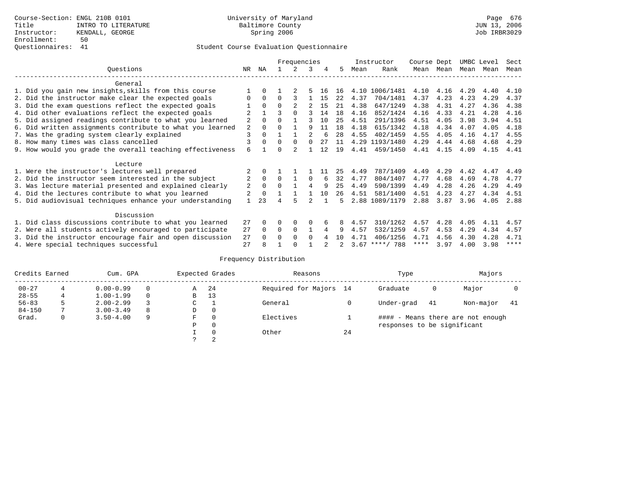### Questionnaires: 41 Student Course Evaluation Questionnaire

|                                                          |                                                           |                | Frequencies |          |          | Instructor   |     | Course Dept |      | UMBC Level       |      | Sect      |           |      |      |
|----------------------------------------------------------|-----------------------------------------------------------|----------------|-------------|----------|----------|--------------|-----|-------------|------|------------------|------|-----------|-----------|------|------|
|                                                          | Ouestions                                                 | NR             | ΝA          |          |          | 3            | 4   | 5.          | Mean | Rank             |      | Mean Mean | Mean Mean |      | Mean |
|                                                          | General                                                   |                |             |          |          |              |     |             |      |                  |      |           |           |      |      |
|                                                          | 1. Did you gain new insights, skills from this course     |                |             |          |          |              | -16 | 16          |      | 4.10 1006/1481   | 4.10 | 4.16      | 4.29      | 4.40 | 4.10 |
|                                                          | 2. Did the instructor make clear the expected goals       | U              | $\Omega$    | $\Omega$ |          |              | 15  | 22          | 4.37 | 704/1481         | 4.37 | 4.23      | 4.23      | 4.29 | 4.37 |
|                                                          | 3. Did the exam questions reflect the expected goals      |                | $\Omega$    | $\Omega$ |          |              | 15  | 21          | 4.38 | 647/1249         | 4.38 | 4.31      | 4.27      | 4.36 | 4.38 |
|                                                          | 4. Did other evaluations reflect the expected goals       |                |             |          | $\Omega$ |              | 14  | 1.8         | 4.16 | 852/1424         | 4.16 | 4.33      | 4.21      | 4.28 | 4.16 |
|                                                          | 5. Did assigned readings contribute to what you learned   | $\overline{2}$ | $\Omega$    |          |          |              | 10  | 25          | 4.51 | 291/1396         | 4.51 | 4.05      | 3.98      | 3.94 | 4.51 |
|                                                          | 6. Did written assignments contribute to what you learned | 2              | $\Omega$    |          |          | q            | 11  | 18          | 4.18 | 615/1342         | 4.18 | 4.34      | 4.07      | 4.05 | 4.18 |
|                                                          | 7. Was the grading system clearly explained               | 3              | $\Omega$    |          |          |              |     | 28          | 4.55 | 402/1459         | 4.55 | 4.05      | 4.16      | 4.17 | 4.55 |
|                                                          | 8. How many times was class cancelled                     |                | $\Omega$    | U        | $\Omega$ |              | 27  | 11          | 4.29 | 1193/1480        | 4.29 | 4.44      | 4.68      | 4.68 | 4.29 |
|                                                          | 9. How would you grade the overall teaching effectiveness |                |             |          |          |              | 12  | 19          | 4.41 | 459/1450         | 4.41 | 4.15      | 4.09      | 4.15 | 4.41 |
|                                                          | Lecture                                                   |                |             |          |          |              |     |             |      |                  |      |           |           |      |      |
|                                                          | 1. Were the instructor's lectures well prepared           |                |             |          |          |              |     | 25          | 4.49 | 787/1409         | 4.49 | 4.29      | 4.42      | 4.47 | 4.49 |
|                                                          | 2. Did the instructor seem interested in the subject      | 2              | $\Omega$    | $\Omega$ |          | $\Omega$     |     | 32          | 4.77 | 804/1407         | 4.77 | 4.68      | 4.69      | 4.78 | 4.77 |
|                                                          | 3. Was lecture material presented and explained clearly   | 2              | $\Omega$    | 0        |          | 4            | q   | 25          | 4.49 | 590/1399         | 4.49 | 4.28      | 4.26      | 4.29 | 4.49 |
|                                                          | 4. Did the lectures contribute to what you learned        | 2              | $\Omega$    |          |          |              | 10  | 26          | 4.51 | 581/1400         | 4.51 | 4.23      | 4.27      | 4.34 | 4.51 |
|                                                          | 5. Did audiovisual techniques enhance your understanding  |                | 23          |          |          |              |     |             |      | 2.88 1089/1179   | 2.88 | 3.87      | 3.96      | 4.05 | 2.88 |
|                                                          |                                                           |                |             |          |          |              |     |             |      |                  |      |           |           |      |      |
|                                                          | Discussion                                                |                |             |          |          |              |     |             |      |                  |      |           |           |      |      |
|                                                          | 1. Did class discussions contribute to what you learned   |                |             | O        | $\Omega$ | O            |     |             | 4.57 | 310/1262         | 4.57 | 4.28      | 4.05      | 4.11 | 4.57 |
| 2. Were all students actively encouraged to participate  |                                                           |                | $\Omega$    | $\Omega$ | $\Omega$ |              | 4   | q           | 4.57 | 532/1259         | 4.57 | 4.53      | 4.29      | 4.34 | 4.57 |
| 3. Did the instructor encourage fair and open discussion |                                                           |                |             | O        | $\Omega$ | <sup>0</sup> |     | 10          | 4.71 | 406/1256         | 4.71 | 4.56      | 4.30      | 4.28 | 4.71 |
|                                                          | 4. Were special techniques successful                     | 27             |             |          |          |              |     |             |      | $3.67$ ****/ 788 | **** | 3.97      | 4.00      | 3.98 | **** |

| Credits Earned |   | Cum. GPA      |   |             | Expected Grades | Reasons                |    | Type                        |    | Majors                            |    |
|----------------|---|---------------|---|-------------|-----------------|------------------------|----|-----------------------------|----|-----------------------------------|----|
| $00 - 27$      |   | $0.00 - 0.99$ |   | Α           | 24              | Required for Majors 14 |    | Graduate                    | 0  | Major                             |    |
| $28 - 55$      | 4 | $1.00 - 1.99$ |   | B           | 13              |                        |    |                             |    |                                   |    |
| $56 - 83$      | 5 | $2.00 - 2.99$ |   | $\sim$<br>J |                 | General                |    | Under-grad                  | 41 | Non-major                         | 41 |
| $84 - 150$     |   | $3.00 - 3.49$ | 8 | D           | 0               |                        |    |                             |    |                                   |    |
| Grad.          | 0 | $3.50 - 4.00$ | 9 | F           | 0               | Electives              |    |                             |    | #### - Means there are not enough |    |
|                |   |               |   | Ρ           | 0               |                        |    | responses to be significant |    |                                   |    |
|                |   |               |   |             | $\Omega$        | Other                  | 24 |                             |    |                                   |    |
|                |   |               |   | C           | 2               |                        |    |                             |    |                                   |    |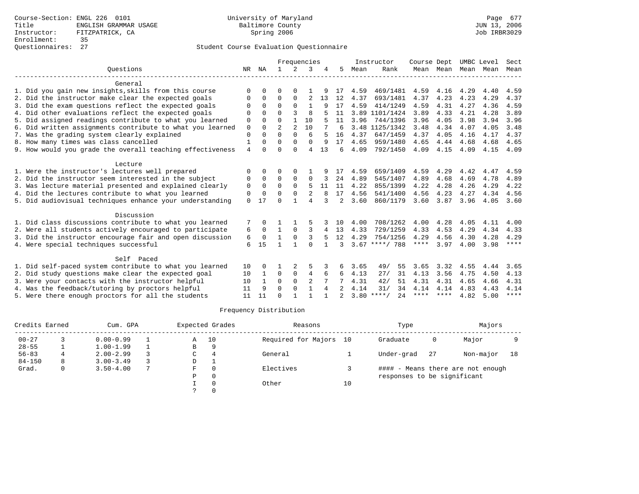|                                                           |                |              | Frequencies    |                |                | Instructor |                | Course Dept |                  |             | UMBC Level | Sect |      |             |
|-----------------------------------------------------------|----------------|--------------|----------------|----------------|----------------|------------|----------------|-------------|------------------|-------------|------------|------|------|-------------|
| Ouestions                                                 |                | NR NA        | $\mathbf{1}$   | $2^{\circ}$    | 3              |            | 5              | Mean        | Rank             |             | Mean Mean  | Mean | Mean | Mean        |
| General                                                   |                |              |                |                |                |            |                |             |                  |             |            |      |      |             |
| 1. Did you gain new insights, skills from this course     | $\Omega$       | <sup>0</sup> | O              | $\Omega$       |                |            | 17             | 4.59        | 469/1481         | 4.59        | 4.16       | 4.29 | 4.40 | 4.59        |
| 2. Did the instructor make clear the expected goals       | 0              | $\Omega$     | $\Omega$       | $\Omega$       | $\overline{2}$ | 13         | 12             | 4.37        | 693/1481         | 4.37        | 4.23       | 4.23 | 4.29 | 4.37        |
| 3. Did the exam questions reflect the expected goals      |                | O            | $\Omega$       | $\Omega$       | 1              | 9          | 17             | 4.59        | 414/1249         | 4.59        | 4.31       | 4.27 | 4.36 | 4.59        |
| 4. Did other evaluations reflect the expected goals       | $\Omega$       | $\Omega$     | $\Omega$       | २              | 8              |            | 11             |             | 3.89 1101/1424   | 3.89        | 4.33       | 4.21 | 4.28 | 3.89        |
| 5. Did assigned readings contribute to what you learned   | $\mathbf 0$    | $\Omega$     | $\Omega$       |                | 10             |            | 11             | 3.96        | 744/1396         | 3.96        | 4.05       | 3.98 | 3.94 | 3.96        |
| 6. Did written assignments contribute to what you learned | $\mathbf 0$    | $\Omega$     | $\overline{a}$ | $\overline{a}$ | 10             |            | б              |             | 3.48 1125/1342   | 3.48        | 4.34       | 4.07 | 4.05 | 3.48        |
| 7. Was the grading system clearly explained               | $\mathbf 0$    |              | $\Omega$       | $\Omega$       | 6              |            | 16             | 4.37        | 647/1459         | 4.37        | 4.05       | 4.16 | 4.17 | 4.37        |
| 8. How many times was class cancelled                     | 1              | 0            | $\Omega$       | $\Omega$       | $\Omega$       | 9          | 17             | 4.65        | 959/1480         | 4.65        | 4.44       | 4.68 | 4.68 | 4.65        |
| 9. How would you grade the overall teaching effectiveness | $\overline{4}$ | O            | $\Omega$       | $\Omega$       | $\overline{4}$ | 13         | 6              | 4.09        | 792/1450         | 4.09        | 4.15       | 4.09 | 4.15 | 4.09        |
| Lecture                                                   |                |              |                |                |                |            |                |             |                  |             |            |      |      |             |
| 1. Were the instructor's lectures well prepared           | $\Omega$       | <sup>0</sup> | O              | $\Omega$       |                |            |                | 4.59        | 659/1409         | 4.59        | 4.29       | 4.42 | 4.47 | 4.59        |
| 2. Did the instructor seem interested in the subject      | 0              | $\Omega$     | $\Omega$       | 0              | $\Omega$       |            | 24             | 4.89        | 545/1407         | 4.89        | 4.68       | 4.69 | 4.78 | 4.89        |
| 3. Was lecture material presented and explained clearly   | 0              | $\Omega$     | $\Omega$       | $\Omega$       | 5              | 11         | 11             | 4.22        | 855/1399         | 4.22        | 4.28       | 4.26 | 4.29 | 4.22        |
| 4. Did the lectures contribute to what you learned        | $\mathbf 0$    | $\Omega$     | $\Omega$       | $\Omega$       | $\overline{2}$ |            | 17             | 4.56        | 541/1400         | 4.56        | 4.23       | 4.27 | 4.34 | 4.56        |
| 5. Did audiovisual techniques enhance your understanding  | $\Omega$       | 17           | $\cap$         |                | $\overline{A}$ |            | $\mathfrak{D}$ | 3.60        | 860/1179         | 3.60        | 3.87       | 3.96 | 4.05 | 3.60        |
| Discussion                                                |                |              |                |                |                |            |                |             |                  |             |            |      |      |             |
| 1. Did class discussions contribute to what you learned   |                |              |                |                |                |            | 10             | 4.00        | 708/1262         | 4.00        | 4.28       | 4.05 | 4.11 | 4.00        |
| 2. Were all students actively encouraged to participate   | 6              | $\Omega$     | 1              | $\Omega$       | 3              | 4          | 13             | 4.33        | 729/1259         | 4.33        | 4.53       | 4.29 | 4.34 | 4.33        |
| 3. Did the instructor encourage fair and open discussion  | 6              | $\Omega$     | $\mathbf{1}$   | $\Omega$       | 3              | 5          | 12             | 4.29        | 754/1256         | 4.29        | 4.56       | 4.30 | 4.28 | 4.29        |
| 4. Were special techniques successful                     | 6              | 15           |                |                | $\Omega$       |            | ζ              |             | $3.67$ ****/ 788 | $***$ * * * | 3.97       | 4.00 | 3.98 | $***$ * * * |
| Self Paced                                                |                |              |                |                |                |            |                |             |                  |             |            |      |      |             |
| 1. Did self-paced system contribute to what you learned   | 10             | <sup>0</sup> |                |                |                |            | 6              | 3.65        | 49/<br>55        | 3.65        | 3.32       | 4.55 | 4.44 | 3.65        |
| 2. Did study questions make clear the expected goal       | 10             |              | 0              | $\mathbf 0$    | 4              | 6          | 6              | 4.13        | 27/<br>31        | 4.13        | 3.56       | 4.75 | 4.50 | 4.13        |
| 3. Were your contacts with the instructor helpful         | 10             | 1            | $\Omega$       | $\Omega$       | 2              |            |                | 4.31        | 42/<br>51        | 4.31        | 4.31       | 4.65 | 4.66 | 4.31        |
| 4. Was the feedback/tutoring by proctors helpful          | 11             | 9            | $\Omega$       | $\Omega$       | 1              |            |                | 4.14        | 31/<br>34        | 4.14        | 4.14       | 4.83 | 4.43 | 4.14        |
| 5. Were there enough proctors for all the students        | 11             | 11           | $\Omega$       |                |                |            | $\mathfrak{D}$ | 3.80        | $***$ /<br>2.4   | ****        | ****       | 4.82 | 5.00 | ****        |

|            | Credits Earned<br>Cum. GPA |               |   |   | Expected Grades | Reasons             |    | Type                        |     | Majors                            |    |
|------------|----------------------------|---------------|---|---|-----------------|---------------------|----|-----------------------------|-----|-----------------------------------|----|
| $00 - 27$  |                            | $0.00 - 0.99$ |   | Α | 10              | Required for Majors | 10 | Graduate                    | 0   | Major                             |    |
| $28 - 55$  |                            | $1.00 - 1.99$ |   | В | 9               |                     |    |                             |     |                                   |    |
| $56 - 83$  |                            | $2.00 - 2.99$ |   | C |                 | General             |    | Under-grad                  | -27 | Non-major                         | 18 |
| $84 - 150$ | 8.                         | $3.00 - 3.49$ |   | D |                 |                     |    |                             |     |                                   |    |
| Grad.      | 0                          | $3.50 - 4.00$ | 7 | F |                 | Electives           |    |                             |     | #### - Means there are not enough |    |
|            |                            |               |   | D |                 |                     |    | responses to be significant |     |                                   |    |
|            |                            |               |   |   |                 | Other               | 10 |                             |     |                                   |    |
|            |                            |               |   |   |                 |                     |    |                             |     |                                   |    |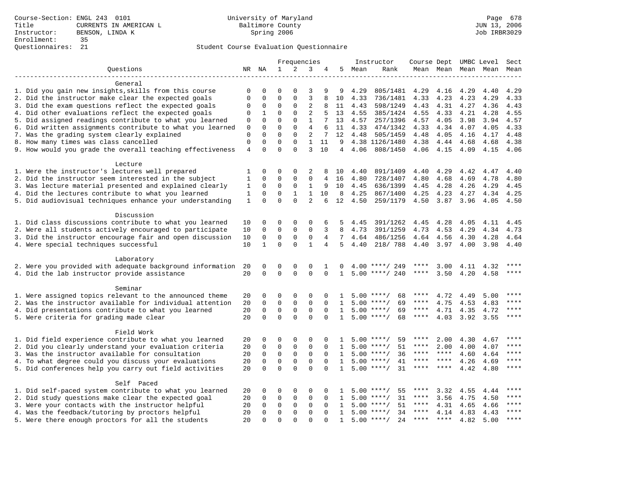|                                                           |                |               |                         | Frequencies             |                         |             |                   |        | Instructor              | Course Dept UMBC Level |              |                          |      | Sect  |
|-----------------------------------------------------------|----------------|---------------|-------------------------|-------------------------|-------------------------|-------------|-------------------|--------|-------------------------|------------------------|--------------|--------------------------|------|-------|
| Questions                                                 |                | NR NA         | $\mathbf{1}$            | 2                       | 3                       | 4           |                   | 5 Mean | Rank                    |                        |              | Mean Mean Mean Mean Mean |      |       |
|                                                           |                |               |                         |                         |                         |             |                   |        |                         |                        |              |                          |      |       |
| General                                                   |                |               |                         |                         |                         |             |                   |        |                         |                        |              |                          |      |       |
| 1. Did you gain new insights, skills from this course     | 0              | 0             | $\Omega$                | $\Omega$                | 3                       | 9           | 9                 | 4.29   | 805/1481                | 4.29                   | 4.16         | 4.29                     | 4.40 | 4.29  |
| 2. Did the instructor make clear the expected goals       | $\Omega$       | 0             | $\Omega$                | 0                       | 3                       | 8           | 10                | 4.33   | 736/1481                | 4.33                   | 4.23         | 4.23                     | 4.29 | 4.33  |
| 3. Did the exam questions reflect the expected goals      | $\Omega$       | $\mathbf 0$   | $\mathbf{0}$            | $\Omega$                | $\overline{c}$          | 8           | 11                | 4.43   | 598/1249                | 4.43                   | 4.31         | 4.27                     | 4.36 | 4.43  |
| 4. Did other evaluations reflect the expected goals       | $\Omega$       | $\mathbf{1}$  | $\Omega$                | $\Omega$                | $\overline{2}$          | 5           | 13                | 4.55   | 385/1424                | 4.55                   | 4.33         | 4.21                     | 4.28 | 4.55  |
| 5. Did assigned readings contribute to what you learned   | $\mathbf 0$    | 0             | $\Omega$                | $\Omega$                | $\mathbf{1}$            | 7           | 13                | 4.57   | 257/1396                | 4.57                   | 4.05         | 3.98                     | 3.94 | 4.57  |
| 6. Did written assignments contribute to what you learned | 0              | $\mathbf 0$   | $\Omega$                | 0                       | 4                       | 6           | 11                | 4.33   | 474/1342                | 4.33                   | 4.34         | 4.07                     | 4.05 | 4.33  |
| 7. Was the grading system clearly explained               | $\mathbf 0$    | 0             | $\Omega$                | 0                       | 2                       | 7           | 12                | 4.48   | 505/1459                | 4.48                   | 4.05         | 4.16                     | 4.17 | 4.48  |
| 8. How many times was class cancelled                     | $\mathsf 0$    | $\mathbf 0$   | $\mathbf 0$             | 0                       | $\mathbf{1}$            | 11          | 9                 |        | 4.38 1126/1480          | 4.38                   | 4.44         | 4.68                     | 4.68 | 4.38  |
| 9. How would you grade the overall teaching effectiveness | $\overline{4}$ | $\Omega$      | $\Omega$                | $\Omega$                | 3                       | 10          | 4                 | 4.06   | 808/1450                | 4.06                   | 4.15         | 4.09                     | 4.15 | 4.06  |
| Lecture                                                   |                |               |                         |                         |                         |             |                   |        |                         |                        |              |                          |      |       |
| 1. Were the instructor's lectures well prepared           | 1              | $\Omega$      | $\Omega$                | $\Omega$                | 2                       | 8           | 10                | 4.40   | 891/1409                | 4.40                   | 4.29         | 4.42                     | 4.47 | 4.40  |
| 2. Did the instructor seem interested in the subject      | $\mathbf{1}$   | 0             | $\mathbf 0$             | $\Omega$                | 0                       | 4           | 16                | 4.80   | 728/1407                | 4.80                   | 4.68         | 4.69                     | 4.78 | 4.80  |
| 3. Was lecture material presented and explained clearly   | 1              | 0             | 0                       | 0                       | 1                       | 9           | 10                | 4.45   | 636/1399                | 4.45                   | 4.28         | 4.26                     | 4.29 | 4.45  |
| 4. Did the lectures contribute to what you learned        | 1              | 0             | $\mathbf 0$             | $\mathbf{1}$            | $\mathbf{1}$            | 10          | 8                 | 4.25   | 867/1400                | 4.25                   | 4.23         | 4.27                     | 4.34 | 4.25  |
| 5. Did audiovisual techniques enhance your understanding  | $\mathbf{1}$   | $\Omega$      | $\Omega$                | $\Omega$                | $\overline{a}$          | 6           | 12                | 4.50   | 259/1179                | 4.50                   | 3.87         | 3.96                     | 4.05 | 4.50  |
|                                                           |                |               |                         |                         |                         |             |                   |        |                         |                        |              |                          |      |       |
| Discussion                                                |                |               |                         |                         |                         |             |                   |        |                         |                        |              |                          |      |       |
| 1. Did class discussions contribute to what you learned   | 10             | 0             | 0                       | $\mathbf 0$             | $\mathbf 0$             | 6           | 5                 | 4.45   | 391/1262                | 4.45                   | 4.28         | 4.05                     | 4.11 | 4.45  |
| 2. Were all students actively encouraged to participate   | 10             | $\Omega$      | $\mathbf 0$             | 0                       | $\mathbf 0$             | 3           | 8                 | 4.73   | 391/1259                | 4.73                   | 4.53         | 4.29                     | 4.34 | 4.73  |
| 3. Did the instructor encourage fair and open discussion  | 10             | $\mathbf 0$   | $\mathbf 0$             | $\mathbf 0$             | $\mathbf 0$             | 4           | 7 <sup>7</sup>    | 4.64   | 486/1256                | 4.64                   | 4.56         | 4.30                     | 4.28 | 4.64  |
| 4. Were special techniques successful                     | 10             | 1             | 0                       | $\Omega$                | $\mathbf{1}$            | 4           | 5                 | 4.40   | 218/ 788                | 4.40                   | 3.97         | 4.00                     | 3.98 | 4.40  |
|                                                           |                |               |                         |                         |                         |             |                   |        |                         |                        |              |                          |      |       |
| Laboratory                                                |                |               |                         |                         |                         |             |                   |        |                         |                        |              |                          |      |       |
| 2. Were you provided with adequate background information | 20<br>20       | 0<br>$\Omega$ | $\mathbf 0$<br>$\Omega$ | $\mathbf 0$<br>$\Omega$ | $\mathbf 0$<br>$\Omega$ | $\Omega$    | 0<br>$\mathbf{1}$ | 4.00   | 249<br>$5.00$ ****/ 240 |                        | 3.00<br>3.50 | 4.11                     | 4.32 | $***$ |
| 4. Did the lab instructor provide assistance              |                |               |                         |                         |                         |             |                   |        |                         |                        |              | 4.20                     | 4.58 |       |
| Seminar                                                   |                |               |                         |                         |                         |             |                   |        |                         |                        |              |                          |      |       |
| 1. Were assigned topics relevant to the announced theme   | 20             | 0             | $\Omega$                | 0                       | $\Omega$                | $\Omega$    |                   | 5.00   | 68<br>****/             |                        | 4.72         | 4.49                     | 5.00 |       |
| 2. Was the instructor available for individual attention  | 20             | 0             | $\mathsf 0$             | $\mathsf 0$             | $\mathbf 0$             | $\mathbf 0$ | 1                 | 5.00   | 69<br>$***/$            | $***$ * * *            | 4.75         | 4.53                     | 4.83 |       |
| 4. Did presentations contribute to what you learned       | 20             | $\mathbf 0$   | $\mathbf 0$             | $\mathsf 0$             | $\mathsf 0$             | $\mathbf 0$ | 1                 | 5.00   | $***$ /<br>69           | ****                   | 4.71         | 4.35                     | 4.72 | ****  |
| 5. Were criteria for grading made clear                   | 20             | $\Omega$      | $\Omega$                | $\Omega$                | $\Omega$                | $\Omega$    | $\mathbf{1}$      |        | $5.00$ ****/<br>68      | ****                   | 4.03         | 3.92                     | 3.55 | ****  |
| Field Work                                                |                |               |                         |                         |                         |             |                   |        |                         |                        |              |                          |      |       |
| 1. Did field experience contribute to what you learned    | 20             | 0             | $\mathbf 0$             | 0                       | $\mathbf 0$             | $\Omega$    |                   |        | 59<br>$5.00$ ****/      | ****                   | 2.00         | 4.30                     | 4.67 |       |
| 2. Did you clearly understand your evaluation criteria    | 20             | $\mathbf 0$   | $\mathbf 0$             | $\mathbf 0$             | $\mathbf 0$             | $\mathbf 0$ | 1                 | 5.00   | $***$ /<br>51           | ****                   | 2.00         | 4.00                     | 4.07 |       |
| 3. Was the instructor available for consultation          | 20             | $\mathbf 0$   | $\mathbf 0$             | $\mathbf 0$             | $\mathbf 0$             | $\Omega$    | $\mathbf{1}$      |        | $5.00$ ****/<br>36      | ****                   | $***$ *      | 4.60                     | 4.64 | ****  |
| 4. To what degree could you discuss your evaluations      | 20             | 0             | $\mathsf 0$             | $\mathsf 0$             | $\mathsf 0$             | $\mathbf 0$ | $\mathbf{1}$      |        | $5.00$ ****/<br>41      | ****                   | $***$        | 4.26                     | 4.69 | $***$ |
| 5. Did conferences help you carry out field activities    | 20             | 0             | $\mathbf 0$             | $\Omega$                | $\Omega$                | $\Omega$    | $\mathbf{1}$      |        | $5.00$ ****/<br>31      | ****                   | ****         | 4.42                     | 4.80 | $***$ |
|                                                           |                |               |                         |                         |                         |             |                   |        |                         |                        |              |                          |      |       |
| Self Paced                                                |                |               |                         |                         |                         |             |                   |        |                         |                        |              |                          |      |       |
| 1. Did self-paced system contribute to what you learned   | 20             | 0             | $\Omega$                | $\Omega$                | $\Omega$                | 0           |                   | 5.00   | 55<br>$***$ /           |                        | 3.32         | 4.55                     | 4.44 |       |
| 2. Did study questions make clear the expected goal       | 20             | 0             | $\mathbf{0}$            | 0                       | $\mathbf 0$             | $\mathbf 0$ | 1                 | 5.00   | 31<br>$***/$            | ****                   | 3.56         | 4.75                     | 4.50 | ****  |
| 3. Were your contacts with the instructor helpful         | 20             | $\Omega$      | $\mathbf 0$             | 0                       | $\mathbf 0$             | $\Omega$    | $\mathbf{1}$      | 5.00   | $***$ /<br>51           | ****                   | 4.31         | 4.65                     | 4.66 | ****  |
| 4. Was the feedback/tutoring by proctors helpful          | 20             | $\Omega$      | $\mathbf{0}$            | $\Omega$                | $\Omega$                | $\Omega$    | $\mathbf{1}$      |        | $5.00$ ****/<br>34      | ****                   | 4.14         | 4.83                     | 4.43 | $***$ |
| 5. Were there enough proctors for all the students        | 20             | $\cap$        | $\cap$                  | $\cap$                  | $\cap$                  | $\cap$      | $\mathbf{1}$      |        | $5.00$ ****/<br>2.4     | ****                   | $* * * *$    | 4.82                     | 5.00 | $***$ |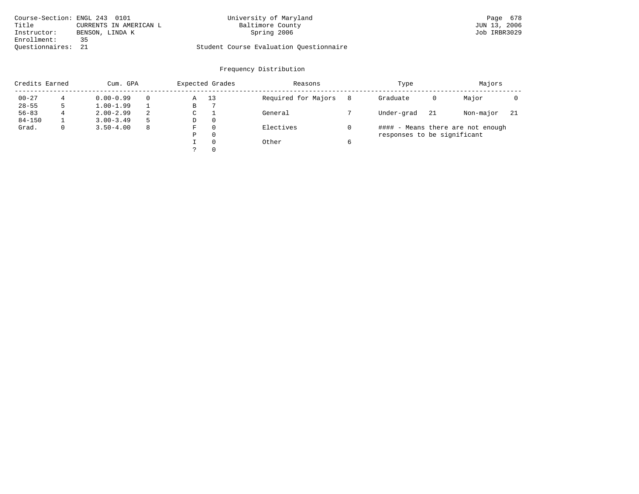| Course-Section: ENGL 243 0101 |                        | University of Maryland                  | Page 678     |
|-------------------------------|------------------------|-----------------------------------------|--------------|
| Title                         | CURRENTS IN AMERICAN L | Baltimore County                        | JUN 13, 2006 |
| Instructor:                   | BENSON, LINDA K        | Spring 2006                             | Job IRBR3029 |
| Enrollment:                   | 35                     |                                         |              |
| Ouestionnaires: 21            |                        | Student Course Evaluation Questionnaire |              |

| Credits Earned |              | Cum. GPA      |    |   | Expected Grades | Reasons             |   | Type                              |     | Majors    |     |
|----------------|--------------|---------------|----|---|-----------------|---------------------|---|-----------------------------------|-----|-----------|-----|
| $00 - 27$      |              | $0.00 - 0.99$ |    | Α | 13              | Required for Majors | 8 | Graduate                          | 0   | Major     |     |
| $28 - 55$      |              | $1.00 - 1.99$ |    | В |                 |                     |   |                                   |     |           |     |
| $56 - 83$      |              | $2.00 - 2.99$ | 2  | C |                 | General             |   | Under-grad                        | -21 | Non-major | -21 |
| $84 - 150$     |              | $3.00 - 3.49$ |    | D | 0               |                     |   |                                   |     |           |     |
| Grad.          | $\mathbf{0}$ | $3.50 - 4.00$ | -8 | F | $\Omega$        | Electives           |   | #### - Means there are not enough |     |           |     |
|                |              |               |    | P | $\Omega$        |                     |   | responses to be significant       |     |           |     |
|                |              |               |    |   | $\Omega$        | Other               |   |                                   |     |           |     |
|                |              |               |    |   | $\Omega$        |                     |   |                                   |     |           |     |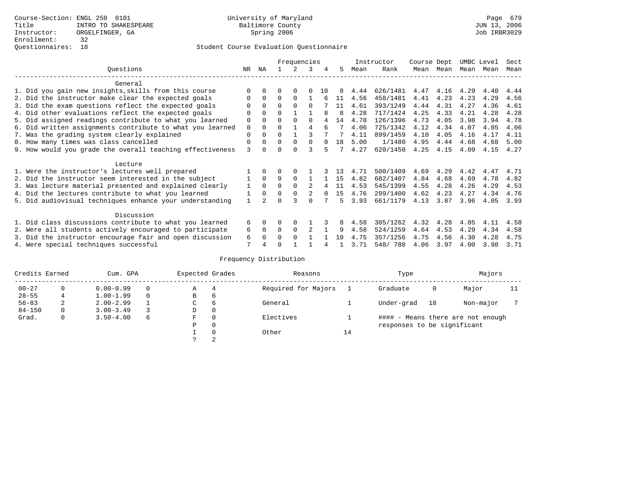|                                                          |                                                           |             | Frequencies   |          |               |   | Instructor |     | Course Dept |          | UMBC Level |           | Sect      |      |      |
|----------------------------------------------------------|-----------------------------------------------------------|-------------|---------------|----------|---------------|---|------------|-----|-------------|----------|------------|-----------|-----------|------|------|
|                                                          | Ouestions                                                 | NR          | ΝA            |          | $\mathcal{L}$ | 3 | 4          | 5   | Mean        | Rank     |            | Mean Mean | Mean Mean |      | Mean |
|                                                          | General                                                   |             |               |          |               |   |            |     |             |          |            |           |           |      |      |
|                                                          | 1. Did you gain new insights, skills from this course     |             | <sup>0</sup>  |          | $\Omega$      |   | 10         |     | 4.44        | 626/1481 | 4.47       | 4.16      | 4.29      | 4.40 | 4.44 |
|                                                          | 2. Did the instructor make clear the expected goals       |             | $\Omega$      | 0        | $\Omega$      |   |            | 11  | 4.56        | 458/1481 | 4.41       | 4.23      | 4.23      | 4.29 | 4.56 |
|                                                          | 3. Did the exam questions reflect the expected goals      |             | $\Omega$      | 0        | $\Omega$      | 0 |            | 11  | 4.61        | 393/1249 | 4.44       | 4.31      | 4.27      | 4.36 | 4.61 |
|                                                          | 4. Did other evaluations reflect the expected goals       |             | $\Omega$      | U        |               |   | R          | 8   | 4.28        | 717/1424 | 4.25       | 4.33      | 4.21      | 4.28 | 4.28 |
|                                                          | 5. Did assigned readings contribute to what you learned   | 0           | $\Omega$      |          | $\Omega$      |   |            | 14  | 4.78        | 126/1396 | 4.73       | 4.05      | 3.98      | 3.94 | 4.78 |
|                                                          | 6. Did written assignments contribute to what you learned | $\mathbf 0$ | $\Omega$      | U        |               |   |            |     | 4.06        | 725/1342 | 4.12       | 4.34      | 4.07      | 4.05 | 4.06 |
|                                                          | 7. Was the grading system clearly explained               | 0           | 0             | 0        |               |   |            |     | 4.11        | 899/1459 | 4.10       | 4.05      | 4.16      | 4.17 | 4.11 |
|                                                          | 8. How many times was class cancelled                     |             |               | $\Omega$ | $\Omega$      |   |            | 1 R | 5.00        | 1/1480   | 4.95       | 4.44      | 4.68      | 4.68 | 5.00 |
|                                                          | 9. How would you grade the overall teaching effectiveness |             |               |          | <sup>n</sup>  | ς |            |     | 4.27        | 620/1450 | 4.25       | 4.15      | 4.09      | 4.15 | 4.27 |
|                                                          | Lecture                                                   |             |               |          |               |   |            |     |             |          |            |           |           |      |      |
|                                                          | 1. Were the instructor's lectures well prepared           |             |               |          |               |   |            |     | 4.71        | 500/1409 | 4.69       | 4.29      | 4.42      | 4.47 | 4.71 |
|                                                          | 2. Did the instructor seem interested in the subject      |             | $\Omega$      | 0        | $\Omega$      |   |            | 15  | 4.82        | 682/1407 | 4.84       | 4.68      | 4.69      | 4.78 | 4.82 |
|                                                          | 3. Was lecture material presented and explained clearly   |             | $\Omega$      | 0        | $\Omega$      | 2 |            | 11  | 4.53        | 545/1399 | 4.55       | 4.28      | 4.26      | 4.29 | 4.53 |
|                                                          | 4. Did the lectures contribute to what you learned        |             |               | U        | $\Omega$      | 2 |            | 15  | 4.76        | 299/1400 | 4.62       | 4.23      | 4.27      | 4.34 | 4.76 |
|                                                          | 5. Did audiovisual techniques enhance your understanding  |             |               |          |               |   |            |     | 3.93        | 661/1179 | 4.13       | 3.87      | 3.96      | 4.05 | 3.93 |
|                                                          |                                                           |             |               |          |               |   |            |     |             |          |            |           |           |      |      |
| Discussion                                               |                                                           |             |               |          |               |   |            |     |             |          |            |           |           |      |      |
| 1. Did class discussions contribute to what you learned  |                                                           |             | $\Omega$      | U        | $\Omega$      |   |            |     | 4.58        | 305/1262 | 4.32       | 4.28      | 4.05      | 4.11 | 4.58 |
| 2. Were all students actively encouraged to participate  |                                                           |             | $\Omega$<br>0 | 0        | $\Omega$      |   |            | 9   | 4.58        | 524/1259 | 4.64       | 4.53      | 4.29      | 4.34 | 4.58 |
| 3. Did the instructor encourage fair and open discussion |                                                           |             |               |          | $\Omega$      |   |            | 10  | 4.75        | 357/1256 | 4.75       | 4.56      | 4.30      | 4.28 | 4.75 |
|                                                          | 4. Were special techniques successful                     | 7           |               |          |               |   |            |     | 3.71        | 548/788  | 4.06       | 3.97      | 4.00      | 3.98 | 3.71 |

| Credits Earned<br>Cum. GPA |             |                    |  | Expected Grades |          | Reasons             |    | Type                        | Majors    |           |    |  |                                   |  |
|----------------------------|-------------|--------------------|--|-----------------|----------|---------------------|----|-----------------------------|-----------|-----------|----|--|-----------------------------------|--|
| $00 - 27$                  | $\Omega$    | $0.00 - 0.99$      |  | А               | 4        | Required for Majors |    | Graduate                    | 0         | Major     | 11 |  |                                   |  |
| $28 - 55$                  | $4^{\circ}$ | $1.00 - 1.99$      |  | В               | 6        |                     |    |                             |           |           |    |  |                                   |  |
| $56 - 83$                  | 2           | $2.00 - 2.99$      |  | $\sim$<br>◡     | 6        | General             |    | Under-grad                  | 18        | Non-major |    |  |                                   |  |
| $84 - 150$                 | 0           | $3.00 - 3.49$      |  | D               | 0        |                     |    |                             |           |           |    |  |                                   |  |
| Grad.                      | 0           | $3.50 - 4.00$<br>6 |  |                 |          |                     | F  | 0                           | Electives |           |    |  | #### - Means there are not enough |  |
|                            |             |                    |  | Ρ               | 0        |                     |    | responses to be significant |           |           |    |  |                                   |  |
|                            |             |                    |  |                 | $\Omega$ | Other               | 14 |                             |           |           |    |  |                                   |  |
|                            |             |                    |  | C               | 2        |                     |    |                             |           |           |    |  |                                   |  |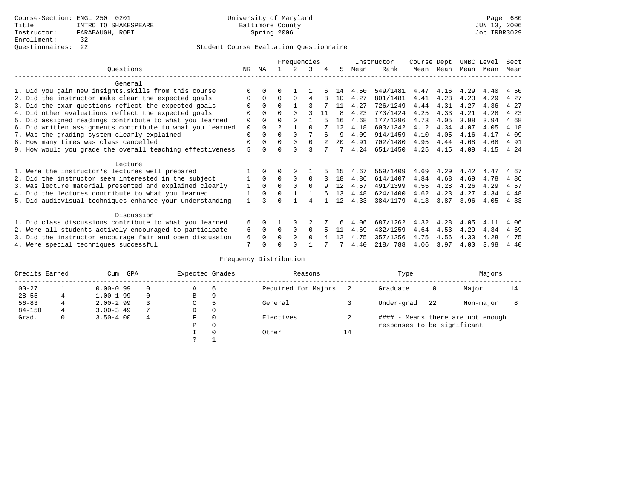### Questionnaires: 22 Student Course Evaluation Questionnaire

|                                                           |              |              |                | Frequencies |              |    |                   |      | Instructor | Course Dept |           | UMBC Level |      | Sect |  |
|-----------------------------------------------------------|--------------|--------------|----------------|-------------|--------------|----|-------------------|------|------------|-------------|-----------|------------|------|------|--|
| Ouestions                                                 | NR.          | ΝA           |                | 2           | 3            | 4  | 5.                | Mean | Rank       |             | Mean Mean | Mean       | Mean | Mean |  |
| General                                                   |              |              |                |             |              |    |                   |      |            |             |           |            |      |      |  |
| 1. Did you gain new insights, skills from this course     | $\Omega$     | $\Omega$     | 0              |             |              |    | 14                | 4.50 | 549/1481   | 4.47        | 4.16      | 4.29       | 4.40 | 4.50 |  |
| 2. Did the instructor make clear the expected goals       | O            | $\Omega$     | $\Omega$       | $\Omega$    | 4            |    | 10                | 4.27 | 801/1481   | 4.41        | 4.23      | 4.23       | 4.29 | 4.27 |  |
| 3. Did the exam questions reflect the expected goals      |              | $\Omega$     | 0              |             |              |    | 11                | 4.27 | 726/1249   | 4.44        | 4.31      | 4.27       | 4.36 | 4.27 |  |
| 4. Did other evaluations reflect the expected goals       | O            | $\Omega$     | O              | $\Omega$    |              | 11 | 8                 | 4.23 | 773/1424   | 4.25        | 4.33      | 4.21       | 4.28 | 4.23 |  |
| 5. Did assigned readings contribute to what you learned   | 0            | $\Omega$     | O              | $\Omega$    |              |    | 16                | 4.68 | 177/1396   | 4.73        | 4.05      | 3.98       | 3.94 | 4.68 |  |
| 6. Did written assignments contribute to what you learned | 0            | $\Omega$     | $\mathfrak{D}$ |             | <sup>0</sup> |    | 12                | 4.18 | 603/1342   | 4.12        | 4.34      | 4.07       | 4.05 | 4.18 |  |
| 7. Was the grading system clearly explained               | 0            | $\Omega$     | U              | $\Omega$    |              | ีค | 9                 | 4.09 | 914/1459   | 4.10        | 4.05      | 4.16       | 4.17 | 4.09 |  |
| 8. How many times was class cancelled                     | 0            | $\Omega$     | 0              | $\Omega$    | 0            |    | $20 \overline{0}$ | 4.91 | 702/1480   | 4.95        | 4.44      | 4.68       | 4.68 | 4.91 |  |
| 9. How would you grade the overall teaching effectiveness | 5            | <sup>n</sup> | U              | $\cap$      |              |    |                   | 4.24 | 651/1450   | 4.25        | 4.15      | 4.09       | 4.15 | 4.24 |  |
| Lecture                                                   |              |              |                |             |              |    |                   |      |            |             |           |            |      |      |  |
| 1. Were the instructor's lectures well prepared           |              |              |                | $\Omega$    |              |    | 15                | 4.67 | 559/1409   | 4.69        | 4.29      | 4.42       | 4.47 | 4.67 |  |
| 2. Did the instructor seem interested in the subject      |              | $\Omega$     | $\Omega$       | $\Omega$    | $\Omega$     |    | 18                | 4.86 | 614/1407   | 4.84        | 4.68      | 4.69       | 4.78 | 4.86 |  |
| 3. Was lecture material presented and explained clearly   | <sup>1</sup> | $\Omega$     | $\Omega$       | $\Omega$    | <sup>0</sup> | q  | 12                | 4.57 | 491/1399   | 4.55        | 4.28      | 4.26       | 4.29 | 4.57 |  |
| 4. Did the lectures contribute to what you learned        |              | $\Omega$     | 0              |             |              |    | 13                | 4.48 | 624/1400   | 4.62        | 4.23      | 4.27       | 4.34 | 4.48 |  |
| 5. Did audiovisual techniques enhance your understanding  |              |              |                |             |              |    | 12                | 4.33 | 384/1179   | 4.13        | 3.87      | 3.96       | 4.05 | 4.33 |  |
| Discussion                                                |              |              |                |             |              |    |                   |      |            |             |           |            |      |      |  |
| 1. Did class discussions contribute to what you learned   | 6            | $\Omega$     |                | $\Omega$    |              |    |                   | 4.06 | 687/1262   | 4.32        | 4.28      | 4.05       | 4.11 | 4.06 |  |
| 2. Were all students actively encouraged to participate   | 6            | $\Omega$     | $\Omega$       | $\Omega$    | $\Omega$     |    | 11                | 4.69 | 432/1259   | 4.64        | 4.53      | 4.29       | 4.34 | 4.69 |  |
| 3. Did the instructor encourage fair and open discussion  | 6            | $\Omega$     | U              | $\Omega$    | <sup>0</sup> |    | 12                | 4.75 | 357/1256   | 4.75        | 4.56      | 4.30       | 4.28 | 4.75 |  |
| 4. Were special techniques successful                     | 7            |              |                |             |              |    |                   | 4.40 | 218/ 788   | 4.06        | 3.97      | 4.00       | 3.98 | 4.40 |  |

| Credits Earned | Cum. GPA |               | Expected Grades |             | Reasons  |                     | Type | Majors                      |    |                                   |    |
|----------------|----------|---------------|-----------------|-------------|----------|---------------------|------|-----------------------------|----|-----------------------------------|----|
| $00 - 27$      |          | $0.00 - 0.99$ |                 | А           | 6        | Required for Majors |      | Graduate                    | 0  | Major                             | 14 |
| $28 - 55$      | 4        | $1.00 - 1.99$ |                 | В           | 9        |                     |      |                             |    |                                   |    |
| $56 - 83$      |          | $2.00 - 2.99$ |                 | $\sim$<br>◡ |          | General             |      | Under-grad                  | 22 | Non-major                         |    |
| $84 - 150$     | 4        | $3.00 - 3.49$ |                 | D           | 0        |                     |      |                             |    |                                   |    |
| Grad.          | 0        | $3.50 - 4.00$ | 4               | F           | 0        | Electives           |      |                             |    | #### - Means there are not enough |    |
|                |          |               |                 | Ρ           | 0        |                     |      | responses to be significant |    |                                   |    |
|                |          |               |                 |             | $\Omega$ | Other               | 14   |                             |    |                                   |    |
|                |          |               |                 | C           |          |                     |      |                             |    |                                   |    |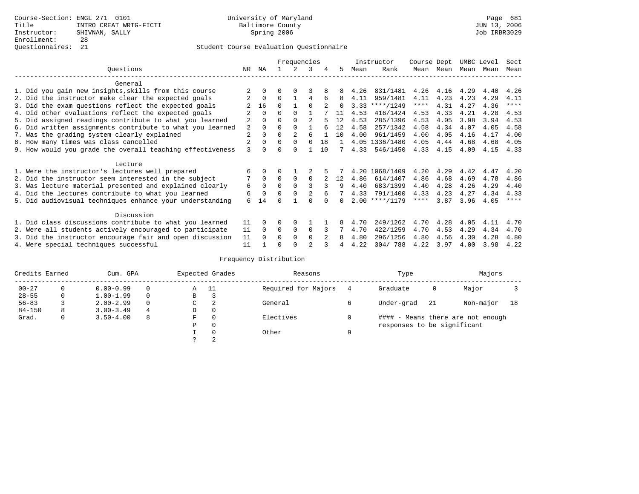### Questionnaires: 21 Student Course Evaluation Questionnaire

|                                                           |                |              |          | Frequencies |              |    |     |      | Instructor       | Course Dept |      | UMBC Level |      | Sect        |  |
|-----------------------------------------------------------|----------------|--------------|----------|-------------|--------------|----|-----|------|------------------|-------------|------|------------|------|-------------|--|
| Questions                                                 | NR.            | ΝA           |          |             | 3            | 4  | 5.  | Mean | Rank             | Mean        | Mean | Mean       | Mean | Mean        |  |
| General                                                   |                |              |          |             |              |    |     |      |                  |             |      |            |      |             |  |
| 1. Did you gain new insights, skills from this course     |                | $\Omega$     | O        | $\Omega$    |              |    |     | 4.26 | 831/1481         | 4.26        | 4.16 | 4.29       | 4.40 | 4.26        |  |
| 2. Did the instructor make clear the expected goals       |                | $\Omega$     | 0        |             | 4            |    | 8   | 4.11 | 959/1481         | 4.11        | 4.23 | 4.23       | 4.29 | 4.11        |  |
| 3. Did the exam questions reflect the expected goals      |                | 16           | 0        |             | <sup>0</sup> |    | 0   | 3.33 | $***/1249$       | ****        | 4.31 | 4.27       | 4.36 | ****        |  |
| 4. Did other evaluations reflect the expected goals       |                | $\Omega$     | 0        | $\Omega$    |              |    |     | 4.53 | 416/1424         | 4.53        | 4.33 | 4.21       | 4.28 | 4.53        |  |
| 5. Did assigned readings contribute to what you learned   | $\overline{2}$ | $\Omega$     | 0        | $\Omega$    |              |    | 12  | 4.53 | 285/1396         | 4.53        | 4.05 | 3.98       | 3.94 | 4.53        |  |
| 6. Did written assignments contribute to what you learned | 2              | 0            | 0        | $\Omega$    |              |    | 12  | 4.58 | 257/1342         | 4.58        | 4.34 | 4.07       | 4.05 | 4.58        |  |
| 7. Was the grading system clearly explained               | $\overline{2}$ | $\Omega$     | U        |             | 6            |    | 10  | 4.00 | 961/1459         | 4.00        | 4.05 | 4.16       | 4.17 | 4.00        |  |
| 8. How many times was class cancelled                     |                | $\Omega$     | 0        | $\Omega$    | <sup>0</sup> | 18 |     |      | 4.05 1336/1480   | 4.05        | 4.44 | 4.68       | 4.68 | 4.05        |  |
| 9. How would you grade the overall teaching effectiveness | ζ              | <sup>n</sup> |          | $\cap$      |              | 10 |     | 4.33 | 546/1450         | 4.33        | 4.15 | 4.09       | 4.15 | 4.33        |  |
| Lecture                                                   |                |              |          |             |              |    |     |      |                  |             |      |            |      |             |  |
| 1. Were the instructor's lectures well prepared           | 6              |              |          |             |              |    |     | 4.20 | 1068/1409        | 4.20        | 4.29 | 4.42       | 4.47 | 4.20        |  |
| 2. Did the instructor seem interested in the subject      |                | $\mathbf{0}$ | $\Omega$ | $\Omega$    | $\Omega$     |    | 12. | 4.86 | 614/1407         | 4.86        | 4.68 | 4.69       | 4.78 | 4.86        |  |
| 3. Was lecture material presented and explained clearly   | 6              | $\Omega$     | 0        |             | ς            |    | 9   | 4.40 | 683/1399         | 4.40        | 4.28 | 4.26       | 4.29 | 4.40        |  |
| 4. Did the lectures contribute to what you learned        | 6              | $\mathbf 0$  | 0        | $\Omega$    |              |    |     | 4.33 | 791/1400         | 4.33        | 4.23 | 4.27       | 4.34 | 4.33        |  |
| 5. Did audiovisual techniques enhance your understanding  | 6              | 14           |          |             |              |    |     |      | $2.00$ ****/1179 | ****        | 3.87 | 3.96       | 4.05 | $* * * * *$ |  |
|                                                           |                |              |          |             |              |    |     |      |                  |             |      |            |      |             |  |
| Discussion                                                |                |              |          |             |              |    |     |      |                  |             |      |            |      |             |  |
| 1. Did class discussions contribute to what you learned   | 11             | $\Omega$     | 0        | $\Omega$    |              |    |     | 4.70 | 249/1262         | 4.70        | 4.28 | 4.05       | 4.11 | 4.70        |  |
| 2. Were all students actively encouraged to participate   | 11             | $\Omega$     | 0        | $\mathbf 0$ | $\Omega$     |    |     | 4.70 | 422/1259         | 4.70        | 4.53 | 4.29       | 4.34 | 4.70        |  |
| 3. Did the instructor encourage fair and open discussion  | 11             |              | U        | $\Omega$    | $\Omega$     |    | 8   | 4.80 | 296/1256         | 4.80        | 4.56 | 4.30       | 4.28 | 4.80        |  |
| 4. Were special techniques successful                     | 11             |              |          |             | 2            |    |     | 4.22 | 304/788          | 4.22        | 3.97 | 4.00       | 3.98 | 4.22        |  |

| Credits Earned |   | Cum. GPA      |   |   | Expected Grades | Reasons             |   | Type                        | Majors |                                   |    |
|----------------|---|---------------|---|---|-----------------|---------------------|---|-----------------------------|--------|-----------------------------------|----|
| $00 - 27$      | 0 | $0.00 - 0.99$ |   | Α | - 11            | Required for Majors |   | Graduate                    | 0      | Major                             |    |
| $28 - 55$      | 0 | $1.00 - 1.99$ |   | B | 3               |                     |   |                             |        |                                   |    |
| $56 - 83$      |   | $2.00 - 2.99$ |   | C | 2               | General             |   | Under-grad                  | -21    | Non-major                         | 18 |
| $84 - 150$     | 8 | $3.00 - 3.49$ | 4 | D | 0               |                     |   |                             |        |                                   |    |
| Grad.          | 0 | $3.50 - 4.00$ | 8 | F | 0               | Electives           |   |                             |        | #### - Means there are not enough |    |
|                |   |               |   | Ρ | 0               |                     |   | responses to be significant |        |                                   |    |
|                |   |               |   |   | $\Omega$        | Other               | Q |                             |        |                                   |    |
|                |   |               |   |   | 2               |                     |   |                             |        |                                   |    |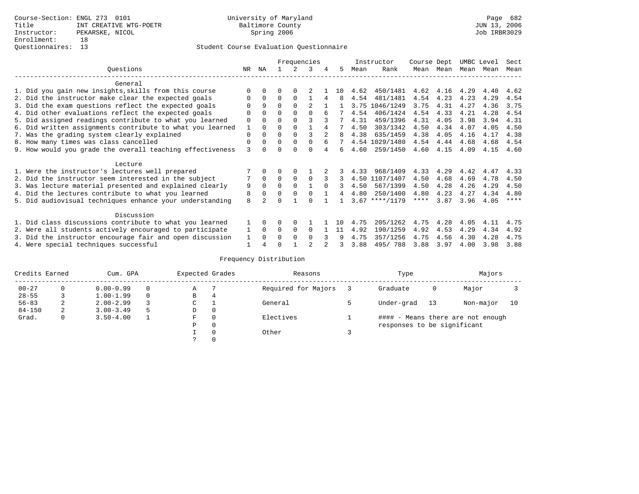|                                                           |    |              |          |               | Frequencies  |          |     |      | Instructor       | Course Dept |           | UMBC Level |           | Sect    |  |
|-----------------------------------------------------------|----|--------------|----------|---------------|--------------|----------|-----|------|------------------|-------------|-----------|------------|-----------|---------|--|
| Ouestions                                                 | NR | ΝA           |          | $\mathcal{L}$ | 3            | 4        | 5   | Mean | Rank             |             | Mean Mean |            | Mean Mean | Mean    |  |
| General                                                   |    |              |          |               |              |          |     |      |                  |             |           |            |           |         |  |
| 1. Did you gain new insights, skills from this course     |    | $\Omega$     | 0        | $\Omega$      |              |          | 10  | 4.62 | 450/1481         | 4.62        | 4.16      | 4.29       | 4.40      | 4.62    |  |
| 2. Did the instructor make clear the expected goals       | 0  | $\Omega$     | $\Omega$ | $\Omega$      |              |          | 8   | 4.54 | 481/1481         | 4.54        | 4.23      | 4.23       | 4.29      | 4.54    |  |
| 3. Did the exam questions reflect the expected goals      |    | 9            | $\Omega$ | $\Omega$      |              |          |     | 3.75 | 1046/1249        | 3.75        | 4.31      | 4.27       | 4.36      | 3.75    |  |
| 4. Did other evaluations reflect the expected goals       |    | $\Omega$     | 0        | $\Omega$      |              |          |     | 4.54 | 406/1424         | 4.54        | 4.33      | 4.21       | 4.28      | 4.54    |  |
| 5. Did assigned readings contribute to what you learned   | 0  | $\Omega$     | U        | $\Omega$      | 3            |          |     | 4.31 | 459/1396         | 4.31        | 4.05      | 3.98       | 3.94      | 4.31    |  |
| 6. Did written assignments contribute to what you learned | 1  | $\Omega$     | U        | $\Omega$      |              |          |     | 4.50 | 303/1342         | 4.50        | 4.34      | 4.07       | 4.05      | 4.50    |  |
| 7. Was the grading system clearly explained               | 0  | $\Omega$     | 0        | $\Omega$      | २            |          | 8   | 4.38 | 635/1459         | 4.38        | 4.05      | 4.16       | 4.17      | 4.38    |  |
| 8. How many times was class cancelled                     | 0  | $\Omega$     | $\Omega$ | $\Omega$      | $\Omega$     | 6        | 7   |      | 4.54 1029/1480   | 4.54        | 4.44      | 4.68       | 4.68      | 4.54    |  |
| 9. How would you grade the overall teaching effectiveness | 3  | <sup>n</sup> |          | <sup>n</sup>  | <sup>n</sup> |          | б.  | 4.60 | 259/1450         | 4.60        | 4.15      | 4.09       | 4.15      | 4.60    |  |
| Lecture                                                   |    |              |          |               |              |          |     |      |                  |             |           |            |           |         |  |
| 1. Were the instructor's lectures well prepared           |    |              |          |               |              |          |     | 4.33 | 968/1409         | 4.33        | 4.29      | 4.42       | 4.47      | 4.33    |  |
| 2. Did the instructor seem interested in the subject      |    | $\Omega$     | $\Omega$ | $\Omega$      | $\Omega$     | 3        | 3   |      | 4.50 1107/1407   | 4.50        | 4.68      | 4.69       | 4.78      | 4.50    |  |
| 3. Was lecture material presented and explained clearly   | 9  | $\Omega$     | 0        | $\Omega$      |              | $\Omega$ | 3   | 4.50 | 567/1399         | 4.50        | 4.28      | 4.26       | 4.29      | 4.50    |  |
| 4. Did the lectures contribute to what you learned        | 8  | $\Omega$     | $\Omega$ | $\Omega$      | 0            |          | 4   | 4.80 | 250/1400         | 4.80        | 4.23      | 4.27       | 4.34      | 4.80    |  |
| 5. Did audiovisual techniques enhance your understanding  | 8  |              |          |               |              |          |     |      | $3.67$ ****/1179 | ****        | 3.87      | 3.96       | 4.05      | $***$ * |  |
| Discussion                                                |    |              |          |               |              |          |     |      |                  |             |           |            |           |         |  |
| 1. Did class discussions contribute to what you learned   |    | $\Omega$     | 0        | $\Omega$      |              |          | 1 ດ | 4.75 | 205/1262         | 4.75        | 4.28      | 4.05       | 4.11      | 4.75    |  |
| 2. Were all students actively encouraged to participate   |    | $\Omega$     | 0        | 0             | $\Omega$     |          | 11  | 4.92 | 190/1259         | 4.92        | 4.53      | 4.29       | 4.34      | 4.92    |  |
| 3. Did the instructor encourage fair and open discussion  |    |              | U        | $\Omega$      | 0            |          | 9   | 4.75 | 357/1256         | 4.75        | 4.56      | 4.30       | 4.28      | 4.75    |  |
| 4. Were special techniques successful                     |    |              |          |               |              |          |     | 3.88 | 495/788          | 3.88        | 3.97      | 4.00       | 3.98      | 3.88    |  |

| Credits Earned |   | Cum. GPA      |    | Expected Grades |          | Reasons             | Type                        | Majors |                                   |    |
|----------------|---|---------------|----|-----------------|----------|---------------------|-----------------------------|--------|-----------------------------------|----|
| $00 - 27$      | 0 | $0.00 - 0.99$ |    | Α               |          | Required for Majors | Graduate                    | 0      | Major                             |    |
| $28 - 55$      |   | $1.00 - 1.99$ |    | В               | 4        |                     |                             |        |                                   |    |
| $56 - 83$      | 2 | $2.00 - 2.99$ |    | $\sim$<br>◡     |          | General             | Under-grad                  | 13     | Non-major                         | 10 |
| $84 - 150$     | 2 | $3.00 - 3.49$ | -5 | D               | 0        |                     |                             |        |                                   |    |
| Grad.          | 0 | $3.50 - 4.00$ |    | F               | $\Omega$ | Electives           |                             |        | #### - Means there are not enough |    |
|                |   |               |    | Ρ               | 0        |                     | responses to be significant |        |                                   |    |
|                |   |               |    |                 | 0        | Other               |                             |        |                                   |    |
|                |   |               |    | $\mathcal{L}$   |          |                     |                             |        |                                   |    |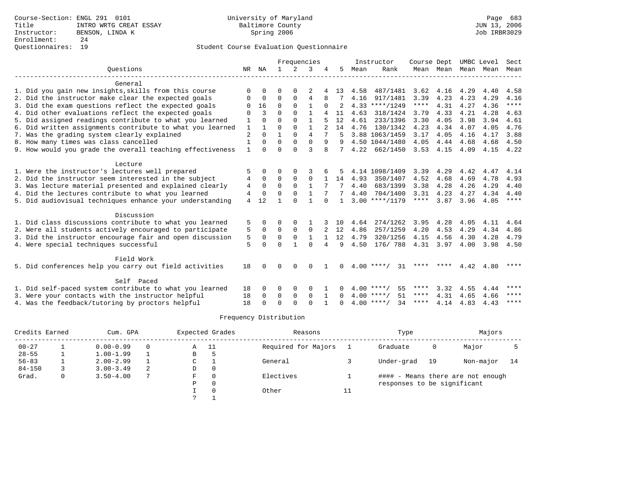|                                                           |                |              |              |          | Frequencies    |              |              |      | Instructor         | Course Dept |                | UMBC Level |      | Sect        |
|-----------------------------------------------------------|----------------|--------------|--------------|----------|----------------|--------------|--------------|------|--------------------|-------------|----------------|------------|------|-------------|
| Ouestions                                                 |                | NR NA        | 1.           | 2        | 3              |              | 5            | Mean | Rank               |             | Mean Mean Mean |            | Mean | Mean        |
| General                                                   |                |              |              |          |                |              |              |      |                    |             |                |            |      |             |
| 1. Did you gain new insights, skills from this course     | ∩              | <sup>0</sup> | U            |          |                |              | 13           | 4.58 | 487/1481           | 3.62        | 4.16           | 4.29       | 4.40 | 4.58        |
| 2. Did the instructor make clear the expected goals       | $\Omega$       | $\mathbf 0$  | $\Omega$     | 0        | 4              | 8            |              | 4.16 | 917/1481           | 3.39        | 4.23           | 4.23       | 4.29 | 4.16        |
| 3. Did the exam questions reflect the expected goals      | $\Omega$       | 16           | 0            | $\Omega$ | $\mathbf{1}$   | $\Omega$     |              |      | $4.33$ ****/1249   | $***$ * * * | 4.31           | 4.27       | 4.36 | $***$ * * * |
| 4. Did other evaluations reflect the expected goals       | ∩              | 3            | $\Omega$     | $\Omega$ | 1              |              | 11           | 4.63 | 318/1424           | 3.79        | 4.33           | 4.21       | 4.28 | 4.63        |
| 5. Did assigned readings contribute to what you learned   |                | $\Omega$     | $\Omega$     | $\cap$   |                |              | 12           | 4.61 | 233/1396           | 3.30        | 4.05           | 3.98       | 3.94 | 4.61        |
| 6. Did written assignments contribute to what you learned | 1              |              | $\Omega$     | $\Omega$ | $\mathbf{1}$   |              | 14           | 4.76 | 130/1342           | 4.23        | 4.34           | 4.07       | 4.05 | 4.76        |
| 7. Was the grading system clearly explained               | $\overline{2}$ | $\Omega$     | $\mathbf{1}$ | $\Omega$ | $\overline{4}$ |              | 5            |      | 3.88 1063/1459     | 3.17        | 4.05           | 4.16       | 4.17 | 3.88        |
| 8. How many times was class cancelled                     |                | $\Omega$     | $\Omega$     | $\Omega$ | $\Omega$       | 9            | 9            |      | 4.50 1044/1480     | 4.05        | 4.44           | 4.68       | 4.68 | 4.50        |
| 9. How would you grade the overall teaching effectiveness | $\mathbf{1}$   | $\cap$       | $\Omega$     | $\cap$   | 3              | 8            | 7            | 4.22 | 662/1450           |             | $3.53$ 4.15    | 4.09       | 4.15 | 4.22        |
| Lecture                                                   |                |              |              |          |                |              |              |      |                    |             |                |            |      |             |
| 1. Were the instructor's lectures well prepared           | 5              | 0            | 0            | 0        |                |              |              |      | 4.14 1098/1409     | 3.39        | 4.29           | 4.42       | 4.47 | 4.14        |
| 2. Did the instructor seem interested in the subject      | 4              | $\Omega$     | 0            | 0        | $\mathbf 0$    |              | 14           | 4.93 | 350/1407           | 4.52        | 4.68           | 4.69       | 4.78 | 4.93        |
| 3. Was lecture material presented and explained clearly   | 4              | $\Omega$     | $\Omega$     | $\Omega$ | $\mathbf{1}$   |              |              | 4.40 | 683/1399           | 3.38        | 4.28           | 4.26       | 4.29 | 4.40        |
| 4. Did the lectures contribute to what you learned        | $\overline{4}$ | $\Omega$     | $\Omega$     | $\Omega$ |                |              |              | 4.40 | 704/1400           | 3.31        | 4.23           | 4.27       | 4.34 | 4.40        |
| 5. Did audiovisual techniques enhance your understanding  | 4              | 12           | 1            | $\cap$   | 1              | $\cap$       | $\mathbf{1}$ |      | $3.00$ ****/1179   | $***$ * * * | 3.87           | 3.96       | 4.05 | $***$ * * * |
| Discussion                                                |                |              |              |          |                |              |              |      |                    |             |                |            |      |             |
| 1. Did class discussions contribute to what you learned   | 5              | <sup>0</sup> | O            | $\Omega$ |                |              | 10           | 4.64 | 274/1262           | 3.95        | 4.28           | 4.05       | 4.11 | 4.64        |
| 2. Were all students actively encouraged to participate   | 5              | $\Omega$     | $\Omega$     | $\Omega$ | $\Omega$       |              | 12           | 4.86 | 257/1259           | 4.20        | 4.53           | 4.29       | 4.34 | 4.86        |
| 3. Did the instructor encourage fair and open discussion  | 5              | $\Omega$     | $\Omega$     | $\Omega$ | $\mathbf{1}$   |              | 12           | 4.79 | 320/1256           | 4.15        | 4.56           | 4.30       | 4.28 | 4.79        |
| 4. Were special techniques successful                     | 5              | $\Omega$     | $\Omega$     | 1        | $\Omega$       |              | 9            | 4.50 | 176/788            | 4.31        | 3.97           | 4.00       | 3.98 | 4.50        |
| Field Work                                                |                |              |              |          |                |              |              |      |                    |             |                |            |      |             |
| 5. Did conferences help you carry out field activities    | 18             |              | O            | $\Omega$ | $\Omega$       |              | 0            |      | $4.00$ ****/<br>31 |             | **** ****      | 4.42       | 4.80 | ****        |
| Self Paced                                                |                |              |              |          |                |              |              |      |                    |             |                |            |      |             |
| 1. Did self-paced system contribute to what you learned   | 18             | 0            | 0            | 0        | $\Omega$       |              | $^{\circ}$   |      | 55<br>$4.00$ ****/ | ****        | 3.32           | 4.55       | 4.44 | ****        |
| 3. Were your contacts with the instructor helpful         | 18             | $\Omega$     | $\Omega$     | $\Omega$ | $\Omega$       | $\mathbf{1}$ | <sup>n</sup> |      | 51<br>$4.00$ ****/ | ****        | 4.31           | 4.65       | 4.66 | $***$ * * * |
| 4. Was the feedback/tutoring by proctors helpful          | 18             |              | $\Omega$     | $\cap$   | $\Omega$       |              |              |      | $4.00$ ****/<br>34 | ****        | 4.14           | 4.83       | 4.43 | $* * * * *$ |

| Credits Earned |   | Cum. GPA      |   | Expected Grades |              | Reasons             |    | Type                        |    | Majors                            |    |
|----------------|---|---------------|---|-----------------|--------------|---------------------|----|-----------------------------|----|-----------------------------------|----|
| $00 - 27$      |   | $0.00 - 0.99$ | 0 | Α               | - 11         | Required for Majors |    | Graduate                    | 0  | Major                             |    |
| $28 - 55$      |   | $1.00 - 1.99$ |   | в               | $\mathbf{b}$ |                     |    |                             |    |                                   |    |
| $56 - 83$      |   | $2.00 - 2.99$ |   | C               |              | General             |    | Under-grad                  | 19 | Non-major                         | 14 |
| $84 - 150$     |   | $3.00 - 3.49$ | 2 | D               | 0            |                     |    |                             |    |                                   |    |
| Grad.          | 0 | $3.50 - 4.00$ |   | F               | $\Omega$     | Electives           |    |                             |    | #### - Means there are not enough |    |
|                |   |               |   | P               | 0            |                     |    | responses to be significant |    |                                   |    |
|                |   |               |   |                 | $\Omega$     | Other               | 11 |                             |    |                                   |    |
|                |   |               |   |                 |              |                     |    |                             |    |                                   |    |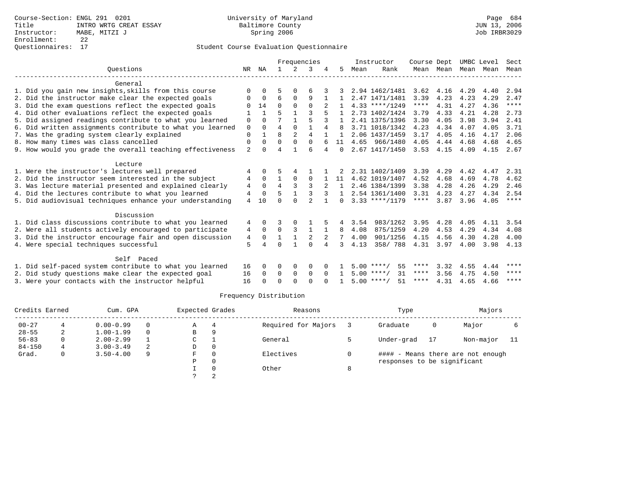|                                                           |                |              |                |                | Frequencies    |          |          |      | Instructor         | Course Dept |           | UMBC Level |      | Sect         |
|-----------------------------------------------------------|----------------|--------------|----------------|----------------|----------------|----------|----------|------|--------------------|-------------|-----------|------------|------|--------------|
| Ouestions                                                 | NR             | NA           |                | 2              | २              |          | 5.       | Mean | Rank               |             | Mean Mean | Mean Mean  |      | Mean         |
|                                                           |                |              |                |                |                |          |          |      |                    |             |           |            |      |              |
| General                                                   |                |              |                |                |                |          |          |      |                    |             |           |            |      |              |
| 1. Did you gain new insights, skills from this course     | $\Omega$       | $\Omega$     |                | $\Omega$       | 6              |          |          |      | 2.94 1462/1481     | 3.62        | 4.16      | 4.29       | 4.40 | 2.94         |
| 2. Did the instructor make clear the expected goals       | 0              | $\Omega$     | 6              | $\Omega$       | 9              |          |          |      | 2.47 1471/1481     | 3.39        | 4.23      | 4.23       | 4.29 | 2.47<br>**** |
| 3. Did the exam questions reflect the expected goals      | $\Omega$       | 14           | $\Omega$       | $\Omega$       | $\Omega$       |          |          |      | $4.33$ ****/1249   | $***$ * *   | 4.31      | 4.27       | 4.36 |              |
| 4. Did other evaluations reflect the expected goals       |                | $\mathbf{1}$ |                | 1              | ς              |          |          |      | 2.73 1402/1424     | 3.79        | 4.33      | 4.21       | 4.28 | 2.73         |
| 5. Did assigned readings contribute to what you learned   | $\Omega$       | $\Omega$     | 7              | $\mathbf{1}$   | 5              |          |          |      | 2.41 1375/1396     | 3.30        | 4.05      | 3.98       | 3.94 | 2.41         |
| 6. Did written assignments contribute to what you learned | $\mathbf 0$    | $\Omega$     | $\overline{4}$ | $\Omega$       |                | 4        |          |      | 3.71 1018/1342     | 4.23        | 4.34      | 4.07       | 4.05 | 3.71         |
| 7. Was the grading system clearly explained               | 0              |              | 8              | $\overline{2}$ | 4              |          |          |      | 2.06 1437/1459     | 3.17        | 4.05      | 4.16       | 4.17 | 2.06         |
| 8. How many times was class cancelled                     | $\mathbf 0$    | $\Omega$     | $\Omega$       | $\Omega$       | $\Omega$       |          | 11       |      | 4.65 966/1480      | 4.05        | 4.44      | 4.68       | 4.68 | 4.65         |
| 9. How would you grade the overall teaching effectiveness | $\overline{a}$ | $\cap$       | $\overline{4}$ |                | б              | 4        | $\Omega$ |      | 2.67 1417/1450     | 3.53        | 4.15      | 4.09       | 4.15 | 2.67         |
| Lecture                                                   |                |              |                |                |                |          |          |      |                    |             |           |            |      |              |
| 1. Were the instructor's lectures well prepared           |                | $\Omega$     |                |                |                |          |          |      | 2.31 1402/1409     | 3.39        | 4.29      | 4.42       | 4.47 | 2.31         |
| 2. Did the instructor seem interested in the subject      | 4              | $\Omega$     |                | $\Omega$       | $\Omega$       |          | 11       |      | 4.62 1019/1407     | 4.52        | 4.68      | 4.69       | 4.78 | 4.62         |
| 3. Was lecture material presented and explained clearly   | 4              | $\Omega$     | $\overline{4}$ |                |                |          | 1        |      | 2.46 1384/1399     | 3.38        | 4.28      | 4.26       | 4.29 | 2.46         |
| 4. Did the lectures contribute to what you learned        | 4              | $\Omega$     |                |                |                |          |          |      | 2.54 1361/1400     | 3.31        | 4.23      | 4.27       | 4.34 | 2.54         |
| 5. Did audiovisual techniques enhance your understanding  | 4              | 10           | $\Omega$       | $\cap$         | $\mathfrak{D}$ |          | 0        |      | $3.33$ ****/1179   | ****        | 3.87      | 3.96       | 4.05 | $* * * * *$  |
|                                                           |                |              |                |                |                |          |          |      |                    |             |           |            |      |              |
| Discussion                                                |                |              |                |                |                |          |          |      |                    |             |           |            |      |              |
| 1. Did class discussions contribute to what you learned   | 4              | $\Omega$     |                |                |                |          |          | 3.54 | 983/1262           | 3.95        | 4.28      | 4.05       | 4.11 | 3.54         |
| 2. Were all students actively encouraged to participate   | 4              | $\mathbf 0$  | 0              | 3              |                |          | 8        | 4.08 | 875/1259           | 4.20        | 4.53      | 4.29       | 4.34 | 4.08         |
| 3. Did the instructor encourage fair and open discussion  | 4              | $\Omega$     | 1              | $\mathbf{1}$   | 2              |          | 7        | 4.00 | 901/1256           | 4.15        | 4.56      | 4.30       | 4.28 | 4.00         |
| 4. Were special techniques successful                     | 5              |              | $\Omega$       |                | $\Omega$       |          | 3        | 4.13 | 358/788            | 4.31        | 3.97      | 4.00       | 3.98 | 4.13         |
|                                                           |                |              |                |                |                |          |          |      |                    |             |           |            |      |              |
| Self Paced                                                |                |              |                |                |                |          |          |      |                    |             |           |            |      |              |
| 1. Did self-paced system contribute to what you learned   | 16             | $\Omega$     | 0              | $\Omega$       | $\Omega$       |          |          |      | 55<br>5.00 ****/   | ****        | 3.32      | 4.55       | 4.44 | ****         |
| 2. Did study questions make clear the expected goal       | 16             | $\Omega$     | 0              | 0              | $\Omega$       | $\Omega$ |          |      | 31<br>$5.00$ ****/ | ****        | 3.56      | 4.75       | 4.50 | ****         |
| 3. Were your contacts with the instructor helpful         | 16             |              | $\Omega$       | $\cap$         | $\Omega$       |          |          |      | $5.00$ ****/<br>51 | ****        | 4.31      | 4.65       | 4.66 | ****         |
|                                                           |                |              |                |                |                |          |          |      |                    |             |           |            |      |              |

| Credits Earned |    | Cum. GPA      |          | Expected Grades |          | Reasons             |   | Type                        |    | Majors                            |     |
|----------------|----|---------------|----------|-----------------|----------|---------------------|---|-----------------------------|----|-----------------------------------|-----|
| $00 - 27$      |    | $0.00 - 0.99$ | 0        | Α               | 4        | Required for Majors |   | Graduate                    | 0  | Major                             |     |
| $28 - 55$      | 2  | $1.00 - 1.99$ | $\Omega$ | В               | 9        |                     |   |                             |    |                                   |     |
| $56 - 83$      | 0. | $2.00 - 2.99$ |          | C               |          | General             |   | Under-grad                  | 17 | Non-major                         | -11 |
| $84 - 150$     | 4  | $3.00 - 3.49$ | 2        | D               | 0        |                     |   |                             |    |                                   |     |
| Grad.          | 0  | $3.50 - 4.00$ | 9        | F.              | $\Omega$ | Electives           |   |                             |    | #### - Means there are not enough |     |
|                |    |               |          | Ρ               | 0        |                     |   | responses to be significant |    |                                   |     |
|                |    |               |          |                 |          | Other               | 8 |                             |    |                                   |     |
|                |    |               |          |                 | ◠        |                     |   |                             |    |                                   |     |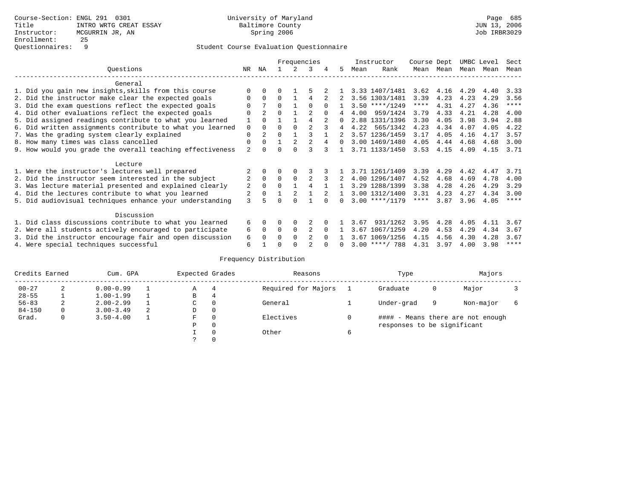|                                                           |                |                |          |          | Frequencies    |          |          |      | Instructor       | Course Dept |           | UMBC Level |      | Sect        |
|-----------------------------------------------------------|----------------|----------------|----------|----------|----------------|----------|----------|------|------------------|-------------|-----------|------------|------|-------------|
| Ouestions                                                 | NR             | ΝA             |          | 2.       | 3              | 4        | 5.       | Mean | Rank             |             | Mean Mean | Mean Mean  |      | Mean        |
| General                                                   |                |                |          |          |                |          |          |      |                  |             |           |            |      |             |
| 1. Did you gain new insights, skills from this course     |                | $\Omega$       | 0        |          |                |          |          |      | 3.33 1407/1481   | 3.62        | 4.16      | 4.29       | 4.40 | 3.33        |
| 2. Did the instructor make clear the expected goals       | O              | $\Omega$       | $\Omega$ |          | 4              |          |          |      | 3.56 1303/1481   | 3.39        | 4.23      | 4.23       | 4.29 | 3.56        |
| 3. Did the exam questions reflect the expected goals      |                |                | 0        |          | $\Omega$       | $\Omega$ |          |      | $3.50$ ****/1249 | ****        | 4.31      | 4.27       | 4.36 | $***$ * * * |
| 4. Did other evaluations reflect the expected goals       |                | $\overline{a}$ | $\Omega$ |          |                |          | 4        | 4.00 | 959/1424         | 3.79        | 4.33      | 4.21       | 4.28 | 4.00        |
| 5. Did assigned readings contribute to what you learned   |                | $\Omega$       |          |          | 4              |          | $\Omega$ |      | 2.88 1331/1396   | 3.30        | 4.05      | 3.98       | 3.94 | 2.88        |
| 6. Did written assignments contribute to what you learned | $\Omega$       | $\Omega$       | O        | $\Omega$ |                |          |          |      | 4.22 565/1342    | 4.23        | 4.34      | 4.07       | 4.05 | 4.22        |
| 7. Was the grading system clearly explained               | $\Omega$       |                | U        |          |                |          |          |      | 3.57 1236/1459   | 3.17        | 4.05      | 4.16       | 4.17 | 3.57        |
| 8. How many times was class cancelled                     | $\Omega$       | $\Omega$       |          |          |                |          | $\Omega$ |      | 3.00 1469/1480   | 4.05        | 4.44      | 4.68       | 4.68 | 3.00        |
| 9. How would you grade the overall teaching effectiveness | 2              | <sup>n</sup>   |          |          |                |          |          |      | 3.71 1133/1450   | 3.53        | 4.15      | 4.09       | 4.15 | 3.71        |
| Lecture                                                   |                |                |          |          |                |          |          |      |                  |             |           |            |      |             |
| 1. Were the instructor's lectures well prepared           |                |                |          |          |                |          |          |      | 3.71 1261/1409   | 3.39        | 4.29      | 4.42       | 4.47 | 3.71        |
| 2. Did the instructor seem interested in the subject      | $\overline{2}$ | $\Omega$       | $\Omega$ | $\Omega$ | $\overline{a}$ |          |          |      | 4.00 1296/1407   | 4.52        | 4.68      | 4.69       | 4.78 | 4.00        |
| 3. Was lecture material presented and explained clearly   | 2              | $\Omega$       | $\Omega$ |          |                |          |          |      | 3.29 1288/1399   | 3.38        | 4.28      | 4.26       | 4.29 | 3.29        |
| 4. Did the lectures contribute to what you learned        |                | $\Omega$       |          |          |                |          |          |      | 3.00 1312/1400   | 3.31        | 4.23      | 4.27       | 4.34 | 3.00        |
| 5. Did audiovisual techniques enhance your understanding  | ζ              |                |          |          |                |          |          |      | $3.00$ ****/1179 | ****        | 3.87      | 3.96       | 4.05 | ****        |
| Discussion                                                |                |                |          |          |                |          |          |      |                  |             |           |            |      |             |
| 1. Did class discussions contribute to what you learned   | 6              | $\Omega$       | O        | $\Omega$ |                |          |          | 3.67 | 931/1262         | 3.95        | 4.28      | 4.05       | 4.11 | 3.67        |
| 2. Were all students actively encouraged to participate   | 6              | $\Omega$       | $\Omega$ | $\Omega$ | 2              |          |          | 3.67 | 1067/1259        | 4.20        | 4.53      | 4.29       | 4.34 | 3.67        |
| 3. Did the instructor encourage fair and open discussion  | 6              |                | U        | $\Omega$ | $\mathfrak{D}$ |          |          |      | 3.67 1069/1256   | 4.15        | 4.56      | 4.30       | 4.28 | 3.67        |
| 4. Were special techniques successful                     | 6              |                |          |          |                |          |          |      | $3.00$ ****/ 788 | 4.31        | 3.97      | 4.00       | 3.98 | ****        |

| Credits Earned |   | Cum. GPA      |   | Expected Grades |          | Reasons             |   | Type                        |   | Majors                            |  |
|----------------|---|---------------|---|-----------------|----------|---------------------|---|-----------------------------|---|-----------------------------------|--|
| $00 - 27$      | 2 | $0.00 - 0.99$ |   | А               | 4        | Required for Majors |   | Graduate                    | 0 | Major                             |  |
| $28 - 55$      | ᅩ | $1.00 - 1.99$ |   | В               | 4        |                     |   |                             |   |                                   |  |
| $56 - 83$      | 2 | $2.00 - 2.99$ |   | $\sim$<br>◡     | 0        | General             |   | Under-grad                  | 9 | Non-major                         |  |
| $84 - 150$     | 0 | $3.00 - 3.49$ | 2 | D               | 0        |                     |   |                             |   |                                   |  |
| Grad.          | 0 | $3.50 - 4.00$ |   | F               | 0        | Electives           | 0 |                             |   | #### - Means there are not enough |  |
|                |   |               |   | Ρ               | 0        |                     |   | responses to be significant |   |                                   |  |
|                |   |               |   |                 | $\Omega$ | Other               | 6 |                             |   |                                   |  |
|                |   |               |   |                 |          |                     |   |                             |   |                                   |  |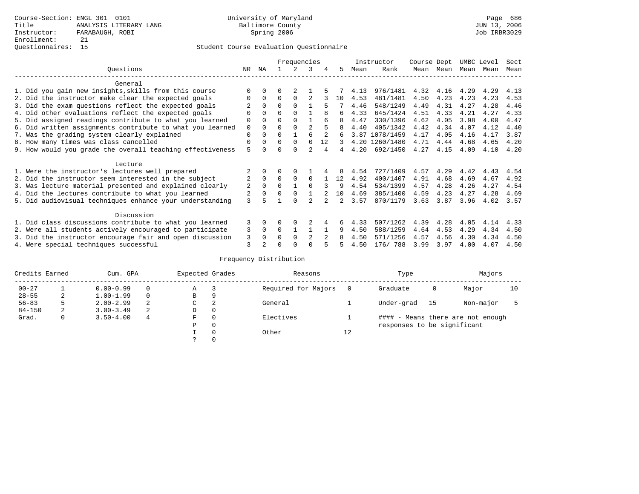## Questionnaires: 15 Student Course Evaluation Questionnaire

|                                                           |                |              |          | Frequencies |                |    |    |      | Instructor     | Course Dept |      | UMBC Level |      | Sect |
|-----------------------------------------------------------|----------------|--------------|----------|-------------|----------------|----|----|------|----------------|-------------|------|------------|------|------|
| Ouestions                                                 | NR.            | ΝA           |          |             | 3              |    | 5. | Mean | Rank           | Mean        | Mean | Mean       | Mean | Mean |
| General                                                   |                |              |          |             |                |    |    |      |                |             |      |            |      |      |
| 1. Did you gain new insights, skills from this course     |                | $\Omega$     | U        |             |                |    |    | 4.13 | 976/1481       | 4.32        | 4.16 | 4.29       | 4.29 | 4.13 |
| 2. Did the instructor make clear the expected goals       | O              | $\Omega$     | $\Omega$ | $\Omega$    |                |    | 10 | 4.53 | 481/1481       | 4.50        | 4.23 | 4.23       | 4.23 | 4.53 |
| 3. Did the exam questions reflect the expected goals      |                | $\Omega$     | $\Omega$ | $\Omega$    |                |    |    | 4.46 | 548/1249       | 4.49        | 4.31 | 4.27       | 4.28 | 4.46 |
| 4. Did other evaluations reflect the expected goals       | O              | $\Omega$     | $\Omega$ | $\Omega$    |                |    | 6  | 4.33 | 645/1424       | 4.51        | 4.33 | 4.21       | 4.27 | 4.33 |
| 5. Did assigned readings contribute to what you learned   | $\mathbf 0$    |              | $\Omega$ |             |                |    | 8  | 4.47 | 330/1396       | 4.62        | 4.05 | 3.98       | 4.00 | 4.47 |
| 6. Did written assignments contribute to what you learned | $\mathbf 0$    | $\Omega$     |          |             | $\mathfrak{D}$ |    | 8  | 4.40 | 405/1342       | 4.42        | 4.34 | 4.07       | 4.12 | 4.40 |
| 7. Was the grading system clearly explained               | $\Omega$       | $\Omega$     | $\Omega$ |             |                |    | б. |      | 3.87 1078/1459 | 4.17        | 4.05 | 4.16       | 4.17 | 3.87 |
| 8. How many times was class cancelled                     | 0              | $\Omega$     | $\Omega$ | $\Omega$    | $\Omega$       | 12 | 3  |      | 4.20 1260/1480 | 4.71        | 4.44 | 4.68       | 4.65 | 4.20 |
| 9. How would you grade the overall teaching effectiveness | 5              | <sup>n</sup> | U        | $\cap$      | $\mathfrak{D}$ | 4  | 4  | 4.20 | 692/1450       | 4.27        | 4.15 | 4.09       | 4.10 | 4.20 |
|                                                           |                |              |          |             |                |    |    |      |                |             |      |            |      |      |
| Lecture                                                   |                |              |          |             |                |    |    |      |                |             |      |            |      |      |
| 1. Were the instructor's lectures well prepared           |                |              |          |             |                |    |    | 4.54 | 727/1409       | 4.57        | 4.29 | 4.42       | 4.43 | 4.54 |
| 2. Did the instructor seem interested in the subject      | $\overline{2}$ | $\Omega$     | $\Omega$ | $\Omega$    | $\Omega$       |    | 12 | 4.92 | 400/1407       | 4.91        | 4.68 | 4.69       | 4.67 | 4.92 |
| 3. Was lecture material presented and explained clearly   | 2              | $\Omega$     | $\Omega$ |             | $\cap$         |    | 9  | 4.54 | 534/1399       | 4.57        | 4.28 | 4.26       | 4.27 | 4.54 |
| 4. Did the lectures contribute to what you learned        |                | $\Omega$     | $\Omega$ | $\Omega$    |                |    | 10 | 4.69 | 385/1400       | 4.59        | 4.23 | 4.27       | 4.28 | 4.69 |
| 5. Did audiovisual techniques enhance your understanding  | 3              |              |          | $\cap$      |                |    |    | 3.57 | 870/1179       | 3.63        | 3.87 | 3.96       | 4.02 | 3.57 |
|                                                           |                |              |          |             |                |    |    |      |                |             |      |            |      |      |
| Discussion                                                |                |              |          |             |                |    |    |      |                |             |      |            |      |      |
| 1. Did class discussions contribute to what you learned   | 3              | $\Omega$     | U        | $\Omega$    |                |    |    | 4.33 | 507/1262       | 4.39        | 4.28 | 4.05       | 4.14 | 4.33 |
| 2. Were all students actively encouraged to participate   | 3              | $\Omega$     | $\Omega$ |             |                |    | 9  | 4.50 | 588/1259       | 4.64        | 4.53 | 4.29       | 4.34 | 4.50 |
| 3. Did the instructor encourage fair and open discussion  | 3              | $\Omega$     | 0        | $\Omega$    |                |    |    | 4.50 | 571/1256       | 4.57        | 4.56 | 4.30       | 4.34 | 4.50 |
| 4. Were special techniques successful                     | 3              |              |          |             |                |    |    | 4.50 | 176/788        | 3.99        | 3.97 | 4.00       | 4.07 | 4.50 |

| Credits Earned |   | Cum. GPA      |   | Expected Grades |          | Reasons             |    | Type                        |    | Majors                            |    |
|----------------|---|---------------|---|-----------------|----------|---------------------|----|-----------------------------|----|-----------------------------------|----|
| $00 - 27$      |   | $0.00 - 0.99$ |   | Α               |          | Required for Majors |    | Graduate                    | 0  | Major                             | 10 |
| $28 - 55$      | 2 | $1.00 - 1.99$ |   | B               | 9        |                     |    |                             |    |                                   |    |
| $56 - 83$      | 5 | $2.00 - 2.99$ | 2 | C               | 2        | General             |    | Under-grad                  | 15 | Non-major                         |    |
| $84 - 150$     | 2 | $3.00 - 3.49$ | 2 | D               | 0        |                     |    |                             |    |                                   |    |
| Grad.          | 0 | $3.50 - 4.00$ | 4 | F               | 0        | Electives           |    |                             |    | #### - Means there are not enough |    |
|                |   |               |   | Ρ               | 0        |                     |    | responses to be significant |    |                                   |    |
|                |   |               |   |                 | $\Omega$ | Other               | 12 |                             |    |                                   |    |
|                |   |               |   |                 |          |                     |    |                             |    |                                   |    |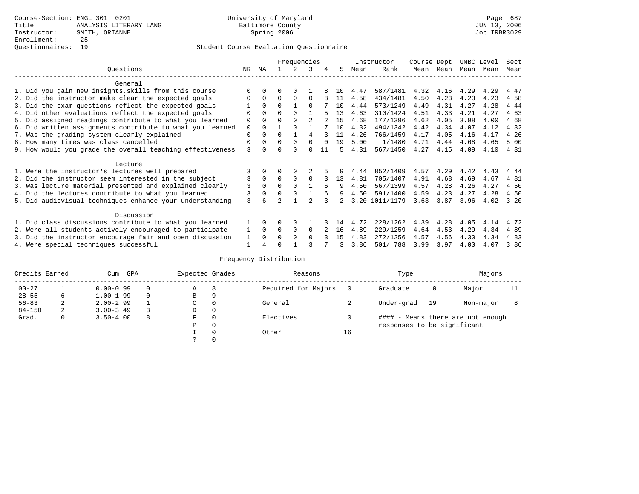|                                                           |             |              |          | Frequencies |               |        |     |      | Instructor     | Course Dept |      | UMBC Level |      | Sect |
|-----------------------------------------------------------|-------------|--------------|----------|-------------|---------------|--------|-----|------|----------------|-------------|------|------------|------|------|
| Ouestions                                                 | NR.         | ΝA           |          |             | 3             |        | 5.  | Mean | Rank           | Mean        | Mean | Mean       | Mean | Mean |
| General                                                   |             |              |          |             |               |        |     |      |                |             |      |            |      |      |
| 1. Did you gain new insights, skills from this course     | $\Omega$    | $\Omega$     | O        | $\Omega$    |               |        | 1 O | 4.47 | 587/1481       | 4.32        | 4.16 | 4.29       | 4.29 | 4.47 |
| 2. Did the instructor make clear the expected goals       | O           | $\Omega$     | $\Omega$ | $\Omega$    | $\Omega$      |        | 11  | 4.58 | 434/1481       | 4.50        | 4.23 | 4.23       | 4.23 | 4.58 |
| 3. Did the exam questions reflect the expected goals      |             | $\Omega$     | $\Omega$ |             | $\Omega$      |        | 10  | 4.44 | 573/1249       | 4.49        | 4.31 | 4.27       | 4.28 | 4.44 |
| 4. Did other evaluations reflect the expected goals       | O           | $\Omega$     | $\Omega$ | $\Omega$    |               |        | 13  | 4.63 | 310/1424       | 4.51        | 4.33 | 4.21       | 4.27 | 4.63 |
| 5. Did assigned readings contribute to what you learned   | $\mathbf 0$ | $\Omega$     | $\Omega$ | $\Omega$    | $\mathcal{D}$ |        | 15  | 4.68 | 177/1396       | 4.62        | 4.05 | 3.98       | 4.00 | 4.68 |
| 6. Did written assignments contribute to what you learned | $\mathbf 0$ | $\Omega$     |          | $\cap$      |               |        | 10  | 4.32 | 494/1342       | 4.42        | 4.34 | 4.07       | 4.12 | 4.32 |
| 7. Was the grading system clearly explained               | $\Omega$    | $\Omega$     | $\Omega$ |             | 4             |        | 11  | 4.26 | 766/1459       | 4.17        | 4.05 | 4.16       | 4.17 | 4.26 |
| 8. How many times was class cancelled                     | 0           | $\Omega$     | $\Omega$ | $\Omega$    | $\Omega$      | $\cap$ | 19  | 5.00 | 1/1480         | 4.71        | 4.44 | 4.68       | 4.65 | 5.00 |
| 9. How would you grade the overall teaching effectiveness | 3           | <sup>n</sup> | U        | $\cap$      | U             | 11     | 5   | 4.31 | 567/1450       | 4.27        | 4.15 | 4.09       | 4.10 | 4.31 |
| Lecture                                                   |             |              |          |             |               |        |     |      |                |             |      |            |      |      |
| 1. Were the instructor's lectures well prepared           |             |              |          |             |               |        |     | 4.44 | 852/1409       | 4.57        | 4.29 | 4.42       | 4.43 | 4.44 |
| 2. Did the instructor seem interested in the subject      | 3           | $\Omega$     | $\Omega$ | $\Omega$    | $\Omega$      |        | 13  | 4.81 | 705/1407       | 4.91        | 4.68 | 4.69       | 4.67 | 4.81 |
| 3. Was lecture material presented and explained clearly   | 3           | $\Omega$     | $\Omega$ | $\Omega$    |               |        | 9   | 4.50 | 567/1399       | 4.57        | 4.28 | 4.26       | 4.27 | 4.50 |
| 4. Did the lectures contribute to what you learned        | 3           | $\Omega$     | $\Omega$ | $\Omega$    |               |        | 9   | 4.50 | 591/1400       | 4.59        | 4.23 | 4.27       | 4.28 | 4.50 |
| 5. Did audiovisual techniques enhance your understanding  | 3           |              |          |             |               |        |     |      | 3.20 1011/1179 | 3.63        | 3.87 | 3.96       | 4.02 | 3.20 |
|                                                           |             |              |          |             |               |        |     |      |                |             |      |            |      |      |
| Discussion                                                |             |              |          |             |               |        |     |      |                |             |      |            |      |      |
| 1. Did class discussions contribute to what you learned   |             | $\Omega$     | U        | $\Omega$    |               |        | 14  | 4.72 | 228/1262       | 4.39        | 4.28 | 4.05       | 4.14 | 4.72 |
| 2. Were all students actively encouraged to participate   |             | $\Omega$     | $\Omega$ | $\Omega$    | $\Omega$      |        | 16  | 4.89 | 229/1259       | 4.64        | 4.53 | 4.29       | 4.34 | 4.89 |
| 3. Did the instructor encourage fair and open discussion  | 1           | $\Omega$     | O        | $\Omega$    | $\Omega$      |        | 15  | 4.83 | 272/1256       | 4.57        | 4.56 | 4.30       | 4.34 | 4.83 |
| 4. Were special techniques successful                     | 1           |              |          |             |               |        | ર   | 3.86 | 501/ 788       | 3.99        | 3.97 | 4.00       | 4.07 | 3.86 |

| Credits Earned |   | Cum. GPA      |   | Expected Grades |          | Reasons             |          | Type                        |    | Majors                            |    |
|----------------|---|---------------|---|-----------------|----------|---------------------|----------|-----------------------------|----|-----------------------------------|----|
| $00 - 27$      |   | $0.00 - 0.99$ |   | А               | 8        | Required for Majors | $\Omega$ | Graduate                    | 0  | Major                             | 11 |
| $28 - 55$      | 6 | $1.00 - 1.99$ |   | В               | 9        |                     |          |                             |    |                                   |    |
| $56 - 83$      | 2 | $2.00 - 2.99$ |   | $\sim$<br>◡     | 0        | General             |          | Under-grad                  | 19 | Non-major                         |    |
| $84 - 150$     | 2 | $3.00 - 3.49$ |   | D               | 0        |                     |          |                             |    |                                   |    |
| Grad.          | 0 | $3.50 - 4.00$ | 8 | F               | 0        | Electives           | 0        |                             |    | #### - Means there are not enough |    |
|                |   |               |   | Ρ               | 0        |                     |          | responses to be significant |    |                                   |    |
|                |   |               |   |                 | $\Omega$ | Other               | 16       |                             |    |                                   |    |
|                |   |               |   |                 |          |                     |          |                             |    |                                   |    |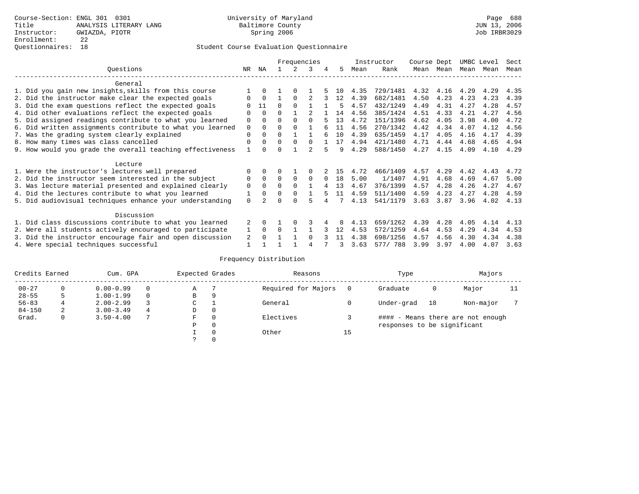|                                                           |          |          |          |          | Frequencies   |          |    |      | Instructor | Course Dept |           |      | UMBC Level | Sect |
|-----------------------------------------------------------|----------|----------|----------|----------|---------------|----------|----|------|------------|-------------|-----------|------|------------|------|
| Ouestions                                                 | NR.      | ΝA       |          | 2        | 3             | 4        | 5. | Mean | Rank       |             | Mean Mean | Mean | Mean       | Mean |
| General                                                   |          |          |          |          |               |          |    |      |            |             |           |      |            |      |
| 1. Did you gain new insights, skills from this course     |          | $\Omega$ |          | $\Omega$ |               |          | 10 | 4.35 | 729/1481   | 4.32        | 4.16      | 4.29 | 4.29       | 4.35 |
| 2. Did the instructor make clear the expected goals       |          | $\Omega$ |          | $\Omega$ |               |          | 12 | 4.39 | 682/1481   | 4.50        | 4.23      | 4.23 | 4.23       | 4.39 |
| 3. Did the exam questions reflect the expected goals      |          | 11       | 0        | $\Omega$ |               |          | 5  | 4.57 | 432/1249   | 4.49        | 4.31      | 4.27 | 4.28       | 4.57 |
| 4. Did other evaluations reflect the expected goals       | O        | $\Omega$ | O        |          |               |          | 14 | 4.56 | 385/1424   | 4.51        | 4.33      | 4.21 | 4.27       | 4.56 |
| 5. Did assigned readings contribute to what you learned   | 0        | $\Omega$ | 0        | $\Omega$ | $\Omega$      |          | 13 | 4.72 | 151/1396   | 4.62        | 4.05      | 3.98 | 4.00       | 4.72 |
| 6. Did written assignments contribute to what you learned | 0        | $\Omega$ | U        | $\Omega$ |               |          | 11 | 4.56 | 270/1342   | 4.42        | 4.34      | 4.07 | 4.12       | 4.56 |
| 7. Was the grading system clearly explained               | 0        | $\Omega$ | U        |          |               |          | 10 | 4.39 | 635/1459   | 4.17        | 4.05      | 4.16 | 4.17       | 4.39 |
| 8. How many times was class cancelled                     | $\Omega$ | $\Omega$ | 0        | $\Omega$ | <sup>0</sup>  |          | 17 | 4.94 | 421/1480   | 4.71        | 4.44      | 4.68 | 4.65       | 4.94 |
| 9. How would you grade the overall teaching effectiveness |          | $\cap$   |          |          | $\mathcal{D}$ |          | q  | 4.29 | 588/1450   | 4.27        | 4.15      | 4.09 | 4.10       | 4.29 |
| Lecture                                                   |          |          |          |          |               |          |    |      |            |             |           |      |            |      |
| 1. Were the instructor's lectures well prepared           | O        |          |          |          |               |          | 15 | 4.72 | 466/1409   | 4.57        | 4.29      | 4.42 | 4.43       | 4.72 |
| 2. Did the instructor seem interested in the subject      | 0        | $\Omega$ | $\Omega$ | $\Omega$ | $\Omega$      | $\Omega$ | 18 | 5.00 | 1/1407     | 4.91        | 4.68      | 4.69 | 4.67       | 5.00 |
| 3. Was lecture material presented and explained clearly   | 0        | $\Omega$ | 0        | $\Omega$ |               |          | 13 | 4.67 | 376/1399   | 4.57        | 4.28      | 4.26 | 4.27       | 4.67 |
| 4. Did the lectures contribute to what you learned        |          | $\Omega$ |          | $\Omega$ |               |          | 11 | 4.59 | 511/1400   | 4.59        | 4.23      | 4.27 | 4.28       | 4.59 |
| 5. Did audiovisual techniques enhance your understanding  | $\Omega$ |          |          | U        |               |          |    | 4.13 | 541/1179   | 3.63        | 3.87      | 3.96 | 4.02       | 4.13 |
| Discussion                                                |          |          |          |          |               |          |    |      |            |             |           |      |            |      |
| 1. Did class discussions contribute to what you learned   |          | 0        |          |          |               |          |    | 4.13 | 659/1262   | 4.39        | 4.28      | 4.05 | 4.14       | 4.13 |
| 2. Were all students actively encouraged to participate   |          | $\Omega$ | U        |          |               |          | 12 | 4.53 | 572/1259   | 4.64        | 4.53      | 4.29 | 4.34       | 4.53 |
| 3. Did the instructor encourage fair and open discussion  | 2        |          |          |          | <sup>0</sup>  |          | 11 | 4.38 | 698/1256   | 4.57        | 4.56      | 4.30 | 4.34       | 4.38 |
| 4. Were special techniques successful                     |          |          |          |          |               |          | 3  | 3.63 | 577/ 788   | 3.99        | 3.97      | 4.00 | 4.07       | 3.63 |

| Credits Earned |   | Cum. GPA      |          | Expected Grades |          | Reasons             |    | Type                        |    | Majors                            |    |
|----------------|---|---------------|----------|-----------------|----------|---------------------|----|-----------------------------|----|-----------------------------------|----|
| $00 - 27$      |   | $0.00 - 0.99$ | $\Omega$ | Α               |          | Required for Majors |    | Graduate                    | 0  | Major                             | 11 |
| $28 - 55$      |   | $1.00 - 1.99$ | $\Omega$ | В               | 9        |                     |    |                             |    |                                   |    |
| $56 - 83$      | 4 | $2.00 - 2.99$ | 3        | С               |          | General             |    | Under-grad                  | 18 | Non-major                         |    |
| $84 - 150$     | 2 | $3.00 - 3.49$ | 4        | D               | 0        |                     |    |                             |    |                                   |    |
| Grad.          | 0 | $3.50 - 4.00$ |          | F               | 0        | Electives           |    |                             |    | #### - Means there are not enough |    |
|                |   |               |          | Ρ               | 0        |                     |    | responses to be significant |    |                                   |    |
|                |   |               |          |                 | $\Omega$ | Other               | 15 |                             |    |                                   |    |
|                |   |               |          | っ               | 0        |                     |    |                             |    |                                   |    |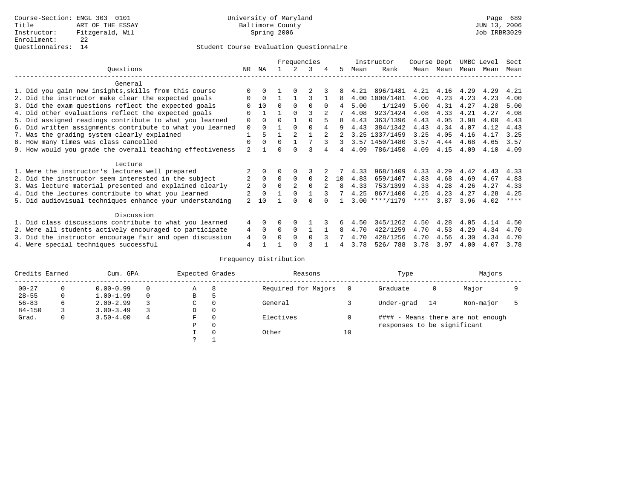|                                                           |                |          |          |                | Frequencies |          |    |      | Instructor       | Course Dept |           | UMBC Level |      | Sect        |
|-----------------------------------------------------------|----------------|----------|----------|----------------|-------------|----------|----|------|------------------|-------------|-----------|------------|------|-------------|
| Ouestions                                                 | NR.            | ΝA       |          |                | 3           | 4        | 5. | Mean | Rank             |             | Mean Mean | Mean       | Mean | Mean        |
| General                                                   |                |          |          |                |             |          |    |      |                  |             |           |            |      |             |
| 1. Did you gain new insights, skills from this course     |                | 0        |          | $\Omega$       |             |          |    | 4.21 | 896/1481         | 4.21        | 4.16      | 4.29       | 4.29 | 4.21        |
| 2. Did the instructor make clear the expected goals       | U              | $\Omega$ |          |                |             |          | 8  | 4.00 | 1000/1481        | 4.00        | 4.23      | 4.23       | 4.23 | 4.00        |
| 3. Did the exam questions reflect the expected goals      |                | 10       | $\Omega$ | $\Omega$       | $\Omega$    | $\Omega$ | 4  | 5.00 | 1/1249           | 5.00        | 4.31      | 4.27       | 4.28 | 5.00        |
| 4. Did other evaluations reflect the expected goals       | O              |          |          | $\Omega$       | ς           |          |    | 4.08 | 923/1424         | 4.08        | 4.33      | 4.21       | 4.27 | 4.08        |
| 5. Did assigned readings contribute to what you learned   | $\mathbf 0$    | $\Omega$ | $\Omega$ |                | $\Omega$    |          |    | 4.43 | 363/1396         | 4.43        | 4.05      | 3.98       | 4.00 | 4.43        |
| 6. Did written assignments contribute to what you learned | $\mathbf 0$    | $\Omega$ |          | $\Omega$       | $\Omega$    |          |    | 4.43 | 384/1342         | 4.43        | 4.34      | 4.07       | 4.12 | 4.43        |
| 7. Was the grading system clearly explained               |                | 5        |          | $\mathcal{D}$  |             |          |    | 3.25 | 1337/1459        | 3.25        | 4.05      | 4.16       | 4.17 | 3.25        |
| 8. How many times was class cancelled                     | $\Omega$       | $\Omega$ | $\Omega$ |                |             |          | 3  |      | 3.57 1450/1480   | 3.57        | 4.44      | 4.68       | 4.65 | 3.57        |
| 9. How would you grade the overall teaching effectiveness | $\mathfrak{D}$ |          | ∩        | ∩              | ς           |          |    | 4.09 | 786/1450         | 4.09        | 4.15      | 4.09       | 4.10 | 4.09        |
| Lecture                                                   |                |          |          |                |             |          |    |      |                  |             |           |            |      |             |
| 1. Were the instructor's lectures well prepared           |                |          |          |                |             |          |    | 4.33 | 968/1409         | 4.33        | 4.29      | 4.42       | 4.43 | 4.33        |
| 2. Did the instructor seem interested in the subject      | 2              | $\Omega$ | $\Omega$ | $\Omega$       | $\Omega$    |          | 10 | 4.83 | 659/1407         | 4.83        | 4.68      | 4.69       | 4.67 | 4.83        |
| 3. Was lecture material presented and explained clearly   | 2              | $\Omega$ | $\Omega$ | $\mathfrak{D}$ | $\Omega$    |          | 8  | 4.33 | 753/1399         | 4.33        | 4.28      | 4.26       | 4.27 | 4.33        |
| 4. Did the lectures contribute to what you learned        |                | $\Omega$ |          | $\Omega$       |             |          |    | 4.25 | 867/1400         | 4.25        | 4.23      | 4.27       | 4.28 | 4.25        |
| 5. Did audiovisual techniques enhance your understanding  | $\mathfrak{D}$ | 10       |          |                |             |          |    |      | $3.00$ ****/1179 | ****        | 3.87      | 3.96       | 4.02 | $***$ * * * |
| Discussion                                                |                |          |          |                |             |          |    |      |                  |             |           |            |      |             |
| 1. Did class discussions contribute to what you learned   | 4              | $\Omega$ | 0        | $\Omega$       |             |          |    | 4.50 | 345/1262         | 4.50        | 4.28      | 4.05       | 4.14 | 4.50        |
| 2. Were all students actively encouraged to participate   | 4              | $\Omega$ | $\Omega$ | $\Omega$       |             |          | 8  | 4.70 | 422/1259         | 4.70        | 4.53      | 4.29       | 4.34 | 4.70        |
| 3. Did the instructor encourage fair and open discussion  | 4              | $\Omega$ | 0        | $\Omega$       | $\Omega$    |          |    | 4.70 | 428/1256         | 4.70        | 4.56      | 4.30       | 4.34 | 4.70        |
| 4. Were special techniques successful                     | 4              |          |          |                |             |          |    | 3.78 | 526/788          | 3.78        | 3.97      | 4.00       | 4.07 | 3.78        |

| Credits Earned |              | Cum. GPA      |          | Expected Grades |          | Reasons             |    | Type                        |    | Majors                            |  |
|----------------|--------------|---------------|----------|-----------------|----------|---------------------|----|-----------------------------|----|-----------------------------------|--|
| $00 - 27$      |              | $0.00 - 0.99$ |          | Α               | 8        | Required for Majors |    | Graduate                    | 0  | Major                             |  |
| $28 - 55$      | 0            | $1.00 - 1.99$ | $\Omega$ | В               | Þ        |                     |    |                             |    |                                   |  |
| $56 - 83$      | 6            | $2.00 - 2.99$ |          | C.              | $\Omega$ | General             |    | Under-grad                  | 14 | Non-major                         |  |
| $84 - 150$     |              | $3.00 - 3.49$ |          | D               | 0        |                     |    |                             |    |                                   |  |
| Grad.          | $\mathbf{0}$ | $3.50 - 4.00$ | 4        | F               | $\Omega$ | Electives           |    |                             |    | #### - Means there are not enough |  |
|                |              |               |          | Ρ               | 0        |                     |    | responses to be significant |    |                                   |  |
|                |              |               |          |                 | $\Omega$ | Other               | 10 |                             |    |                                   |  |
|                |              |               |          |                 |          |                     |    |                             |    |                                   |  |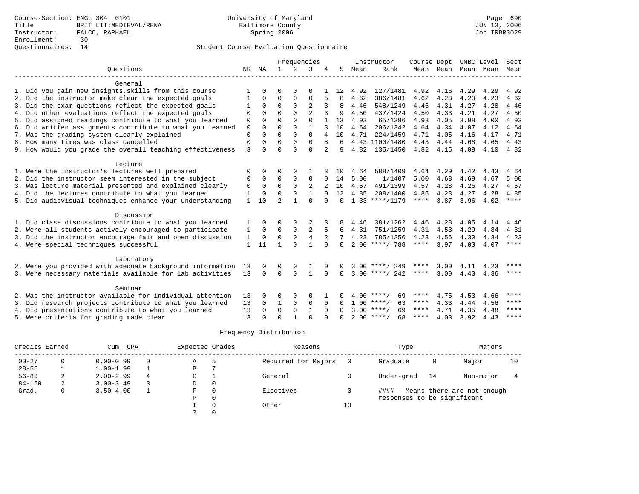|                                                           |              |              |               |             | Frequencies    |                |              |      | Instructor         | Course Dept |      |      | UMBC Level               | Sect        |
|-----------------------------------------------------------|--------------|--------------|---------------|-------------|----------------|----------------|--------------|------|--------------------|-------------|------|------|--------------------------|-------------|
| Ouestions                                                 |              | NR NA        | $\mathbf{1}$  | 2           | 3              |                | 5            | Mean | Rank               |             |      |      | Mean Mean Mean Mean Mean |             |
|                                                           |              |              |               |             |                |                |              |      |                    |             |      |      |                          |             |
| General                                                   |              |              |               |             |                |                |              |      |                    |             |      |      |                          |             |
| 1. Did you gain new insights, skills from this course     |              | U            | U             | $\Omega$    | $\Omega$       |                | 12           | 4.92 | 127/1481           | 4.92        | 4.16 | 4.29 | 4.29                     | 4.92        |
| 2. Did the instructor make clear the expected goals       |              | 0            | $\Omega$      | 0           | $\Omega$       | 5              | R            | 4.62 | 386/1481           | 4.62        | 4.23 | 4.23 | 4.23                     | 4.62        |
| 3. Did the exam questions reflect the expected goals      | 1            | $\Omega$     | $\Omega$      | $\Omega$    | $\overline{2}$ | 3              | R            | 4.46 | 548/1249           | 4.46        | 4.31 | 4.27 | 4.28                     | 4.46        |
| 4. Did other evaluations reflect the expected goals       | $\Omega$     | $\Omega$     | $\Omega$      | $\Omega$    | $\overline{a}$ | 3              | 9            | 4.50 | 437/1424           | 4.50        | 4.33 | 4.21 | 4.27                     | 4.50        |
| 5. Did assigned readings contribute to what you learned   | 0            | $\Omega$     | $\Omega$      | $\Omega$    | $\Omega$       |                | 13           | 4.93 | 65/1396            | 4.93        | 4.05 | 3.98 | 4.00                     | 4.93        |
| 6. Did written assignments contribute to what you learned | 0            | $\Omega$     | $\Omega$      | $\Omega$    | 1              |                | 10           | 4.64 | 206/1342           | 4.64        | 4.34 | 4.07 | 4.12                     | 4.64        |
| 7. Was the grading system clearly explained               | $\mathbf 0$  | $\Omega$     | $\Omega$      | $\Omega$    | $\Omega$       | 4              | 10           | 4.71 | 224/1459           | 4.71        | 4.05 | 4.16 | 4.17                     | 4.71        |
| 8. How many times was class cancelled                     | $\mathbf{0}$ | <sup>0</sup> | $\Omega$      | $\Omega$    | $\Omega$       | 8              | 6            |      | 4.43 1100/1480     | 4.43        | 4.44 | 4.68 | 4.65                     | 4.43        |
| 9. How would you grade the overall teaching effectiveness | 3            | $\Omega$     | $\Omega$      | $\Omega$    | $\Omega$       | $\mathfrak{D}$ | 9            | 4.82 | 135/1450           | 4.82        | 4.15 | 4.09 | 4.10                     | 4.82        |
| Lecture                                                   |              |              |               |             |                |                |              |      |                    |             |      |      |                          |             |
| 1. Were the instructor's lectures well prepared           | 0            | 0            | O             | 0           |                |                | 10           | 4.64 | 588/1409           | 4.64        | 4.29 | 4.42 | 4.43                     | 4.64        |
| 2. Did the instructor seem interested in the subject      | 0            | $\Omega$     | 0             | 0           | $\mathbf 0$    | 0              | 14           | 5.00 | 1/1407             | 5.00        | 4.68 | 4.69 | 4.67                     | 5.00        |
| 3. Was lecture material presented and explained clearly   | $\mathbf 0$  | 0            | 0             | $\mathbf 0$ | 2              |                | 10           | 4.57 | 491/1399           | 4.57        | 4.28 | 4.26 | 4.27                     | 4.57        |
| 4. Did the lectures contribute to what you learned        | $\mathbf{1}$ | $\Omega$     | $\Omega$      | $\Omega$    | $\mathbf{1}$   | $\Omega$       | 12           | 4.85 | 208/1400           | 4.85        | 4.23 | 4.27 | 4.28                     | 4.85        |
| 5. Did audiovisual techniques enhance your understanding  | $\mathbf{1}$ | 10           | $\mathcal{D}$ |             | $\Omega$       | $\cap$         | $\Omega$     |      | $1.33$ ****/1179   | ****        | 3.87 | 3.96 | 4.02                     | $***$ * * * |
|                                                           |              |              |               |             |                |                |              |      |                    |             |      |      |                          |             |
| Discussion                                                |              |              |               |             |                |                |              |      |                    |             |      |      |                          |             |
| 1. Did class discussions contribute to what you learned   |              | 0            | 0             | O           | 2              |                | 8            | 4.46 | 381/1262           | 4.46        | 4.28 | 4.05 | 4.14                     | 4.46        |
| 2. Were all students actively encouraged to participate   | 1            | $\Omega$     | 0             | 0           | $\overline{2}$ | 5              | 6            | 4.31 | 751/1259           | 4.31        | 4.53 | 4.29 | 4.34                     | 4.31        |
| 3. Did the instructor encourage fair and open discussion  | 1            | $\Omega$     | $\Omega$      | $\Omega$    | $\overline{4}$ | $\overline{2}$ |              | 4.23 | 785/1256           | 4.23        | 4.56 | 4.30 | 4.34                     | 4.23        |
| 4. Were special techniques successful                     | $\mathbf{1}$ | 11           | 1             | $\Omega$    | $\mathbf{1}$   | $\Omega$       | <sup>0</sup> |      | $2.00$ ****/ 788   | $***$ * * * | 3.97 | 4.00 | 4.07                     | ****        |
|                                                           |              |              |               |             |                |                |              |      |                    |             |      |      |                          |             |
| Laboratory                                                |              |              |               |             |                |                |              |      |                    |             |      |      |                          | ****        |
| 2. Were you provided with adequate background information | 13           | $\Omega$     | 0             | $\Omega$    |                |                |              | 3.00 | $***/249$          | ****        | 3.00 | 4.11 | 4.23                     | $***$ *     |
| 3. Were necessary materials available for lab activities  | 13           | $\Omega$     | $\Omega$      | $\Omega$    | $\mathbf{1}$   | $\Omega$       | $\Omega$     |      | $3.00$ ****/ 242   | ****        | 3.00 | 4.40 | 4.36                     |             |
| Seminar                                                   |              |              |               |             |                |                |              |      |                    |             |      |      |                          |             |
| 2. Was the instructor available for individual attention  | 13           | <sup>0</sup> | O             | $\Omega$    | $\Omega$       |                |              |      | $4.00$ ****/<br>69 | ****        | 4.75 | 4.53 | 4.66                     | ****        |
| 3. Did research projects contribute to what you learned   | 13           | $\Omega$     | 1             | $\Omega$    | $\mathbf 0$    | $\Omega$       | <sup>0</sup> |      | $1.00$ ****/<br>63 | ****        | 4.33 | 4.44 | 4.56                     | ****        |
| 4. Did presentations contribute to what you learned       | 13           | 0            | 0             | $\Omega$    | $\mathbf{1}$   | $\Omega$       |              |      | $3.00$ ****/<br>69 | ****        | 4.71 | 4.35 | 4.48                     | ****        |
| 5. Were criteria for grading made clear                   | 13           | U            | $\Omega$      |             | $\Omega$       |                | <sup>0</sup> |      | $2.00$ ****/<br>68 | ****        | 4.03 | 3.92 | 4.43                     | $* * * * *$ |

| Credits Earned |   | Cum. GPA      |          | Expected Grades |              | Reasons             |    | Type                        |    | Majors                            |    |
|----------------|---|---------------|----------|-----------------|--------------|---------------------|----|-----------------------------|----|-----------------------------------|----|
| $00 - 27$      |   | $0.00 - 0.99$ | $\Omega$ | A               |              | Required for Majors |    | Graduate                    | 0  | Major                             | 10 |
| $28 - 55$      |   | $1.00 - 1.99$ |          | B               |              |                     |    |                             |    |                                   |    |
| $56 - 83$      |   | $2.00 - 2.99$ | 4        | С               |              | General             |    | Under-grad                  | 14 | Non-major                         |    |
| $84 - 150$     |   | $3.00 - 3.49$ |          | D               | $\mathbf{0}$ |                     |    |                             |    |                                   |    |
| Grad.          | 0 | $3.50 - 4.00$ |          | F               | 0            | Electives           |    |                             |    | #### - Means there are not enough |    |
|                |   |               |          | Ρ               | 0            |                     |    | responses to be significant |    |                                   |    |
|                |   |               |          |                 | $\Omega$     | Other               | 13 |                             |    |                                   |    |
|                |   |               |          |                 | $\Omega$     |                     |    |                             |    |                                   |    |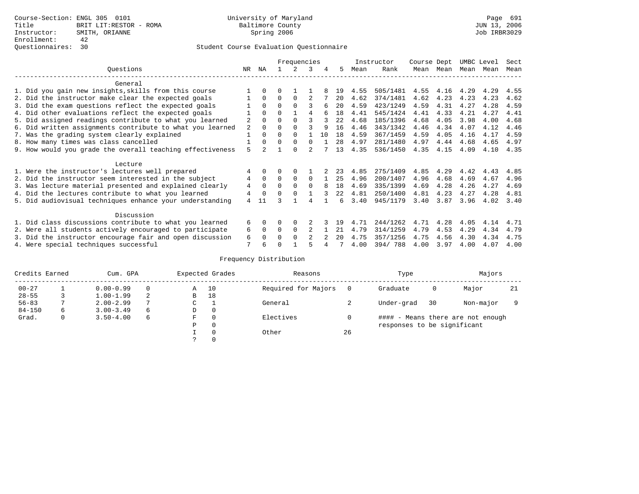## Questionnaires: 30 Student Course Evaluation Questionnaire

|                                                           |     |          |          | Frequencies |                |    |      |      | Instructor | Course Dept |      | UMBC Level |      | Sect |
|-----------------------------------------------------------|-----|----------|----------|-------------|----------------|----|------|------|------------|-------------|------|------------|------|------|
| Ouestions                                                 | NR. | ΝA       |          |             | 3              | 4  | 5    | Mean | Rank       | Mean        | Mean | Mean       | Mean | Mean |
| General                                                   |     |          |          |             |                |    |      |      |            |             |      |            |      |      |
| 1. Did you gain new insights, skills from this course     |     | $\Omega$ | 0        |             |                |    | 19   | 4.55 | 505/1481   | 4.55        | 4.16 | 4.29       | 4.29 | 4.55 |
| 2. Did the instructor make clear the expected goals       |     | $\Omega$ | $\Omega$ | $\Omega$    |                |    | 20   | 4.62 | 374/1481   | 4.62        | 4.23 | 4.23       | 4.23 | 4.62 |
| 3. Did the exam questions reflect the expected goals      |     | $\Omega$ | O        | $\Omega$    | ς              |    | 20   | 4.59 | 423/1249   | 4.59        | 4.31 | 4.27       | 4.28 | 4.59 |
| 4. Did other evaluations reflect the expected goals       |     | $\Omega$ | 0        |             | 4              |    | 18   | 4.41 | 545/1424   | 4.41        | 4.33 | 4.21       | 4.27 | 4.41 |
| 5. Did assigned readings contribute to what you learned   | 2   | $\Omega$ |          | $\Omega$    |                |    | 2.2. | 4.68 | 185/1396   | 4.68        | 4.05 | 3.98       | 4.00 | 4.68 |
| 6. Did written assignments contribute to what you learned | 2   | $\Omega$ |          |             |                | q  | 16   | 4.46 | 343/1342   | 4.46        | 4.34 | 4.07       | 4.12 | 4.46 |
| 7. Was the grading system clearly explained               |     | $\Omega$ | O        | $\Omega$    |                | 10 | 18   | 4.59 | 367/1459   | 4.59        | 4.05 | 4.16       | 4.17 | 4.59 |
| 8. How many times was class cancelled                     |     | $\Omega$ | $\Omega$ | $\Omega$    | 0              |    | 28   | 4.97 | 281/1480   | 4.97        | 4.44 | 4.68       | 4.65 | 4.97 |
| 9. How would you grade the overall teaching effectiveness | 5   |          |          | $\cap$      | $\mathfrak{D}$ |    | 13   | 4.35 | 536/1450   | 4.35        | 4.15 | 4.09       | 4.10 | 4.35 |
| Lecture                                                   |     |          |          |             |                |    |      |      |            |             |      |            |      |      |
| 1. Were the instructor's lectures well prepared           | 4   |          |          |             |                |    | 23   | 4.85 | 275/1409   | 4.85        | 4.29 | 4.42       | 4.43 | 4.85 |
| 2. Did the instructor seem interested in the subject      | 4   | $\Omega$ | $\Omega$ | $\Omega$    | $\Omega$       |    | 25   | 4.96 | 200/1407   | 4.96        | 4.68 | 4.69       | 4.67 | 4.96 |
| 3. Was lecture material presented and explained clearly   | 4   | $\Omega$ | U        | $\Omega$    | $\Omega$       | 8  | 18   | 4.69 | 335/1399   | 4.69        | 4.28 | 4.26       | 4.27 | 4.69 |
| 4. Did the lectures contribute to what you learned        | 4   | $\Omega$ | $\Omega$ | $\Omega$    |                |    | 22   | 4.81 | 250/1400   | 4.81        | 4.23 | 4.27       | 4.28 | 4.81 |
| 5. Did audiovisual techniques enhance your understanding  | 4   | 11       |          |             |                |    | б.   | 3.40 | 945/1179   | 3.40        | 3.87 | 3.96       | 4.02 | 3.40 |
| Discussion                                                |     |          |          |             |                |    |      |      |            |             |      |            |      |      |
| 1. Did class discussions contribute to what you learned   | 6   | $\Omega$ |          | $\Omega$    |                |    | 19   | 4.71 | 244/1262   | 4.71        | 4.28 | 4.05       | 4.14 | 4.71 |
| 2. Were all students actively encouraged to participate   | 6   | $\Omega$ | $\Omega$ | $\Omega$    |                |    | 21   | 4.79 | 314/1259   | 4.79        | 4.53 | 4.29       | 4.34 | 4.79 |
| 3. Did the instructor encourage fair and open discussion  | 6   | $\Omega$ | U        | $\Omega$    | $\mathfrak{D}$ |    | 20   | 4.75 | 357/1256   | 4.75        | 4.56 | 4.30       | 4.34 | 4.75 |
| 4. Were special techniques successful                     | 7   | 6        |          |             |                |    |      | 4.00 | 394/788    | 4.00        | 3.97 | 4.00       | 4.07 | 4.00 |

| Credits Earned |   | Cum. GPA      |   |               | Expected Grades | Reasons             |    | Type                        |    | Majors                            |     |
|----------------|---|---------------|---|---------------|-----------------|---------------------|----|-----------------------------|----|-----------------------------------|-----|
| $00 - 27$      |   | $0.00 - 0.99$ |   | Α             | 10              | Required for Majors |    | Graduate                    | 0  | Major                             | -21 |
| $28 - 55$      |   | $1.00 - 1.99$ | 2 | B             | 18              |                     |    |                             |    |                                   |     |
| $56 - 83$      |   | $2.00 - 2.99$ | 7 | $\sim$<br>◡   |                 | General             |    | Under-grad                  | 30 | Non-major                         |     |
| $84 - 150$     | 6 | $3.00 - 3.49$ | 6 | D             | 0               |                     |    |                             |    |                                   |     |
| Grad.          | 0 | $3.50 - 4.00$ | 6 | F             | 0               | Electives           |    |                             |    | #### - Means there are not enough |     |
|                |   |               |   | Ρ             | 0               |                     |    | responses to be significant |    |                                   |     |
|                |   |               |   |               | $\mathbf 0$     | Other               | 26 |                             |    |                                   |     |
|                |   |               |   | $\mathcal{L}$ |                 |                     |    |                             |    |                                   |     |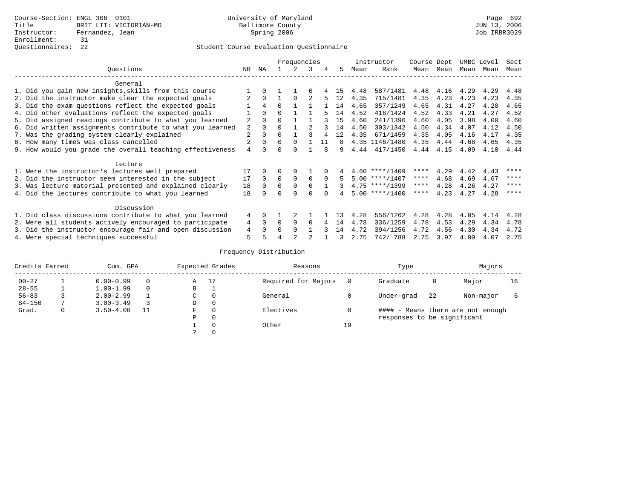|                                                           |                |          |          | Frequencies |          |              |    |      | Instructor       | Course Dept |      | UMBC Level |      | Sect |
|-----------------------------------------------------------|----------------|----------|----------|-------------|----------|--------------|----|------|------------------|-------------|------|------------|------|------|
| Ouestions                                                 | NR             | ΝA       |          |             | ર        | 4            | 5. | Mean | Rank             | Mean        | Mean | Mean       | Mean | Mean |
| General                                                   |                |          |          |             |          |              |    |      |                  |             |      |            |      |      |
| 1. Did you gain new insights, skills from this course     |                |          |          |             |          |              | 15 | 4.48 | 587/1481         | 4.48        | 4.16 | 4.29       | 4.29 | 4.48 |
| 2. Did the instructor make clear the expected goals       |                | $\Omega$ |          | $\Omega$    |          |              | 12 | 4.35 | 715/1481         | 4.35        | 4.23 | 4.23       | 4.23 | 4.35 |
| 3. Did the exam questions reflect the expected goals      |                | 4        | $\cap$   |             |          |              | 14 | 4.65 | 357/1249         | 4.65        | 4.31 | 4.27       | 4.28 | 4.65 |
| 4. Did other evaluations reflect the expected goals       |                | $\Omega$ | 0        |             |          |              | 14 | 4.52 | 416/1424         | 4.52        | 4.33 | 4.21       | 4.27 | 4.52 |
| 5. Did assigned readings contribute to what you learned   |                | $\Omega$ | $\cap$   |             |          |              | 15 | 4.60 | 241/1396         | 4.60        | 4.05 | 3.98       | 4.00 | 4.60 |
| 6. Did written assignments contribute to what you learned | 2              | $\Omega$ | U        |             |          |              | 14 | 4.50 | 303/1342         | 4.50        | 4.34 | 4.07       | 4.12 | 4.50 |
| 7. Was the grading system clearly explained               | 2              | $\Omega$ | $\cap$   |             |          |              | 12 | 4.35 | 671/1459         | 4.35        | 4.05 | 4.16       | 4.17 | 4.35 |
| 8. How many times was class cancelled                     | $\overline{a}$ | $\Omega$ | 0        | $\Omega$    |          | 11           | 8  |      | 4.35 1146/1480   | 4.35        | 4.44 | 4.68       | 4.65 | 4.35 |
| 9. How would you grade the overall teaching effectiveness | 4              | $\Omega$ | 0        | $\cap$      |          | 8            | 9. | 4.44 | 417/1450         | 4.44        | 4.15 | 4.09       | 4.10 | 4.44 |
| Lecture                                                   |                |          |          |             |          |              |    |      |                  |             |      |            |      |      |
| 1. Were the instructor's lectures well prepared           | 17             | 0        | $\Omega$ | $\Omega$    |          |              |    |      | $4.60$ ****/1409 | ****        | 4.29 | 4.42       | 4.43 | **** |
| 2. Did the instructor seem interested in the subject      | 17             | $\Omega$ | $\Omega$ | $\Omega$    | $\Omega$ | $\Omega$     | 5. |      | $5.00$ ****/1407 | ****        | 4.68 | 4.69       | 4.67 | **** |
| 3. Was lecture material presented and explained clearly   | 18             | $\Omega$ | $\Omega$ | $\Omega$    | $\Omega$ |              |    |      | $4.75$ ****/1399 | $***$ * *   | 4.28 | 4.26       | 4.27 | **** |
| 4. Did the lectures contribute to what you learned        | 18             |          | 0        | $\cap$      | $\cap$   | <sup>n</sup> |    |      | $5.00$ ****/1400 | ****        | 4.23 | 4.27       | 4.28 | **** |
| Discussion                                                |                |          |          |             |          |              |    |      |                  |             |      |            |      |      |
| 1. Did class discussions contribute to what you learned   | 4              | $\Omega$ |          |             |          |              | 13 | 4.28 | 556/1262         | 4.28        | 4.28 | 4.05       | 4.14 | 4.28 |
| 2. Were all students actively encouraged to participate   | 4              | $\Omega$ | $\Omega$ | $\Omega$    | $\Omega$ |              | 14 | 4.78 | 336/1259         | 4.78        | 4.53 | 4.29       | 4.34 | 4.78 |
| 3. Did the instructor encourage fair and open discussion  | 4              | $\Omega$ | 0        | $\Omega$    |          |              | 14 | 4.72 | 394/1256         | 4.72        | 4.56 | 4.30       | 4.34 | 4.72 |
| 4. Were special techniques successful                     | 5              |          |          |             |          |              | 3  | 2.75 | 742/ 788         | 2.75        | 3.97 | 4.00       | 4.07 | 2.75 |

| Credits Earned |   | Cum. GPA      |    |    | Expected Grades | Reasons             |    | Type                        |    | Majors                            |    |
|----------------|---|---------------|----|----|-----------------|---------------------|----|-----------------------------|----|-----------------------------------|----|
| $00 - 27$      |   | $0.00 - 0.99$ |    | Α  | 17              | Required for Majors |    | Graduate                    | 0  | Major                             | 16 |
| $28 - 55$      |   | $1.00 - 1.99$ |    | В  |                 |                     |    |                             |    |                                   |    |
| $56 - 83$      |   | $2.00 - 2.99$ |    | C. | 0               | General             |    | Under-grad                  | 22 | Non-major                         |    |
| $84 - 150$     |   | $3.00 - 3.49$ |    | D  | 0               |                     |    |                             |    |                                   |    |
| Grad.          | 0 | $3.50 - 4.00$ | 11 | F  | $\Omega$        | Electives           |    |                             |    | #### - Means there are not enough |    |
|                |   |               |    | P  | $\Omega$        |                     |    | responses to be significant |    |                                   |    |
|                |   |               |    |    | $\Omega$        | Other               | 19 |                             |    |                                   |    |
|                |   |               |    |    |                 |                     |    |                             |    |                                   |    |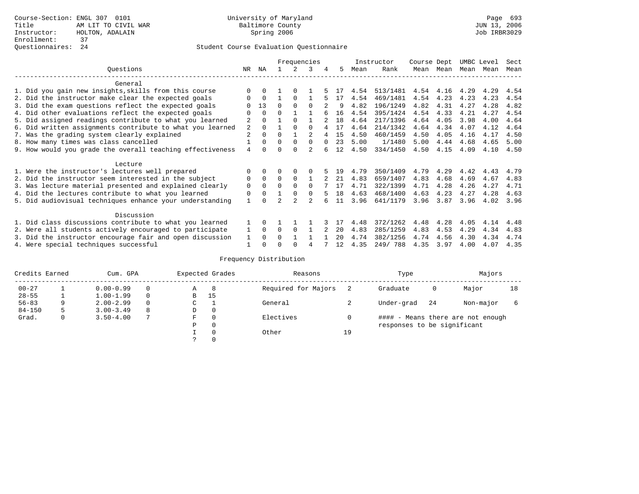|                                                           |                |          |          |          | Frequencies |   |     |      | Instructor | Course Dept |           | UMBC Level |      | Sect |
|-----------------------------------------------------------|----------------|----------|----------|----------|-------------|---|-----|------|------------|-------------|-----------|------------|------|------|
| Ouestions                                                 | NR.            | ΝA       |          |          | 3           | 4 | 5.  | Mean | Rank       |             | Mean Mean | Mean Mean  |      | Mean |
| General                                                   |                |          |          |          |             |   |     |      |            |             |           |            |      |      |
| 1. Did you gain new insights, skills from this course     |                |          |          |          |             |   |     | 4.54 | 513/1481   | 4.54        | 4.16      | 4.29       | 4.29 | 4.54 |
| 2. Did the instructor make clear the expected goals       | U              | $\Omega$ |          | $\Omega$ |             |   |     | 4.54 | 469/1481   | 4.54        | 4.23      | 4.23       | 4.23 | 4.54 |
| 3. Did the exam questions reflect the expected goals      |                | 13       | $\Omega$ | $\Omega$ | $\Omega$    |   | 9   | 4.82 | 196/1249   | 4.82        | 4.31      | 4.27       | 4.28 | 4.82 |
| 4. Did other evaluations reflect the expected goals       |                | $\Omega$ | $\Omega$ |          |             |   | 16  | 4.54 | 395/1424   | 4.54        | 4.33      | 4.21       | 4.27 | 4.54 |
| 5. Did assigned readings contribute to what you learned   |                | $\Omega$ |          | $\Omega$ |             |   | 1.8 | 4.64 | 217/1396   | 4.64        | 4.05      | 3.98       | 4.00 | 4.64 |
| 6. Did written assignments contribute to what you learned | 2              | $\Omega$ |          | $\Omega$ | $\Omega$    |   | 17  | 4.64 | 214/1342   | 4.64        | 4.34      | 4.07       | 4.12 | 4.64 |
| 7. Was the grading system clearly explained               | $\overline{2}$ | $\Omega$ | $\Omega$ |          |             |   | 15  | 4.50 | 460/1459   | 4.50        | 4.05      | 4.16       | 4.17 | 4.50 |
| 8. How many times was class cancelled                     |                | $\Omega$ | 0        | $\Omega$ |             |   | 23  | 5.00 | 1/1480     | 5.00        | 4.44      | 4.68       | 4.65 | 5.00 |
| 9. How would you grade the overall teaching effectiveness | 4              |          |          |          |             |   | 12  | 4.50 | 334/1450   | 4.50        | 4.15      | 4.09       | 4.10 | 4.50 |
| Lecture                                                   |                |          |          |          |             |   |     |      |            |             |           |            |      |      |
| 1. Were the instructor's lectures well prepared           |                |          |          | $\Omega$ |             |   |     | 4.79 | 350/1409   | 4.79        | 4.29      | 4.42       | 4.43 | 4.79 |
| 2. Did the instructor seem interested in the subject      | 0              | $\Omega$ | $\Omega$ | $\Omega$ |             |   | 21  | 4.83 | 659/1407   | 4.83        | 4.68      | 4.69       | 4.67 | 4.83 |
| 3. Was lecture material presented and explained clearly   | 0              | $\Omega$ | 0        | $\Omega$ | $\Omega$    |   | 17  | 4.71 | 322/1399   | 4.71        | 4.28      | 4.26       | 4.27 | 4.71 |
| 4. Did the lectures contribute to what you learned        | 0              | $\Omega$ |          | $\Omega$ |             |   | 18  | 4.63 | 468/1400   | 4.63        | 4.23      | 4.27       | 4.28 | 4.63 |
| 5. Did audiovisual techniques enhance your understanding  |                |          |          |          |             |   | 11  | 3.96 | 641/1179   | 3.96        | 3.87      | 3.96       | 4.02 | 3.96 |
| Discussion                                                |                |          |          |          |             |   |     |      |            |             |           |            |      |      |
| 1. Did class discussions contribute to what you learned   |                | 0        |          |          |             |   |     | 4.48 | 372/1262   | 4.48        | 4.28      | 4.05       | 4.14 | 4.48 |
| 2. Were all students actively encouraged to participate   |                | $\Omega$ | O        | $\Omega$ |             |   | 20  | 4.83 | 285/1259   | 4.83        | 4.53      | 4.29       | 4.34 | 4.83 |
| 3. Did the instructor encourage fair and open discussion  | 1              | $\Omega$ | O        |          |             |   | 20  | 4.74 | 382/1256   | 4.74        | 4.56      | 4.30       | 4.34 | 4.74 |
| 4. Were special techniques successful                     |                |          |          |          |             |   | 12  | 4.35 | 249/788    | 4.35        | 3.97      | 4.00       | 4.07 | 4.35 |

| Credits Earned |   | Cum. GPA      |          |               | Expected Grades | Reasons             |    | Type                        |    | Majors                            |    |
|----------------|---|---------------|----------|---------------|-----------------|---------------------|----|-----------------------------|----|-----------------------------------|----|
| $00 - 27$      |   | $0.00 - 0.99$ |          | Α             | -8              | Required for Majors |    | Graduate                    | 0  | Major                             | 18 |
| $28 - 55$      |   | $1.00 - 1.99$ |          | B             | 15              |                     |    |                             |    |                                   |    |
| $56 - 83$      | 9 | $2.00 - 2.99$ | $\Omega$ | $\sim$<br>◡   |                 | General             |    | Under-grad                  | 24 | Non-major                         | 6  |
| $84 - 150$     | 5 | $3.00 - 3.49$ | 8        | D             | 0               |                     |    |                             |    |                                   |    |
| Grad.          | 0 | $3.50 - 4.00$ |          | F             | 0               | Electives           |    |                             |    | #### - Means there are not enough |    |
|                |   |               |          | Ρ             | 0               |                     |    | responses to be significant |    |                                   |    |
|                |   |               |          |               | 0               | Other               | 19 |                             |    |                                   |    |
|                |   |               |          | $\mathcal{L}$ |                 |                     |    |                             |    |                                   |    |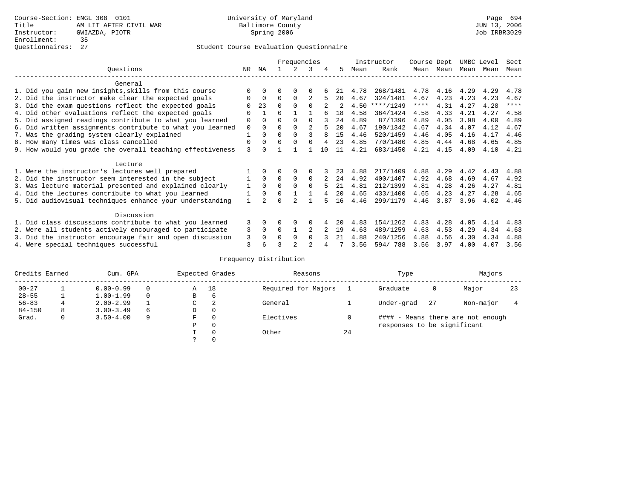|                                                           |          |              |          | Frequencies |                |    |    |      | Instructor | Course Dept |      | UMBC Level |      | Sect |
|-----------------------------------------------------------|----------|--------------|----------|-------------|----------------|----|----|------|------------|-------------|------|------------|------|------|
| Questions                                                 | NR.      | ΝA           |          |             | 3              | 4  | 5. | Mean | Rank       | Mean        | Mean | Mean       | Mean | Mean |
| General                                                   |          |              |          |             |                |    |    |      |            |             |      |            |      |      |
| 1. Did you gain new insights, skills from this course     |          | $\Omega$     | U        | $\Omega$    | O              |    |    | 4.78 | 268/1481   | 4.78        | 4.16 | 4.29       | 4.29 | 4.78 |
| 2. Did the instructor make clear the expected goals       |          | $\Omega$     | $\Omega$ | $\Omega$    | 2              |    | 20 | 4.67 | 324/1481   | 4.67        | 4.23 | 4.23       | 4.23 | 4.67 |
| 3. Did the exam questions reflect the expected goals      |          | 23           | $\Omega$ | $\Omega$    | <sup>0</sup>   |    |    | 4.50 | $***/1249$ | ****        | 4.31 | 4.27       | 4.28 | **** |
| 4. Did other evaluations reflect the expected goals       | O        |              | 0        |             |                |    | 18 | 4.58 | 364/1424   | 4.58        | 4.33 | 4.21       | 4.27 | 4.58 |
| 5. Did assigned readings contribute to what you learned   | 0        | $\Omega$     | O        | $\Omega$    | <sup>0</sup>   |    | 24 | 4.89 | 87/1396    | 4.89        | 4.05 | 3.98       | 4.00 | 4.89 |
| 6. Did written assignments contribute to what you learned | 0        | $\Omega$     |          | $\Omega$    | $\mathfrak{D}$ |    | 20 | 4.67 | 190/1342   | 4.67        | 4.34 | 4.07       | 4.12 | 4.67 |
| 7. Was the grading system clearly explained               |          | $\Omega$     |          | $\Omega$    |                |    | 15 | 4.46 | 520/1459   | 4.46        | 4.05 | 4.16       | 4.17 | 4.46 |
| 8. How many times was class cancelled                     | $\Omega$ | $\Omega$     | $\Omega$ | $\Omega$    | 0              |    | 23 | 4.85 | 770/1480   | 4.85        | 4.44 | 4.68       | 4.65 | 4.85 |
| 9. How would you grade the overall teaching effectiveness | ζ        | <sup>n</sup> |          |             |                | 10 | 11 | 4.21 | 683/1450   | 4.21        | 4.15 | 4.09       | 4.10 | 4.21 |
| Lecture                                                   |          |              |          |             |                |    |    |      |            |             |      |            |      |      |
| 1. Were the instructor's lectures well prepared           |          |              |          | $\Omega$    |                |    |    | 4.88 | 217/1409   | 4.88        | 4.29 | 4.42       | 4.43 | 4.88 |
| 2. Did the instructor seem interested in the subject      |          | $\Omega$     | $\Omega$ | $\Omega$    | $\Omega$       |    | 24 | 4.92 | 400/1407   | 4.92        | 4.68 | 4.69       | 4.67 | 4.92 |
| 3. Was lecture material presented and explained clearly   |          | $\Omega$     | 0        |             | <sup>0</sup>   |    | 21 | 4.81 | 212/1399   | 4.81        | 4.28 | 4.26       | 4.27 | 4.81 |
| 4. Did the lectures contribute to what you learned        |          | $\Omega$     | $\Omega$ |             |                |    | 20 | 4.65 | 433/1400   | 4.65        | 4.23 | 4.27       | 4.28 | 4.65 |
| 5. Did audiovisual techniques enhance your understanding  |          |              |          |             |                |    | 16 | 4.46 | 299/1179   | 4.46        | 3.87 | 3.96       | 4.02 | 4.46 |
| Discussion                                                |          |              |          |             |                |    |    |      |            |             |      |            |      |      |
| 1. Did class discussions contribute to what you learned   | 3        | $\Omega$     | O        | $\Omega$    | O              |    | 20 | 4.83 | 154/1262   | 4.83        | 4.28 | 4.05       | 4.14 | 4.83 |
| 2. Were all students actively encouraged to participate   | 3        | $\Omega$     | U        |             | 2              |    | 19 | 4.63 | 489/1259   | 4.63        | 4.53 | 4.29       | 4.34 | 4.63 |
| 3. Did the instructor encourage fair and open discussion  | 3        | $\Omega$     |          | $\Omega$    | <sup>0</sup>   |    | 21 | 4.88 | 240/1256   | 4.88        | 4.56 | 4.30       | 4.34 | 4.88 |
| 4. Were special techniques successful                     | 3        | 6            |          |             |                |    |    | 3.56 | 594/788    | 3.56        | 3.97 | 4.00       | 4.07 | 3.56 |

| Credits Earned |   | Cum. GPA      |   |               | Expected Grades | Reasons             |    | Type                        |    | Majors                            |    |
|----------------|---|---------------|---|---------------|-----------------|---------------------|----|-----------------------------|----|-----------------------------------|----|
| $00 - 27$      |   | $0.00 - 0.99$ |   | Α             | 18              | Required for Majors |    | Graduate                    | 0  | Major                             | 23 |
| $28 - 55$      |   | $1.00 - 1.99$ |   | B             | 6               |                     |    |                             |    |                                   |    |
| $56 - 83$      | 4 | $2.00 - 2.99$ |   | $\sim$<br>◡   | 2               | General             |    | Under-grad                  | 27 | Non-major                         |    |
| $84 - 150$     | 8 | $3.00 - 3.49$ | 6 | D             | 0               |                     |    |                             |    |                                   |    |
| Grad.          | 0 | $3.50 - 4.00$ | q | F             | 0               | Electives           |    |                             |    | #### - Means there are not enough |    |
|                |   |               |   | Ρ             | 0               |                     |    | responses to be significant |    |                                   |    |
|                |   |               |   |               | 0               | Other               | 24 |                             |    |                                   |    |
|                |   |               |   | $\mathcal{L}$ |                 |                     |    |                             |    |                                   |    |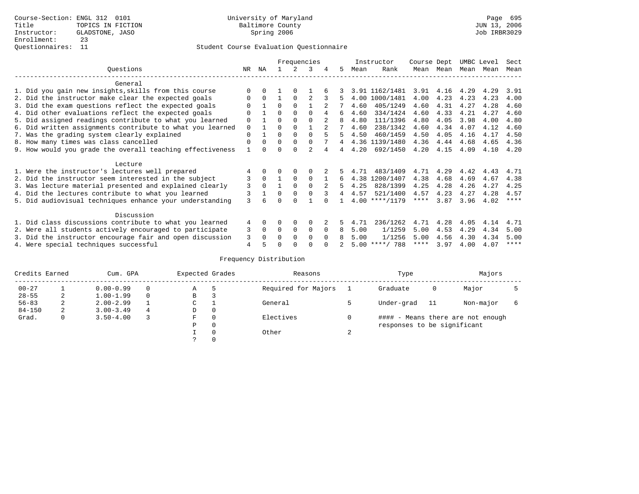## Questionnaires: 11 Student Course Evaluation Questionnaire

|                                                           |               |              |          |              | Frequencies    |          |                |      | Instructor       | Course Dept |           | UMBC Level |      | Sect        |
|-----------------------------------------------------------|---------------|--------------|----------|--------------|----------------|----------|----------------|------|------------------|-------------|-----------|------------|------|-------------|
| Ouestions                                                 | NR            | ΝA           |          | 2            | 3              | 4        | 5              | Mean | Rank             |             | Mean Mean | Mean Mean  |      | Mean        |
| General                                                   |               |              |          |              |                |          |                |      |                  |             |           |            |      |             |
| 1. Did you gain new insights, skills from this course     |               | 0            |          | $\Omega$     |                |          |                |      | 3.91 1162/1481   | 3.91        | 4.16      | 4.29       | 4.29 | 3.91        |
| 2. Did the instructor make clear the expected goals       | <sup>0</sup>  | $\Omega$     | 1        | $\Omega$     | 2              |          | 5              |      | 4.00 1000/1481   | 4.00        | 4.23      | 4.23       | 4.23 | 4.00        |
| 3. Did the exam questions reflect the expected goals      |               |              | $\Omega$ | $\Omega$     |                |          |                | 4.60 | 405/1249         | 4.60        | 4.31      | 4.27       | 4.28 | 4.60        |
| 4. Did other evaluations reflect the expected goals       |               |              | 0        | $\Omega$     |                |          | б.             | 4.60 | 334/1424         | 4.60        | 4.33      | 4.21       | 4.27 | 4.60        |
| 5. Did assigned readings contribute to what you learned   | 0             |              | 0        | $\Omega$     | $\Omega$       |          | 8              | 4.80 | 111/1396         | 4.80        | 4.05      | 3.98       | 4.00 | 4.80        |
| 6. Did written assignments contribute to what you learned | 0             |              | 0        | $\Omega$     |                |          |                | 4.60 | 238/1342         | 4.60        | 4.34      | 4.07       | 4.12 | 4.60        |
| 7. Was the grading system clearly explained               | 0             |              | 0        | $\Omega$     |                |          | 5              | 4.50 | 460/1459         | 4.50        | 4.05      | 4.16       | 4.17 | 4.50        |
| 8. How many times was class cancelled                     | 0             | $\Omega$     | $\Omega$ | $\Omega$     | $\Omega$       |          | $\overline{4}$ |      | 4.36 1139/1480   | 4.36        | 4.44      | 4.68       | 4.65 | 4.36        |
| 9. How would you grade the overall teaching effectiveness |               | <sup>n</sup> |          | <sup>n</sup> | $\mathfrak{D}$ |          | 4              | 4.20 | 692/1450         | 4.20        | 4.15      | 4.09       | 4.10 | 4.20        |
| Lecture                                                   |               |              |          |              |                |          |                |      |                  |             |           |            |      |             |
| 1. Were the instructor's lectures well prepared           |               |              |          | $\Omega$     |                |          |                | 4.71 | 483/1409         | 4.71        | 4.29      | 4.42       | 4.43 | 4.71        |
| 2. Did the instructor seem interested in the subject      | 3             | $\Omega$     |          | $\Omega$     | $\Omega$       |          | 6              |      | 4.38 1200/1407   | 4.38        | 4.68      | 4.69       | 4.67 | 4.38        |
| 3. Was lecture material presented and explained clearly   | 3             | $\Omega$     |          | $\Omega$     | $\Omega$       | 2        | 5              | 4.25 | 828/1399         | 4.25        | 4.28      | 4.26       | 4.27 | 4.25        |
| 4. Did the lectures contribute to what you learned        | 3             |              | $\Omega$ | $\Omega$     |                |          | 4              | 4.57 | 521/1400         | 4.57        | 4.23      | 4.27       | 4.28 | 4.57        |
| 5. Did audiovisual techniques enhance your understanding  | $\mathcal{L}$ |              |          |              |                |          |                |      | $4.00$ ****/1179 | ****        | 3.87      | 3.96       | 4.02 | $***$ * *   |
| Discussion                                                |               |              |          |              |                |          |                |      |                  |             |           |            |      |             |
| 1. Did class discussions contribute to what you learned   | 4             | $\Omega$     | 0        | $\Omega$     | $\Omega$       |          |                | 4.71 | 236/1262         | 4.71        | 4.28      | 4.05       | 4.14 | 4.71        |
| 2. Were all students actively encouraged to participate   | 3             | 0            | 0        | 0            | 0              | $\Omega$ | 8              | 5.00 | 1/1259           | 5.00        | 4.53      | 4.29       | 4.34 | 5.00        |
| 3. Did the instructor encourage fair and open discussion  | 3             | 0            | U        | $\Omega$     | $\Omega$       | $\Omega$ |                | 5.00 | 1/1256           | 5.00        | 4.56      | 4.30       | 4.34 | 5.00        |
| 4. Were special techniques successful                     | 4             |              |          |              |                |          |                |      | $5.00$ ****/ 788 | ****        | 3.97      | 4.00       | 4.07 | $***$ * * * |

| Credits Earned |   | Cum. GPA      |   | Expected Grades |   | Reasons             |        | Type                        |     | Majors                            |   |
|----------------|---|---------------|---|-----------------|---|---------------------|--------|-----------------------------|-----|-----------------------------------|---|
| $00 - 27$      |   | $0.00 - 0.99$ |   | Α               | 5 | Required for Majors |        | Graduate                    | 0   | Major                             |   |
| $28 - 55$      | 2 | $1.00 - 1.99$ |   | В               |   |                     |        |                             |     |                                   |   |
| $56 - 83$      | 2 | $2.00 - 2.99$ |   | $\sim$<br>◡     |   | General             |        | Under-grad                  | -11 | Non-major                         | 6 |
| $84 - 150$     | 2 | $3.00 - 3.49$ | 4 | D               | 0 |                     |        |                             |     |                                   |   |
| Grad.          | 0 | $3.50 - 4.00$ |   | F               | 0 | Electives           |        |                             |     | #### - Means there are not enough |   |
|                |   |               |   | Ρ               | 0 |                     |        | responses to be significant |     |                                   |   |
|                |   |               |   |                 | 0 | Other               | $\sim$ |                             |     |                                   |   |
|                |   |               |   | $\mathcal{L}$   |   |                     |        |                             |     |                                   |   |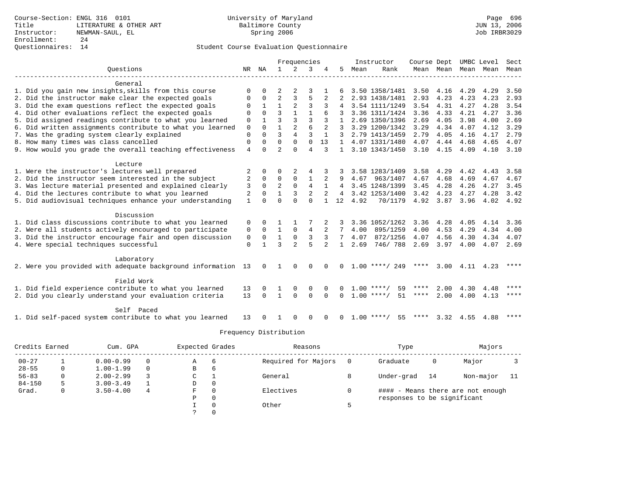|                                                              |                | Frequencies   |                |                      |                      | Instructor     | Course Dept  |      |                          | UMBC Level | Sect           |                   |      |             |
|--------------------------------------------------------------|----------------|---------------|----------------|----------------------|----------------------|----------------|--------------|------|--------------------------|------------|----------------|-------------------|------|-------------|
| Ouestions                                                    |                | NR NA         | $\mathbf{1}$   | $\overline{2}$       | 3                    |                | 5            | Mean | Rank                     |            | Mean Mean Mean |                   | Mean | Mean        |
|                                                              |                |               |                |                      |                      |                |              |      |                          |            |                |                   |      |             |
| General                                                      |                |               |                |                      |                      |                |              |      |                          |            |                |                   |      |             |
| 1. Did you gain new insights, skills from this course        | $\Omega$       |               |                |                      |                      |                |              |      | 3.50 1358/1481           | 3.50       | 4.16           | 4.29              | 4.29 | 3.50        |
| 2. Did the instructor make clear the expected goals          | $\Omega$       | $\Omega$      | $\overline{2}$ | 3                    | 5                    |                |              |      | 2.93 1438/1481           | 2.93       | 4.23           | 4.23              | 4.23 | 2.93        |
| 3. Did the exam questions reflect the expected goals         | $\Omega$       |               | 1              |                      | ζ                    | 3              |              |      | 3.54 1111/1249           | 3.54       | 4.31           | 4.27              | 4.28 | 3.54        |
| 4. Did other evaluations reflect the expected goals          | $\Omega$       | $\Omega$      | ζ              | 1                    | 1                    |                |              |      | 3.36 1311/1424           | 3.36       | 4.33           | 4.21              | 4.27 | 3.36        |
| 5. Did assigned readings contribute to what you learned      | $\mathbf 0$    |               | $\mathbf{3}$   | 3                    | ζ                    |                | $\mathbf{1}$ |      | 2.69 1350/1396           | 2.69       | 4.05           | 3.98              | 4.00 | 2.69        |
| 6. Did written assignments contribute to what you learned    | $\Omega$       | $\Omega$      |                | $\overline{a}$       | 6                    |                |              |      | 3.29 1200/1342           | 3.29       | 4.34           | 4.07              | 4.12 | 3.29        |
| 7. Was the grading system clearly explained                  | $\Omega$       | $\Omega$      | 3              | 4                    | $\mathbf{3}$         | $\mathbf{1}$   | 3            |      | 2.79 1413/1459           | 2.79       | 4.05           | 4.16              | 4.17 | 2.79        |
| 8. How many times was class cancelled                        | $\mathbf 0$    | $\Omega$      | $\Omega$       | $\Omega$             | $\Omega$             | 13             | $\mathbf{1}$ |      | 4.07 1331/1480           | 4.07       | 4.44           | 4.68              | 4.65 | 4.07        |
| 9. How would you grade the overall teaching effectiveness    | $\overline{4}$ | $\cap$        | $\overline{a}$ | $\cap$               | $\overline{4}$       | २              | $\mathbf{1}$ |      | 3.10 1343/1450           | 3.10       | 4.15           | 4.09              | 4.10 | 3.10        |
|                                                              |                |               |                |                      |                      |                |              |      |                          |            |                |                   |      |             |
| Lecture<br>1. Were the instructor's lectures well prepared   |                | 0             | O              |                      | 4                    |                |              |      | 3.58 1283/1409           | 3.58       | 4.29           | 4.42              | 4.43 | 3.58        |
| 2. Did the instructor seem interested in the subject         | 2<br>2         | $\Omega$      | 0              | 2<br>$\mathbf 0$     | $1\,$                | 2              | 9            | 4.67 | 963/1407                 | 4.67       | 4.68           | 4.69              | 4.67 | 4.67        |
| 3. Was lecture material presented and explained clearly      | 3              | $\Omega$      | $\overline{2}$ | $\mathbf 0$          | 4                    |                | 4            |      | 3.45 1248/1399           | 3.45       | 4.28           | 4.26              | 4.27 | 3.45        |
|                                                              | 2              | $\Omega$      |                | 3                    | $\overline{2}$       | $\overline{2}$ | 4            |      | 3.42 1253/1400           | 3.42       | 4.23           | 4.27              | 4.28 | 3.42        |
| 4. Did the lectures contribute to what you learned           | $\mathbf{1}$   | $\cap$        | $\Omega$       | $\Omega$             | $\Omega$             |                | 12           |      |                          | 4.92       | 3.87           |                   |      |             |
| 5. Did audiovisual techniques enhance your understanding     |                |               |                |                      |                      |                |              | 4.92 | 70/1179                  |            |                | 3.96              |      | 4.02 4.92   |
| Discussion                                                   |                |               |                |                      |                      |                |              |      |                          |            |                |                   |      |             |
| 1. Did class discussions contribute to what you learned      | 0              |               |                |                      |                      |                |              |      | 3.36 1052/1262           | 3.36       | 4.28           | 4.05              | 4.14 | 3.36        |
| 2. Were all students actively encouraged to participate      | 0              | $\Omega$      | $\mathbf{1}$   | 0                    | 4                    |                |              | 4.00 | 895/1259                 | 4.00       | 4.53           | 4.29              | 4.34 | 4.00        |
| 3. Did the instructor encourage fair and open discussion     | 0              | 0             | $\mathbf{1}$   | $\Omega$             | ζ                    | 3              | 7            | 4.07 | 872/1256                 | 4.07       | 4.56           | 4.30              | 4.34 | 4.07        |
| 4. Were special techniques successful                        | $\Omega$       |               | ζ              | $\overline{a}$       | 5                    |                | $\mathbf{1}$ | 2.69 | 746/788                  | 2.69       | 3.97           | 4.00              | 4.07 | 2.69        |
|                                                              |                |               |                |                      |                      |                |              |      |                          |            |                |                   |      |             |
| Laboratory                                                   |                |               |                |                      |                      |                |              |      |                          |            |                |                   |      |             |
| 2. Were you provided with adequate background information 13 |                | 0             |                | 0                    | $\Omega$             |                | <sup>n</sup> |      | $1.00$ ****/<br>249      | ****       |                | $3.00 \quad 4.11$ | 4.23 | ****        |
| Field Work                                                   |                |               |                |                      |                      |                |              |      |                          |            |                |                   |      |             |
|                                                              |                |               |                |                      |                      |                |              |      | **** /                   | ****       | 2.00           | 4.30              |      | $***$ * * * |
| 1. Did field experience contribute to what you learned       | 13<br>13       | 0<br>$\Omega$ | $\mathbf{1}$   | $\Omega$<br>$\Omega$ | $\Omega$<br>$\Omega$ | 0<br>$\Omega$  |              | 1.00 | 59<br>51<br>$1.00$ ****/ | ****       |                |                   | 4.48 | ****        |
| 2. Did you clearly understand your evaluation criteria       |                |               |                |                      |                      |                | <sup>0</sup> |      |                          |            | 2.00           | 4.00              | 4.13 |             |
| Self Paced                                                   |                |               |                |                      |                      |                |              |      |                          |            |                |                   |      |             |
| 1. Did self-paced system contribute to what you learned      | 13             |               |                | 0                    | $\Omega$             |                | <sup>0</sup> |      | $1.00$ ****/<br>55       | ****       | 3.32           | 4.55              | 4.88 |             |

| Credits Earned |   | Cum. GPA      |          | Expected Grades |                | Reasons             | Type                        |    | Majors                            |     |
|----------------|---|---------------|----------|-----------------|----------------|---------------------|-----------------------------|----|-----------------------------------|-----|
| $00 - 27$      |   | $0.00 - 0.99$ |          | Α               | -6             | Required for Majors | Graduate                    | 0  | Major                             |     |
| $28 - 55$      | 0 | $1.00 - 1.99$ | $\Omega$ | B               | $\overline{6}$ |                     |                             |    |                                   |     |
| $56 - 83$      | 0 | $2.00 - 2.99$ |          | C.              |                | General             | Under-grad                  | 14 | Non-major                         | -11 |
| $84 - 150$     |   | $3.00 - 3.49$ |          | D               | 0              |                     |                             |    |                                   |     |
| Grad.          | 0 | $3.50 - 4.00$ | 4        | F               | $\Omega$       | Electives           |                             |    | #### - Means there are not enough |     |
|                |   |               |          | Ρ               | 0              |                     | responses to be significant |    |                                   |     |
|                |   |               |          |                 | $\Omega$       | Other               |                             |    |                                   |     |
|                |   |               |          |                 |                |                     |                             |    |                                   |     |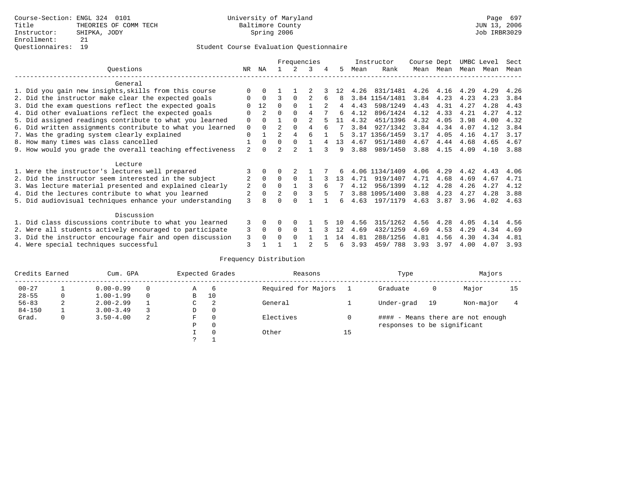|                                                           |                |                |                |          | Frequencies    |   |    |      | Instructor     | Course Dept |      | UMBC Level |      | Sect |
|-----------------------------------------------------------|----------------|----------------|----------------|----------|----------------|---|----|------|----------------|-------------|------|------------|------|------|
| Ouestions                                                 | NR.            | ΝA             |                |          | 3              |   | 5. | Mean | Rank           | Mean        | Mean | Mean       | Mean | Mean |
| General                                                   |                |                |                |          |                |   |    |      |                |             |      |            |      |      |
| 1. Did you gain new insights, skills from this course     |                | $\Omega$       |                |          |                |   | 12 | 4.26 | 831/1481       | 4.26        | 4.16 | 4.29       | 4.29 | 4.26 |
| 2. Did the instructor make clear the expected goals       | O              | $\Omega$       | 3              | $\Omega$ |                |   | 8  |      | 3.84 1154/1481 | 3.84        | 4.23 | 4.23       | 4.23 | 3.84 |
| 3. Did the exam questions reflect the expected goals      |                | 12             | $\Omega$       | $\Omega$ |                |   | 4  | 4.43 | 598/1249       | 4.43        | 4.31 | 4.27       | 4.28 | 4.43 |
| 4. Did other evaluations reflect the expected goals       | O              | $\mathfrak{D}$ | $\Omega$       |          | 4              |   | б. | 4.12 | 896/1424       | 4.12        | 4.33 | 4.21       | 4.27 | 4.12 |
| 5. Did assigned readings contribute to what you learned   | $\mathbf 0$    | $\Omega$       |                | $\Omega$ | $\mathfrak{D}$ |   | 11 | 4.32 | 451/1396       | 4.32        | 4.05 | 3.98       | 4.00 | 4.32 |
| 6. Did written assignments contribute to what you learned | $\mathbf 0$    | $\Omega$       | $\mathfrak{D}$ | $\Omega$ |                |   |    | 3.84 | 927/1342       | 3.84        | 4.34 | 4.07       | 4.12 | 3.84 |
| 7. Was the grading system clearly explained               | $\Omega$       |                |                | 4        |                |   | 5  |      | 3.17 1356/1459 | 3.17        | 4.05 | 4.16       | 4.17 | 3.17 |
| 8. How many times was class cancelled                     |                | $\Omega$       | $\Omega$       | $\Omega$ |                |   | 13 | 4.67 | 951/1480       | 4.67        | 4.44 | 4.68       | 4.65 | 4.67 |
| 9. How would you grade the overall teaching effectiveness | $\mathfrak{D}$ | <sup>n</sup>   | $\mathcal{D}$  |          |                | २ | 9  | 3.88 | 989/1450       | 3.88        | 4.15 | 4.09       | 4.10 | 3.88 |
| Lecture                                                   |                |                |                |          |                |   |    |      |                |             |      |            |      |      |
| 1. Were the instructor's lectures well prepared           |                |                |                |          |                |   |    |      | 4.06 1134/1409 | 4.06        | 4.29 | 4.42       | 4.43 | 4.06 |
| 2. Did the instructor seem interested in the subject      | $\overline{2}$ | $\Omega$       | $\Omega$       | $\Omega$ |                |   | 13 | 4.71 | 919/1407       | 4.71        | 4.68 | 4.69       | 4.67 | 4.71 |
| 3. Was lecture material presented and explained clearly   | 2              | $\Omega$       | $\Omega$       |          |                |   |    | 4.12 | 956/1399       | 4.12        | 4.28 | 4.26       | 4.27 | 4.12 |
| 4. Did the lectures contribute to what you learned        |                | $\overline{0}$ | $\mathfrak{D}$ | $\Omega$ |                |   |    |      | 3.88 1095/1400 | 3.88        | 4.23 | 4.27       | 4.28 | 3.88 |
| 5. Did audiovisual techniques enhance your understanding  | 3              | я              |                |          |                |   | б. | 4.63 | 197/1179       | 4.63        | 3.87 | 3.96       | 4.02 | 4.63 |
| Discussion                                                |                |                |                |          |                |   |    |      |                |             |      |            |      |      |
| 1. Did class discussions contribute to what you learned   | 3              | $\Omega$       | U              | $\Omega$ |                |   |    | 4.56 | 315/1262       | 4.56        | 4.28 | 4.05       | 4.14 | 4.56 |
| 2. Were all students actively encouraged to participate   | 3              | $\Omega$       | $\Omega$       | $\Omega$ |                |   | 12 | 4.69 | 432/1259       | 4.69        | 4.53 | 4.29       | 4.34 | 4.69 |
| 3. Did the instructor encourage fair and open discussion  | 3              | $\Omega$       | O              | $\Omega$ |                |   | 14 | 4.81 | 288/1256       | 4.81        | 4.56 | 4.30       | 4.34 | 4.81 |
| 4. Were special techniques successful                     | 3              |                |                |          |                |   | 6  | 3.93 | 459/788        | 3.93        | 3.97 | 4.00       | 4.07 | 3.93 |

| Credits Earned |   | Cum. GPA      |   |   | Expected Grades | Reasons             |    | Type                        |    | Majors                            |    |
|----------------|---|---------------|---|---|-----------------|---------------------|----|-----------------------------|----|-----------------------------------|----|
| $00 - 27$      |   | $0.00 - 0.99$ |   | Α | -6              | Required for Majors |    | Graduate                    | 0  | Major                             | 15 |
| $28 - 55$      | 0 | $1.00 - 1.99$ |   | B | 10              |                     |    |                             |    |                                   |    |
| $56 - 83$      | 2 | $2.00 - 2.99$ |   | C | 2               | General             |    | Under-grad                  | 19 | Non-major                         |    |
| $84 - 150$     |   | $3.00 - 3.49$ |   | D | 0               |                     |    |                             |    |                                   |    |
| Grad.          | 0 | $3.50 - 4.00$ | 2 | F | 0               | Electives           |    |                             |    | #### - Means there are not enough |    |
|                |   |               |   | Ρ | 0               |                     |    | responses to be significant |    |                                   |    |
|                |   |               |   |   | $\Omega$        | Other               | 15 |                             |    |                                   |    |
|                |   |               |   | っ |                 |                     |    |                             |    |                                   |    |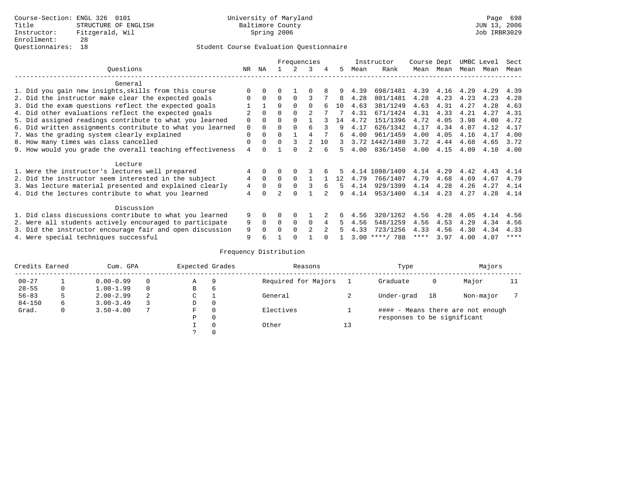|                                                           |                |          |              | Frequencies  |          |     |     |      | Instructor       | Course Dept |           | UMBC Level |      | Sect |
|-----------------------------------------------------------|----------------|----------|--------------|--------------|----------|-----|-----|------|------------------|-------------|-----------|------------|------|------|
| Questions                                                 | NR             | NA       |              |              | 3        |     | .5. | Mean | Rank             |             | Mean Mean | Mean       | Mean | Mean |
| General                                                   |                |          |              |              |          |     |     |      |                  |             |           |            |      |      |
| 1. Did you gain new insights, skills from this course     | $\Omega$       |          |              |              |          |     |     | 4.39 | 698/1481         | 4.39        | 4.16      | 4.29       | 4.29 | 4.39 |
| 2. Did the instructor make clear the expected goals       | $\Omega$       | $\Omega$ | $\Omega$     | $\Omega$     |          |     | 8   | 4.28 | 801/1481         | 4.28        | 4.23      | 4.23       | 4.23 | 4.28 |
| 3. Did the exam questions reflect the expected goals      |                |          | $\Omega$     |              | $\Omega$ |     | 1 N | 4.63 | 381/1249         | 4.63        | 4.31      | 4.27       | 4.28 | 4.63 |
| 4. Did other evaluations reflect the expected goals       |                |          | $\Omega$     |              |          |     |     | 4.31 | 671/1424         | 4.31        | 4.33      | 4.21       | 4.27 | 4.31 |
| 5. Did assigned readings contribute to what you learned   | $\Omega$       |          | $\Omega$     |              |          |     | 14  | 4.72 | 151/1396         | 4.72        | 4.05      | 3.98       | 4.00 | 4.72 |
| 6. Did written assignments contribute to what you learned | $\mathbf 0$    |          |              |              |          |     |     | 4.17 | 626/1342         | 4.17        | 4.34      | 4.07       | 4.12 | 4.17 |
| 7. Was the grading system clearly explained               | $\Omega$       |          | $\Omega$     |              |          |     | б.  | 4.00 | 961/1459         | 4.00        | 4.05      | 4.16       | 4.17 | 4.00 |
| 8. How many times was class cancelled                     | $\Omega$       |          | $\Omega$     |              |          | 1 O |     | 3.72 | 1442/1480        | 3.72        | 4.44      | 4.68       | 4.65 | 3.72 |
| 9. How would you grade the overall teaching effectiveness | $\overline{4}$ |          |              |              |          | 6   | 5.  | 4.00 | 836/1450         | 4.00        | 4.15      | 4.09       | 4.10 | 4.00 |
| Lecture                                                   |                |          |              |              |          |     |     |      |                  |             |           |            |      |      |
| 1. Were the instructor's lectures well prepared           | 4              | $\Omega$ |              | $\Omega$     |          |     | 5   |      | 4.14 1098/1409   | 4.14        | 4.29      | 4.42       | 4.43 | 4.14 |
| 2. Did the instructor seem interested in the subject      | 4              | $\Omega$ | $\Omega$     | $\Omega$     |          |     | 12  | 4.79 | 766/1407         | 4.79        | 4.68      | 4.69       | 4.67 | 4.79 |
| 3. Was lecture material presented and explained clearly   | 4              | 0        | <sup>0</sup> | $\Omega$     |          | 6   | 5   | 4.14 | 929/1399         | 4.14        | 4.28      | 4.26       | 4.27 | 4.14 |
| 4. Did the lectures contribute to what you learned        | 4              |          |              | <sup>n</sup> |          |     | q   | 4.14 | 953/1400         | 4.14        | 4.23      | 4.27       | 4.28 | 4.14 |
| Discussion                                                |                |          |              |              |          |     |     |      |                  |             |           |            |      |      |
| 1. Did class discussions contribute to what you learned   | 9              | $\Omega$ | 0            | $\Omega$     |          |     | 6   | 4.56 | 320/1262         | 4.56        | 4.28      | 4.05       | 4.14 | 4.56 |
| 2. Were all students actively encouraged to participate   | 9              | $\Omega$ | $\Omega$     | $\Omega$     | $\Omega$ |     |     | 4.56 | 548/1259         | 4.56        | 4.53      | 4.29       | 4.34 | 4.56 |
| 3. Did the instructor encourage fair and open discussion  | 9              |          | U            | 0            |          |     |     | 4.33 | 723/1256         | 4.33        | 4.56      | 4.30       | 4.34 | 4.33 |
| 4. Were special techniques successful                     | 9              |          |              | ∩            |          |     |     |      | $3.00$ ****/ 788 | ****        | 3.97      | 4.00       | 4.07 | **** |

| Credits Earned |          | Cum. GPA      |          | Expected Grades |          | Reasons             |    | Type                        |    | Majors                            |    |
|----------------|----------|---------------|----------|-----------------|----------|---------------------|----|-----------------------------|----|-----------------------------------|----|
| $00 - 27$      |          | $0.00 - 0.99$ | $\Omega$ | Α               | 9        | Required for Majors |    | Graduate                    | 0  | Major                             | 11 |
| $28 - 55$      | $\Omega$ | $1.00 - 1.99$ | $\Omega$ | в               | 6        |                     |    |                             |    |                                   |    |
| $56 - 83$      |          | $2.00 - 2.99$ | 2        | C               |          | General             |    | Under-grad                  | 18 | Non-major                         |    |
| $84 - 150$     | 6        | $3.00 - 3.49$ |          | D               | 0        |                     |    |                             |    |                                   |    |
| Grad.          | 0        | $3.50 - 4.00$ |          | F               | $\Omega$ | Electives           |    |                             |    | #### - Means there are not enough |    |
|                |          |               |          | D               | 0        |                     |    | responses to be significant |    |                                   |    |
|                |          |               |          |                 | $\Omega$ | Other               | 13 |                             |    |                                   |    |
|                |          |               |          |                 |          |                     |    |                             |    |                                   |    |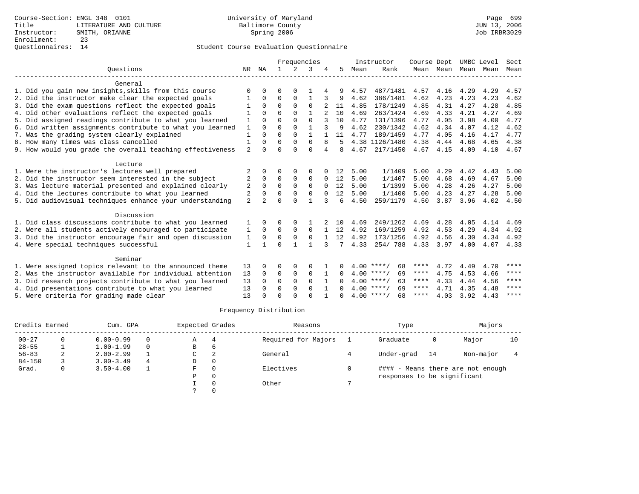|                                                           |                |                |             |              | Frequencies  |          |              |      | Instructor         | Course Dept |                |      | UMBC Level | Sect |
|-----------------------------------------------------------|----------------|----------------|-------------|--------------|--------------|----------|--------------|------|--------------------|-------------|----------------|------|------------|------|
| Ouestions                                                 | NR             | ΝA             |             | 2            | 3            |          | 5            | Mean | Rank               |             | Mean Mean Mean |      | Mean       | Mean |
| General                                                   |                |                |             |              |              |          |              |      |                    |             |                |      |            |      |
| 1. Did you gain new insights, skills from this course     | ∩              |                | ∩           |              |              |          |              | 4.57 | 487/1481           | 4.57        | 4.16           | 4.29 | 4.29       | 4.57 |
| 2. Did the instructor make clear the expected goals       |                | $\Omega$       | $\Omega$    | $\mathbf 0$  |              | 3        | 9            | 4.62 | 386/1481           | 4.62        | 4.23           | 4.23 | 4.23       | 4.62 |
| 3. Did the exam questions reflect the expected goals      |                | $\Omega$       | $\Omega$    | $\Omega$     | $\Omega$     |          | 11           | 4.85 | 178/1249           | 4.85        | 4.31           | 4.27 | 4.28       | 4.85 |
| 4. Did other evaluations reflect the expected goals       |                |                | $\Omega$    | $\Omega$     |              |          | 10           | 4.69 | 263/1424           | 4.69        | 4.33           | 4.21 | 4.27       | 4.69 |
| 5. Did assigned readings contribute to what you learned   | 1              | $\cap$         | $\Omega$    | $\Omega$     | $\Omega$     |          | 10           | 4.77 | 131/1396           | 4.77        | 4.05           | 3.98 | 4.00       | 4.77 |
| 6. Did written assignments contribute to what you learned | 1              | $\Omega$       | $\Omega$    | $\Omega$     |              | 3        | 9            | 4.62 | 230/1342           | 4.62        | 4.34           | 4.07 | 4.12       | 4.62 |
| 7. Was the grading system clearly explained               | $\mathbf{1}$   | $\cap$         | $\Omega$    | $\Omega$     | 1            |          | 11           | 4.77 | 189/1459           | 4.77        | 4.05           | 4.16 | 4.17       | 4.77 |
| 8. How many times was class cancelled                     |                |                | $\Omega$    | $\Omega$     | $\Omega$     |          |              |      | 4.38 1126/1480     | 4.38        | 4.44           | 4.68 | 4.65       | 4.38 |
| 9. How would you grade the overall teaching effectiveness | $\overline{2}$ | $\cap$         | $\Omega$    | $\cap$       | $\cap$       | 4        | 8            | 4.67 | 217/1450           | 4.67        | 4.15           | 4.09 | 4.10       | 4.67 |
| Lecture                                                   |                |                |             |              |              |          |              |      |                    |             |                |      |            |      |
| 1. Were the instructor's lectures well prepared           | 2              |                | ∩           |              | O            |          | 12           | 5.00 | 1/1409             | 5.00        | 4.29           | 4.42 | 4.43       | 5.00 |
| 2. Did the instructor seem interested in the subject      | 2              | $\Omega$       | $\Omega$    | $\Omega$     | $\Omega$     | $\Omega$ | 12           | 5.00 | 1/1407             | 5.00        | 4.68           | 4.69 | 4.67       | 5.00 |
| 3. Was lecture material presented and explained clearly   | 2              | $\Omega$       | $\mathbf 0$ | $\mathbf 0$  | 0            |          | 12           | 5.00 | 1/1399             | 5.00        | 4.28           | 4.26 | 4.27       | 5.00 |
| 4. Did the lectures contribute to what you learned        | 2              | $\Omega$       | $\Omega$    | $\Omega$     | $\Omega$     | $\Omega$ | 12           | 5.00 | 1/1400             | 5.00        | 4.23           | 4.27 | 4.28       | 5.00 |
| 5. Did audiovisual techniques enhance your understanding  | $\overline{2}$ | $\mathfrak{D}$ | $\Omega$    | $\cap$       |              | 3        | 6            | 4.50 | 259/1179           | 4.50        | 3.87           | 3.96 | 4.02       | 4.50 |
| Discussion                                                |                |                |             |              |              |          |              |      |                    |             |                |      |            |      |
| 1. Did class discussions contribute to what you learned   |                | $\Omega$       | ∩           | $\Omega$     |              |          | 10           | 4.69 | 249/1262           | 4.69        | 4.28           | 4.05 | 4.14       | 4.69 |
| 2. Were all students actively encouraged to participate   | 1              | $\mathbf 0$    | $\mathbf 0$ | $\mathbf 0$  | $\Omega$     |          | 12           | 4.92 | 169/1259           | 4.92        | 4.53           | 4.29 | 4.34       | 4.92 |
| 3. Did the instructor encourage fair and open discussion  | 1              | $\Omega$       | $\Omega$    | $\Omega$     | $\Omega$     |          | 12           | 4.92 | 173/1256           | 4.92        | 4.56           | 4.30 | 4.34       | 4.92 |
| 4. Were special techniques successful                     | 1              |                | $\Omega$    |              | $\mathbf{1}$ | 3        | 7            | 4.33 | 254/788            | 4.33        | 3.97           | 4.00 | 4.07       | 4.33 |
| Seminar                                                   |                |                |             |              |              |          |              |      |                    |             |                |      |            |      |
| 1. Were assigned topics relevant to the announced theme   | 13             |                | ∩           | <sup>0</sup> | O            |          |              |      | $4.00$ ****/<br>68 | ****        | 4.72           | 4.49 | 4.70       | **** |
| 2. Was the instructor available for individual attention  | 13             | $\Omega$       | $\Omega$    | $\Omega$     | $\Omega$     |          | $\Omega$     |      | $4.00$ ****/<br>69 | ****        | 4.75           | 4.53 | 4.66       | **** |
| 3. Did research projects contribute to what you learned   | 13             | $\Omega$       | $\Omega$    | $\Omega$     | $\Omega$     |          | <sup>0</sup> |      | $4.00$ ****/<br>63 | ****        | 4.33           | 4.44 | 4.56       | **** |
| 4. Did presentations contribute to what you learned       | 13             | $\Omega$       | $\Omega$    | $\Omega$     | $\Omega$     |          |              |      | $4.00$ ****/<br>69 | ****        | 4.71           | 4.35 | 4.48       | **** |
| 5. Were criteria for grading made clear                   | 13             |                | $\Omega$    |              | $\cap$       |          |              |      | $4.00$ ****/<br>68 | ****        | 4.03           | 3.92 | 4.43       | **** |

| Credits Earned |   | Cum. GPA      |          | Expected Grades |   | Reasons             | Type                        |    | Majors                            |    |
|----------------|---|---------------|----------|-----------------|---|---------------------|-----------------------------|----|-----------------------------------|----|
| $00 - 27$      |   | $0.00 - 0.99$ | $\Omega$ | Α               | 4 | Required for Majors | Graduate                    | 0  | Major                             | 10 |
| $28 - 55$      |   | $1.00 - 1.99$ | $\Omega$ | В               | 6 |                     |                             |    |                                   |    |
| $56 - 83$      | ∠ | $2.00 - 2.99$ |          | C               | 2 | General             | Under-grad                  | 14 | Non-major                         |    |
| $84 - 150$     |   | $3.00 - 3.49$ | 4        | D               |   |                     |                             |    |                                   |    |
| Grad.          | 0 | $3.50 - 4.00$ |          | F               |   | Electives           |                             |    | #### - Means there are not enough |    |
|                |   |               |          | D               |   |                     | responses to be significant |    |                                   |    |
|                |   |               |          |                 |   | Other               |                             |    |                                   |    |
|                |   |               |          |                 |   |                     |                             |    |                                   |    |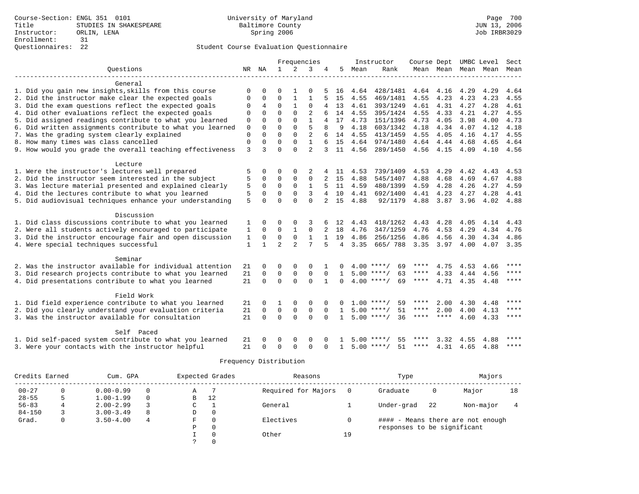|                                                            |              |                |                |                | Frequencies    |                |                |              | Instructor         | Course Dept UMBC Level |           |      |                          | Sect        |
|------------------------------------------------------------|--------------|----------------|----------------|----------------|----------------|----------------|----------------|--------------|--------------------|------------------------|-----------|------|--------------------------|-------------|
| Ouestions                                                  | NR           | NA             | $\mathbf{1}$   | 2              | 3              | 4              | 5              | Mean         | Rank               |                        |           |      | Mean Mean Mean Mean Mean |             |
|                                                            |              |                |                |                |                |                |                |              |                    |                        |           |      |                          |             |
| General                                                    |              |                |                |                |                |                |                |              |                    |                        |           |      |                          |             |
| 1. Did you gain new insights, skills from this course      | O            | $\Omega$       | $\Omega$       |                | O              |                | 16             | 4.64         | 428/1481           | 4.64                   | 4.16      | 4.29 | 4.29                     | 4.64        |
| 2. Did the instructor make clear the expected goals        | 0            | $\Omega$       | $\mathbf 0$    |                | 1              |                | 15             | 4.55         | 469/1481           | 4.55                   | 4.23      | 4.23 | 4.23                     | 4.55        |
| 3. Did the exam questions reflect the expected goals       | $\Omega$     | $\overline{4}$ | $\Omega$       | $\mathbf{1}$   | 0              | 4              | 13             | 4.61         | 393/1249           |                        | 4.61 4.31 | 4.27 | 4.28                     | 4.61        |
| 4. Did other evaluations reflect the expected goals        | $\Omega$     | $\Omega$       | $\Omega$       | $\Omega$       | $\overline{2}$ | 6              | 14             | 4.55         | 395/1424           | 4.55                   | 4.33      | 4.21 | 4.27                     | 4.55        |
| 5. Did assigned readings contribute to what you learned    | $\mathbf 0$  | $\Omega$       | $\Omega$       | $\Omega$       | $\mathbf{1}$   | 4              | 17             | 4.73         | 151/1396           | 4.73                   | 4.05      | 3.98 | 4.00                     | 4.73        |
| 6. Did written assignments contribute to what you learned  | $\mathbf 0$  | $\Omega$       | $\Omega$       | $\Omega$       | 5              |                | 9              | 4.18         | 603/1342           | 4.18                   | 4.34      | 4.07 | 4.12                     | 4.18        |
| 7. Was the grading system clearly explained                | $\Omega$     | $\Omega$       | $\Omega$       | $\Omega$       | $\overline{2}$ |                | 14             | 4.55         | 413/1459           | 4.55                   | 4.05      | 4.16 | 4.17                     | 4.55        |
| 8. How many times was class cancelled                      | $\Omega$     | $\Omega$       | $\Omega$       | $\Omega$       | $\mathbf{1}$   |                | 15             | 4.64         | 974/1480           | 4.64                   | 4.44      | 4.68 | 4.65                     | 4.64        |
| 9. How would you grade the overall teaching effectiveness  | 3            | 3              | $\Omega$       | $\Omega$       | $\overline{a}$ |                | 11             | 4.56         | 289/1450           | 4.56                   | 4.15      | 4.09 | 4.10                     | 4.56        |
|                                                            |              |                |                |                |                |                |                |              |                    |                        |           |      |                          |             |
| Lecture<br>1. Were the instructor's lectures well prepared |              | <sup>0</sup>   | $\Omega$       | $\Omega$       |                |                |                |              | 739/1409           | 4.53                   | 4.29      | 4.42 |                          | 4.53        |
| 2. Did the instructor seem interested in the subject       | 5            | $\Omega$       | $\Omega$       | $\Omega$       | $\Omega$       |                | 11<br>2 15     | 4.53<br>4.88 | 545/1407           | 4.88                   | 4.68      | 4.69 | 4.43<br>4.67             | 4.88        |
| 3. Was lecture material presented and explained clearly    | 5            | $\mathbf 0$    | $\Omega$       | $\mathbf 0$    | 1              |                | 5 11           | 4.59         | 480/1399           | 4.59                   | 4.28      | 4.26 | 4.27                     | 4.59        |
| 4. Did the lectures contribute to what you learned         | 5            | $\Omega$       | $\Omega$       | $\Omega$       | 3              |                | 10             | 4.41         | 692/1400           | 4.41                   | 4.23      | 4.27 | 4.28                     | 4.41        |
|                                                            | 5            | $\Omega$       | $\Omega$       | $\Omega$       | $\Omega$       | $\overline{a}$ | 1.5            | 4.88         |                    | 4.88                   |           |      | 4.02                     |             |
| 5. Did audiovisual techniques enhance your understanding   |              |                |                |                |                |                |                |              | 92/1179            |                        | 3.87      | 3.96 |                          | 4.88        |
| Discussion                                                 |              |                |                |                |                |                |                |              |                    |                        |           |      |                          |             |
| 1. Did class discussions contribute to what you learned    | 1            | $\Omega$       | $\Omega$       | $\Omega$       | 3              | 6              | 12             | 4.43         | 418/1262           | 4.43                   | 4.28      | 4.05 | 4.14                     | 4.43        |
| 2. Were all students actively encouraged to participate    | $\mathbf{1}$ | $\mathbf 0$    | $\mathbf 0$    |                | $\mathbf 0$    |                | 18             | 4.76         | 347/1259           | 4.76                   | 4.53      | 4.29 | 4.34                     | 4.76        |
| 3. Did the instructor encourage fair and open discussion   | $\mathbf{1}$ | $\Omega$       | $\mathbf 0$    | $\Omega$       | $\mathbf{1}$   |                | 19             | 4.86         | 256/1256           | 4.86                   | 4.56      | 4.30 | 4.34                     | 4.86        |
| 4. Were special techniques successful                      | $\mathbf{1}$ | $\mathbf{1}$   | $\overline{a}$ | $\overline{a}$ | 7              | 5              | $\overline{4}$ | 3.35         | 665/788            | 3.35                   | 3.97      | 4.00 |                          | 4.07 3.35   |
|                                                            |              |                |                |                |                |                |                |              |                    |                        |           |      |                          |             |
| Seminar                                                    |              |                |                |                |                |                |                |              |                    |                        |           |      |                          | $***$       |
| 2. Was the instructor available for individual attention   | 21           | $\Omega$       | $\Omega$       | $\mathbf 0$    | $\Omega$       |                |                | 400          | ****/<br>69        | ****<br>$***$ * * *    | 4.75      | 4.53 | 4.66                     | $***$       |
| 3. Did research projects contribute to what you learned    | 21           | $\mathbf 0$    | $\Omega$       | $\Omega$       | $\Omega$       | $\Omega$       | $\mathbf{1}$   |              | $5.00$ ****/<br>63 |                        | 4.33      | 4.44 | 4.56                     | $* * * * *$ |
| 4. Did presentations contribute to what you learned        | 21           | $\Omega$       | $\Omega$       | $\Omega$       | $\Omega$       |                | $\Omega$       |              | $4.00$ ****/<br>69 | $***$ * * *            | 4.71      | 4.35 | 4.48                     |             |
| Field Work                                                 |              |                |                |                |                |                |                |              |                    |                        |           |      |                          |             |
| 1. Did field experience contribute to what you learned     | 21           | $\Omega$       | 1              | $\Omega$       | $\Omega$       |                |                | 1.00         | $***$ /<br>59      | ****                   | 2.00      | 4.30 | 4.48                     | ****        |
| 2. Did you clearly understand your evaluation criteria     | 21           | $\Omega$       | $\mathbf 0$    | $\mathbf 0$    | $\mathbf 0$    | $\Omega$       | $\mathbf{1}$   |              | $5.00$ ****/<br>51 | ****                   | 2.00      | 4.00 | 4.13                     | $***$ * * * |
| 3. Was the instructor available for consultation           | 21           | $\Omega$       | $\Omega$       | $\Omega$       | $\Omega$       | $\Omega$       | $\mathbf{1}$   |              | $5.00$ ****/<br>36 | ****                   | $***$ *   | 4.60 | 4.33                     | $* * * * *$ |
|                                                            |              |                |                |                |                |                |                |              |                    |                        |           |      |                          |             |
| Self Paced                                                 |              |                |                |                |                |                |                |              |                    |                        |           |      |                          |             |
| 1. Did self-paced system contribute to what you learned    | 21           | $\Omega$       | $\Omega$       | $\Omega$       | $\Omega$       |                |                |              | $5.00$ ****/<br>55 | ****                   | 3.32      | 4.55 | 4.88                     | ****        |
| 3. Were your contacts with the instructor helpful          | 21           | $\Omega$       | $\Omega$       | $\Omega$       | $\Omega$       | $\Omega$       | $\mathbf{1}$   |              | $5.00$ ****/<br>51 | ****                   | 4.31      | 4.65 | 4.88                     | $***$       |

| Credits Earned |   | Cum. GPA      |   |   | Expected Grades | Reasons             |    | Type                        |    | Majors                            |    |
|----------------|---|---------------|---|---|-----------------|---------------------|----|-----------------------------|----|-----------------------------------|----|
| $00 - 27$      |   | $0.00 - 0.99$ |   | Α |                 | Required for Majors |    | Graduate                    | 0  | Major                             | 18 |
| $28 - 55$      | ל | $1.00 - 1.99$ |   | В | 12              |                     |    |                             |    |                                   |    |
| $56 - 83$      |   | $2.00 - 2.99$ |   | C |                 | General             |    | Under-grad                  | 22 | Non-major                         |    |
| $84 - 150$     |   | $3.00 - 3.49$ | 8 | D | 0               |                     |    |                             |    |                                   |    |
| Grad.          | 0 | $3.50 - 4.00$ | 4 | F | $\Omega$        | Electives           |    |                             |    | #### - Means there are not enough |    |
|                |   |               |   | P | $\Omega$        |                     |    | responses to be significant |    |                                   |    |
|                |   |               |   |   | $\Omega$        | Other               | 19 |                             |    |                                   |    |
|                |   |               |   |   |                 |                     |    |                             |    |                                   |    |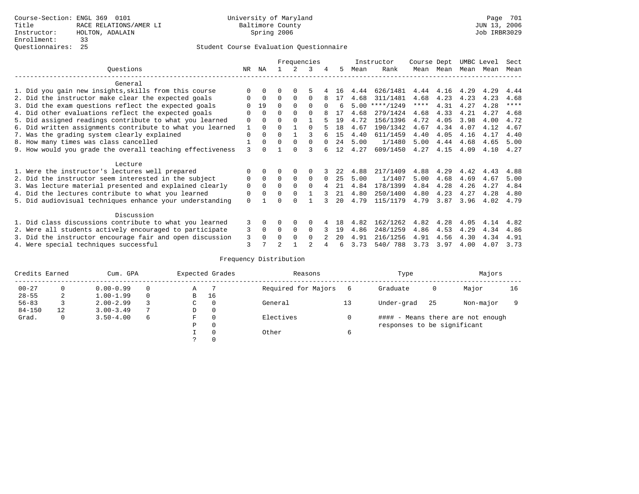|                                                           |          |             |                |              | Frequencies |   |     |      | Instructor | Course Dept |      | UMBC Level |      | Sect        |
|-----------------------------------------------------------|----------|-------------|----------------|--------------|-------------|---|-----|------|------------|-------------|------|------------|------|-------------|
| Ouestions                                                 | NR.      | ΝA          |                |              | 3           | 4 | 5   | Mean | Rank       | Mean        | Mean | Mean       | Mean | Mean        |
| General                                                   |          |             |                |              |             |   |     |      |            |             |      |            |      |             |
| 1. Did you gain new insights, skills from this course     |          | 0           |                | 0            | 5           |   | 16  | 4.44 | 626/1481   | 4.44        | 4.16 | 4.29       | 4.29 | 4.44        |
| 2. Did the instructor make clear the expected goals       |          | $\mathbf 0$ | $\Omega$       | $\Omega$     | $\Omega$    |   | 17  | 4.68 | 311/1481   | 4.68        | 4.23 | 4.23       | 4.23 | 4.68        |
| 3. Did the exam questions reflect the expected goals      |          | 19          | 0              | $\Omega$     | $\Omega$    |   | 6   | 5.00 | $***/1249$ | ****        | 4.31 | 4.27       | 4.28 | $***$ * * * |
| 4. Did other evaluations reflect the expected goals       |          | $\Omega$    | $\Omega$       | $\Omega$     | $\Omega$    |   | 17  | 4.68 | 279/1424   | 4.68        | 4.33 | 4.21       | 4.27 | 4.68        |
| 5. Did assigned readings contribute to what you learned   | 0        | $\Omega$    | U              | $\Omega$     |             |   | 19  | 4.72 | 156/1396   | 4.72        | 4.05 | 3.98       | 4.00 | 4.72        |
| 6. Did written assignments contribute to what you learned | 1        | $\Omega$    | U              |              |             |   | 1 R | 4.67 | 190/1342   | 4.67        | 4.34 | 4.07       | 4.12 | 4.67        |
| 7. Was the grading system clearly explained               | 0        | 0           | U              |              |             |   | 15  | 4.40 | 611/1459   | 4.40        | 4.05 | 4.16       | 4.17 | 4.40        |
| 8. How many times was class cancelled                     |          | 0           | 0              | $\Omega$     | $\Omega$    |   | 2.4 | 5.00 | 1/1480     | 5.00        | 4.44 | 4.68       | 4.65 | 5.00        |
| 9. How would you grade the overall teaching effectiveness | 3        |             |                | <sup>n</sup> |             |   | 12  | 4.27 | 609/1450   | 4.27        | 4.15 | 4.09       | 4.10 | 4.27        |
| Lecture                                                   |          |             |                |              |             |   |     |      |            |             |      |            |      |             |
| 1. Were the instructor's lectures well prepared           |          |             |                |              |             |   |     | 4.88 | 217/1409   | 4.88        | 4.29 | 4.42       | 4.43 | 4.88        |
| 2. Did the instructor seem interested in the subject      | 0        | $\Omega$    | $\Omega$       | $\Omega$     | $\Omega$    |   | 25  | 5.00 | 1/1407     | 5.00        | 4.68 | 4.69       | 4.67 | 5.00        |
| 3. Was lecture material presented and explained clearly   | 0        | $\Omega$    | $\Omega$       | $\Omega$     | $\Omega$    |   | 21  | 4.84 | 178/1399   | 4.84        | 4.28 | 4.26       | 4.27 | 4.84        |
| 4. Did the lectures contribute to what you learned        | 0        | $\Omega$    | 0              | $\Omega$     |             |   | 21  | 4.80 | 250/1400   | 4.80        | 4.23 | 4.27       | 4.28 | 4.80        |
| 5. Did audiovisual techniques enhance your understanding  | $\Omega$ |             |                |              |             |   | 20  | 4.79 | 115/1179   | 4.79        | 3.87 | 3.96       | 4.02 | 4.79        |
|                                                           |          |             |                |              |             |   |     |      |            |             |      |            |      |             |
| Discussion                                                |          |             |                |              |             |   |     |      |            |             |      |            |      |             |
| 1. Did class discussions contribute to what you learned   | 3        | $\Omega$    | 0              | $\Omega$     |             |   | 1 R | 4.82 | 162/1262   | 4.82        | 4.28 | 4.05       | 4.14 | 4.82        |
| 2. Were all students actively encouraged to participate   | 3        | 0           | 0              | 0            | $\Omega$    |   | 19  | 4.86 | 248/1259   | 4.86        | 4.53 | 4.29       | 4.34 | 4.86        |
| 3. Did the instructor encourage fair and open discussion  | 3        | 0           |                | $\Omega$     | 0           |   | 20  | 4.91 | 216/1256   | 4.91        | 4.56 | 4.30       | 4.34 | 4.91        |
| 4. Were special techniques successful                     | 3        |             | $\mathfrak{D}$ |              |             |   | 6   | 3.73 | 540/788    | 3.73        | 3.97 | 4.00       | 4.07 | 3.73        |

| Credits Earned |    | Cum. GPA      |                |               | Expected Grades | Reasons             |   | Type                        |    | Majors                            |    |
|----------------|----|---------------|----------------|---------------|-----------------|---------------------|---|-----------------------------|----|-----------------------------------|----|
| $00 - 27$      | 0  | $0.00 - 0.99$ |                | Α             |                 | Required for Majors | 6 | Graduate                    | 0  | Major                             | 16 |
| $28 - 55$      | 2  | $1.00 - 1.99$ |                | B             | 16              |                     |   |                             |    |                                   |    |
| $56 - 83$      |    | $2.00 - 2.99$ |                | $\sim$<br>◡   | 0               | General             |   | Under-grad                  | 25 | Non-major                         |    |
| $84 - 150$     | 12 | $3.00 - 3.49$ | $\overline{ }$ | D             | 0               |                     |   |                             |    |                                   |    |
| Grad.          | 0  | $3.50 - 4.00$ | 6              | F             | 0               | Electives           |   |                             |    | #### - Means there are not enough |    |
|                |    |               |                | Ρ             | 0               |                     |   | responses to be significant |    |                                   |    |
|                |    |               |                |               | 0               | Other               | 6 |                             |    |                                   |    |
|                |    |               |                | $\mathcal{L}$ |                 |                     |   |                             |    |                                   |    |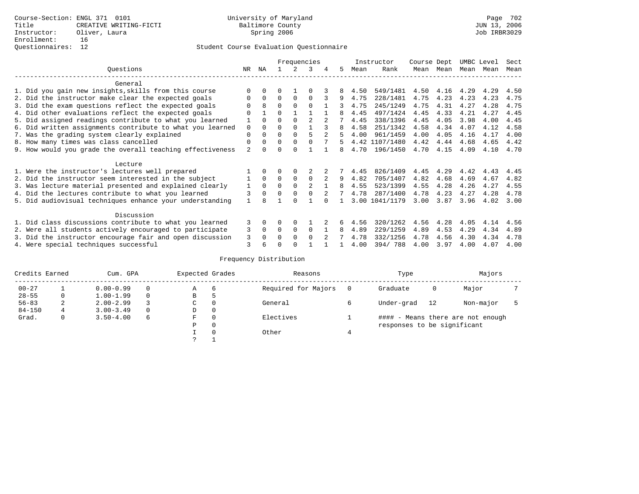## Questionnaires: 12 Student Course Evaluation Questionnaire

|                                                           |                |              |          |             | Frequencies |   |   |      | Instructor     | Course Dept |           | UMBC Level |      | Sect |
|-----------------------------------------------------------|----------------|--------------|----------|-------------|-------------|---|---|------|----------------|-------------|-----------|------------|------|------|
| Ouestions                                                 | NR             | ΝA           |          | 2           | 3           | 4 | 5 | Mean | Rank           |             | Mean Mean | Mean       | Mean | Mean |
| General                                                   |                |              |          |             |             |   |   |      |                |             |           |            |      |      |
| 1. Did you gain new insights, skills from this course     |                | $\Omega$     | 0        |             |             |   |   | 4.50 | 549/1481       | 4.50        | 4.16      | 4.29       | 4.29 | 4.50 |
| 2. Did the instructor make clear the expected goals       | 0              | $\Omega$     | $\Omega$ | $\Omega$    | $\Omega$    |   | 9 | 4.75 | 228/1481       | 4.75        | 4.23      | 4.23       | 4.23 | 4.75 |
| 3. Did the exam questions reflect the expected goals      |                | 8            | $\Omega$ | $\Omega$    | $\Omega$    |   |   | 4.75 | 245/1249       | 4.75        | 4.31      | 4.27       | 4.28 | 4.75 |
| 4. Did other evaluations reflect the expected goals       |                |              | 0        |             |             |   |   | 4.45 | 497/1424       | 4.45        | 4.33      | 4.21       | 4.27 | 4.45 |
| 5. Did assigned readings contribute to what you learned   |                | $\Omega$     | 0        | $\Omega$    | 2           |   |   | 4.45 | 338/1396       | 4.45        | 4.05      | 3.98       | 4.00 | 4.45 |
| 6. Did written assignments contribute to what you learned | $\mathbf 0$    | $\Omega$     | U        | $\Omega$    |             |   | 8 | 4.58 | 251/1342       | 4.58        | 4.34      | 4.07       | 4.12 | 4.58 |
| 7. Was the grading system clearly explained               | 0              | $\Omega$     | 0        |             | 5           |   | 5 | 4.00 | 961/1459       | 4.00        | 4.05      | 4.16       | 4.17 | 4.00 |
| 8. How many times was class cancelled                     | 0              | $\Omega$     | $\Omega$ | $\Omega$    |             |   | 5 |      | 4.42 1107/1480 | 4.42        | 4.44      | 4.68       | 4.65 | 4.42 |
| 9. How would you grade the overall teaching effectiveness | $\overline{a}$ | <sup>n</sup> |          | $\cap$      |             |   | 8 | 4.70 | 196/1450       | 4.70        | 4.15      | 4.09       | 4.10 | 4.70 |
| Lecture                                                   |                |              |          |             |             |   |   |      |                |             |           |            |      |      |
| 1. Were the instructor's lectures well prepared           |                |              |          |             |             |   |   | 4.45 | 826/1409       | 4.45        | 4.29      | 4.42       | 4.43 | 4.45 |
| 2. Did the instructor seem interested in the subject      |                | $\Omega$     | $\Omega$ | $\mathbf 0$ | $\Omega$    | 2 | 9 | 4.82 | 705/1407       | 4.82        | 4.68      | 4.69       | 4.67 | 4.82 |
| 3. Was lecture material presented and explained clearly   | 1              | $\Omega$     | 0        | $\mathbf 0$ | 2           |   | 8 | 4.55 | 523/1399       | 4.55        | 4.28      | 4.26       | 4.27 | 4.55 |
| 4. Did the lectures contribute to what you learned        | 3              |              | 0        | $\Omega$    |             |   | 7 | 4.78 | 287/1400       | 4.78        | 4.23      | 4.27       | 4.28 | 4.78 |
| 5. Did audiovisual techniques enhance your understanding  |                |              |          |             |             |   |   | 3.00 | 1041/1179      | 3.00        | 3.87      | 3.96       | 4.02 | 3.00 |
| Discussion                                                |                |              |          |             |             |   |   |      |                |             |           |            |      |      |
| 1. Did class discussions contribute to what you learned   | 3              | $\Omega$     | 0        | $\Omega$    |             |   |   | 4.56 | 320/1262       | 4.56        | 4.28      | 4.05       | 4.14 | 4.56 |
| 2. Were all students actively encouraged to participate   | 3              | $\mathbf 0$  | $\Omega$ | $\mathbf 0$ | 0           |   | 8 | 4.89 | 229/1259       | 4.89        | 4.53      | 4.29       | 4.34 | 4.89 |
| 3. Did the instructor encourage fair and open discussion  | 3              | 0            | U        | $\Omega$    | 0           |   |   | 4.78 | 332/1256       | 4.78        | 4.56      | 4.30       | 4.34 | 4.78 |
| 4. Were special techniques successful                     | 3              | 6            |          |             |             |   |   | 4.00 | 394/788        | 4.00        | 3.97      | 4.00       | 4.07 | 4.00 |

| Credits Earned |   | Cum. GPA      |   | Expected Grades |          | Reasons             | Type                        |    | Majors                            |  |
|----------------|---|---------------|---|-----------------|----------|---------------------|-----------------------------|----|-----------------------------------|--|
| $00 - 27$      |   | $0.00 - 0.99$ |   | Α               | 6        | Required for Majors | Graduate                    | 0  | Major                             |  |
| $28 - 55$      | 0 | $1.00 - 1.99$ |   | В               | 5        |                     |                             |    |                                   |  |
| $56 - 83$      | 2 | $2.00 - 2.99$ |   | C               | 0        | General             | Under-grad                  | 12 | Non-major                         |  |
| $84 - 150$     | 4 | $3.00 - 3.49$ |   | D               | 0        |                     |                             |    |                                   |  |
| Grad.          | 0 | $3.50 - 4.00$ | 6 | F               | 0        | Electives           |                             |    | #### - Means there are not enough |  |
|                |   |               |   | Ρ               | 0        |                     | responses to be significant |    |                                   |  |
|                |   |               |   |                 | $\Omega$ | Other               |                             |    |                                   |  |
|                |   |               |   | っ               |          |                     |                             |    |                                   |  |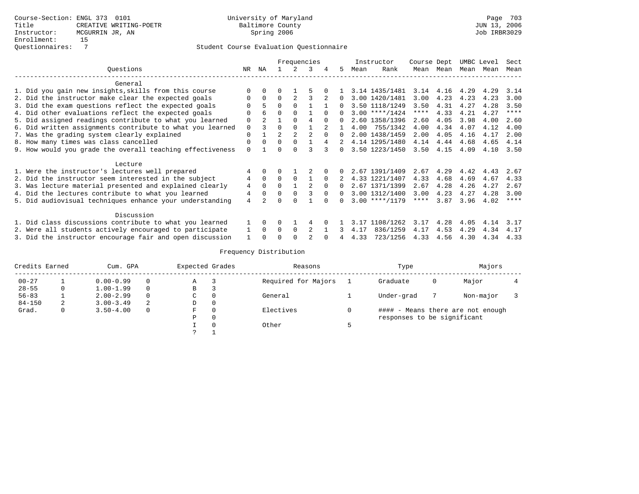|                                                           |                |             |                |          | Frequencies    |          |              |      | Instructor       | Course Dept |             | UMBC Level |      | Sect        |
|-----------------------------------------------------------|----------------|-------------|----------------|----------|----------------|----------|--------------|------|------------------|-------------|-------------|------------|------|-------------|
| Ouestions                                                 | NR             | ΝA          |                |          | 3              | 4        | 5.           | Mean | Rank             |             | Mean Mean   | Mean       | Mean | Mean        |
| General                                                   |                |             |                |          |                |          |              |      |                  |             |             |            |      |             |
| 1. Did you gain new insights, skills from this course     | $\Omega$       | $\Omega$    |                |          |                |          |              |      | 3.14 1435/1481   |             | $3.14$ 4.16 | 4.29       | 4.29 | 3.14        |
| 2. Did the instructor make clear the expected goals       | 0              | $\Omega$    | $\Omega$       | 2        |                |          | $\Omega$     |      | 3.00 1420/1481   | 3.00        | 4.23        | 4.23       | 4.23 | 3.00        |
| 3. Did the exam questions reflect the expected goals      | $\Omega$       | 5.          | $\Omega$       |          |                |          | <sup>n</sup> |      | 3.50 1118/1249   | 3.50        | 4.31        | 4.27       | 4.28 | 3.50        |
| 4. Did other evaluations reflect the expected goals       | $\Omega$       | 6           | 0              | $\Omega$ |                | $\Omega$ | <sup>n</sup> |      | $3.00$ ****/1424 | $***$ * *   | 4.33        | 4.21       | 4.27 | $***$ * * * |
| 5. Did assigned readings contribute to what you learned   | $\Omega$       | $2^{\circ}$ | $\mathbf{1}$   | $\Omega$ | 4              | $\cap$   | $\cap$       |      | 2.60 1358/1396   | 2.60        | 4.05        | 3.98       | 4.00 | 2.60        |
| 6. Did written assignments contribute to what you learned | $\mathbf 0$    | 3           | $\Omega$       |          |                |          |              | 4.00 | 755/1342         | 4.00        | 4.34        | 4.07       | 4.12 | 4.00        |
| 7. Was the grading system clearly explained               | $\Omega$       |             | $\mathfrak{D}$ |          | $\mathfrak{D}$ | $\Omega$ | $\Omega$     |      | 2.00 1438/1459   | 2.00        | 4.05        | 4.16       | 4.17 | 2.00        |
| 8. How many times was class cancelled                     | $\Omega$       | $\Omega$    | $\Omega$       | $\Omega$ |                | 4        |              |      | 4.14 1295/1480   | 4.14        | 4.44        | 4.68       | 4.65 | 4.14        |
| 9. How would you grade the overall teaching effectiveness | $\Omega$       |             | $\cap$         | $\cap$   | 3              |          | $\Omega$     |      | 3.50 1223/1450   |             | $3.50$ 4.15 | 4.09       | 4.10 | 3.50        |
| Lecture                                                   |                |             |                |          |                |          |              |      |                  |             |             |            |      |             |
| 1. Were the instructor's lectures well prepared           | 4              | $\Omega$    | 0              |          |                |          | $\Omega$     |      | 2.67 1391/1409   | 2.67        | 4.29        | 4.42       | 4.43 | 2.67        |
| 2. Did the instructor seem interested in the subject      | 4              | $\Omega$    | $\Omega$       | $\Omega$ |                | $\Omega$ |              |      | 4.33 1221/1407   | 4.33        | 4.68        | 4.69       | 4.67 | 4.33        |
| 3. Was lecture material presented and explained clearly   | 4              | $\Omega$    | $\Omega$       |          | $\mathfrak{D}$ | $\Omega$ | $\cap$       |      | 2.67 1371/1399   | 2.67        | 4.28        | 4.26       | 4.27 | 2.67        |
| 4. Did the lectures contribute to what you learned        | $\overline{4}$ | $\Omega$    | $\Omega$       | $\Omega$ | २              | $\Omega$ | $\Omega$     |      | 3.00 1312/1400   | 3.00        | 4.23        | 4.27       | 4.28 | 3.00        |
| 5. Did audiovisual techniques enhance your understanding  | 4              |             | U              | ∩        |                |          |              |      | $3.00$ ****/1179 | $***$ * *   | 3.87        | 3.96       | 4.02 | $* * * * *$ |
| Discussion                                                |                |             |                |          |                |          |              |      |                  |             |             |            |      |             |
| 1. Did class discussions contribute to what you learned   | $\mathbf{1}$   | $\Omega$    | $\Omega$       |          | 4              |          |              | 3.17 | 1108/1262        | 3.17        | 4.28        | 4.05       | 4.14 | 3.17        |
| 2. Were all students actively encouraged to participate   | $\mathbf{1}$   | $\Omega$    | $\Omega$       | $\Omega$ |                |          | 3            | 4.17 | 836/1259         | 4.17        | 4.53        | 4.29       | 4.34 | 4.17        |
| 3. Did the instructor encourage fair and open discussion  |                |             |                | $\cap$   |                |          | 4            | 4.33 | 723/1256         | 4.33        | 4.56        | 4.30       | 4.34 | 4.33        |

| Credits Earned |   | Cum. GPA      |          | Expected Grades | Reasons             | Type                        |   | Majors                            |  |
|----------------|---|---------------|----------|-----------------|---------------------|-----------------------------|---|-----------------------------------|--|
| $00 - 27$      |   | $0.00 - 0.99$ | 0        | Α               | Required for Majors | Graduate                    | 0 | Major                             |  |
| $28 - 55$      | 0 | $1.00 - 1.99$ | $\Omega$ | В               |                     |                             |   |                                   |  |
| $56 - 83$      |   | $2.00 - 2.99$ | $\Omega$ | C               | General             | Under-grad                  |   | Non-major                         |  |
| $84 - 150$     | 2 | $3.00 - 3.49$ | 2        | D               |                     |                             |   |                                   |  |
| Grad.          | U | $3.50 - 4.00$ | $\Omega$ | F               | Electives           |                             |   | #### - Means there are not enough |  |
|                |   |               |          | P               |                     | responses to be significant |   |                                   |  |
|                |   |               |          |                 | Other               |                             |   |                                   |  |
|                |   |               |          |                 |                     |                             |   |                                   |  |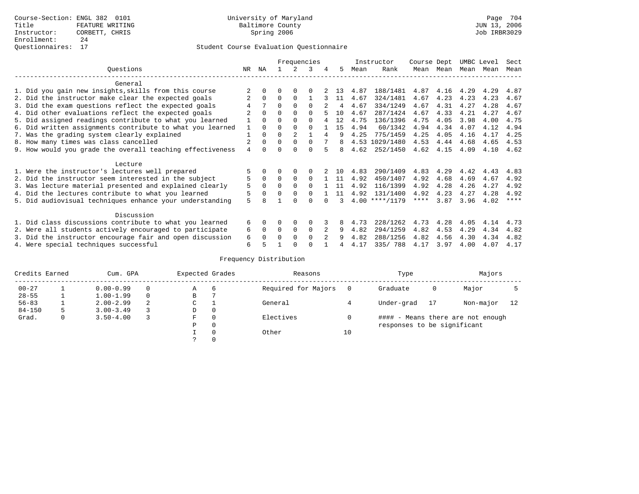## Questionnaires: 17 Student Course Evaluation Questionnaire

|                                                           |     |              |          |                | Frequencies |   |     |      | Instructor       | Course Dept |      | UMBC Level |      | Sect    |
|-----------------------------------------------------------|-----|--------------|----------|----------------|-------------|---|-----|------|------------------|-------------|------|------------|------|---------|
| Ouestions                                                 | NR. | ΝA           |          |                | 3           | 4 | 5.  | Mean | Rank             | Mean        | Mean | Mean       | Mean | Mean    |
| General                                                   |     |              |          |                |             |   |     |      |                  |             |      |            |      |         |
| 1. Did you gain new insights, skills from this course     |     |              | O        | $\Omega$       | $\Omega$    |   | 13  | 4.87 | 188/1481         | 4.87        | 4.16 | 4.29       | 4.29 | 4.87    |
| 2. Did the instructor make clear the expected goals       |     | $\Omega$     | $\Omega$ | $\Omega$       |             |   | 11  | 4.67 | 324/1481         | 4.67        | 4.23 | 4.23       | 4.23 | 4.67    |
| 3. Did the exam questions reflect the expected goals      |     |              | $\Omega$ | $\Omega$       | $\Omega$    |   | 4   | 4.67 | 334/1249         | 4.67        | 4.31 | 4.27       | 4.28 | 4.67    |
| 4. Did other evaluations reflect the expected goals       |     | $\Omega$     | $\Omega$ | $\Omega$       | O           |   | 10  | 4.67 | 287/1424         | 4.67        | 4.33 | 4.21       | 4.27 | 4.67    |
| 5. Did assigned readings contribute to what you learned   |     | $\Omega$     | $\Omega$ | $\Omega$       | $\Omega$    |   | 12  | 4.75 | 136/1396         | 4.75        | 4.05 | 3.98       | 4.00 | 4.75    |
| 6. Did written assignments contribute to what you learned | 1   | $\Omega$     |          |                | $\Omega$    |   | 15  | 4.94 | 60/1342          | 4.94        | 4.34 | 4.07       | 4.12 | 4.94    |
| 7. Was the grading system clearly explained               |     | $\Omega$     | $\Omega$ | $\overline{2}$ |             | 4 | q   | 4.25 | 775/1459         | 4.25        | 4.05 | 4.16       | 4.17 | 4.25    |
| 8. How many times was class cancelled                     |     | $\Omega$     | $\Omega$ | $\Omega$       | $\Omega$    |   | 8   |      | 4.53 1029/1480   | 4.53        | 4.44 | 4.68       | 4.65 | 4.53    |
| 9. How would you grade the overall teaching effectiveness | 4   | <sup>n</sup> | ∩        | ∩              | U           |   | 8   | 4.62 | 252/1450         | 4.62        | 4.15 | 4.09       | 4.10 | 4.62    |
| Lecture                                                   |     |              |          |                |             |   |     |      |                  |             |      |            |      |         |
| 1. Were the instructor's lectures well prepared           |     |              |          |                |             |   | 1 O | 4.83 | 290/1409         | 4.83        | 4.29 | 4.42       | 4.43 | 4.83    |
| 2. Did the instructor seem interested in the subject      | 5   | $\Omega$     | $\Omega$ | $\Omega$       | $\Omega$    |   | 11  | 4.92 | 450/1407         | 4.92        | 4.68 | 4.69       | 4.67 | 4.92    |
| 3. Was lecture material presented and explained clearly   | 5   | $\Omega$     | $\Omega$ |                | $\Omega$    |   | 11  | 4.92 | 116/1399         | 4.92        | 4.28 | 4.26       | 4.27 | 4.92    |
| 4. Did the lectures contribute to what you learned        | 5   | $\Omega$     | $\Omega$ |                | $\cap$      |   | 11  | 4.92 | 131/1400         | 4.92        | 4.23 | 4.27       | 4.28 | 4.92    |
| 5. Did audiovisual techniques enhance your understanding  | 5   |              |          |                |             |   |     |      | $4.00$ ****/1179 | $***$ * * * | 3.87 | 3.96       | 4.02 | $***$ * |
| Discussion                                                |     |              |          |                |             |   |     |      |                  |             |      |            |      |         |
| 1. Did class discussions contribute to what you learned   | 6   | $\Omega$     | U        | $\Omega$       | O           |   |     | 4.73 | 228/1262         | 4.73        | 4.28 | 4.05       | 4.14 | 4.73    |
| 2. Were all students actively encouraged to participate   | 6   | $\Omega$     | $\Omega$ | $\mathbf 0$    | $\Omega$    |   | 9   | 4.82 | 294/1259         | 4.82        | 4.53 | 4.29       | 4.34 | 4.82    |
| 3. Did the instructor encourage fair and open discussion  | 6   | 0            | 0        | $\Omega$       | $\Omega$    |   |     | 4.82 | 288/1256         | 4.82        | 4.56 | 4.30       | 4.34 | 4.82    |
| 4. Were special techniques successful                     | 6   |              |          |                |             |   |     | 4.17 | 335/788          | 4.17        | 3.97 | 4.00       | 4.07 | 4.17    |

| Credits Earned |              | Cum. GPA      |          | Expected Grades |          | Reasons             |    | Type                        |    | Majors                            |    |
|----------------|--------------|---------------|----------|-----------------|----------|---------------------|----|-----------------------------|----|-----------------------------------|----|
| $00 - 27$      |              | $0.00 - 0.99$ |          | Α               | 6        | Required for Majors |    | Graduate                    | 0  | Major                             |    |
| $28 - 55$      |              | $1.00 - 1.99$ | $\Omega$ | В               |          |                     |    |                             |    |                                   |    |
| $56 - 83$      |              | $2.00 - 2.99$ | 2        | C               |          | General             |    | Under-grad                  | 17 | Non-major                         | 12 |
| $84 - 150$     |              | $3.00 - 3.49$ |          | D               | 0        |                     |    |                             |    |                                   |    |
| Grad.          | $\mathbf{0}$ | $3.50 - 4.00$ |          | F               | $\Omega$ | Electives           |    |                             |    | #### - Means there are not enough |    |
|                |              |               |          | P               | 0        |                     |    | responses to be significant |    |                                   |    |
|                |              |               |          |                 | $\Omega$ | Other               | 10 |                             |    |                                   |    |
|                |              |               |          |                 |          |                     |    |                             |    |                                   |    |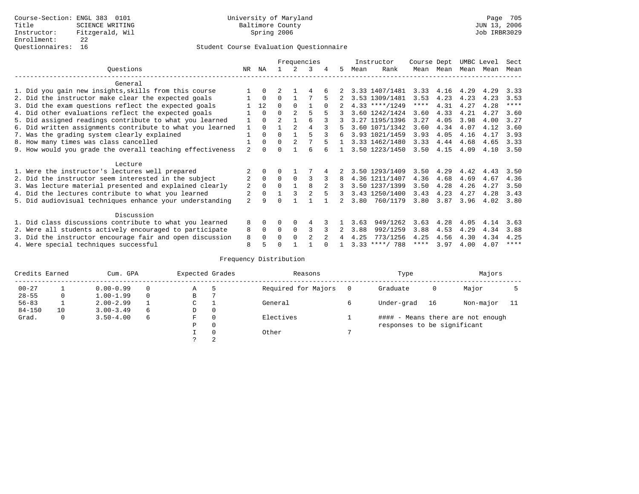|                                                           |                |              |                |                | Frequencies |          |    |      | Instructor       | Course Dept |           | UMBC Level |      | Sect        |
|-----------------------------------------------------------|----------------|--------------|----------------|----------------|-------------|----------|----|------|------------------|-------------|-----------|------------|------|-------------|
| Ouestions                                                 | NR             | ΝA           |                | 2              | 3           |          | 5. | Mean | Rank             |             | Mean Mean | Mean       | Mean | Mean        |
| General                                                   |                |              |                |                |             |          |    |      |                  |             |           |            |      |             |
| 1. Did you gain new insights, skills from this course     |                | 0            |                |                |             |          |    |      | 3.33 1407/1481   | 3.33        | 4.16      | 4.29       | 4.29 | 3.33        |
| 2. Did the instructor make clear the expected goals       |                | $\Omega$     | $\Omega$       |                |             | 5.       |    |      | 3.53 1309/1481   | 3.53        | 4.23      | 4.23       | 4.23 | 3.53        |
| 3. Did the exam questions reflect the expected goals      |                | 12           | $\Omega$       | $\Omega$       |             | $\Omega$ |    |      | $4.33$ ****/1249 | $***$ * * * | 4.31      | 4.27       | 4.28 | $***$ * * * |
| 4. Did other evaluations reflect the expected goals       |                | $\Omega$     | $\Omega$       | $\mathfrak{D}$ |             |          |    |      | 3.60 1242/1424   | 3.60        | 4.33      | 4.21       | 4.27 | 3.60        |
| 5. Did assigned readings contribute to what you learned   |                | $\Omega$     | $\mathfrak{D}$ |                | 6           |          |    |      | 3.27 1195/1396   | 3.27        | 4.05      | 3.98       | 4.00 | 3.27        |
| 6. Did written assignments contribute to what you learned |                | <sup>n</sup> |                |                |             |          |    |      | 3.60 1071/1342   | 3.60        | 4.34      | 4.07       | 4.12 | 3.60        |
| 7. Was the grading system clearly explained               |                | $\Omega$     | $\Omega$       |                |             |          | 6  |      | 3.93 1021/1459   | 3.93        | 4.05      | 4.16       | 4.17 | 3.93        |
| 8. How many times was class cancelled                     |                | <sup>0</sup> | $\Omega$       |                |             |          |    |      | 3.33 1462/1480   | 3.33        | 4.44      | 4.68       | 4.65 | 3.33        |
| 9. How would you grade the overall teaching effectiveness | $\mathfrak{D}$ | <sup>n</sup> | ∩              |                | ี           |          |    |      | 3.50 1223/1450   | 3.50        | 4.15      | 4.09       | 4.10 | 3.50        |
| Lecture                                                   |                |              |                |                |             |          |    |      |                  |             |           |            |      |             |
| 1. Were the instructor's lectures well prepared           |                |              |                |                |             |          |    |      | 3.50 1293/1409   | 3.50        | 4.29      | 4.42       | 4.43 | 3.50        |
| 2. Did the instructor seem interested in the subject      |                | $\Omega$     | $\Omega$       | $\Omega$       |             |          |    |      | 4.36 1211/1407   | 4.36        | 4.68      | 4.69       | 4.67 | 4.36        |
| 3. Was lecture material presented and explained clearly   | 2              | 0            | $\Omega$       |                | 8           |          |    |      | 3.50 1237/1399   | 3.50        | 4.28      | 4.26       | 4.27 | 3.50        |
| 4. Did the lectures contribute to what you learned        |                | <sup>0</sup> |                |                |             |          | 3  |      | 3.43 1250/1400   | 3.43        | 4.23      | 4.27       | 4.28 | 3.43        |
| 5. Did audiovisual techniques enhance your understanding  | $\overline{a}$ | a            |                |                |             |          |    | 3.80 | 760/1179         | 3.80        | 3.87      | 3.96       | 4.02 | 3.80        |
| Discussion                                                |                |              |                |                |             |          |    |      |                  |             |           |            |      |             |
| 1. Did class discussions contribute to what you learned   | 8              | 0            | O              | 0              | 4           |          |    | 3.63 | 949/1262         | 3.63        | 4.28      | 4.05       | 4.14 | 3.63        |
| 2. Were all students actively encouraged to participate   | 8              | 0            | $\Omega$       | $\Omega$       |             |          |    | 3.88 | 992/1259         | 3.88        | 4.53      | 4.29       | 4.34 | 3.88        |
| 3. Did the instructor encourage fair and open discussion  | 8              |              | 0              |                |             |          |    | 4.25 | 773/1256         | 4.25        | 4.56      | 4.30       | 4.34 | 4.25        |
| 4. Were special techniques successful                     | 8              |              | n              |                |             |          |    |      | $3.33$ ****/ 788 | ****        | 3.97      | 4.00       | 4.07 | ****        |

| Credits Earned |    | Cum. GPA      |   | Expected Grades |          | Reasons             | Type                        |    | Majors                            |  |
|----------------|----|---------------|---|-----------------|----------|---------------------|-----------------------------|----|-----------------------------------|--|
| $00 - 27$      |    | $0.00 - 0.99$ |   | Α               |          | Required for Majors | Graduate                    | 0  | Major                             |  |
| $28 - 55$      | 0  | $1.00 - 1.99$ |   | B               |          |                     |                             |    |                                   |  |
| $56 - 83$      |    | $2.00 - 2.99$ |   | ◡               |          | General             | Under-grad                  | 16 | Non-major                         |  |
| $84 - 150$     | 10 | $3.00 - 3.49$ | 6 | D               | 0        |                     |                             |    |                                   |  |
| Grad.          | 0  | $3.50 - 4.00$ | 6 | F               | 0        | Electives           |                             |    | #### - Means there are not enough |  |
|                |    |               |   | Ρ               | 0        |                     | responses to be significant |    |                                   |  |
|                |    |               |   |                 | $\Omega$ | Other               |                             |    |                                   |  |
|                |    |               |   |                 | 2        |                     |                             |    |                                   |  |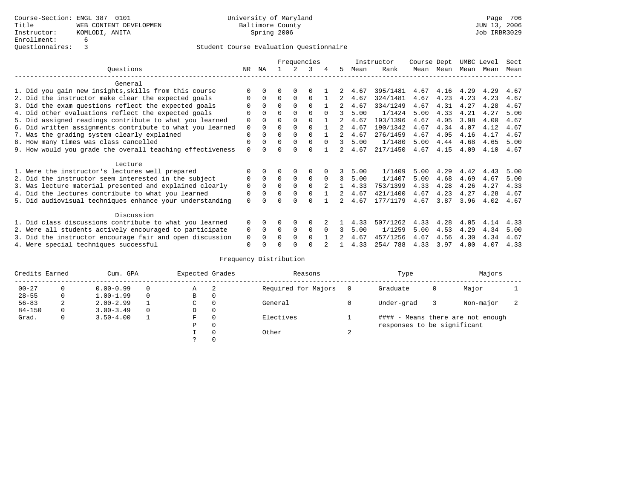|                                                           |          |          |          |             | Frequencies  |          |    |      | Instructor | Course Dept |      | UMBC Level |      | Sect |
|-----------------------------------------------------------|----------|----------|----------|-------------|--------------|----------|----|------|------------|-------------|------|------------|------|------|
| Questions                                                 | NR.      | ΝA       |          |             | 3            | 4        | 5. | Mean | Rank       | Mean        | Mean | Mean       | Mean | Mean |
| General                                                   |          |          |          |             |              |          |    |      |            |             |      |            |      |      |
| 1. Did you gain new insights, skills from this course     |          | $\Omega$ | U        | $\Omega$    | O            |          |    | 4.67 | 395/1481   | 4.67        | 4.16 | 4.29       | 4.29 | 4.67 |
| 2. Did the instructor make clear the expected goals       |          | $\Omega$ | $\Omega$ | $\Omega$    | $\Omega$     |          |    | 4.67 | 324/1481   | 4.67        | 4.23 | 4.23       | 4.23 | 4.67 |
| 3. Did the exam questions reflect the expected goals      |          | $\Omega$ | $\Omega$ | $\Omega$    | $\Omega$     |          |    | 4.67 | 334/1249   | 4.67        | 4.31 | 4.27       | 4.28 | 4.67 |
| 4. Did other evaluations reflect the expected goals       | O        | $\Omega$ | 0        | $\Omega$    | $\Omega$     |          |    | 5.00 | 1/1424     | 5.00        | 4.33 | 4.21       | 4.27 | 5.00 |
| 5. Did assigned readings contribute to what you learned   | 0        |          | 0        | $\Omega$    | $\Omega$     |          |    | 4.67 | 193/1396   | 4.67        | 4.05 | 3.98       | 4.00 | 4.67 |
| 6. Did written assignments contribute to what you learned | 0        |          | U        | $\Omega$    | $\Omega$     |          | 2  | 4.67 | 190/1342   | 4.67        | 4.34 | 4.07       | 4.12 | 4.67 |
| 7. Was the grading system clearly explained               | 0        |          |          | $\Omega$    | $\Omega$     |          |    | 4.67 | 276/1459   | 4.67        | 4.05 | 4.16       | 4.17 | 4.67 |
| 8. How many times was class cancelled                     | 0        | $\Omega$ | 0        | $\Omega$    | $\Omega$     | $\Omega$ | 3  | 5.00 | 1/1480     | 5.00        | 4.44 | 4.68       | 4.65 | 5.00 |
| 9. How would you grade the overall teaching effectiveness | $\Omega$ |          |          | U           | $\cap$       |          |    | 4.67 | 217/1450   | 4.67        | 4.15 | 4.09       | 4.10 | 4.67 |
| Lecture                                                   |          |          |          |             |              |          |    |      |            |             |      |            |      |      |
| 1. Were the instructor's lectures well prepared           |          |          |          | $\Omega$    | $\Omega$     |          |    | 5.00 | 1/1409     | 5.00        | 4.29 | 4.42       | 4.43 | 5.00 |
| 2. Did the instructor seem interested in the subject      | 0        | $\Omega$ | $\Omega$ | $\mathbf 0$ | 0            | $\Omega$ | 3  | 5.00 | 1/1407     | 5.00        | 4.68 | 4.69       | 4.67 | 5.00 |
| 3. Was lecture material presented and explained clearly   | 0        | $\Omega$ | 0        | $\Omega$    | $\Omega$     |          |    | 4.33 | 753/1399   | 4.33        | 4.28 | 4.26       | 4.27 | 4.33 |
| 4. Did the lectures contribute to what you learned        | 0        | 0        | 0        | $\mathbf 0$ | $\Omega$     |          | 2  | 4.67 | 421/1400   | 4.67        | 4.23 | 4.27       | 4.28 | 4.67 |
| 5. Did audiovisual techniques enhance your understanding  | $\Omega$ |          |          |             |              |          |    | 4.67 | 177/1179   | 4.67        | 3.87 | 3.96       | 4.02 | 4.67 |
| Discussion                                                |          |          |          |             |              |          |    |      |            |             |      |            |      |      |
| 1. Did class discussions contribute to what you learned   | $\Omega$ | $\Omega$ | U        | $\Omega$    | <sup>0</sup> |          |    | 4.33 | 507/1262   | 4.33        | 4.28 | 4.05       | 4.14 | 4.33 |
| 2. Were all students actively encouraged to participate   | 0        | $\Omega$ | $\Omega$ | $\mathbf 0$ | 0            |          |    | 5.00 | 1/1259     | 5.00        | 4.53 | 4.29       | 4.34 | 5.00 |
| 3. Did the instructor encourage fair and open discussion  | 0        |          | U        | $\Omega$    | $\Omega$     |          |    | 4.67 | 457/1256   | 4.67        | 4.56 | 4.30       | 4.34 | 4.67 |
| 4. Were special techniques successful                     | $\Omega$ |          |          |             |              |          |    | 4.33 | 254/788    | 4.33        | 3.97 | 4.00       | 4.07 | 4.33 |

| Credits Earned |   | Cum. GPA      | Expected Grades |          | Reasons             |        | Type                        |   | Majors                            |   |
|----------------|---|---------------|-----------------|----------|---------------------|--------|-----------------------------|---|-----------------------------------|---|
| $00 - 27$      | 0 | $0.00 - 0.99$ | Α               | -2       | Required for Majors |        | Graduate                    | 0 | Major                             |   |
| $28 - 55$      | 0 | $1.00 - 1.99$ | В               | 0        |                     |        |                             |   |                                   |   |
| $56 - 83$      | 2 | $2.00 - 2.99$ | $\sim$<br>◡     | 0        | General             |        | Under-grad                  |   | Non-major                         | z |
| $84 - 150$     | 0 | $3.00 - 3.49$ | D               | 0        |                     |        |                             |   |                                   |   |
| Grad.          | 0 | $3.50 - 4.00$ | F               | 0        | Electives           |        |                             |   | #### - Means there are not enough |   |
|                |   |               | Ρ               | 0        |                     |        | responses to be significant |   |                                   |   |
|                |   |               |                 | $\Omega$ | Other               | $\sim$ |                             |   |                                   |   |
|                |   |               | C.              |          |                     |        |                             |   |                                   |   |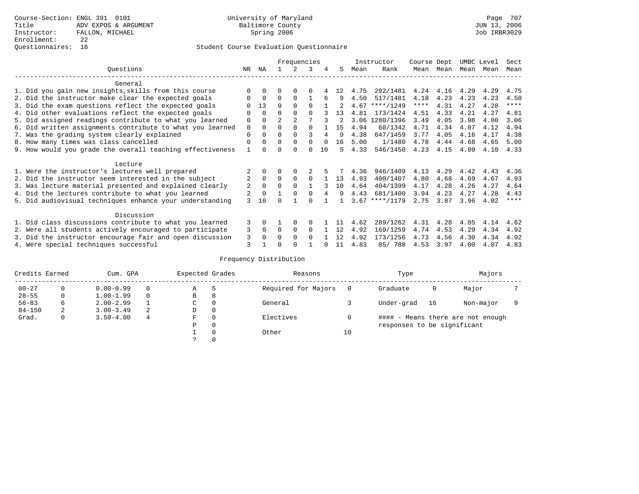## Questionnaires: 16 Student Course Evaluation Questionnaire

|                                                           |          |              |                | Frequencies    |              |    |    |      | Instructor       | Course Dept |           | UMBC Level |      | Sect        |
|-----------------------------------------------------------|----------|--------------|----------------|----------------|--------------|----|----|------|------------------|-------------|-----------|------------|------|-------------|
| Ouestions                                                 | NR.      | ΝA           |                | 2              | 3            | 4  | 5. | Mean | Rank             |             | Mean Mean | Mean       | Mean | Mean        |
| General                                                   |          |              |                |                |              |    |    |      |                  |             |           |            |      |             |
| 1. Did you gain new insights, skills from this course     |          | $\Omega$     | 0              | $\Omega$       |              |    | 12 | 4.75 | 292/1481         | 4.24        | 4.16      | 4.29       | 4.29 | 4.75        |
| 2. Did the instructor make clear the expected goals       |          | $\Omega$     | $\Omega$       | $\Omega$       |              | 6  | 9  | 4.50 | 517/1481         | 4.18        | 4.23      | 4.23       | 4.23 | 4.50        |
| 3. Did the exam questions reflect the expected goals      |          | 13           | 0              | $\Omega$       | $\Omega$     |    |    | 4.67 | $***/1249$       | ****        | 4.31      | 4.27       | 4.28 | $***$ * * * |
| 4. Did other evaluations reflect the expected goals       |          | $\Omega$     | 0              | $\Omega$       | U            |    | 13 | 4.81 | 173/1424         | 4.51        | 4.33      | 4.21       | 4.27 | 4.81        |
| 5. Did assigned readings contribute to what you learned   | 0        | $\Omega$     | $\overline{a}$ | $\overline{2}$ |              |    |    |      | 3.06 1280/1396   | 3.49        | 4.05      | 3.98       | 4.00 | 3.06        |
| 6. Did written assignments contribute to what you learned | 0        | $\Omega$     | U              | $\Omega$       | <sup>0</sup> |    | 15 | 4.94 | 60/1342          | 4.71        | 4.34      | 4.07       | 4.12 | 4.94        |
| 7. Was the grading system clearly explained               | $\Omega$ | $\Omega$     | U              | $\Omega$       |              | 4  | q  | 4.38 | 647/1459         | 3.77        | 4.05      | 4.16       | 4.17 | 4.38        |
| 8. How many times was class cancelled                     | $\Omega$ | $\Omega$     | 0              | $\Omega$       | 0            |    | 16 | 5.00 | 1/1480           | 4.78        | 4.44      | 4.68       | 4.65 | 5.00        |
| 9. How would you grade the overall teaching effectiveness |          | <sup>n</sup> |                | $\cap$         | U            | 10 | 5  | 4.33 | 546/1450         | 4.23        | 4.15      | 4.09       | 4.10 | 4.33        |
| Lecture                                                   |          |              |                |                |              |    |    |      |                  |             |           |            |      |             |
| 1. Were the instructor's lectures well prepared           |          |              |                |                |              |    |    | 4.36 | 946/1409         | 4.13        | 4.29      | 4.42       | 4.43 | 4.36        |
| 2. Did the instructor seem interested in the subject      | 2        | $\Omega$     | $\Omega$       | $\Omega$       | $\Omega$     |    | 13 | 4.93 | 400/1407         | 4.80        | 4.68      | 4.69       | 4.67 | 4.93        |
| 3. Was lecture material presented and explained clearly   | 2        | $\Omega$     | 0              | $\Omega$       |              |    | 10 | 4.64 | 404/1399         | 4.17        | 4.28      | 4.26       | 4.27 | 4.64        |
| 4. Did the lectures contribute to what you learned        | 2        | $\Omega$     |                | $\Omega$       | <sup>0</sup> |    | 9  | 4.43 | 681/1400         | 3.94        | 4.23      | 4.27       | 4.28 | 4.43        |
| 5. Did audiovisual techniques enhance your understanding  | ζ        | 10           |                |                |              |    |    |      | $3.67$ ****/1179 | 2.75        | 3.87      | 3.96       | 4.02 | ****        |
| Discussion                                                |          |              |                |                |              |    |    |      |                  |             |           |            |      |             |
| 1. Did class discussions contribute to what you learned   | 3        | $\Omega$     |                | $\Omega$       | 0            |    |    | 4.62 | 289/1262         | 4.31        | 4.28      | 4.05       | 4.14 | 4.62        |
| 2. Were all students actively encouraged to participate   | 3        | $\Omega$     | $\Omega$       | $\Omega$       | $\Omega$     |    | 12 | 4.92 | 169/1259         | 4.74        | 4.53      | 4.29       | 4.34 | 4.92        |
| 3. Did the instructor encourage fair and open discussion  | 3        | $\Omega$     | U              | $\Omega$       | <sup>0</sup> |    | 12 | 4.92 | 173/1256         | 4.73        | 4.56      | 4.30       | 4.34 | 4.92        |
| 4. Were special techniques successful                     | 3        |              |                |                |              |    | 11 | 4.83 | 85/788           | 4.53        | 3.97      | 4.00       | 4.07 | 4.83        |

| Credits Earned |          | Cum. GPA      |   | Expected Grades |          | Reasons             |          | Type                        |    | Majors                            |  |
|----------------|----------|---------------|---|-----------------|----------|---------------------|----------|-----------------------------|----|-----------------------------------|--|
| $00 - 27$      | $\Omega$ | $0.00 - 0.99$ |   | Α               | 5        | Required for Majors | $\Omega$ | Graduate                    | 0  | Major                             |  |
| $28 - 55$      | 0        | $1.00 - 1.99$ |   | В               | 8        |                     |          |                             |    |                                   |  |
| $56 - 83$      | 6        | $2.00 - 2.99$ |   | $\sim$<br>◡     | 0        | General             |          | Under-grad                  | 16 | Non-major                         |  |
| $84 - 150$     | 2        | $3.00 - 3.49$ | 2 | D               | 0        |                     |          |                             |    |                                   |  |
| Grad.          | 0        | $3.50 - 4.00$ | 4 | F               | 0        | Electives           | 0        |                             |    | #### - Means there are not enough |  |
|                |          |               |   | Ρ               | 0        |                     |          | responses to be significant |    |                                   |  |
|                |          |               |   |                 | $\Omega$ | Other               | 10       |                             |    |                                   |  |
|                |          |               |   |                 |          |                     |          |                             |    |                                   |  |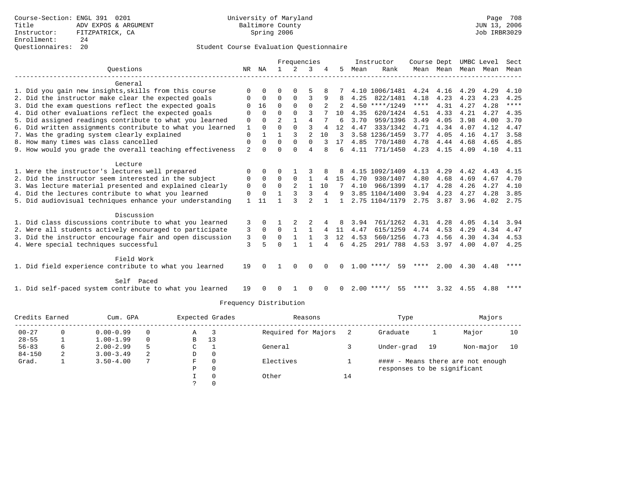? 0

## Questionnaires: 20 Student Course Evaluation Questionnaire

|                                                           |              |             |                | Frequencies  |                |                |              |      | Instructor         | Course Dept |               | UMBC Level |      | Sect |
|-----------------------------------------------------------|--------------|-------------|----------------|--------------|----------------|----------------|--------------|------|--------------------|-------------|---------------|------------|------|------|
| Ouestions                                                 | NR           | ΝA          | $\overline{1}$ | 2            | 3              |                | 5.           | Mean | Rank               |             | Mean Mean     | Mean Mean  |      | Mean |
| General                                                   |              |             |                |              |                |                |              |      |                    |             |               |            |      |      |
| 1. Did you gain new insights, skills from this course     | <sup>0</sup> |             | U              | <sup>0</sup> | 5              |                |              |      | 4.10 1006/1481     |             | 4.24 4.16     | 4.29       | 4.29 | 4.10 |
| 2. Did the instructor make clear the expected goals       | 0            | $\Omega$    | $\Omega$       | $\Omega$     | 3              | 9              | 8            | 4.25 | 822/1481           | 4.18        | 4.23          | 4.23       | 4.23 | 4.25 |
| 3. Did the exam questions reflect the expected goals      | 0            | 16          | $\Omega$       | $\Omega$     | $\Omega$       | $\overline{2}$ |              |      | $4.50$ ****/1249   | $***$ * * * | 4.31          | 4.27       | 4.28 | **** |
| 4. Did other evaluations reflect the expected goals       | <sup>0</sup> | $\Omega$    | $\Omega$       | $\Omega$     |                |                | 10           | 4.35 | 620/1424           | 4.51        | 4.33          | 4.21       | 4.27 | 4.35 |
| 5. Did assigned readings contribute to what you learned   | 0            | $\Omega$    |                | $\mathbf{1}$ | 4              |                | 6            | 3.70 | 959/1396           | 3.49        | 4.05          | 3.98       | 4.00 | 3.70 |
| 6. Did written assignments contribute to what you learned | 1            | $\Omega$    | O              | $\Omega$     | 3              | 4              | 12           | 4.47 | 333/1342           | 4.71        | 4.34          | 4.07       | 4.12 | 4.47 |
| 7. Was the grading system clearly explained               | $\Omega$     |             |                | ς            | $\overline{a}$ | 10             | 3            |      | 3.58 1236/1459     | 3.77        | 4.05          | 4.16       | 4.17 | 3.58 |
| 8. How many times was class cancelled                     | 0            | $\Omega$    | $\Omega$       | $\Omega$     | $\Omega$       |                | 17           | 4.85 | 770/1480           | 4.78        | 4.44          | 4.68       | 4.65 | 4.85 |
| 9. How would you grade the overall teaching effectiveness | 2            | $\Omega$    | U              | $\Omega$     | 4              | 8              | 6            | 4.11 | 771/1450           |             | $4.23$ $4.15$ | 4.09       | 4.10 | 4.11 |
| Lecture                                                   |              |             |                |              |                |                |              |      |                    |             |               |            |      |      |
| 1. Were the instructor's lectures well prepared           | O            | 0           | U              |              |                |                | 8            |      | 4.15 1092/1409     | 4.13        | 4.29          | 4.42       | 4.43 | 4.15 |
| 2. Did the instructor seem interested in the subject      | 0            | $\Omega$    | $\Omega$       | $\Omega$     |                | 4              | 15           | 4.70 | 930/1407           | 4.80        | 4.68          | 4.69       | 4.67 | 4.70 |
| 3. Was lecture material presented and explained clearly   | 0            | $\mathbf 0$ | 0              | 2            | $\mathbf{1}$   | 10             | 7            | 4.10 | 966/1399           | 4.17        | 4.28          | 4.26       | 4.27 | 4.10 |
| 4. Did the lectures contribute to what you learned        | 0            | $\Omega$    |                | 3            | 3              | 4              | 9            |      | 3.85 1104/1400     | 3.94        | 4.23          | 4.27       | 4.28 | 3.85 |
| 5. Did audiovisual techniques enhance your understanding  |              | 11          |                |              |                |                | $\mathbf{1}$ |      | 2.75 1104/1179     | 2.75        | 3.87          | 3.96       | 4.02 | 2.75 |
|                                                           |              |             |                |              |                |                |              |      |                    |             |               |            |      |      |
| Discussion                                                |              |             |                |              |                |                |              |      |                    |             |               |            |      |      |
| 1. Did class discussions contribute to what you learned   | 3            |             |                |              |                |                | 8            | 3.94 | 761/1262           | 4.31        | 4.28          | 4.05       | 4.14 | 3.94 |
| 2. Were all students actively encouraged to participate   | 3            | $\Omega$    | $\Omega$       | $\mathbf{1}$ | $\mathbf{1}$   | 4              | 11           | 4.47 | 615/1259           | 4.74        | 4.53          | 4.29       | 4.34 | 4.47 |
| 3. Did the instructor encourage fair and open discussion  | 3            | 0           | $\Omega$       | $\mathbf{1}$ |                |                | 12           | 4.53 | 560/1256           | 4.73        | 4.56          | 4.30       | 4.34 | 4.53 |
| 4. Were special techniques successful                     | 3            | 5           | U              | $\mathbf{1}$ | 1              | 4              | 6            | 4.25 | 291/788            |             | 4.53 3.97     | 4.00       | 4.07 | 4.25 |
| Field Work                                                |              |             |                |              |                |                |              |      |                    |             |               |            |      |      |
| 1. Did field experience contribute to what you learned    | 19           | $\Omega$    |                | $\Omega$     | 0              | $\Omega$       | 0            |      | $1.00$ ****/<br>59 | ****        | 2.00          | 4.30       | 4.48 | **** |
| Self Paced                                                |              |             |                |              |                |                |              |      |                    |             |               |            |      |      |
| 1. Did self-paced system contribute to what you learned   | 19           |             | <sup>0</sup>   |              | $\Omega$       | $\Omega$       | $\Omega$     |      | $2.00$ ****/<br>55 | ****        | 3.32          | 4.55       | 4.88 |      |

| Credits Earned | Cum. GPA      |   |   | Expected Grades | Reasons             |    | Type                        |    | Majors                            |    |
|----------------|---------------|---|---|-----------------|---------------------|----|-----------------------------|----|-----------------------------------|----|
| $00 - 27$      | $0.00 - 0.99$ |   | Α |                 | Required for Majors |    | Graduate                    |    | Major                             | 10 |
| $28 - 55$      | $1.00 - 1.99$ |   | B | 13              |                     |    |                             |    |                                   |    |
| $56 - 83$      | $2.00 - 2.99$ |   | C |                 | General             |    | Under-grad                  | 19 | Non-major                         | 10 |
| $84 - 150$     | $3.00 - 3.49$ | 2 | D | 0               |                     |    |                             |    |                                   |    |
| Grad.          | $3.50 - 4.00$ |   | F |                 | Electives           |    |                             |    | #### - Means there are not enough |    |
|                |               |   | P | $\Omega$        |                     |    | responses to be significant |    |                                   |    |
|                |               |   |   |                 | Other               | 14 |                             |    |                                   |    |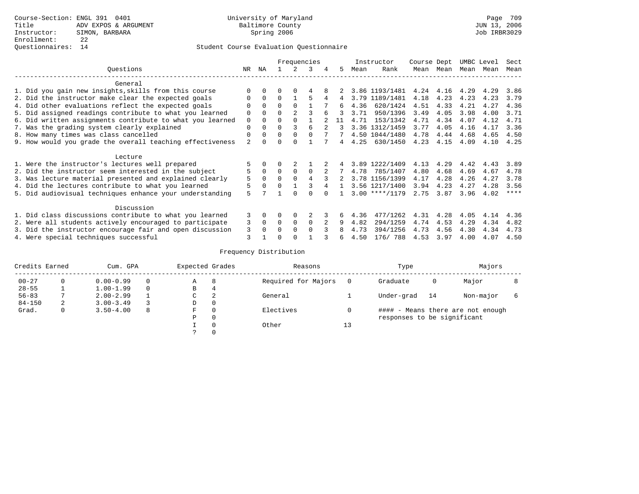|                                                           |          | Frequencies  |              |          |          |   |    | Instructor | Course Dept      |      | UMBC Level |      | Sect |      |
|-----------------------------------------------------------|----------|--------------|--------------|----------|----------|---|----|------------|------------------|------|------------|------|------|------|
| Ouestions                                                 | NR       | ΝA           |              |          | ર        | 4 | 5. | Mean       | Rank             | Mean | Mean       | Mean | Mean | Mean |
| General                                                   |          |              |              |          |          |   |    |            |                  |      |            |      |      |      |
| 1. Did you gain new insights, skills from this course     |          |              |              |          |          |   |    |            | 3.86 1193/1481   |      | 4.24 4.16  | 4.29 | 4.29 | 3.86 |
| 2. Did the instructor make clear the expected goals       | $\Omega$ | $\Omega$     | <sup>0</sup> |          |          |   |    | 3.79       | 1189/1481        | 4.18 | 4.23       | 4.23 | 4.23 | 3.79 |
| 4. Did other evaluations reflect the expected goals       |          | $\Omega$     | $\Omega$     |          |          |   | 6  | 4.36       | 620/1424         | 4.51 | 4.33       | 4.21 | 4.27 | 4.36 |
| 5. Did assigned readings contribute to what you learned   | $\Omega$ |              | U            |          |          |   |    | 3.71       | 950/1396         | 3.49 | 4.05       | 3.98 | 4.00 | 3.71 |
| 6. Did written assignments contribute to what you learned | $\Omega$ | $\Omega$     | $\Omega$     |          |          |   | 11 | 4.71       | 153/1342         | 4.71 | 4.34       | 4.07 | 4.12 | 4.71 |
| 7. Was the grading system clearly explained               | $\Omega$ |              | $\Omega$     |          |          |   |    |            | 3.36 1312/1459   | 3.77 | 4.05       | 4.16 | 4.17 | 3.36 |
| 8. How many times was class cancelled                     | $\Omega$ | $\Omega$     | $\Omega$     | $\Omega$ | $\cap$   |   |    |            | 4.50 1044/1480   | 4.78 | 4.44       | 4.68 | 4.65 | 4.50 |
| 9. How would you grade the overall teaching effectiveness |          |              | U            |          |          |   |    | 4.25       | 630/1450         | 4.23 | 4.15       | 4.09 | 4.10 | 4.25 |
| Lecture                                                   |          |              |              |          |          |   |    |            |                  |      |            |      |      |      |
| 1. Were the instructor's lectures well prepared           |          |              | 0            |          |          |   |    |            | 3.89 1222/1409   | 4.13 | 4.29       | 4.42 | 4.43 | 3.89 |
| 2. Did the instructor seem interested in the subject      |          | $\Omega$     | $\Omega$     | $\Omega$ | $\Omega$ |   |    | 4.78       | 785/1407         | 4.80 | 4.68       | 4.69 | 4.67 | 4.78 |
| 3. Was lecture material presented and explained clearly   | 5        | 0            | $\Omega$     | $\Omega$ |          |   |    |            | 3.78 1156/1399   | 4.17 | 4.28       | 4.26 | 4.27 | 3.78 |
| 4. Did the lectures contribute to what you learned        |          | <sup>n</sup> | U            |          |          |   |    |            | 3.56 1217/1400   | 3.94 | 4.23       | 4.27 | 4.28 | 3.56 |
| 5. Did audiovisual techniques enhance your understanding  | 5        |              |              |          |          |   |    |            | $3.00$ ****/1179 | 2.75 | 3.87       | 3.96 | 4.02 | **** |
| Discussion                                                |          |              |              |          |          |   |    |            |                  |      |            |      |      |      |
| 1. Did class discussions contribute to what you learned   | 3        | $\Omega$     | 0            | $\Omega$ |          |   | 6  | 4.36       | 477/1262         | 4.31 | 4.28       | 4.05 | 4.14 | 4.36 |
| 2. Were all students actively encouraged to participate   | 3        | $\Omega$     | $\Omega$     | $\Omega$ | $\Omega$ |   | 9  | 4.82       | 294/1259         | 4.74 | 4.53       | 4.29 | 4.34 | 4.82 |
| 3. Did the instructor encourage fair and open discussion  | 3        |              | U            |          | ∩        |   |    | 4.73       | 394/1256         | 4.73 | 4.56       | 4.30 | 4.34 | 4.73 |
| 4. Were special techniques successful                     | २        |              | U            |          |          |   | 6  | 4.50       | 176/788          | 4.53 | 3.97       | 4.00 | 4.07 | 4.50 |

| Credits Earned |   | Cum. GPA      |   | Expected Grades |             | Reasons             |    | Type                        |    | Majors                            |  |
|----------------|---|---------------|---|-----------------|-------------|---------------------|----|-----------------------------|----|-----------------------------------|--|
| $00 - 27$      |   | $0.00 - 0.99$ |   | Α               | 8           | Required for Majors |    | Graduate                    | 0  | Major                             |  |
| $28 - 55$      |   | $1.00 - 1.99$ |   | В               | 4           |                     |    |                             |    |                                   |  |
| $56 - 83$      |   | $2.00 - 2.99$ |   | C               | 2           | General             |    | Under-grad                  | 14 | Non-major                         |  |
| $84 - 150$     | 2 | $3.00 - 3.49$ |   | D               | $\mathbf 0$ |                     |    |                             |    |                                   |  |
| Grad.          | 0 | $3.50 - 4.00$ | 8 | F               | $\Omega$    | Electives           |    |                             |    | #### - Means there are not enough |  |
|                |   |               |   | P               | $\Omega$    |                     |    | responses to be significant |    |                                   |  |
|                |   |               |   |                 | $\Omega$    | Other               | 13 |                             |    |                                   |  |
|                |   |               |   |                 |             |                     |    |                             |    |                                   |  |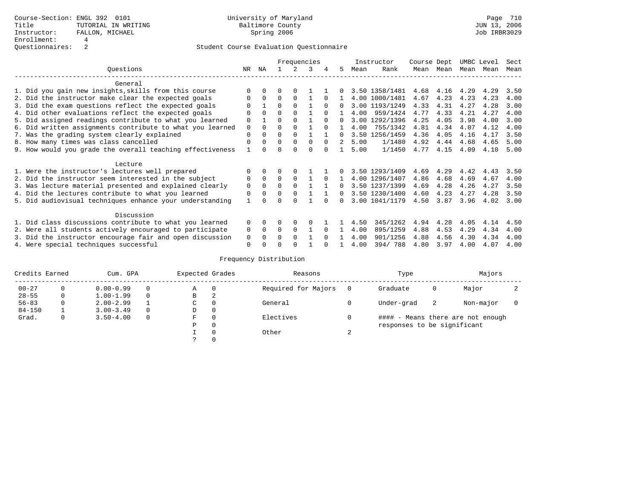|                                                           |             | Frequencies |          |          |          |          |              |      | Instructor     | Course Dept |           | UMBC Level |      | Sect |
|-----------------------------------------------------------|-------------|-------------|----------|----------|----------|----------|--------------|------|----------------|-------------|-----------|------------|------|------|
| Ouestions                                                 | NR.         | ΝA          |          |          | 3        | 4        | 5.           | Mean | Rank           |             | Mean Mean | Mean       | Mean | Mean |
| General                                                   |             |             |          |          |          |          |              |      |                |             |           |            |      |      |
| 1. Did you gain new insights, skills from this course     |             | $\Omega$    | 0        | $\Omega$ |          |          |              |      | 3.50 1358/1481 | 4.68        | 4.16      | 4.29       | 4.29 | 3.50 |
| 2. Did the instructor make clear the expected goals       | O           | $\Omega$    | $\Omega$ | $\Omega$ |          |          |              |      | 4.00 1000/1481 | 4.67        | 4.23      | 4.23       | 4.23 | 4.00 |
| 3. Did the exam questions reflect the expected goals      |             |             | $\Omega$ | $\Omega$ |          | $\Omega$ | <sup>n</sup> |      | 3.00 1193/1249 | 4.33        | 4.31      | 4.27       | 4.28 | 3.00 |
| 4. Did other evaluations reflect the expected goals       | O           | $\Omega$    | $\Omega$ | $\Omega$ |          | $\Omega$ |              | 4.00 | 959/1424       | 4.77        | 4.33      | 4.21       | 4.27 | 4.00 |
| 5. Did assigned readings contribute to what you learned   | $\mathbf 0$ |             | $\Omega$ | $\Omega$ |          | $\Omega$ | $\Omega$     | 3.00 | 1292/1396      | 4.25        | 4.05      | 3.98       | 4.00 | 3.00 |
| 6. Did written assignments contribute to what you learned | $\mathbf 0$ | $\Omega$    | 0        | $\Omega$ |          | $\cap$   |              | 4.00 | 755/1342       | 4.81        | 4.34      | 4.07       | 4.12 | 4.00 |
| 7. Was the grading system clearly explained               | $\Omega$    | $\Omega$    | 0        | $\Omega$ |          |          | <sup>n</sup> |      | 3.50 1256/1459 | 4.36        | 4.05      | 4.16       | 4.17 | 3.50 |
| 8. How many times was class cancelled                     | $\Omega$    | $\Omega$    | $\Omega$ | $\Omega$ | $\Omega$ | $\Omega$ |              | 5.00 | 1/1480         | 4.92        | 4.44      | 4.68       | 4.65 | 5.00 |
| 9. How would you grade the overall teaching effectiveness |             |             | ∩        | ∩        | $\Omega$ | $\cap$   |              | 5.00 | 1/1450         | 4.77        | 4.15      | 4.09       | 4.10 | 5.00 |
| Lecture                                                   |             |             |          |          |          |          |              |      |                |             |           |            |      |      |
| 1. Were the instructor's lectures well prepared           |             |             |          | $\Omega$ |          |          |              |      | 3.50 1293/1409 | 4.69        | 4.29      | 4.42       | 4.43 | 3.50 |
| 2. Did the instructor seem interested in the subject      | 0           | $\Omega$    | $\Omega$ | $\Omega$ |          | $\Omega$ |              |      | 4.00 1296/1407 | 4.86        | 4.68      | 4.69       | 4.67 | 4.00 |
| 3. Was lecture material presented and explained clearly   | 0           | $\Omega$    | $\Omega$ | $\Omega$ |          |          | 0            |      | 3.50 1237/1399 | 4.69        | 4.28      | 4.26       | 4.27 | 3.50 |
| 4. Did the lectures contribute to what you learned        | 0           | $\Omega$    | $\Omega$ | $\Omega$ |          |          | 0            |      | 3.50 1230/1400 | 4.60        | 4.23      | 4.27       | 4.28 | 3.50 |
| 5. Did audiovisual techniques enhance your understanding  |             |             |          |          |          |          | <sup>n</sup> |      | 3.00 1041/1179 | 4.50        | 3.87      | 3.96       | 4.02 | 3.00 |
| Discussion                                                |             |             |          |          |          |          |              |      |                |             |           |            |      |      |
| 1. Did class discussions contribute to what you learned   | $\Omega$    | $\Omega$    | 0        | $\Omega$ | $\Omega$ |          |              | 4.50 | 345/1262       | 4.94        | 4.28      | 4.05       | 4.14 | 4.50 |
| 2. Were all students actively encouraged to participate   | 0           | $\Omega$    | $\Omega$ | $\Omega$ |          | $\Omega$ |              | 4.00 | 895/1259       | 4.88        | 4.53      | 4.29       | 4.34 | 4.00 |
| 3. Did the instructor encourage fair and open discussion  | 0           |             | O        | $\Omega$ |          |          |              | 4.00 | 901/1256       | 4.88        | 4.56      | 4.30       | 4.34 | 4.00 |
| 4. Were special techniques successful                     | $\Omega$    |             |          |          |          |          |              | 4.00 | 394/788        | 4.80        | 3.97      | 4.00       | 4.07 | 4.00 |

| Credits Earned |              | Cum. GPA      |          | Expected Grades |          | Reasons             |        | Type                        |    | Majors                            |  |
|----------------|--------------|---------------|----------|-----------------|----------|---------------------|--------|-----------------------------|----|-----------------------------------|--|
| $00 - 27$      |              | $0.00 - 0.99$ |          | Α               | 0        | Required for Majors |        | Graduate                    | 0  | Major                             |  |
| $28 - 55$      | 0            | $1.00 - 1.99$ | $\Omega$ | В               | 2        |                     |        |                             |    |                                   |  |
| $56 - 83$      | 0            | $2.00 - 2.99$ |          | C.              | $\Omega$ | General             |        | Under-grad                  | -2 | Non-major                         |  |
| $84 - 150$     |              | $3.00 - 3.49$ | $\Omega$ | D               | 0        |                     |        |                             |    |                                   |  |
| Grad.          | $\mathbf{0}$ | $3.50 - 4.00$ | $\Omega$ | F               | $\Omega$ | Electives           |        |                             |    | #### - Means there are not enough |  |
|                |              |               |          | Ρ               | 0        |                     |        | responses to be significant |    |                                   |  |
|                |              |               |          |                 | $\Omega$ | Other               | $\sim$ |                             |    |                                   |  |
|                |              |               |          |                 |          |                     |        |                             |    |                                   |  |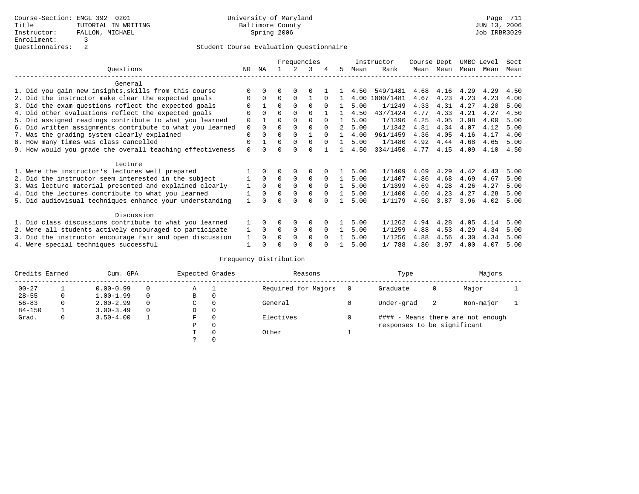|                                                           |             | Frequencies<br>ΝA<br>3<br>5.<br>4 |          |             |             |          |               |      | Instructor | Course Dept |      | UMBC Level |      | Sect |
|-----------------------------------------------------------|-------------|-----------------------------------|----------|-------------|-------------|----------|---------------|------|------------|-------------|------|------------|------|------|
| Ouestions                                                 | NR.         |                                   |          |             |             |          |               | Mean | Rank       | Mean        | Mean | Mean       | Mean | Mean |
| General                                                   |             |                                   |          |             |             |          |               |      |            |             |      |            |      |      |
| 1. Did you gain new insights, skills from this course     | $\Omega$    | $\Omega$                          | O        | $\Omega$    | O           |          |               | 4.50 | 549/1481   | 4.68        | 4.16 | 4.29       | 4.29 | 4.50 |
| 2. Did the instructor make clear the expected goals       | 0           | $\Omega$                          | $\Omega$ | $\Omega$    |             |          |               | 4.00 | 1000/1481  | 4.67        | 4.23 | 4.23       | 4.23 | 4.00 |
| 3. Did the exam questions reflect the expected goals      |             |                                   | 0        | $\Omega$    | $\Omega$    | $\Omega$ |               | 5.00 | 1/1249     | 4.33        | 4.31 | 4.27       | 4.28 | 5.00 |
| 4. Did other evaluations reflect the expected goals       | O           | $\Omega$                          | $\Omega$ | $\Omega$    | $\Omega$    |          |               | 4.50 | 437/1424   | 4.77        | 4.33 | 4.21       | 4.27 | 4.50 |
| 5. Did assigned readings contribute to what you learned   | $\mathbf 0$ |                                   | 0        |             | $\Omega$    | $\Omega$ |               | 5.00 | 1/1396     | 4.25        | 4.05 | 3.98       | 4.00 | 5.00 |
| 6. Did written assignments contribute to what you learned | $\mathbf 0$ | $\Omega$                          | $\Omega$ |             | $\Omega$    | $\Omega$ | $\mathcal{L}$ | 5.00 | 1/1342     | 4.81        | 4.34 | 4.07       | 4.12 | 5.00 |
| 7. Was the grading system clearly explained               | $\Omega$    | $\Omega$                          | 0        | $\Omega$    |             |          |               | 4.00 | 961/1459   | 4.36        | 4.05 | 4.16       | 4.17 | 4.00 |
| 8. How many times was class cancelled                     | $\Omega$    |                                   | $\Omega$ | $\Omega$    | $\Omega$    | $\cap$   |               | 5.00 | 1/1480     | 4.92        | 4.44 | 4.68       | 4.65 | 5.00 |
| 9. How would you grade the overall teaching effectiveness | $\Omega$    | <sup>n</sup>                      | U        | $\cap$      | $\Omega$    |          |               | 4.50 | 334/1450   | 4.77        | 4.15 | 4.09       | 4.10 | 4.50 |
| Lecture                                                   |             |                                   |          |             |             |          |               |      |            |             |      |            |      |      |
| 1. Were the instructor's lectures well prepared           |             |                                   |          |             | 0           |          |               | 5.00 | 1/1409     | 4.69        | 4.29 | 4.42       | 4.43 | 5.00 |
| 2. Did the instructor seem interested in the subject      |             | $\Omega$                          | $\Omega$ | $\mathbf 0$ | $\mathbf 0$ | $\Omega$ | 1.            | 5.00 | 1/1407     | 4.86        | 4.68 | 4.69       | 4.67 | 5.00 |
| 3. Was lecture material presented and explained clearly   |             | $\Omega$                          | $\Omega$ | $\Omega$    | $\Omega$    | $\Omega$ |               | 5.00 | 1/1399     | 4.69        | 4.28 | 4.26       | 4.27 | 5.00 |
| 4. Did the lectures contribute to what you learned        |             | $\Omega$                          | $\Omega$ | $\mathbf 0$ | $\mathbf 0$ | $\Omega$ |               | 5.00 | 1/1400     | 4.60        | 4.23 | 4.27       | 4.28 | 5.00 |
| 5. Did audiovisual techniques enhance your understanding  |             |                                   |          | ∩           | $\cap$      |          |               | 5.00 | 1/1179     | 4.50        | 3.87 | 3.96       | 4.02 | 5.00 |
| Discussion                                                |             |                                   |          |             |             |          |               |      |            |             |      |            |      |      |
| 1. Did class discussions contribute to what you learned   |             | $\Omega$                          | 0        | $\Omega$    | $\Omega$    |          |               | 5.00 | 1/1262     | 4.94        | 4.28 | 4.05       | 4.14 | 5.00 |
| 2. Were all students actively encouraged to participate   |             | $\Omega$                          | $\Omega$ | $\mathbf 0$ | 0           | $\Omega$ |               | 5.00 | 1/1259     | 4.88        | 4.53 | 4.29       | 4.34 | 5.00 |
| 3. Did the instructor encourage fair and open discussion  | 1           | $\Omega$                          | 0        | $\Omega$    | $\Omega$    | $\Omega$ |               | 5.00 | 1/1256     | 4.88        | 4.56 | 4.30       | 4.34 | 5.00 |
| 4. Were special techniques successful                     |             |                                   |          |             | U           |          |               | 5.00 | 1/788      | 4.80        | 3.97 | 4.00       | 4.07 | 5.00 |

| Credits Earned |   | Cum. GPA      |          | Expected Grades |          | Reasons             | Type                        |    | Majors                            |  |
|----------------|---|---------------|----------|-----------------|----------|---------------------|-----------------------------|----|-----------------------------------|--|
| $00 - 27$      |   | $0.00 - 0.99$ |          | Α               |          | Required for Majors | Graduate                    | 0  | Major                             |  |
| $28 - 55$      | 0 | $1.00 - 1.99$ | $\Omega$ | B               | 0        |                     |                             |    |                                   |  |
| $56 - 83$      | 0 | $2.00 - 2.99$ |          | C.              | 0        | General             | Under-grad                  | -2 | Non-major                         |  |
| $84 - 150$     |   | $3.00 - 3.49$ | $\Omega$ | D               | 0        |                     |                             |    |                                   |  |
| Grad.          | 0 | $3.50 - 4.00$ |          | F               | $\Omega$ | Electives           |                             |    | #### - Means there are not enough |  |
|                |   |               |          | P               | 0        |                     | responses to be significant |    |                                   |  |
|                |   |               |          |                 | $\Omega$ | Other               |                             |    |                                   |  |
|                |   |               |          |                 |          |                     |                             |    |                                   |  |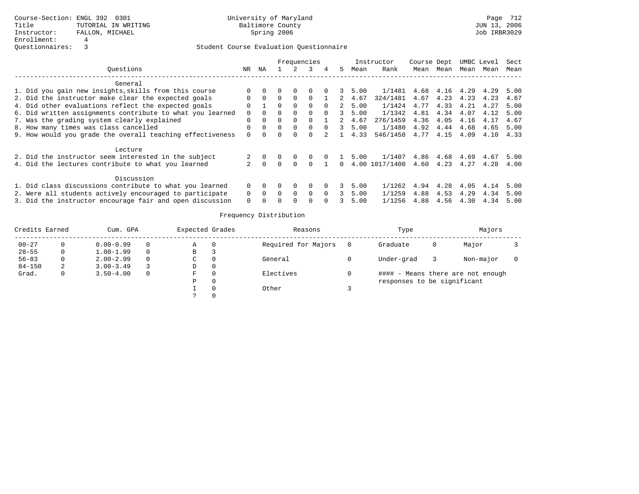|                                                           |          |          |              |          | Frequencies  |          |               |      | Instructor     | Course Dept |      | UMBC Level |      | Sect |
|-----------------------------------------------------------|----------|----------|--------------|----------|--------------|----------|---------------|------|----------------|-------------|------|------------|------|------|
| Ouestions                                                 | NR.      | ΝA       |              |          | 3            | 4        | 5.            | Mean | Rank           | Mean        | Mean | Mean       | Mean | Mean |
| General                                                   |          |          |              |          |              |          |               |      |                |             |      |            |      |      |
| 1. Did you gain new insights, skills from this course     | $\Omega$ |          |              | $\Omega$ | <sup>0</sup> |          | $\mathcal{R}$ | 5.00 | 1/1481         | 4.68        | 4.16 | 4.29       | 4.29 | 5.00 |
| 2. Did the instructor make clear the expected goals       | $\Omega$ | $\Omega$ | $\Omega$     | $\Omega$ | $\Omega$     |          | 2             | 4.67 | 324/1481       | 4.67        | 4.23 | 4.23       | 4.23 | 4.67 |
| 4. Did other evaluations reflect the expected goals       | 0        |          | $\Omega$     | $\Omega$ | $\Omega$     | $\Omega$ | 2             | 5.00 | 1/1424         | 4.77        | 4.33 | 4.21       | 4.27 | 5.00 |
| 6. Did written assignments contribute to what you learned | $\Omega$ | $\Omega$ | $\Omega$     |          | $\Omega$     | $\cap$   | 3             | 5.00 | 1/1342         | 4.81        | 4.34 | 4.07       | 4.12 | 5.00 |
| 7. Was the grading system clearly explained               | $\Omega$ | $\Omega$ | $\Omega$     | $\Omega$ | $\Omega$     |          | 2             | 4.67 | 276/1459       | 4.36        | 4.05 | 4.16       | 4.17 | 4.67 |
| 8. How many times was class cancelled                     | $\Omega$ | $\cap$   | $\Omega$     | $\Omega$ | $\Omega$     | $\cap$   | 3             | 5.00 | 1/1480         | 4.92        | 4.44 | 4.68       | 4.65 | 5.00 |
| 9. How would you grade the overall teaching effectiveness | $\Omega$ |          |              |          | $\Omega$     |          |               | 4.33 | 546/1450       | 4.77        | 4.15 | 4.09       | 4.10 | 4.33 |
| Lecture                                                   |          |          |              |          |              |          |               |      |                |             |      |            |      |      |
| 2. Did the instructor seem interested in the subject      |          |          | $\Omega$     | $\Omega$ |              |          |               | 5.00 | 1/1407         | 4.86        | 4.68 | 4.69       | 4.67 | 5.00 |
| 4. Did the lectures contribute to what you learned        |          | $\Omega$ | $\Omega$     | $\Omega$ | $\Omega$     |          | 0             |      | 4.00 1017/1400 | 4.60        | 4.23 | 4.27       | 4.28 | 4.00 |
| Discussion                                                |          |          |              |          |              |          |               |      |                |             |      |            |      |      |
| 1. Did class discussions contribute to what you learned   | $\Omega$ |          |              | $\Omega$ | $\Omega$     | $\Omega$ |               | 5.00 | 1/1262         | 4.94        | 4.28 | 4.05       | 4.14 | 5.00 |
| 2. Were all students actively encouraged to participate   | $\Omega$ | $\Omega$ | 0            | $\Omega$ | $\Omega$     | $\Omega$ |               | 5.00 | 1/1259         | 4.88        | 4.53 | 4.29       | 4.34 | 5.00 |
| 3. Did the instructor encourage fair and open discussion  | $\Omega$ |          | <sup>n</sup> | $\Omega$ | $\Omega$     |          |               | 5.00 | 1/1256         | 4.88        | 4.56 | 4.30       | 4.34 | 5.00 |

| Credits Earned |   | Cum. GPA      |          | Expected Grades | Reasons             | Type                        |   | Majors                            |  |
|----------------|---|---------------|----------|-----------------|---------------------|-----------------------------|---|-----------------------------------|--|
| $00 - 27$      |   | $0.00 - 0.99$ | $\Omega$ | Α               | Required for Majors | Graduate                    | 0 | Major                             |  |
| $28 - 55$      |   | $1.00 - 1.99$ | $\Omega$ | B               |                     |                             |   |                                   |  |
| $56 - 83$      |   | $2.00 - 2.99$ | $\Omega$ | C.              | General             | Under-grad                  |   | Non-major                         |  |
| $84 - 150$     | 2 | $3.00 - 3.49$ |          | D               |                     |                             |   |                                   |  |
| Grad.          |   | $3.50 - 4.00$ | 0        | F.              | Electives           |                             |   | #### - Means there are not enough |  |
|                |   |               |          | Ρ               |                     | responses to be significant |   |                                   |  |
|                |   |               |          |                 | Other               |                             |   |                                   |  |
|                |   |               |          |                 |                     |                             |   |                                   |  |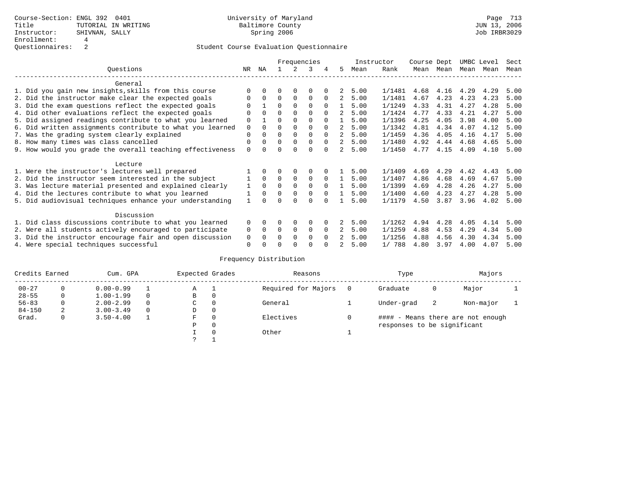|                                                           |          |          |          |             | Frequencies |          |             | Instructor |        | Course Dept |      | UMBC Level |      | Sect |
|-----------------------------------------------------------|----------|----------|----------|-------------|-------------|----------|-------------|------------|--------|-------------|------|------------|------|------|
| Ouestions                                                 | NR.      | ΝA       |          |             | २           | 4        | 5           | Mean       | Rank   | Mean        | Mean | Mean Mean  |      | Mean |
| General                                                   |          |          |          |             |             |          |             |            |        |             |      |            |      |      |
| 1. Did you gain new insights, skills from this course     |          |          |          | $\Omega$    | O           |          |             | 5.00       | 1/1481 | 4.68        | 4.16 | 4.29       | 4.29 | 5.00 |
| 2. Did the instructor make clear the expected goals       |          | $\Omega$ | $\Omega$ | $\Omega$    | $\Omega$    | $\Omega$ | 2           | 5.00       | 1/1481 | 4.67        | 4.23 | 4.23       | 4.23 | 5.00 |
| 3. Did the exam questions reflect the expected goals      |          |          | 0        | $\Omega$    | $\Omega$    | $\Omega$ |             | 5.00       | 1/1249 | 4.33        | 4.31 | 4.27       | 4.28 | 5.00 |
| 4. Did other evaluations reflect the expected goals       | $\Omega$ | $\Omega$ | 0        | $\Omega$    | $\Omega$    | $\Omega$ | $2^{\circ}$ | 5.00       | 1/1424 | 4.77        | 4.33 | 4.21       | 4.27 | 5.00 |
| 5. Did assigned readings contribute to what you learned   | 0        |          | U        | $\Omega$    | $\Omega$    | $\Omega$ |             | 5.00       | 1/1396 | 4.25        | 4.05 | 3.98       | 4.00 | 5.00 |
| 6. Did written assignments contribute to what you learned | 0        | $\Omega$ | U        | $\Omega$    | $\Omega$    | $\Omega$ | 2           | 5.00       | 1/1342 | 4.81        | 4.34 | 4.07       | 4.12 | 5.00 |
| 7. Was the grading system clearly explained               | O        | $\Omega$ | 0        | $\Omega$    | $\Omega$    |          |             | 5.00       | 1/1459 | 4.36        | 4.05 | 4.16       | 4.17 | 5.00 |
| 8. How many times was class cancelled                     | 0        | $\Omega$ | $\Omega$ | $\Omega$    | $\Omega$    | $\Omega$ | 2           | 5.00       | 1/1480 | 4.92        | 4.44 | 4.68       | 4.65 | 5.00 |
| 9. How would you grade the overall teaching effectiveness | $\Omega$ |          |          | U           | $\Omega$    | $\cap$   | 2           | 5.00       | 1/1450 | 4.77        | 4.15 | 4.09       | 4.10 | 5.00 |
| Lecture                                                   |          |          |          |             |             |          |             |            |        |             |      |            |      |      |
| 1. Were the instructor's lectures well prepared           |          |          |          | 0           | 0           |          |             | 5.00       | 1/1409 | 4.69        | 4.29 | 4.42       | 4.43 | 5.00 |
| 2. Did the instructor seem interested in the subject      |          | $\Omega$ | 0        | $\mathbf 0$ | 0           | $\Omega$ |             | 5.00       | 1/1407 | 4.86        | 4.68 | 4.69       | 4.67 | 5.00 |
| 3. Was lecture material presented and explained clearly   |          | $\Omega$ | 0        | $\Omega$    | $\Omega$    | $\Omega$ |             | 5.00       | 1/1399 | 4.69        | 4.28 | 4.26       | 4.27 | 5.00 |
| 4. Did the lectures contribute to what you learned        |          | $\Omega$ | 0        | $\mathbf 0$ | $\Omega$    | $\Omega$ |             | 5.00       | 1/1400 | 4.60        | 4.23 | 4.27       | 4.28 | 5.00 |
| 5. Did audiovisual techniques enhance your understanding  |          |          |          | $\cap$      | $\cap$      |          |             | 5.00       | 1/1179 | 4.50        | 3.87 | 3.96       | 4.02 | 5.00 |
| Discussion                                                |          |          |          |             |             |          |             |            |        |             |      |            |      |      |
| 1. Did class discussions contribute to what you learned   | $\Omega$ | $\Omega$ | O        | $\Omega$    | $\Omega$    |          |             | 5.00       | 1/1262 | 4.94        | 4.28 | 4.05       | 4.14 | 5.00 |
| 2. Were all students actively encouraged to participate   | 0        | $\Omega$ | $\Omega$ | $\mathbf 0$ | 0           | $\Omega$ | 2           | 5.00       | 1/1259 | 4.88        | 4.53 | 4.29       | 4.34 | 5.00 |
| 3. Did the instructor encourage fair and open discussion  | 0        |          | U        | $\Omega$    | $\Omega$    | $\Omega$ |             | 5.00       | 1/1256 | 4.88        | 4.56 | 4.30       | 4.34 | 5.00 |
| 4. Were special techniques successful                     | $\Omega$ |          |          |             | O           |          |             | 5.00       | 1/ 788 | 4.80        | 3.97 | 4.00       | 4.07 | 5.00 |

| Credits Earned |              | Cum. GPA      |          | Expected Grades |          | Reasons             | Type                        |    | Majors                            |  |
|----------------|--------------|---------------|----------|-----------------|----------|---------------------|-----------------------------|----|-----------------------------------|--|
| $00 - 27$      |              | $0.00 - 0.99$ |          | Α               |          | Required for Majors | Graduate                    | 0  | Major                             |  |
| $28 - 55$      | 0            | $1.00 - 1.99$ | $\Omega$ | В               | 0        |                     |                             |    |                                   |  |
| $56 - 83$      | $\mathbf{0}$ | $2.00 - 2.99$ |          | C.              | $\Omega$ | General             | Under-grad                  | -2 | Non-major                         |  |
| $84 - 150$     | 2            | $3.00 - 3.49$ | $\Omega$ | D               | 0        |                     |                             |    |                                   |  |
| Grad.          | $\mathbf{0}$ | $3.50 - 4.00$ |          | F               | $\Omega$ | Electives           |                             |    | #### - Means there are not enough |  |
|                |              |               |          | Ρ               | 0        |                     | responses to be significant |    |                                   |  |
|                |              |               |          |                 | $\Omega$ | Other               |                             |    |                                   |  |
|                |              |               |          |                 |          |                     |                             |    |                                   |  |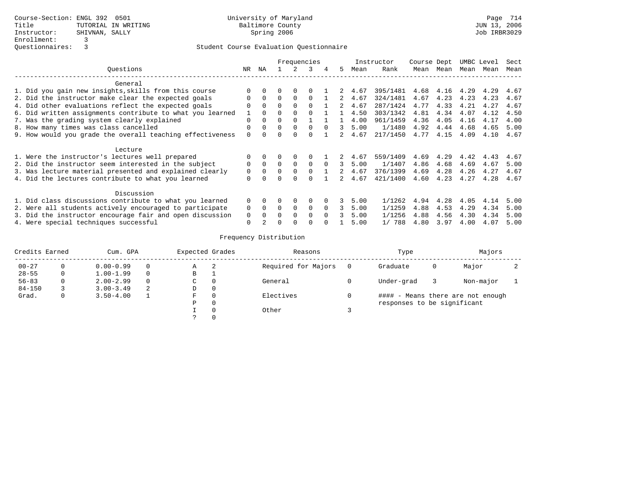|                                                           |              |          |          |          | Frequencies |          |             |      | Instructor | Course Dept |           |      | UMBC Level | Sect |
|-----------------------------------------------------------|--------------|----------|----------|----------|-------------|----------|-------------|------|------------|-------------|-----------|------|------------|------|
| Ouestions                                                 | NR           | ΝA       |          |          | 3           | 4        | 5.          | Mean | Rank       |             | Mean Mean |      | Mean Mean  | Mean |
| General                                                   |              |          |          |          |             |          |             |      |            |             |           |      |            |      |
| 1. Did you gain new insights, skills from this course     | $\Omega$     |          |          |          |             |          | $2^{\circ}$ | 4.67 | 395/1481   | 4.68        | 4.16      | 4.29 | 4.29       | 4.67 |
| 2. Did the instructor make clear the expected goals       | $\Omega$     | $\Omega$ | $\Omega$ | $\Omega$ | $\Omega$    |          | 2           | 4.67 | 324/1481   | 4.67        | 4.23      | 4.23 | 4.23       | 4.67 |
| 4. Did other evaluations reflect the expected goals       | <sup>0</sup> | $\Omega$ | $\cap$   | $\Omega$ | $\Omega$    |          | 2.          | 4.67 | 287/1424   | 4.77        | 4.33      | 4.21 | 4.27       | 4.67 |
| 6. Did written assignments contribute to what you learned |              |          |          |          |             |          |             | 4.50 | 303/1342   | 4.81        | 4.34      | 4.07 | 4.12       | 4.50 |
| 7. Was the grading system clearly explained               | $\Omega$     | $\Omega$ | $\Omega$ | $\Omega$ |             |          |             | 4.00 | 961/1459   | 4.36        | 4.05      | 4.16 | 4.17       | 4.00 |
| 8. How many times was class cancelled                     | U            | $\Omega$ | $\Omega$ | $\Omega$ | $\Omega$    |          | २           | 5.00 | 1/1480     | 4.92        | 4.44      | 4.68 | 4.65       | 5.00 |
| 9. How would you grade the overall teaching effectiveness | $\Omega$     | $\cap$   |          |          |             |          |             | 4.67 | 217/1450   | 4.77        | 4.15      | 4.09 | 4.10       | 4.67 |
| Lecture                                                   |              |          |          |          |             |          |             |      |            |             |           |      |            |      |
| 1. Were the instructor's lectures well prepared           | $\Omega$     | $\Omega$ |          | 0        | $\Omega$    |          | 2           | 4.67 | 559/1409   | 4.69        | 4.29      | 4.42 | 4.43       | 4.67 |
| 2. Did the instructor seem interested in the subject      | $\Omega$     | $\Omega$ | $\cap$   | $\Omega$ | $\Omega$    | $\cap$   | 3           | 5.00 | 1/1407     | 4.86        | 4.68      | 4.69 | 4.67       | 5.00 |
| 3. Was lecture material presented and explained clearly   | 0            | $\Omega$ |          | $\Omega$ | $\Omega$    |          | $2^{\circ}$ | 4.67 | 376/1399   | 4.69        | 4.28      | 4.26 | 4.27       | 4.67 |
| 4. Did the lectures contribute to what you learned        | $\Omega$     | $\Omega$ |          | $\Omega$ | 0           |          | $2^{\circ}$ | 4.67 | 421/1400   | 4.60        | 4.23      | 4.27 | 4.28       | 4.67 |
| Discussion                                                |              |          |          |          |             |          |             |      |            |             |           |      |            |      |
| 1. Did class discussions contribute to what you learned   | 0            | $\Omega$ |          | $\Omega$ | 0           |          | 3.          | 5.00 | 1/1262     | 4.94        | 4.28      | 4.05 | 4.14       | 5.00 |
| 2. Were all students actively encouraged to participate   | $\Omega$     | $\Omega$ | $\Omega$ | $\Omega$ | $\Omega$    | $\Omega$ | 3           | 5.00 | 1/1259     | 4.88        | 4.53      | 4.29 | 4.34       | 5.00 |
| 3. Did the instructor encourage fair and open discussion  | $\Omega$     |          |          | $\cap$   | $\cap$      |          |             | 5.00 | 1/1256     | 4.88        | 4.56      | 4.30 | 4.34       | 5.00 |
| 4. Were special techniques successful                     | $\Omega$     |          |          |          | 0           |          |             | 5.00 | 1/788      | 4.80        | 3.97      | 4.00 | 4.07       | 5.00 |

| Credits Earned |   | Cum. GPA      |   | Expected Grades |          | Reasons             | Type                        |   | Majors                            |  |
|----------------|---|---------------|---|-----------------|----------|---------------------|-----------------------------|---|-----------------------------------|--|
| $00 - 27$      | 0 | $0.00 - 0.99$ |   | Α               | 2        | Required for Majors | Graduate                    | 0 | Major                             |  |
| $28 - 55$      | 0 | $1.00 - 1.99$ |   | В               |          |                     |                             |   |                                   |  |
| $56 - 83$      | 0 | $2.00 - 2.99$ |   | $\sim$<br>◡     | 0        | General             | Under-grad                  |   | Non-major                         |  |
| $84 - 150$     |   | $3.00 - 3.49$ | 2 | D               | 0        |                     |                             |   |                                   |  |
| Grad.          | 0 | $3.50 - 4.00$ |   | F               | 0        | Electives           |                             |   | #### - Means there are not enough |  |
|                |   |               |   | Ρ               | 0        |                     | responses to be significant |   |                                   |  |
|                |   |               |   |                 | 0        | Other               |                             |   |                                   |  |
|                |   |               |   | っ               | $\Omega$ |                     |                             |   |                                   |  |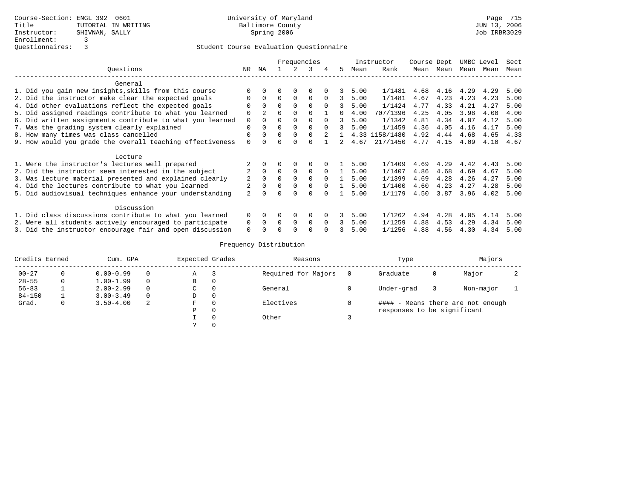|                                                           |                | Frequencies<br>ΝA<br>3<br>.5 |          |              |          |              |    | Instructor | Course Dept |      | UMBC Level |      | Sect |      |
|-----------------------------------------------------------|----------------|------------------------------|----------|--------------|----------|--------------|----|------------|-------------|------|------------|------|------|------|
| Ouestions                                                 | NR.            |                              |          |              |          |              |    | Mean       | Rank        | Mean | Mean       | Mean | Mean | Mean |
| General                                                   |                |                              |          |              |          |              |    |            |             |      |            |      |      |      |
| 1. Did you gain new insights, skills from this course     |                |                              | U        |              | O        |              |    | 5.00       | 1/1481      | 4.68 | 4.16       | 4.29 | 4.29 | 5.00 |
| 2. Did the instructor make clear the expected goals       | $\Omega$       | $\Omega$                     | $\Omega$ | $\Omega$     | $\Omega$ | $\Omega$     | 3  | 5.00       | 1/1481      | 4.67 | 4.23       | 4.23 | 4.23 | 5.00 |
| 4. Did other evaluations reflect the expected goals       | ∩              |                              | $\Omega$ | $\Omega$     | $\Omega$ | $\Omega$     | 3  | 5.00       | 1/1424      | 4.77 | 4.33       | 4.21 | 4.27 | 5.00 |
| 5. Did assigned readings contribute to what you learned   | $\Omega$       |                              | $\Omega$ | $\Omega$     | $\cap$   |              | O. | 4.00       | 707/1396    | 4.25 | 4.05       | 3.98 | 4.00 | 4.00 |
| 6. Did written assignments contribute to what you learned | $\Omega$       |                              | U        | ∩            | $\Omega$ |              |    | 5.00       | 1/1342      | 4.81 | 4.34       | 4.07 | 4.12 | 5.00 |
| 7. Was the grading system clearly explained               | $\Omega$       |                              | O        |              | $\Omega$ |              |    | 5.00       | 1/1459      | 4.36 | 4.05       | 4.16 | 4.17 | 5.00 |
| 8. How many times was class cancelled                     | $\Omega$       |                              | $\Omega$ |              | $\Omega$ |              |    | 4.33       | 1158/1480   | 4.92 | 4.44       | 4.68 | 4.65 | 4.33 |
| 9. How would you grade the overall teaching effectiveness | $\Omega$       |                              | $\Omega$ |              |          |              | 2  | 4.67       | 217/1450    | 4.77 | 4.15       | 4.09 | 4.10 | 4.67 |
| Lecture                                                   |                |                              |          |              |          |              |    |            |             |      |            |      |      |      |
| 1. Were the instructor's lectures well prepared           |                |                              |          | 0            | $\Omega$ |              |    | 5.00       | 1/1409      | 4.69 | 4.29       | 4.42 | 4.43 | 5.00 |
| 2. Did the instructor seem interested in the subject      | 2              | $\Omega$                     | $\Omega$ | $\Omega$     | $\Omega$ | $\Omega$     |    | 5.00       | 1/1407      | 4.86 | 4.68       | 4.69 | 4.67 | 5.00 |
| 3. Was lecture material presented and explained clearly   | 2              | $\Omega$                     | $\Omega$ | $\Omega$     | $\Omega$ | $\Omega$     |    | 5.00       | 1/1399      | 4.69 | 4.28       | 4.26 | 4.27 | 5.00 |
| 4. Did the lectures contribute to what you learned        | $\overline{2}$ |                              | U        | $\Omega$     | $\Omega$ | <sup>n</sup> |    | 5.00       | 1/1400      | 4.60 | 4.23       | 4.27 | 4.28 | 5.00 |
| 5. Did audiovisual techniques enhance your understanding  | 2              |                              | U        | <sup>n</sup> | $\cap$   | <sup>n</sup> |    | 5.00       | 1/1179      | 4.50 | 3.87       | 3.96 | 4.02 | 5.00 |
| Discussion                                                |                |                              |          |              |          |              |    |            |             |      |            |      |      |      |
| 1. Did class discussions contribute to what you learned   | $\Omega$       |                              |          | 0            | $\Omega$ |              |    | 5.00       | 1/1262      | 4.94 | 4.28       | 4.05 | 4.14 | 5.00 |
| 2. Were all students actively encouraged to participate   | 0              | $\Omega$                     | $\Omega$ | $\Omega$     | 0        | $\Omega$     |    | 5.00       | 1/1259      | 4.88 | 4.53       | 4.29 | 4.34 | 5.00 |
| 3. Did the instructor encourage fair and open discussion  | $\Omega$       |                              |          |              |          |              |    | 5.00       | 1/1256      | 4.88 | 4.56       | 4.30 | 4.34 | 5.00 |

| Credits Earned | Cum. GPA      |          | Expected Grades |          | Reasons             | Type                        |   | Majors                            |  |
|----------------|---------------|----------|-----------------|----------|---------------------|-----------------------------|---|-----------------------------------|--|
| $00 - 27$      | $0.00 - 0.99$ | $\Omega$ | Α               | -3       | Required for Majors | Graduate                    | 0 | Major                             |  |
| $28 - 55$      | $1.00 - 1.99$ | $\Omega$ | В               | 0        |                     |                             |   |                                   |  |
| $56 - 83$      | $2.00 - 2.99$ | $\Omega$ | C               | 0        | General             | Under-grad                  |   | Non-major                         |  |
| $84 - 150$     | $3.00 - 3.49$ | $\Omega$ | D               | 0        |                     |                             |   |                                   |  |
| Grad.          | $3.50 - 4.00$ | 2        | F               | 0        | Electives           |                             |   | #### - Means there are not enough |  |
|                |               |          | Ρ               | 0        |                     | responses to be significant |   |                                   |  |
|                |               |          |                 | $\Omega$ | Other               |                             |   |                                   |  |
|                |               |          |                 |          |                     |                             |   |                                   |  |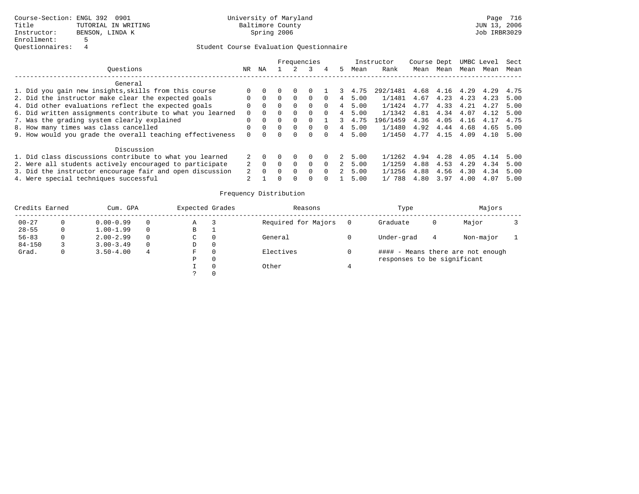|                                                           |          |          |          | Frequencies |          |             |      | Instructor    | Course Dept |      |      | UMBC Level | Sect |
|-----------------------------------------------------------|----------|----------|----------|-------------|----------|-------------|------|---------------|-------------|------|------|------------|------|
| Ouestions                                                 | NR.      | ΝA       |          |             |          | 5.          | Mean | Rank          | Mean        | Mean | Mean | Mean       | Mean |
| General                                                   |          |          |          |             |          |             |      |               |             |      |      |            |      |
| 1. Did you gain new insights, skills from this course     | 0        |          |          |             |          |             | 4.75 | 292/1481 4.68 |             | 4.16 | 4.29 | 4.29       | 4.75 |
| 2. Did the instructor make clear the expected goals       | $\Omega$ |          | $\Omega$ |             | $\Omega$ | 4           | 5.00 | 1/1481        | 4.67        | 4.23 | 4.23 | 4.23       | 5.00 |
| 4. Did other evaluations reflect the expected goals       | $\Omega$ | $\Omega$ | $\Omega$ | $\Omega$    | $\Omega$ | 4           | 5.00 | 1/1424        | 4.77        | 4.33 | 4.21 | 4.27       | 5.00 |
| 6. Did written assignments contribute to what you learned | $\Omega$ |          | $\Omega$ | $\Omega$    |          | 4           | 5.00 | 1/1342        | 4.81        | 4.34 | 4.07 | 4.12       | 5.00 |
| 7. Was the grading system clearly explained               | $\Omega$ | $\Omega$ | $\Omega$ |             |          |             | 4.75 | 196/1459      | 4.36        | 4.05 | 4.16 | 4.17       | 4.75 |
| 8. How many times was class cancelled                     |          |          | $\Omega$ | $\Omega$    |          | 4           | 5.00 | 1/1480        | 4.92        | 4.44 | 4.68 | 4.65       | 5.00 |
| 9. How would you grade the overall teaching effectiveness |          |          |          |             |          | 4           | 5.00 | 1/1450        | 4.77        | 4.15 | 4.09 | 4.10       | 5.00 |
| Discussion                                                |          |          |          |             |          |             |      |               |             |      |      |            |      |
| 1. Did class discussions contribute to what you learned   |          | $\Omega$ |          |             |          | $2^{\circ}$ | 5.00 | 1/1262        | 4.94        | 4.28 | 4.05 | 4.14       | 5.00 |
| 2. Were all students actively encouraged to participate   |          | $\Omega$ | $\Omega$ | $\Omega$    | $\Omega$ | $2^{\circ}$ | 5.00 | 1/1259        | 4.88        | 4.53 | 4.29 | 4.34       | 5.00 |
| 3. Did the instructor encourage fair and open discussion  |          | $\Omega$ | $\Omega$ | $\Omega$    | $\Omega$ |             | 5.00 | 1/1256        | 4.88        | 4.56 | 4.30 | 4.34       | 5.00 |
| 4. Were special techniques successful                     |          |          | $\Omega$ |             |          |             | 5.00 | 788           | 4.80        | 3.97 | 4.00 | 4.07       | 5.00 |

| Credits Earned |   | Cum. GPA      |          | Expected Grades | Reasons             | Type                        |   | Majors                            |  |
|----------------|---|---------------|----------|-----------------|---------------------|-----------------------------|---|-----------------------------------|--|
| $00 - 27$      |   | $0.00 - 0.99$ | 0        | Α               | Required for Majors | Graduate                    | 0 | Major                             |  |
| $28 - 55$      | 0 | $1.00 - 1.99$ | $\Omega$ | В               |                     |                             |   |                                   |  |
| $56 - 83$      |   | $2.00 - 2.99$ | $\Omega$ | C               | General             | Under-grad                  | 4 | Non-major                         |  |
| $84 - 150$     |   | $3.00 - 3.49$ | $\Omega$ | D               |                     |                             |   |                                   |  |
| Grad.          | 0 | $3.50 - 4.00$ | 4        | F               | Electives           |                             |   | #### - Means there are not enough |  |
|                |   |               |          | Ρ               |                     | responses to be significant |   |                                   |  |
|                |   |               |          |                 | Other               |                             |   |                                   |  |
|                |   |               |          |                 |                     |                             |   |                                   |  |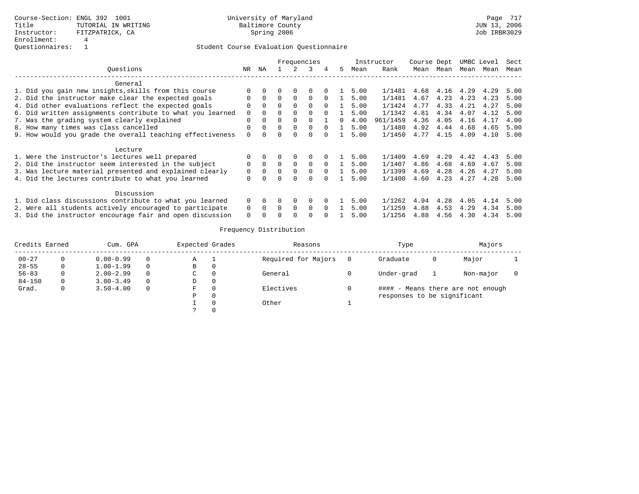|                                                           |          |          | Frequencies |          |          |          |    |      | Instructor | Course Dept |           | UMBC Level |      | Sect |
|-----------------------------------------------------------|----------|----------|-------------|----------|----------|----------|----|------|------------|-------------|-----------|------------|------|------|
| Ouestions                                                 | NR       | ΝA       |             | 2        | 3        | 4        | 5. | Mean | Rank       |             | Mean Mean | Mean       | Mean | Mean |
| General                                                   |          |          |             |          |          |          |    |      |            |             |           |            |      |      |
| 1. Did you gain new insights, skills from this course     |          | $\Omega$ | $\Omega$    | $\Omega$ | $\Omega$ | $\Omega$ |    | 5.00 | 1/1481     | 4.68        | 4.16      | 4.29       | 4.29 | 5.00 |
| 2. Did the instructor make clear the expected goals       | $\Omega$ | $\Omega$ | $\Omega$    | $\Omega$ | $\Omega$ | $\Omega$ |    | 5.00 | 1/1481     | 4.67        | 4.23      | 4.23       | 4.23 | 5.00 |
| 4. Did other evaluations reflect the expected goals       | 0        | $\Omega$ | $\Omega$    | $\Omega$ | $\Omega$ | $\Omega$ |    | 5.00 | 1/1424     | 4.77        | 4.33      | 4.21       | 4.27 | 5.00 |
| 6. Did written assignments contribute to what you learned | 0        | $\Omega$ |             | $\Omega$ | $\Omega$ |          |    | 5.00 | 1/1342     | 4.81        | 4.34      | 4.07       | 4.12 | 5.00 |
| 7. Was the grading system clearly explained               | $\Omega$ | $\Omega$ | $\cap$      | $\Omega$ | $\Omega$ |          | 0  | 4.00 | 961/1459   | 4.36        | 4.05      | 4.16       | 4.17 | 4.00 |
| 8. How many times was class cancelled                     | $\Omega$ | $\Omega$ | $\cap$      | $\Omega$ | $\Omega$ | $\Omega$ |    | 5.00 | 1/1480     | 4.92        | 4.44      | 4.68       | 4.65 | 5.00 |
| 9. How would you grade the overall teaching effectiveness |          |          |             |          | $\cap$   |          |    | 5.00 | 1/1450     | 4.77        | 4.15      | 4.09       | 4.10 | 5.00 |
| Lecture                                                   |          |          |             |          |          |          |    |      |            |             |           |            |      |      |
| 1. Were the instructor's lectures well prepared           | $\Omega$ | $\Omega$ |             | $\Omega$ | $\Omega$ |          |    | 5.00 | 1/1409     | 4.69        | 4.29      | 4.42       | 4.43 | 5.00 |
| 2. Did the instructor seem interested in the subject      | $\Omega$ | $\Omega$ | $\Omega$    | $\Omega$ | $\Omega$ | $\Omega$ |    | 5.00 | 1/1407     | 4.86        | 4.68      | 4.69       | 4.67 | 5.00 |
| 3. Was lecture material presented and explained clearly   | 0        | $\Omega$ | 0           | $\Omega$ | $\Omega$ | $\Omega$ |    | 5.00 | 1/1399     | 4.69        | 4.28      | 4.26       | 4.27 | 5.00 |
| 4. Did the lectures contribute to what you learned        | $\Omega$ | $\Omega$ | 0           | $\Omega$ | $\Omega$ |          |    | 5.00 | 1/1400     | 4.60        | 4.23      | 4.27       | 4.28 | 5.00 |
| Discussion                                                |          |          |             |          |          |          |    |      |            |             |           |            |      |      |
| 1. Did class discussions contribute to what you learned   | $\Omega$ | $\Omega$ |             | $\Omega$ | $\Omega$ |          |    | 5.00 | 1/1262     | 4.94        | 4.28      | 4.05       | 4.14 | 5.00 |
| 2. Were all students actively encouraged to participate   | $\Omega$ | $\Omega$ | $\Omega$    | $\Omega$ | $\Omega$ | $\Omega$ |    | 5.00 | 1/1259     | 4.88        | 4.53      | 4.29       | 4.34 | 5.00 |
| 3. Did the instructor encourage fair and open discussion  | $\Omega$ |          |             |          | $\Omega$ |          |    | 5.00 | 1/1256     | 4.88        | 4.56      | 4.30       | 4.34 | 5.00 |

| Credits Earned |              | Cum. GPA      |          | Expected Grades |          | Reasons             |                | Type                        |   | Majors                            |  |
|----------------|--------------|---------------|----------|-----------------|----------|---------------------|----------------|-----------------------------|---|-----------------------------------|--|
| $00 - 27$      | 0            | $0.00 - 0.99$ | 0        | Α               |          | Required for Majors | $\overline{0}$ | Graduate                    | 0 | Major                             |  |
| $28 - 55$      | 0            | $1.00 - 1.99$ | $\Omega$ | в               | 0        |                     |                |                             |   |                                   |  |
| $56 - 83$      | 0            | $2.00 - 2.99$ | $\Omega$ | C               | $\Omega$ | General             |                | Under-grad                  |   | Non-major                         |  |
| $84 - 150$     | 0            | $3.00 - 3.49$ | $\Omega$ | D               | 0        |                     |                |                             |   |                                   |  |
| Grad.          | $\mathbf{0}$ | $3.50 - 4.00$ | 0        | F.              | $\Omega$ | Electives           |                |                             |   | #### - Means there are not enough |  |
|                |              |               |          | Ρ               | $\Omega$ |                     |                | responses to be significant |   |                                   |  |
|                |              |               |          |                 | $\Omega$ | Other               |                |                             |   |                                   |  |
|                |              |               |          |                 | $\Omega$ |                     |                |                             |   |                                   |  |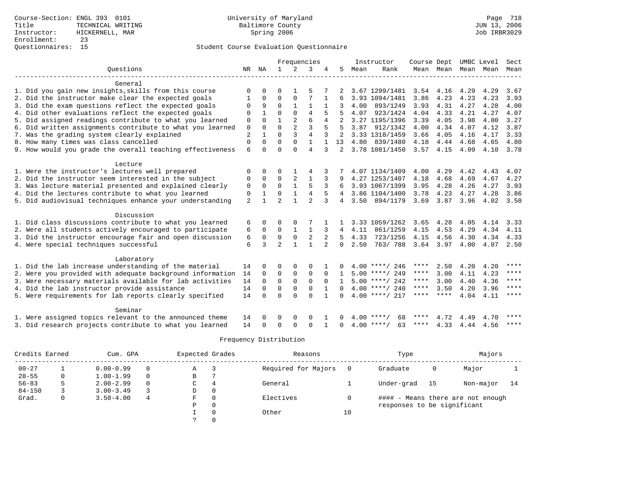|                                                           |                |          |                |                | Frequencies    |          |                |      | Instructor         | Course Dept |                |      | UMBC Level | Sect        |
|-----------------------------------------------------------|----------------|----------|----------------|----------------|----------------|----------|----------------|------|--------------------|-------------|----------------|------|------------|-------------|
| Ouestions                                                 | NR             | NA       | $\mathbf{1}$   | 2              | 3              |          | 5              | Mean | Rank               |             | Mean Mean Mean |      | Mean       | Mean        |
| General                                                   |                |          |                |                |                |          |                |      |                    |             |                |      |            |             |
| 1. Did you gain new insights, skills from this course     | $\Omega$       |          | $\Omega$       |                |                |          |                |      | 3.67 1299/1481     | 3.54        | 4.16           | 4.29 | 4.29       | 3.67        |
| 2. Did the instructor make clear the expected goals       |                | 0        | $\mathbf 0$    | $\mathbf{0}$   |                |          |                |      | 3.93 1094/1481     | 3.86        | 4.23           | 4.23 | 4.23       | 3.93        |
| 3. Did the exam questions reflect the expected goals      | 0              | 9        | $\Omega$       |                |                |          | 3              | 4.00 | 893/1249           | 3.93        | 4.31           | 4.27 | 4.28       | 4.00        |
| 4. Did other evaluations reflect the expected goals       | 0              |          | $\Omega$       | $\Omega$       | $\overline{4}$ | 5        | 5              | 4.07 | 923/1424           | 4.04        | 4.33           | 4.21 | 4.27       | 4.07        |
| 5. Did assigned readings contribute to what you learned   | 0              | $\Omega$ |                | $\overline{a}$ | 6              | 4        | $\mathfrak{D}$ |      | 3.27 1195/1396     | 3.39        | 4.05           | 3.98 | 4.00       | 3.27        |
| 6. Did written assignments contribute to what you learned | $\mathbf 0$    | $\Omega$ | $\Omega$       | $\overline{a}$ | 3              | 5        | 5              | 3.87 | 912/1342           | 4.00        | 4.34           | 4.07 | 4.12       | 3.87        |
| 7. Was the grading system clearly explained               | $\overline{2}$ |          | $\Omega$       | 3              | $\overline{4}$ | 3        | 2              |      | 3.33 1318/1459     | 3.66        | 4.05           | 4.16 | 4.17       | 3.33        |
| 8. How many times was class cancelled                     | $\Omega$       | $\Omega$ | $\Omega$       | $\Omega$       | $\mathbf{1}$   |          | 13             | 4.80 | 839/1480           | 4.18        | 4.44           | 4.68 | 4.65       | 4.80        |
| 9. How would you grade the overall teaching effectiveness | 6              | $\cap$   | $\cap$         | $\Omega$       | $\overline{4}$ | 3        | 2              |      | 3.78 1081/1450     |             | $3.57$ 4.15    | 4.09 | 4.10       | 3.78        |
| Lecture                                                   |                |          |                |                |                |          |                |      |                    |             |                |      |            |             |
| 1. Were the instructor's lectures well prepared           | $\Omega$       | $\Omega$ | $\Omega$       |                | 4              | 3        |                |      | 4.07 1134/1409     | 4.00        | 4.29           | 4.42 | 4.43       | 4.07        |
| 2. Did the instructor seem interested in the subject      | $\Omega$       | $\Omega$ | $\Omega$       | 2              | 1              | 3        |                |      | 4.27 1253/1407     | 4.18        | 4.68           | 4.69 | 4.67       | 4.27        |
| 3. Was lecture material presented and explained clearly   | $\Omega$       | $\Omega$ | $\Omega$       |                | 5              | 3        |                |      | 3.93 1067/1399     | 3.95        | 4.28           | 4.26 | 4.27       | 3.93        |
| 4. Did the lectures contribute to what you learned        | 0              |          | $\Omega$       |                | $\overline{4}$ |          |                |      | 3.86 1104/1400     | 3.78        | 4.23           | 4.27 | 4.28       | 3.86        |
| 5. Did audiovisual techniques enhance your understanding  | $\overline{a}$ |          | $\overline{a}$ |                | $\overline{a}$ | 3        | 4              | 3.50 | 894/1179           | 3.69        | 3.87           | 3.96 | 4.02       | 3.50        |
| Discussion                                                |                |          |                |                |                |          |                |      |                    |             |                |      |            |             |
| 1. Did class discussions contribute to what you learned   | 6              | $\Omega$ | 0              |                |                |          |                |      | 3.33 1059/1262     | 3.65        | 4.28           | 4.05 | 4.14       | 3.33        |
| 2. Were all students actively encouraged to participate   | 6              | 0        | $\Omega$       |                |                | 3        | 4              | 4.11 | 861/1259           | 4.15        | 4.53           | 4.29 | 4.34       | 4.11        |
| 3. Did the instructor encourage fair and open discussion  | 6              | 0        | 0              | $\mathbf 0$    | 2              |          | .5             | 4.33 | 723/1256           | 4.15        | 4.56           | 4.30 | 4.34       | 4.33        |
| 4. Were special techniques successful                     | 6              | 3        | $\overline{a}$ |                |                | 2        | $\Omega$       | 2.50 | 763/788            |             | $3.64$ 3.97    | 4.00 | 4.07       | 2.50        |
| Laboratory                                                |                |          |                |                |                |          |                |      |                    |             |                |      |            |             |
| 1. Did the lab increase understanding of the material     | 14             | $\Omega$ | $\Omega$       | $\Omega$       | $\Omega$       |          |                |      | $4.00$ ****/ 246   | ****        | 2.50           | 4.20 | 4.20       | ****        |
| 2. Were you provided with adequate background information | 14             | $\Omega$ | $\Omega$       | $\Omega$       | $\Omega$       | $\Omega$ | $\mathbf{1}$   |      | $5.00$ ****/ 249   | ****        | 3.00           | 4.11 | 4.23       | ****        |
| 3. Were necessary materials available for lab activities  | 14             | $\Omega$ | $\Omega$       | $\Omega$       | $\Omega$       | $\Omega$ | $\mathbf{1}$   |      | $5.00$ ****/ 242   | ****        | 3.00           | 4.40 | 4.36       | ****        |
| 4. Did the lab instructor provide assistance              | 14             | $\Omega$ | $\Omega$       | $\Omega$       | $\Omega$       |          | $\Omega$       |      | $4.00$ ****/ 240   | $***$ * * * | 3.50           | 4.20 | 3.96       | $***$ * * * |
| 5. Were requirements for lab reports clearly specified    | 14             | $\Omega$ | $\Omega$       | $\Omega$       | $\Omega$       |          | $\Omega$       |      | $4.00$ ****/ 217   | ****        | $***$ *        | 4.04 | 4.11       | $***$ * * * |
| Seminar                                                   |                |          |                |                |                |          |                |      |                    |             |                |      |            |             |
| 1. Were assigned topics relevant to the announced theme   | 14             |          |                | $\Omega$       | $\Omega$       |          |                | 4.00 | 68                 |             | 4.72           | 4.49 | 4.70       | $***$ * * * |
| 3. Did research projects contribute to what you learned   | 14             | $\Omega$ | $\Omega$       | $\Omega$       | $\Omega$       |          | $\Omega$       |      | 63<br>$4.00$ ****/ | ****        | 4.33           | 4.44 | 4.56       | $* * * * *$ |

| Credits Earned |   | Cum. GPA      |          | Expected Grades |   | Reasons             |    | Type                        |      | Majors                            |    |
|----------------|---|---------------|----------|-----------------|---|---------------------|----|-----------------------------|------|-----------------------------------|----|
| $00 - 27$      |   | $0.00 - 0.99$ | 0        | Α               |   | Required for Majors |    | Graduate                    | 0    | Major                             |    |
| $28 - 55$      |   | $1.00 - 1.99$ | $\Omega$ | В               |   |                     |    |                             |      |                                   |    |
| $56 - 83$      |   | $2.00 - 2.99$ | $\Omega$ | C.              | 4 | General             |    | Under-grad                  | - 15 | Non-major                         | 14 |
| $84 - 150$     |   | $3.00 - 3.49$ |          | D               | 0 |                     |    |                             |      |                                   |    |
| Grad.          | 0 | $3.50 - 4.00$ | 4        | F               |   | Electives           |    |                             |      | #### - Means there are not enough |    |
|                |   |               |          | Ρ               |   |                     |    | responses to be significant |      |                                   |    |
|                |   |               |          |                 |   | Other               | 10 |                             |      |                                   |    |
|                |   |               |          |                 |   |                     |    |                             |      |                                   |    |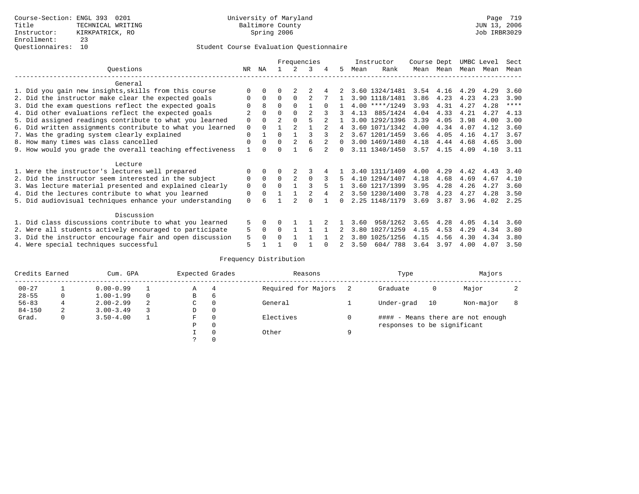# Questionnaires: 10 Student Course Evaluation Questionnaire

|                                                           |             |              |                |                | Frequencies |          |                |      | Instructor       | Course Dept |      | UMBC Level |      | Sect |
|-----------------------------------------------------------|-------------|--------------|----------------|----------------|-------------|----------|----------------|------|------------------|-------------|------|------------|------|------|
| Ouestions                                                 | NR.         | ΝA           |                |                | 3           |          | 5.             | Mean | Rank             | Mean        | Mean | Mean       | Mean | Mean |
| General                                                   |             |              |                |                |             |          |                |      |                  |             |      |            |      |      |
| 1. Did you gain new insights, skills from this course     | $\Omega$    | $\Omega$     | O              |                |             |          |                |      | 3.60 1324/1481   | 3.54        | 4.16 | 4.29       | 4.29 | 3.60 |
| 2. Did the instructor make clear the expected goals       | O           | $\Omega$     | $\Omega$       | $\Omega$       |             |          |                |      | 3.90 1118/1481   | 3.86        | 4.23 | 4.23       | 4.23 | 3.90 |
| 3. Did the exam questions reflect the expected goals      |             | 8            | 0              | $\Omega$       |             | $\Omega$ |                |      | $4.00$ ****/1249 | 3.93        | 4.31 | 4.27       | 4.28 | **** |
| 4. Did other evaluations reflect the expected goals       |             |              | $\Omega$       | $\Omega$       |             |          |                | 4.13 | 885/1424         | 4.04        | 4.33 | 4.21       | 4.27 | 4.13 |
| 5. Did assigned readings contribute to what you learned   | $\mathbf 0$ | $\Omega$     | $\mathfrak{D}$ |                |             |          |                |      | 3.00 1292/1396   | 3.39        | 4.05 | 3.98       | 4.00 | 3.00 |
| 6. Did written assignments contribute to what you learned | $\mathbf 0$ | $\Omega$     |                |                |             |          | $\overline{4}$ |      | 3.60 1071/1342   | 4.00        | 4.34 | 4.07       | 4.12 | 3.60 |
| 7. Was the grading system clearly explained               | $\Omega$    |              | $\Omega$       |                |             |          |                |      | 3.67 1201/1459   | 3.66        | 4.05 | 4.16       | 4.17 | 3.67 |
| 8. How many times was class cancelled                     | $\Omega$    | $\Omega$     | $\Omega$       | 2              | 6           |          | $\Omega$       |      | 3.00 1469/1480   | 4.18        | 4.44 | 4.68       | 4.65 | 3.00 |
| 9. How would you grade the overall teaching effectiveness |             | <sup>n</sup> | U              |                | ศ           |          | <sup>n</sup>   |      | 3.11 1340/1450   | 3.57        | 4.15 | 4.09       | 4.10 | 3.11 |
| Lecture                                                   |             |              |                |                |             |          |                |      |                  |             |      |            |      |      |
| 1. Were the instructor's lectures well prepared           | 0           |              |                |                |             |          |                |      | 3.40 1311/1409   | 4.00        | 4.29 | 4.42       | 4.43 | 3.40 |
| 2. Did the instructor seem interested in the subject      | 0           | $\Omega$     | $\Omega$       | $\mathfrak{D}$ | $\Omega$    |          |                |      | 4.10 1294/1407   | 4.18        | 4.68 | 4.69       | 4.67 | 4.10 |
| 3. Was lecture material presented and explained clearly   | $\mathbf 0$ | $\Omega$     | $\Omega$       |                |             |          |                |      | 3.60 1217/1399   | 3.95        | 4.28 | 4.26       | 4.27 | 3.60 |
| 4. Did the lectures contribute to what you learned        | 0           | $\Omega$     |                |                |             |          |                |      | 3.50 1230/1400   | 3.78        | 4.23 | 4.27       | 4.28 | 3.50 |
| 5. Did audiovisual techniques enhance your understanding  | $\Omega$    |              |                |                | $\cap$      |          | <sup>n</sup>   |      | 2.25 1148/1179   | 3.69        | 3.87 | 3.96       | 4.02 | 2.25 |
|                                                           |             |              |                |                |             |          |                |      |                  |             |      |            |      |      |
| Discussion                                                |             |              |                |                |             |          |                |      |                  |             |      |            |      |      |
| 1. Did class discussions contribute to what you learned   | 5           | $\Omega$     | 0              |                |             |          |                | 3.60 | 958/1262         | 3.65        | 4.28 | 4.05       | 4.14 | 3.60 |
| 2. Were all students actively encouraged to participate   | 5           | $\Omega$     | 0              |                |             |          |                | 3.80 | 1027/1259        | 4.15        | 4.53 | 4.29       | 4.34 | 3.80 |
| 3. Did the instructor encourage fair and open discussion  | 5           | $\Omega$     | 0              |                |             |          |                | 3.80 | 1025/1256        | 4.15        | 4.56 | 4.30       | 4.34 | 3.80 |
| 4. Were special techniques successful                     | 5           |              |                |                |             |          |                | 3.50 | 604/788          | 3.64        | 3.97 | 4.00       | 4.07 | 3.50 |

| Credits Earned |   | Cum. GPA      |   | Expected Grades |          | Reasons             |   | Type                        |    | Majors                            |  |
|----------------|---|---------------|---|-----------------|----------|---------------------|---|-----------------------------|----|-----------------------------------|--|
| $00 - 27$      |   | $0.00 - 0.99$ |   | А               | 4        | Required for Majors |   | Graduate                    | 0  | Major                             |  |
| $28 - 55$      | 0 | $1.00 - 1.99$ |   | В               | 6        |                     |   |                             |    |                                   |  |
| $56 - 83$      |   | $2.00 - 2.99$ | 2 | $\sim$<br>◡     | 0        | General             |   | Under-grad                  | 10 | Non-major                         |  |
| $84 - 150$     | 2 | $3.00 - 3.49$ |   | D               | 0        |                     |   |                             |    |                                   |  |
| Grad.          | 0 | $3.50 - 4.00$ |   | F               | 0        | Electives           | 0 |                             |    | #### - Means there are not enough |  |
|                |   |               |   | Ρ               | 0        |                     |   | responses to be significant |    |                                   |  |
|                |   |               |   |                 | $\Omega$ | Other               | Q |                             |    |                                   |  |
|                |   |               |   |                 |          |                     |   |                             |    |                                   |  |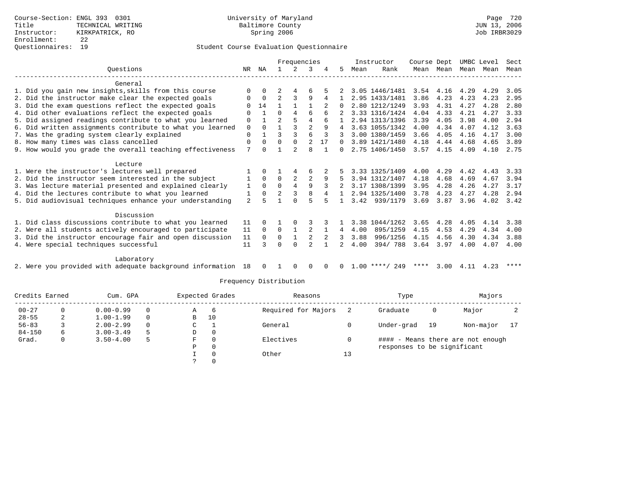### Questionnaires: 19 Student Course Evaluation Questionnaire

|                                                              |          |                |                | Frequencies    |                |          |          |      | Instructor       | Course Dept |           |      | UMBC Level | Sect |
|--------------------------------------------------------------|----------|----------------|----------------|----------------|----------------|----------|----------|------|------------------|-------------|-----------|------|------------|------|
| Ouestions                                                    | NR       | ΝA             |                | 2              | 3              | 4        | 5        | Mean | Rank             |             | Mean Mean |      | Mean Mean  | Mean |
| General                                                      |          |                |                |                |                |          |          |      |                  |             |           |      |            |      |
| 1. Did you gain new insights, skills from this course        | $\Omega$ | $\Omega$       |                |                | 6              |          |          |      | 3.05 1446/1481   | 3.54        | 4.16      | 4.29 | 4.29       | 3.05 |
| 2. Did the instructor make clear the expected goals          |          | $\mathbf 0$    | 2              | ς              | 9              | 4        |          |      | 2.95 1433/1481   | 3.86        | 4.23      | 4.23 | 4.23       | 2.95 |
| 3. Did the exam questions reflect the expected goals         |          | 14             |                |                |                |          | 0        |      | 2.80 1212/1249   | 3.93        | 4.31      | 4.27 | 4.28       | 2.80 |
| 4. Did other evaluations reflect the expected goals          | O        | $\overline{1}$ | U              | 4              | 6              | 6        |          |      | 3.33 1316/1424   | 4.04        | 4.33      | 4.21 | 4.27       | 3.33 |
| 5. Did assigned readings contribute to what you learned      | 0        | $\mathbf{1}$   | $\mathfrak{D}$ | 5              | 4              | б        |          |      | 2.94 1313/1396   | 3.39        | 4.05      | 3.98 | 4.00       | 2.94 |
| 6. Did written assignments contribute to what you learned    | 0        | $\Omega$       |                | ζ              | $\overline{2}$ | 9        | 4        |      | 3.63 1055/1342   | 4.00        | 4.34      | 4.07 | 4.12       | 3.63 |
| 7. Was the grading system clearly explained                  | $\Omega$ |                | 3              | 3              | F              |          |          |      | 3.00 1380/1459   | 3.66        | 4.05      | 4.16 | 4.17       | 3.00 |
| 8. How many times was class cancelled                        | 0        | $\Omega$       | $\Omega$       | $\Omega$       | $\overline{c}$ | 17       | $\Omega$ |      | 3.89 1421/1480   | 4.18        | 4.44      | 4.68 | 4.65       | 3.89 |
| 9. How would you grade the overall teaching effectiveness    | 7        | U              |                | $\overline{a}$ | 8              |          |          |      | 2.75 1406/1450   | 3.57        | 4.15      | 4.09 | 4.10       | 2.75 |
| Lecture                                                      |          |                |                |                |                |          |          |      |                  |             |           |      |            |      |
| 1. Were the instructor's lectures well prepared              |          | $\Omega$       |                | 4              | 6              |          |          |      | 3.33 1325/1409   | 4.00        | 4.29      | 4.42 | 4.43       | 3.33 |
| 2. Did the instructor seem interested in the subject         |          | $\Omega$       | $\Omega$       | 2              | $\overline{2}$ | 9        |          |      | 3.94 1312/1407   | 4.18        | 4.68      | 4.69 | 4.67       | 3.94 |
| 3. Was lecture material presented and explained clearly      | 1        | $\Omega$       | $\Omega$       | 4              | 9              | 3        |          |      | 3.17 1308/1399   | 3.95        | 4.28      | 4.26 | 4.27       | 3.17 |
| 4. Did the lectures contribute to what you learned           |          | $\Omega$       | $\overline{a}$ |                | 8              | 4        |          |      | 2.94 1325/1400   | 3.78        | 4.23      | 4.27 | 4.28       | 2.94 |
| 5. Did audiovisual techniques enhance your understanding     | 2        |                |                | $\cap$         | 5              | 5        |          | 3.42 | 939/1179         | 3.69        | 3.87      | 3.96 | 4.02       | 3.42 |
| Discussion                                                   |          |                |                |                |                |          |          |      |                  |             |           |      |            |      |
| 1. Did class discussions contribute to what you learned      | 11       | $\Omega$       |                | $\Omega$       | 3              |          |          |      | 3.38 1044/1262   | 3.65        | 4.28      | 4.05 | 4.14       | 3.38 |
| 2. Were all students actively encouraged to participate      | 11       | $\Omega$       | $\Omega$       | $\mathbf{1}$   | $\overline{a}$ | 1        | 4        | 4.00 | 895/1259         | 4.15        | 4.53      | 4.29 | 4.34       | 4.00 |
| 3. Did the instructor encourage fair and open discussion     | 11       | $\Omega$       | 0              | 1              | 2              |          | 3        | 3.88 | 996/1256         | 4.15        | 4.56      | 4.30 | 4.34       | 3.88 |
| 4. Were special techniques successful                        | 11       |                | 0              | $\Omega$       | 2              |          |          | 4.00 | 394/788          | 3.64        | 3.97      | 4.00 | 4.07       | 4.00 |
| Laboratory                                                   |          |                |                |                |                |          |          |      |                  |             |           |      |            |      |
| 2. Were you provided with adequate background information 18 |          | $\overline{0}$ | 1              | $\mathbf{0}$   | $\Omega$       | $\Omega$ | $\Omega$ |      | $1.00$ ****/ 249 | ****        | 3.00      | 4.11 | 4.23       | **** |

| Credits Earned |   | Cum. GPA      |          | Expected Grades |                | Reasons             |    | Type                        |    | Majors                            |    |
|----------------|---|---------------|----------|-----------------|----------------|---------------------|----|-----------------------------|----|-----------------------------------|----|
| $00 - 27$      |   | $0.00 - 0.99$ | $\Omega$ | Α               | 6              | Required for Majors |    | Graduate                    | 0  | Major                             |    |
| $28 - 55$      |   | $1.00 - 1.99$ | $\Omega$ | В               | 10             |                     |    |                             |    |                                   |    |
| $56 - 83$      |   | $2.00 - 2.99$ | $\Omega$ | C               |                | General             |    | Under-grad                  | 19 | Non-major                         | 17 |
| $84 - 150$     | 6 | $3.00 - 3.49$ |          | D               | $\overline{0}$ |                     |    |                             |    |                                   |    |
| Grad.          | 0 | $3.50 - 4.00$ | 5        | F               | $\Omega$       | Electives           |    |                             |    | #### - Means there are not enough |    |
|                |   |               |          | Ρ               | 0              |                     |    | responses to be significant |    |                                   |    |
|                |   |               |          |                 | $\Omega$       | Other               | 13 |                             |    |                                   |    |
|                |   |               |          |                 | $\Omega$       |                     |    |                             |    |                                   |    |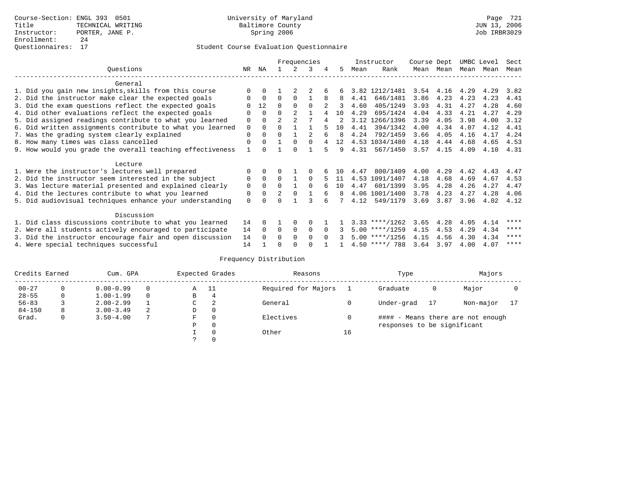# Questionnaires: 17 Student Course Evaluation Questionnaire

|                                                           |             |              |                |                | Frequencies |          |              |      | Instructor       | Course Dept |           | UMBC Level |      | Sect |
|-----------------------------------------------------------|-------------|--------------|----------------|----------------|-------------|----------|--------------|------|------------------|-------------|-----------|------------|------|------|
| Ouestions                                                 | NR.         | ΝA           |                |                | 3           | 4        | 5.           | Mean | Rank             | Mean        | Mean      | Mean       | Mean | Mean |
| General                                                   |             |              |                |                |             |          |              |      |                  |             |           |            |      |      |
| 1. Did you gain new insights, skills from this course     | $\Omega$    | $\Omega$     |                |                |             |          |              |      | 3.82 1212/1481   |             | 3.54 4.16 | 4.29       | 4.29 | 3.82 |
| 2. Did the instructor make clear the expected goals       | O           | $\Omega$     | $\Omega$       | $\Omega$       |             | 8        | 8            | 4.41 | 646/1481         | 3.86        | 4.23      | 4.23       | 4.23 | 4.41 |
| 3. Did the exam questions reflect the expected goals      |             | 12           | $\Omega$       | $\Omega$       | $\Omega$    |          | 3            | 4.60 | 405/1249         | 3.93        | 4.31      | 4.27       | 4.28 | 4.60 |
| 4. Did other evaluations reflect the expected goals       | O           | $\Omega$     | $\Omega$       |                |             |          | 10           | 4.29 | 695/1424         | 4.04        | 4.33      | 4.21       | 4.27 | 4.29 |
| 5. Did assigned readings contribute to what you learned   | $\mathbf 0$ | $\Omega$     | $\mathfrak{D}$ | $\mathfrak{D}$ |             |          |              |      | 3.12 1266/1396   | 3.39        | 4.05      | 3.98       | 4.00 | 3.12 |
| 6. Did written assignments contribute to what you learned | $\mathbf 0$ | $\Omega$     | $\Omega$       |                |             |          | 10           | 4.41 | 394/1342         | 4.00        | 4.34      | 4.07       | 4.12 | 4.41 |
| 7. Was the grading system clearly explained               | $\Omega$    | $\Omega$     | $\Omega$       |                |             |          | <sup>8</sup> | 4.24 | 792/1459         | 3.66        | 4.05      | 4.16       | 4.17 | 4.24 |
| 8. How many times was class cancelled                     | $\Omega$    | $\Omega$     |                | $\Omega$       | $\cap$      |          | 12           |      | 4.53 1034/1480   | 4.18        | 4.44      | 4.68       | 4.65 | 4.53 |
| 9. How would you grade the overall teaching effectiveness |             | <sup>n</sup> |                | $\cap$         |             |          | 9            | 4.31 | 567/1450         | 3.57        | 4.15      | 4.09       | 4.10 | 4.31 |
| Lecture                                                   |             |              |                |                |             |          |              |      |                  |             |           |            |      |      |
| 1. Were the instructor's lectures well prepared           | $\Omega$    |              |                |                |             |          | 1 O          | 4.47 | 800/1409         | 4.00        | 4.29      | 4.42       | 4.43 | 4.47 |
| 2. Did the instructor seem interested in the subject      | 0           | $\Omega$     | $\Omega$       |                | $\Omega$    |          | 11           |      | 4.53 1091/1407   | 4.18        | 4.68      | 4.69       | 4.67 | 4.53 |
| 3. Was lecture material presented and explained clearly   | $\mathbf 0$ | $\Omega$     | $\Omega$       |                | $\cap$      |          | 10           | 4.47 | 601/1399         | 3.95        | 4.28      | 4.26       | 4.27 | 4.47 |
| 4. Did the lectures contribute to what you learned        | 0           | $\Omega$     | $\mathfrak{D}$ | $\Omega$       |             |          | 8            |      | 4.06 1001/1400   | 3.78        | 4.23      | 4.27       | 4.28 | 4.06 |
| 5. Did audiovisual techniques enhance your understanding  | $\Omega$    |              |                |                |             |          |              | 4.12 | 549/1179         | 3.69        | 3.87      | 3.96       | 4.02 | 4.12 |
|                                                           |             |              |                |                |             |          |              |      |                  |             |           |            |      |      |
| Discussion                                                |             |              |                |                |             |          |              |      |                  |             |           |            |      |      |
| 1. Did class discussions contribute to what you learned   | 14          | $\Omega$     |                | $\Omega$       | $\Omega$    |          |              |      | $3.33$ ****/1262 | 3.65        | 4.28      | 4.05       | 4.14 | **** |
| 2. Were all students actively encouraged to participate   | 14          | $\Omega$     | $\Omega$       | $\mathbf 0$    | $\Omega$    | $\Omega$ |              |      | $5.00$ ****/1259 | 4.15        | 4.53      | 4.29       | 4.34 | **** |
| 3. Did the instructor encourage fair and open discussion  | 14          | $\Omega$     | 0              | $\Omega$       | $\Omega$    | $\cap$   |              |      | $5.00$ ****/1256 | 4.15        | 4.56      | 4.30       | 4.34 | **** |
| 4. Were special techniques successful                     | 14          |              | U              |                |             |          |              |      | $4.50$ ****/ 788 | 3.64        | 3.97      | 4.00       | 4.07 | **** |

| Credits Earned |          | Cum. GPA      |   |   | Expected Grades | Reasons             |    | Type                        |    | Majors                            |  |
|----------------|----------|---------------|---|---|-----------------|---------------------|----|-----------------------------|----|-----------------------------------|--|
| $00 - 27$      | $\Omega$ | $0.00 - 0.99$ |   | Α | - 11            | Required for Majors |    | Graduate                    | 0  | Major                             |  |
| $28 - 55$      | 0        | $1.00 - 1.99$ |   | В | 4               |                     |    |                             |    |                                   |  |
| $56 - 83$      |          | $2.00 - 2.99$ |   | C | 2               | General             |    | Under-grad                  | 17 | Non-major                         |  |
| $84 - 150$     | 8        | $3.00 - 3.49$ | 2 | D | 0               |                     |    |                             |    |                                   |  |
| Grad.          | 0        | $3.50 - 4.00$ | 7 | F | 0               | Electives           | 0  |                             |    | #### - Means there are not enough |  |
|                |          |               |   | Ρ | 0               |                     |    | responses to be significant |    |                                   |  |
|                |          |               |   |   | $\Omega$        | Other               | 16 |                             |    |                                   |  |
|                |          |               |   |   |                 |                     |    |                             |    |                                   |  |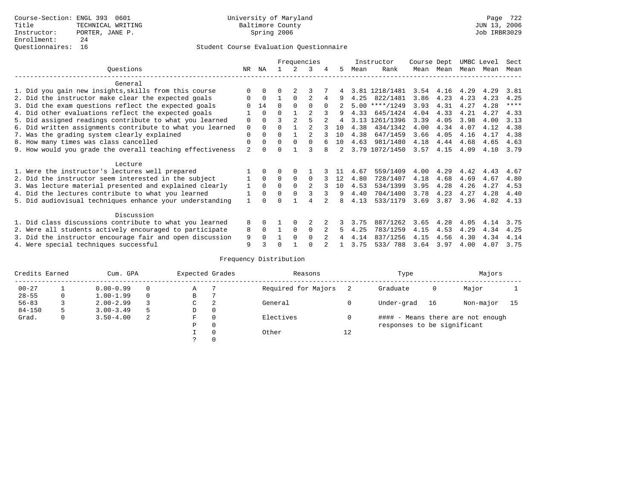# Questionnaires: 16 Student Course Evaluation Questionnaire

|                                                           |             |              |          |                | Frequencies    |          |    |      | Instructor       | Course Dept |           | UMBC Level |      | Sect        |
|-----------------------------------------------------------|-------------|--------------|----------|----------------|----------------|----------|----|------|------------------|-------------|-----------|------------|------|-------------|
| Ouestions                                                 | NR.         | ΝA           |          |                | 3              |          | 5. | Mean | Rank             |             | Mean Mean | Mean       | Mean | Mean        |
| General                                                   |             |              |          |                |                |          |    |      |                  |             |           |            |      |             |
| 1. Did you gain new insights, skills from this course     |             | $\Omega$     | O        |                |                |          |    |      | 3.81 1218/1481   | 3.54        | 4.16      | 4.29       | 4.29 | 3.81        |
| 2. Did the instructor make clear the expected goals       | O           | $\Omega$     |          | $\Omega$       | 2              |          |    | 4.25 | 822/1481         | 3.86        | 4.23      | 4.23       | 4.23 | 4.25        |
| 3. Did the exam questions reflect the expected goals      |             | 14           | $\Omega$ | $\Omega$       | $\Omega$       | $\Omega$ |    |      | $5.00$ ****/1249 | 3.93        | 4.31      | 4.27       | 4.28 | $***$ * * * |
| 4. Did other evaluations reflect the expected goals       |             | $\Omega$     | $\Omega$ |                | $\mathfrak{D}$ |          | 9  | 4.33 | 645/1424         | 4.04        | 4.33      | 4.21       | 4.27 | 4.33        |
| 5. Did assigned readings contribute to what you learned   | $\mathbf 0$ | $\Omega$     |          | $\mathfrak{D}$ |                |          | 4  |      | 3.13 1261/1396   | 3.39        | 4.05      | 3.98       | 4.00 | 3.13        |
| 6. Did written assignments contribute to what you learned | $\mathbf 0$ | $\Omega$     |          |                |                |          | 10 | 4.38 | 434/1342         | 4.00        | 4.34      | 4.07       | 4.12 | 4.38        |
| 7. Was the grading system clearly explained               | $\mathbf 0$ | $\Omega$     | $\Omega$ |                |                |          | 10 | 4.38 | 647/1459         | 3.66        | 4.05      | 4.16       | 4.17 | 4.38        |
| 8. How many times was class cancelled                     | 0           | $\Omega$     | $\Omega$ | $\Omega$       |                |          | 10 | 4.63 | 981/1480         | 4.18        | 4.44      | 4.68       | 4.65 | 4.63        |
| 9. How would you grade the overall teaching effectiveness | 2           | <sup>n</sup> | ∩        |                |                |          |    |      | 3.79 1072/1450   | 3.57        | 4.15      | 4.09       | 4.10 | 3.79        |
| Lecture                                                   |             |              |          |                |                |          |    |      |                  |             |           |            |      |             |
| 1. Were the instructor's lectures well prepared           |             |              |          |                |                |          |    | 4.67 | 559/1409         | 4.00        | 4.29      | 4.42       | 4.43 | 4.67        |
| 2. Did the instructor seem interested in the subject      |             | $\Omega$     | $\Omega$ | $\Omega$       | $\Omega$       |          | 12 | 4.80 | 728/1407         | 4.18        | 4.68      | 4.69       | 4.67 | 4.80        |
| 3. Was lecture material presented and explained clearly   | 1           | $\Omega$     | $\Omega$ | $\Omega$       | 2              |          | 10 | 4.53 | 534/1399         | 3.95        | 4.28      | 4.26       | 4.27 | 4.53        |
| 4. Did the lectures contribute to what you learned        |             | $\Omega$     | $\Omega$ | $\Omega$       |                |          | 9  | 4.40 | 704/1400         | 3.78        | 4.23      | 4.27       | 4.28 | 4.40        |
| 5. Did audiovisual techniques enhance your understanding  |             |              |          |                |                |          | R  | 4.13 | 533/1179         | 3.69        | 3.87      | 3.96       | 4.02 | 4.13        |
| Discussion                                                |             |              |          |                |                |          |    |      |                  |             |           |            |      |             |
| 1. Did class discussions contribute to what you learned   | 8           | 0            |          | $\Omega$       |                |          |    | 3.75 | 887/1262         | 3.65        | 4.28      | 4.05       | 4.14 | 3.75        |
| 2. Were all students actively encouraged to participate   | 8           | $\Omega$     |          | $\mathbf 0$    | $\Omega$       |          | 5  | 4.25 | 783/1259         | 4.15        | 4.53      | 4.29       | 4.34 | 4.25        |
| 3. Did the instructor encourage fair and open discussion  | 9           |              |          | $\Omega$       | $\Omega$       |          |    | 4.14 | 837/1256         | 4.15        | 4.56      | 4.30       | 4.34 | 4.14        |
| 4. Were special techniques successful                     | 9           |              |          |                |                |          |    | 3.75 | 533/788          | 3.64        | 3.97      | 4.00       | 4.07 | 3.75        |

| Credits Earned |   | Cum. GPA      |    | Expected Grades |          | Reasons             |    | Type                        |    | Majors                            |    |
|----------------|---|---------------|----|-----------------|----------|---------------------|----|-----------------------------|----|-----------------------------------|----|
| $00 - 27$      |   | $0.00 - 0.99$ |    | Α               |          | Required for Majors |    | Graduate                    | 0  | Major                             |    |
| $28 - 55$      | 0 | $1.00 - 1.99$ |    | В               |          |                     |    |                             |    |                                   |    |
| $56 - 83$      |   | $2.00 - 2.99$ |    | C               | 2        | General             |    | Under-grad                  | 16 | Non-major                         | 15 |
| $84 - 150$     | 5 | $3.00 - 3.49$ | .5 | D               | 0        |                     |    |                             |    |                                   |    |
| Grad.          | 0 | $3.50 - 4.00$ | 2  | F               | 0        | Electives           | 0  |                             |    | #### - Means there are not enough |    |
|                |   |               |    | Ρ               | 0        |                     |    | responses to be significant |    |                                   |    |
|                |   |               |    |                 | $\Omega$ | Other               | 12 |                             |    |                                   |    |
|                |   |               |    |                 |          |                     |    |                             |    |                                   |    |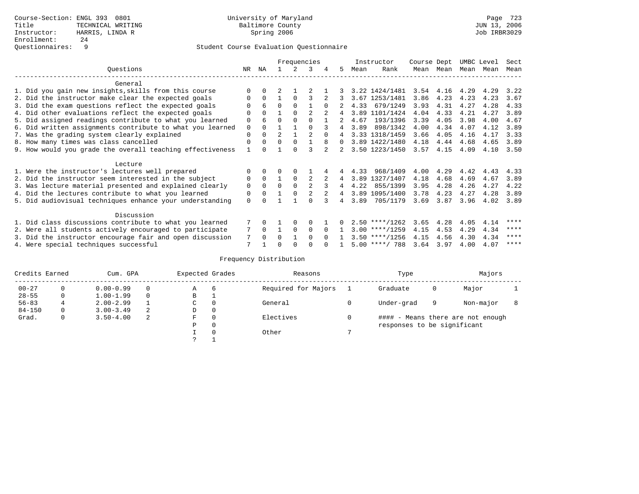|                                                           |               |          |                |                      | Frequencies         |          |                |      | Instructor                 | Course Dept  |              | UMBC Level   |              | Sect |
|-----------------------------------------------------------|---------------|----------|----------------|----------------------|---------------------|----------|----------------|------|----------------------------|--------------|--------------|--------------|--------------|------|
| Ouestions                                                 | NR.           | ΝA       |                |                      | 3                   | 4        | 5.             | Mean | Rank                       | Mean         | Mean         | Mean         | Mean         | Mean |
| General                                                   |               |          |                |                      |                     |          |                |      |                            |              |              |              |              |      |
| 1. Did you gain new insights, skills from this course     |               | $\Omega$ |                |                      |                     |          |                |      | 3.22 1424/1481             | 3.54         | 4.16         | 4.29         | 4.29         | 3.22 |
| 2. Did the instructor make clear the expected goals       | $\mathbf 0$   | $\Omega$ |                | $\Omega$             |                     |          |                |      | 3.67 1253/1481             | 3.86         | 4.23         | 4.23         | 4.23         | 3.67 |
| 3. Did the exam questions reflect the expected goals      | O             | 6        | $\Omega$       | $\Omega$             |                     | $\Omega$ |                | 4.33 | 679/1249                   | 3.93         | 4.31         | 4.27         | 4.28         | 4.33 |
| 4. Did other evaluations reflect the expected goals       | $\Omega$      | $\Omega$ |                | $\Omega$             |                     |          |                |      | 3.89 1101/1424             | 4.04         | 4.33         | 4.21         | 4.27         | 3.89 |
| 5. Did assigned readings contribute to what you learned   | $\mathbf 0$   |          | $\Omega$       | $\Omega$             | $\cap$              |          |                | 4.67 | 193/1396                   | 3.39         | 4.05         | 3.98         | 4.00         | 4.67 |
| 6. Did written assignments contribute to what you learned | 0             | $\Omega$ |                |                      | $\Omega$            |          | 4              | 3.89 | 898/1342                   | 4.00         | 4.34         | 4.07         | 4.12         | 3.89 |
| 7. Was the grading system clearly explained               | $\Omega$      | $\Omega$ | $\overline{a}$ | 1                    | $\mathfrak{D}$      | $\cap$   | $\overline{4}$ |      | 3.33 1318/1459             | 3.66         | 4.05         | 4.16         | 4.17         | 3.33 |
| 8. How many times was class cancelled                     | $\Omega$      | $\Omega$ | $\Omega$       | $\Omega$             |                     | 8        | $\Omega$       |      | 3.89 1422/1480             | 4.18         | 4.44         | 4.68         | 4.65         | 3.89 |
| 9. How would you grade the overall teaching effectiveness |               | $\Omega$ |                | $\cap$               | ς                   |          |                |      | 3.50 1223/1450             | 3.57         | 4.15         | 4.09         | 4.10         | 3.50 |
|                                                           |               |          |                |                      |                     |          |                |      |                            |              |              |              |              |      |
| Lecture                                                   |               |          |                |                      |                     |          |                |      | 968/1409                   |              | 4.29         | 4.42         | 4.43         | 4.33 |
| 1. Were the instructor's lectures well prepared           |               | $\Omega$ | $\mathbf{1}$   | $\Omega$<br>$\Omega$ |                     |          |                | 4.33 |                            | 4.00         |              |              | 4.67         | 3.89 |
| 2. Did the instructor seem interested in the subject      | 0<br>$\Omega$ | $\Omega$ | $\Omega$       | $\Omega$             | 2<br>$\mathfrak{D}$ | 3        | 4<br>4         | 4.22 | 3.89 1327/1407<br>855/1399 | 4.18         | 4.68         | 4.69<br>4.26 |              | 4.22 |
| 3. Was lecture material presented and explained clearly   | $\Omega$      | $\Omega$ |                | $\Omega$             | $\mathfrak{D}$      | 2        | $\overline{4}$ |      | 3.89 1095/1400             | 3.95<br>3.78 | 4.28<br>4.23 | 4.27         | 4.27<br>4.28 | 3.89 |
| 4. Did the lectures contribute to what you learned        |               |          |                |                      | U                   |          |                |      |                            |              |              |              |              |      |
| 5. Did audiovisual techniques enhance your understanding  | $\Omega$      |          |                |                      |                     |          | 4              | 3.89 | 705/1179                   | 3.69         | 3.87         | 3.96         | 4.02         | 3.89 |
| Discussion                                                |               |          |                |                      |                     |          |                |      |                            |              |              |              |              |      |
| 1. Did class discussions contribute to what you learned   |               | 0        |                | $\Omega$             | 0                   |          |                |      | $2.50$ ****/1262           | 3.65         | 4.28         | 4.05         | 4.14         | **** |
| 2. Were all students actively encouraged to participate   | 7             | $\Omega$ | $\mathbf{1}$   | $\Omega$             | $\Omega$            | $\Omega$ |                |      | $3.00$ ****/1259           | 4.15         | 4.53         | 4.29         | 4.34         | **** |
| 3. Did the instructor encourage fair and open discussion  | 7             | $\Omega$ | $\Omega$       | 1                    | $\Omega$            | $\Omega$ |                |      | $3.50$ ****/1256           | 4.15         | 4.56         | 4.30         | 4.34         | **** |
| 4. Were special techniques successful                     | 7             |          |                |                      | $\cap$              | $\cap$   |                |      | $5.00$ ****/ 788           | 3.64 3.97    |              | 4.00         | 4.07         | **** |

| Credits Earned |          | Cum. GPA      |   | Expected Grades |          | Reasons             |   | Type                        |   | Majors                            |  |
|----------------|----------|---------------|---|-----------------|----------|---------------------|---|-----------------------------|---|-----------------------------------|--|
| $00 - 27$      | $\Omega$ | $0.00 - 0.99$ |   | А               | 6        | Required for Majors |   | Graduate                    | 0 | Major                             |  |
| $28 - 55$      | 0        | $1.00 - 1.99$ |   | В               | ÷        |                     |   |                             |   |                                   |  |
| $56 - 83$      |          | $2.00 - 2.99$ |   | $\sim$<br>◡     | 0        | General             |   | Under-grad                  | 9 | Non-major                         |  |
| $84 - 150$     | 0        | $3.00 - 3.49$ | 2 | D               | 0        |                     |   |                             |   |                                   |  |
| Grad.          | 0        | $3.50 - 4.00$ | 2 | F               | 0        | Electives           | 0 |                             |   | #### - Means there are not enough |  |
|                |          |               |   | Ρ               | 0        |                     |   | responses to be significant |   |                                   |  |
|                |          |               |   |                 | $\Omega$ | Other               |   |                             |   |                                   |  |
|                |          |               |   | C               |          |                     |   |                             |   |                                   |  |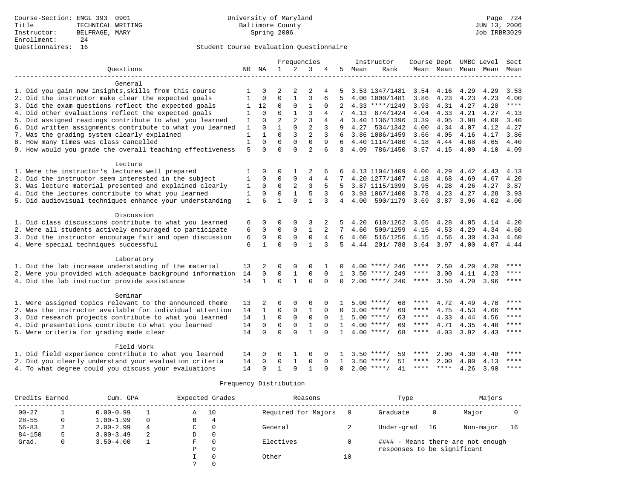|                                                           |              |              |                |                | Frequencies    |             |                |      | Instructor         | Course Dept |           | UMBC Level |      | Sect        |
|-----------------------------------------------------------|--------------|--------------|----------------|----------------|----------------|-------------|----------------|------|--------------------|-------------|-----------|------------|------|-------------|
| Ouestions                                                 |              | NR NA        | $\mathbf{1}$   | $\overline{2}$ | 3              | 4           | 5.             | Mean | Rank               |             | Mean Mean | Mean       | Mean | Mean        |
|                                                           |              |              |                |                |                |             |                |      |                    |             |           |            |      |             |
| General                                                   |              |              |                |                |                |             |                |      |                    |             |           |            |      |             |
| 1. Did you gain new insights, skills from this course     | 1            | 0            | 2              | 2              | 2              | 4           | 5              |      | 3.53 1347/1481     | 3.54        | 4.16      | 4.29       | 4.29 | 3.53        |
| 2. Did the instructor make clear the expected goals       | 1            | $\Omega$     | $\Omega$       | $\mathbf{1}$   | 3              | 6           | 5              |      | 4.00 1000/1481     | 3.86        | 4.23      | 4.23       | 4.23 | 4.00        |
| 3. Did the exam questions reflect the expected goals      | 1            | 12           | 0              | 0              | 1              | $\Omega$    | 2              |      | $4.33$ ****/1249   | 3.93        | 4.31      | 4.27       | 4.28 | $***$       |
| 4. Did other evaluations reflect the expected goals       | 1            | $\Omega$     | $\Omega$       | $\mathbf{1}$   | 3              | 4           |                | 4.13 | 874/1424           | 4.04        | 4.33      | 4.21       | 4.27 | 4.13        |
| 5. Did assigned readings contribute to what you learned   | 1            | $\Omega$     | $\overline{2}$ | $\overline{a}$ | 3              | 4           | 4              |      | 3.40 1136/1396     | 3.39        | 4.05      | 3.98       | 4.00 | 3.40        |
| 6. Did written assignments contribute to what you learned | 1            | $\Omega$     | $\mathbf{1}$   | $\Omega$       | $\overline{a}$ | 3           | 9              | 4.27 | 534/1342           | 4.00        | 4.34      | 4.07       | 4.12 | 4.27        |
| 7. Was the grading system clearly explained               | 1            | 1            | $\Omega$       | 3              | $\overline{2}$ | 3           |                |      | 3.86 1086/1459     | 3.66        | 4.05      | 4.16       | 4.17 | 3.86        |
| 8. How many times was class cancelled                     | $\mathbf 1$  | 0            | $\Omega$       | $\Omega$       | $\Omega$       | 9           | 6              |      | 4.40 1114/1480     | 4.18        | 4.44      | 4.68       | 4.65 | 4.40        |
| 9. How would you grade the overall teaching effectiveness | 5            | $\Omega$     | $\Omega$       | $\Omega$       | $\overline{a}$ | 6           | 3              | 4.09 | 786/1450           | 3.57        | 4.15      | 4.09       | 4.10 | 4.09        |
|                                                           |              |              |                |                |                |             |                |      |                    |             |           |            |      |             |
| Lecture                                                   |              |              |                |                |                |             |                |      |                    |             |           |            |      |             |
| 1. Were the instructor's lectures well prepared           | 1            | $\Omega$     | $\Omega$       | 1              | $\overline{2}$ |             |                |      | 4.13 1104/1409     | 4.00        | 4.29      | 4.42       | 4.43 | 4.13        |
| 2. Did the instructor seem interested in the subject      | 1            | 0            | $\Omega$       | 0              | 4              | 4           |                |      | 4.20 1277/1407     | 4.18        | 4.68      | 4.69       | 4.67 | 4.20        |
| 3. Was lecture material presented and explained clearly   | 1            | $\Omega$     | $\mathbf 0$    | 2              | 3              | 5           | 5              |      | 3.87 1115/1399     | 3.95        | 4.28      | 4.26       | 4.27 | 3.87        |
| 4. Did the lectures contribute to what you learned        | 1            | 0            | $\mathbf 0$    | $\mathbf{1}$   | 5              | 3           | 6              |      | 3.93 1067/1400     | 3.78        | 4.23      | 4.27       | 4.28 | 3.93        |
| 5. Did audiovisual techniques enhance your understanding  | $\mathbf{1}$ | 6            | $\mathbf{1}$   | $\Omega$       | 1              | 3           | $\overline{4}$ | 4.00 | 590/1179           | 3.69        | 3.87      | 3.96       | 4.02 | 4.00        |
|                                                           |              |              |                |                |                |             |                |      |                    |             |           |            |      |             |
| Discussion                                                |              |              |                |                |                |             |                |      |                    |             |           |            |      |             |
| 1. Did class discussions contribute to what you learned   | 6            | 0            | $\Omega$       | $\Omega$       | 3              | 2           | 5              | 4.20 | 610/1262           | 3.65        | 4.28      | 4.05       | 4.14 | 4.20        |
| 2. Were all students actively encouraged to participate   | 6            | 0            | 0              | 0              | $\mathbf{1}$   | 2           | 7              | 4.60 | 509/1259           | 4.15        | 4.53      | 4.29       | 4.34 | 4.60        |
| 3. Did the instructor encourage fair and open discussion  | 6            | 0            | $\mathbf 0$    | $\mathbf 0$    | $\mathbf 0$    | 4           | 6              | 4.60 | 516/1256           | 4.15        | 4.56      | 4.30       | 4.34 | 4.60        |
| 4. Were special techniques successful                     | 6            | $\mathbf{1}$ | $\Omega$       | $\Omega$       | $\mathbf{1}$   | 3           | 5              | 4.44 | 201/ 788           | 3.64 3.97   |           | 4.00       | 4.07 | 4.44        |
|                                                           |              |              |                |                |                |             |                |      |                    |             |           |            |      |             |
| Laboratory                                                |              |              |                |                |                |             |                |      |                    |             |           |            |      |             |
| 1. Did the lab increase understanding of the material     | 13           | 2            | $\Omega$       | $\Omega$       | $\Omega$       |             |                | 4.00 | ****/ 246          |             | 2.50      | 4.20       | 4.20 | ****        |
| 2. Were you provided with adequate background information | 14           | 0            | 0              | $\mathbf{1}$   | $\mathbf 0$    | $\Omega$    | $\mathbf{1}$   | 3.50 | 249<br>****/       | ****        | 3.00      | 4.11       | 4.23 | $***$ * * * |
| 4. Did the lab instructor provide assistance              | 14           | $\mathbf{1}$ | $\Omega$       | $\mathbf{1}$   | $\Omega$       | $\Omega$    | $\Omega$       |      | $2.00$ ****/ 240   | $***$ * * * | 3.50      | 4.20       | 3.96 | $* * * * *$ |
|                                                           |              |              |                |                |                |             |                |      |                    |             |           |            |      |             |
| Seminar                                                   |              |              |                |                |                |             |                |      |                    |             |           |            |      |             |
| 1. Were assigned topics relevant to the announced theme   | 13           | 2            | O              | $\Omega$       | $\Omega$       |             |                |      | 68<br>$5.00$ ****/ | ****        | 4.72      | 4.49       | 4.70 | ****        |
| 2. Was the instructor available for individual attention  | 14           | 1            | 0              | 0              | 1              | $\mathbf 0$ | 0              |      | $3.00$ ****/<br>69 | ****        | 4.75      | 4.53       | 4.66 | ****        |
| 3. Did research projects contribute to what you learned   | 14           | 1            | $\Omega$       | $\mathbf 0$    | $\mathbf 0$    | $\Omega$    | 1              |      | $5.00$ ****/<br>63 | ****        | 4.33      | 4.44       | 4.56 | ****        |
| 4. Did presentations contribute to what you learned       | 14           | 0            | $\mathbf 0$    | $\mathbf 0$    | $\mathbf{1}$   | $\Omega$    | $\mathbf{1}$   |      | $4.00$ ****/<br>69 | ****        | 4.71      | 4.35       | 4.48 | ****        |
| 5. Were criteria for grading made clear                   | 14           | $\Omega$     | $\Omega$       | $\Omega$       | $\mathbf{1}$   | $\Omega$    | $\mathbf{1}$   |      | $4.00$ ****/<br>68 | **** $4.03$ |           | 3.92       | 4.43 | ****        |
|                                                           |              |              |                |                |                |             |                |      |                    |             |           |            |      |             |
| Field Work                                                |              |              |                |                |                |             |                |      |                    |             |           |            |      |             |
| 1. Did field experience contribute to what you learned    | 14           | 0            | 0              |                | $\mathbf 0$    | $\Omega$    |                | 3.50 | 59<br>****/        | ****        | 2.00      | 4.30       | 4.48 | ****        |
| 2. Did you clearly understand your evaluation criteria    | 14           | 0            | 0              | $\mathbf{1}$   | $\mathbf 0$    | $\Omega$    | 1              | 3.50 | 51<br>****/        | ****        | 2.00      | 4.00       | 4.13 | ****        |
| 4. To what degree could you discuss your evaluations      | 14           | $\Omega$     | 1              | $\Omega$       | 1              | $\Omega$    | $\Omega$       |      | $2.00$ ****/<br>41 | ****        | ****      | 4.26       | 3.90 | $***$ * * * |

| Credits Earned |    | Cum. GPA      |          |   | Expected Grades | Reasons             |    | Type                        |    | Majors                            |    |
|----------------|----|---------------|----------|---|-----------------|---------------------|----|-----------------------------|----|-----------------------------------|----|
| $00 - 27$      |    | $0.00 - 0.99$ |          | Α | 10              | Required for Majors |    | Graduate                    | 0  | Major                             |    |
| $28 - 55$      | 0  | $1.00 - 1.99$ | $\Omega$ | B | 4               |                     |    |                             |    |                                   |    |
| $56 - 83$      | z. | $2.00 - 2.99$ | 4        | C | 0               | General             |    | Under-grad                  | 16 | Non-major                         | 16 |
| $84 - 150$     | 5  | $3.00 - 3.49$ | 2        | D | 0               |                     |    |                             |    |                                   |    |
| Grad.          | 0  | $3.50 - 4.00$ |          | F | $\Omega$        | Electives           |    |                             |    | #### - Means there are not enough |    |
|                |    |               |          | P | 0               |                     |    | responses to be significant |    |                                   |    |
|                |    |               |          |   | $\Omega$        | Other               | 10 |                             |    |                                   |    |
|                |    |               |          |   | $\Omega$        |                     |    |                             |    |                                   |    |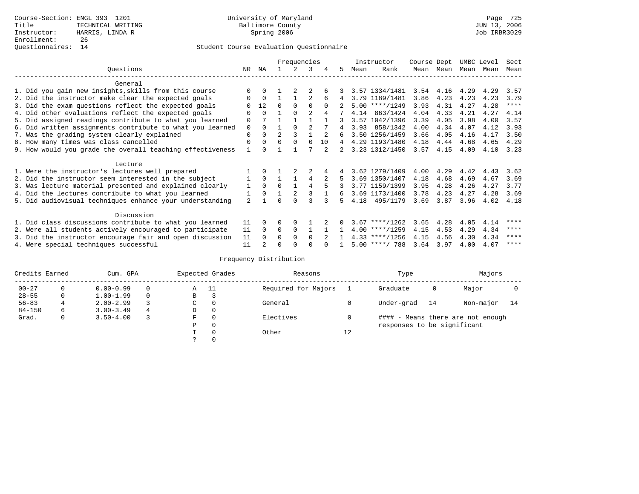# Questionnaires: 14 Student Course Evaluation Questionnaire

|                                                           |                |              |                | Frequencies |                |          |    |      | Instructor       | Course Dept |           | UMBC Level |      | Sect        |
|-----------------------------------------------------------|----------------|--------------|----------------|-------------|----------------|----------|----|------|------------------|-------------|-----------|------------|------|-------------|
| Ouestions                                                 | NR.            | ΝA           |                |             | 3              | 4        | 5. | Mean | Rank             |             | Mean Mean | Mean Mean  |      | Mean        |
| General                                                   |                |              |                |             |                |          |    |      |                  |             |           |            |      |             |
| 1. Did you gain new insights, skills from this course     |                | $\Omega$     |                |             |                |          |    |      | 3.57 1334/1481   |             | 3.54 4.16 | 4.29       | 4.29 | 3.57        |
| 2. Did the instructor make clear the expected goals       | O              | $\Omega$     |                |             |                |          | 4  |      | 3.79 1189/1481   | 3.86        | 4.23      | 4.23       | 4.23 | 3.79        |
| 3. Did the exam questions reflect the expected goals      |                | 12           | $\Omega$       | $\Omega$    | $\Omega$       | $\Omega$ |    |      | $5.00$ ****/1249 | 3.93        | 4.31      | 4.27       | 4.28 | $***$ * * * |
| 4. Did other evaluations reflect the expected goals       | O              | $\Omega$     |                | $\Omega$    | $\mathfrak{D}$ | 4        |    | 4.14 | 863/1424         | 4.04        | 4.33      | 4.21       | 4.27 | 4.14        |
| 5. Did assigned readings contribute to what you learned   | $\mathbf 0$    |              |                |             |                |          | 3  |      | 3.57 1042/1396   | 3.39        | 4.05      | 3.98       | 4.00 | 3.57        |
| 6. Did written assignments contribute to what you learned | $\Omega$       | $\Omega$     |                | $\Omega$    |                |          | 4  | 3.93 | 858/1342         | 4.00        | 4.34      | 4.07       | 4.12 | 3.93        |
| 7. Was the grading system clearly explained               | $\Omega$       | $\Omega$     | $\overline{a}$ |             |                |          | 6  |      | 3.50 1256/1459   | 3.66        | 4.05      | 4.16       | 4.17 | 3.50        |
| 8. How many times was class cancelled                     | $\Omega$       | $\Omega$     | $\Omega$       | $\Omega$    | $\Omega$       | 10       | 4  |      | 4.29 1193/1480   | 4.18        | 4.44      | 4.68       | 4.65 | 4.29        |
| 9. How would you grade the overall teaching effectiveness |                | <sup>n</sup> |                |             |                |          |    |      | 3.23 1312/1450   | 3.57        | 4.15      | 4.09       | 4.10 | 3.23        |
| Lecture                                                   |                |              |                |             |                |          |    |      |                  |             |           |            |      |             |
| 1. Were the instructor's lectures well prepared           |                |              |                |             |                |          |    |      | 3.62 1279/1409   | 4.00        | 4.29      | 4.42       | 4.43 | 3.62        |
| 2. Did the instructor seem interested in the subject      |                | $\Omega$     |                |             | 4              |          | 5. |      | 3.69 1350/1407   | 4.18        | 4.68      | 4.69       | 4.67 | 3.69        |
| 3. Was lecture material presented and explained clearly   | 1              | $\Omega$     | $\Omega$       |             | 4              |          |    |      | 3.77 1159/1399   | 3.95        | 4.28      | 4.26       | 4.27 | 3.77        |
| 4. Did the lectures contribute to what you learned        |                | $\Omega$     |                |             |                |          | б. |      | 3.69 1173/1400   | 3.78        | 4.23      | 4.27       | 4.28 | 3.69        |
| 5. Did audiovisual techniques enhance your understanding  | $\mathfrak{D}$ |              |                |             |                |          | Б. |      | 4.18 495/1179    | 3.69        | 3.87      | 3.96       | 4.02 | 4.18        |
| Discussion                                                |                |              |                |             |                |          |    |      |                  |             |           |            |      |             |
| 1. Did class discussions contribute to what you learned   | 11             | $\Omega$     | 0              | $\Omega$    |                |          |    |      | $3.67$ ****/1262 | 3.65        | 4.28      | 4.05       | 4.14 | ****        |
| 2. Were all students actively encouraged to participate   | 11             | $\Omega$     | $\Omega$       | $\mathbf 0$ |                |          |    |      | $4.00$ ****/1259 | 4.15        | 4.53      | 4.29       | 4.34 | ****        |
| 3. Did the instructor encourage fair and open discussion  | 11             | $\Omega$     | 0              | $\Omega$    | $\Omega$       |          |    |      | $4.33$ ****/1256 | 4.15        | 4.56      | 4.30       | 4.34 | ****        |
| 4. Were special techniques successful                     | 11             |              |                |             |                |          |    |      | $5.00$ ****/ 788 | 3.64        | 3.97      | 4.00       | 4.07 | ****        |

| Credits Earned |          | Cum. GPA      |   |             | Expected Grades | Reasons             |    | Type                        |    | Majors                            |    |
|----------------|----------|---------------|---|-------------|-----------------|---------------------|----|-----------------------------|----|-----------------------------------|----|
| $00 - 27$      | $\Omega$ | $0.00 - 0.99$ |   | Α           | - 11            | Required for Majors |    | Graduate                    | 0  | Major                             |    |
| $28 - 55$      | 0        | $1.00 - 1.99$ |   | В           | 3               |                     |    |                             |    |                                   |    |
| $56 - 83$      |          | $2.00 - 2.99$ |   | $\sim$<br>◡ | 0               | General             |    | Under-grad                  | 14 | Non-major                         | 14 |
| $84 - 150$     | 6        | $3.00 - 3.49$ | 4 | D           | 0               |                     |    |                             |    |                                   |    |
| Grad.          | 0        | $3.50 - 4.00$ |   | F           | 0               | Electives           | 0  |                             |    | #### - Means there are not enough |    |
|                |          |               |   | Ρ           | 0               |                     |    | responses to be significant |    |                                   |    |
|                |          |               |   |             | $\Omega$        | Other               | 12 |                             |    |                                   |    |
|                |          |               |   |             |                 |                     |    |                             |    |                                   |    |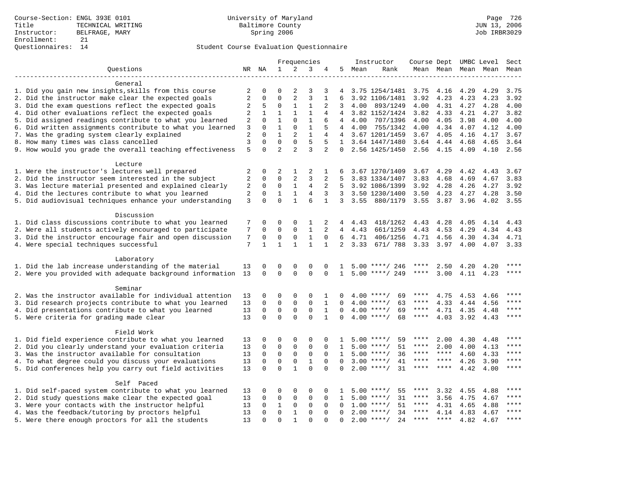# Questionnaires: 14 Student Course Evaluation Questionnaire

|                                                           |                |                   |                   |                   | Frequencies                  |                |                |       | Instructor          | Course Dept |           |      | UMBC Level | Sect  |
|-----------------------------------------------------------|----------------|-------------------|-------------------|-------------------|------------------------------|----------------|----------------|-------|---------------------|-------------|-----------|------|------------|-------|
| Ouestions                                                 |                | NR NA             | $\mathbf{1}$      | 2                 | 3                            | 4              | 5              | Mean  | Rank                |             | Mean Mean |      | Mean Mean  | Mean  |
|                                                           |                |                   |                   |                   |                              |                |                |       |                     |             |           |      |            |       |
| General                                                   |                |                   |                   |                   |                              |                |                |       |                     |             |           |      |            |       |
| 1. Did you gain new insights, skills from this course     | 2              | 0                 | $\Omega$          | $\overline{2}$    | 3                            | 3              | 4              |       | 3.75 1254/1481      | 3.75        | 4.16      | 4.29 | 4.29       | 3.75  |
| 2. Did the instructor make clear the expected goals       | 2              | 0                 | $\mathbf 0$       | 2                 | 3                            | 1              | 6              |       | 3.92 1106/1481      | 3.92        | 4.23      | 4.23 | 4.23       | 3.92  |
| 3. Did the exam questions reflect the expected goals      | 2              | 5                 | $\mathbf 0$       | $\mathbf{1}$      | $\mathbf{1}$                 | 2              | 3              | 4.00  | 893/1249            | 4.00        | 4.31      | 4.27 | 4.28       | 4.00  |
| 4. Did other evaluations reflect the expected goals       | 2              | $\mathbf{1}$      | $\mathbf{1}$      | $\mathbf{1}$      | $\mathbf{1}$                 | 4              | 4              |       | 3.82 1152/1424      | 3.82        | 4.33      | 4.21 | 4.27       | 3.82  |
| 5. Did assigned readings contribute to what you learned   | $\overline{2}$ | $\Omega$          | $\mathbf{1}$      | $\Omega$          | $\mathbf{1}$                 | 6              | $\overline{4}$ | 4.00  | 707/1396            | 4.00        | 4.05      | 3.98 | 4.00       | 4.00  |
| 6. Did written assignments contribute to what you learned | 3              | $\Omega$          | $\mathbf{1}$      | $\mathbf 0$       | $\mathbf{1}$                 | 5              |                | 4, 00 | 755/1342            | 4.00        | 4.34      | 4.07 | 4.12       | 4.00  |
| 7. Was the grading system clearly explained               | 2              | $\Omega$          | $\mathbf{1}$      | $\overline{2}$    | $\mathbf{1}$                 | 4              |                |       | 4 3.67 1201/1459    | 3.67        | 4.05      | 4.16 | 4.17       | 3.67  |
| 8. How many times was class cancelled                     | 3              | $\Omega$          | $\Omega$          | $\mathbf{0}$      | 5                            | 5              | 1              |       | 3.64 1447/1480      | 3.64        | 4.44      | 4.68 | 4.65       | 3.64  |
| 9. How would you grade the overall teaching effectiveness | 5              | $\Omega$          | $\overline{2}$    | $\overline{a}$    | 3                            | $\overline{2}$ | $\Omega$       |       | 2.56 1425/1450      | 2.56        | 4.15      | 4.09 | 4.10       | 2.56  |
|                                                           |                |                   |                   |                   |                              |                |                |       |                     |             |           |      |            |       |
| Lecture                                                   |                |                   |                   |                   |                              |                |                |       |                     |             |           |      |            |       |
| 1. Were the instructor's lectures well prepared           | 2              | $\mathbf 0$       | 2                 | 1                 | 2                            | 1              | 6              |       | 3.67 1270/1409      | 3.67        | 4.29      | 4.42 | 4.43       | 3.67  |
| 2. Did the instructor seem interested in the subject      | $\overline{a}$ | $\mathbf 0$       | $\mathbf 0$       | 2                 | 3                            | 2              | 5              |       | 3.83 1334/1407      | 3.83        | 4.68      | 4.69 | 4.67       | 3.83  |
| 3. Was lecture material presented and explained clearly   | 2              | $\mathbf 0$       | $\mathbf 0$       | $\mathbf{1}$      | 4                            | 2              | 5              |       | 3.92 1086/1399      | 3.92        | 4.28      | 4.26 | 4.27       | 3.92  |
| 4. Did the lectures contribute to what you learned        | 2              | $\mathbf 0$       | $\mathbf{1}$      | $\mathbf{1}$      | 4                            | 3              | 3              |       | 3.50 1230/1400      | 3.50        | 4.23      | 4.27 | 4.28       | 3.50  |
| 5. Did audiovisual techniques enhance your understanding  | 3              | $\Omega$          | $\Omega$          | $\mathbf{1}$      | 6                            | $\mathbf{1}$   | $\mathbf{3}$   |       | 3.55 880/1179       | 3.55        | 3.87      | 3.96 | 4.02       | 3.55  |
|                                                           |                |                   |                   |                   |                              |                |                |       |                     |             |           |      |            |       |
| Discussion                                                |                |                   |                   |                   |                              |                |                |       |                     |             |           |      |            |       |
| 1. Did class discussions contribute to what you learned   | 7              | 0                 | 0                 | 0                 | 1                            | 2              | 4              | 4.43  | 418/1262            | 4.43        | 4.28      | 4.05 | 4.14       | 4.43  |
| 2. Were all students actively encouraged to participate   | 7              | 0                 | $\mathbf 0$       | 0                 | $\mathbf{1}$                 | 2              | 4              | 4.43  |                     | 4.43        | 4.53      |      | 4.34       | 4.43  |
|                                                           |                |                   |                   |                   |                              |                |                |       | 661/1259            |             |           | 4.29 |            |       |
| 3. Did the instructor encourage fair and open discussion  | 7<br>7         | 0<br>$\mathbf{1}$ | 0<br>$\mathbf{1}$ | 0<br>$\mathbf{1}$ | $\mathbf{1}$<br>$\mathbf{1}$ | $\mathbf 0$    | 6              | 4.71  | 406/1256            | 4.71        | 4.56      | 4.30 | 4.34       | 4.71  |
| 4. Were special techniques successful                     |                |                   |                   |                   |                              | $\mathbf{1}$   | 2              | 3.33  | 671/ 788            | 3.33        | 3.97      | 4.00 | 4.07 3.33  |       |
|                                                           |                |                   |                   |                   |                              |                |                |       |                     |             |           |      |            |       |
| Laboratory                                                |                |                   |                   |                   |                              |                |                |       |                     |             |           |      |            | ****  |
| 1. Did the lab increase understanding of the material     | 13             | 0                 | 0                 | 0                 | $\Omega$                     | 0              |                |       | $5.00$ ****/<br>246 |             | 2.50      | 4.20 | 4.20       |       |
| 2. Were you provided with adequate background information | 13             | $\Omega$          | $\Omega$          | $\Omega$          | $\Omega$                     | $\Omega$       | $\mathbf{1}$   |       | $5.00$ ****/ 249    |             | 3.00      | 4.11 | 4.23       | ****  |
|                                                           |                |                   |                   |                   |                              |                |                |       |                     |             |           |      |            |       |
| Seminar                                                   |                |                   |                   |                   |                              |                |                |       |                     |             |           |      |            |       |
| 2. Was the instructor available for individual attention  | 13             | 0                 | 0                 | 0                 | $\Omega$                     | 1              | 0              |       | $4.00$ ****/<br>69  |             | 4.75      | 4.53 | 4.66       |       |
| 3. Did research projects contribute to what you learned   | 13             | 0                 | $\mathbf 0$       | $\mathbf 0$       | $\mathbf 0$                  | $\mathbf{1}$   | $\Omega$       |       | $4.00$ ****/<br>63  | ****        | 4.33      | 4.44 | 4.56       | ****  |
| 4. Did presentations contribute to what you learned       | 13             | $\mathbf 0$       | $\mathbf 0$       | $\mathbf{0}$      | $\mathbf 0$                  | $\mathbf{1}$   | $\Omega$       |       | 69<br>$4.00$ ****/  | $***$ * *   | 4.71      | 4.35 | 4.48       | ****  |
| 5. Were criteria for grading made clear                   | 13             | $\Omega$          | $\Omega$          | $\Omega$          | $\Omega$                     | $\mathbf{1}$   | $\Omega$       |       | $4.00$ ****/<br>68  | ****        | 4.03      | 3.92 | 4.43       | $***$ |
|                                                           |                |                   |                   |                   |                              |                |                |       |                     |             |           |      |            |       |
| Field Work                                                |                |                   |                   |                   |                              |                |                |       |                     |             |           |      |            |       |
| 1. Did field experience contribute to what you learned    | 13             | 0                 | 0                 | 0                 | 0                            | $\Omega$       | 1              |       | $5.00$ ****/<br>59  | ****        | 2.00      | 4.30 | 4.48       |       |
| 2. Did you clearly understand your evaluation criteria    | 13             | 0                 | $\mathbf 0$       | $\mathbf 0$       | $\mathbf 0$                  | $\Omega$       | $\mathbf{1}$   |       | $5.00$ ****/<br>51  | ****        | 2.00      | 4.00 | 4.13       | $***$ |
| 3. Was the instructor available for consultation          | 13             | $\mathbf 0$       | $\mathbf 0$       | $\mathbf 0$       | $\mathbf 0$                  | $\Omega$       | 1              |       | $5.00$ ****/<br>36  | ****        | $***$ *   | 4.60 | 4.33       | ****  |
| 4. To what degree could you discuss your evaluations      | 13             | 0                 | $\mathbf 0$       | 0                 | $\mathbf{1}$                 | $\Omega$       | $\Omega$       |       | $3.00$ ****/<br>41  | ****        | $***$ *   | 4.26 | 3.90       | ****  |
| 5. Did conferences help you carry out field activities    | 13             | $\Omega$          | $\mathbf 0$       | $\mathbf{1}$      | $\Omega$                     | $\Omega$       | $\Omega$       |       | $2.00$ ****/<br>31  | ****        | $***$ *   | 4.42 | 4.00       | ****  |
|                                                           |                |                   |                   |                   |                              |                |                |       |                     |             |           |      |            |       |
| Self Paced                                                |                |                   |                   |                   |                              |                |                |       |                     |             |           |      |            |       |
| 1. Did self-paced system contribute to what you learned   | 13             | 0                 | 0                 | 0                 | $\Omega$                     | 0              | 1              | 5.00  | $***$ /<br>55       | ****        | 3.32      | 4.55 | 4.88       | $***$ |
| 2. Did study questions make clear the expected goal       | 13             | 0                 | 0                 | 0                 | 0                            | 0              | 1              | 5.00  | 31<br>$***$ /       | ****        | 3.56      | 4.75 | 4.67       | ****  |
| 3. Were your contacts with the instructor helpful         | 13             | $\Omega$          | 1                 | 0                 | 0                            | $\Omega$       | $\Omega$       | 1.00  | $***$ /<br>51       | ****        | 4.31      | 4.65 | 4.88       | ****  |
| 4. Was the feedback/tutoring by proctors helpful          | 13             | $\Omega$          | $\Omega$          | $\mathbf{1}$      | $\Omega$                     | $\Omega$       | $\Omega$       |       | $2.00$ ****/<br>34  | ****        | 4.14      | 4.83 | 4.67       | ****  |
| 5. Were there enough proctors for all the students        | 13             | $\Omega$          | $\Omega$          | $\mathbf{1}$      | $\Omega$                     | $\Omega$       | $\Omega$       |       | $2.00$ ****/<br>2.4 | $***$ * * * | $****$    | 4.82 | 4.67       | ****  |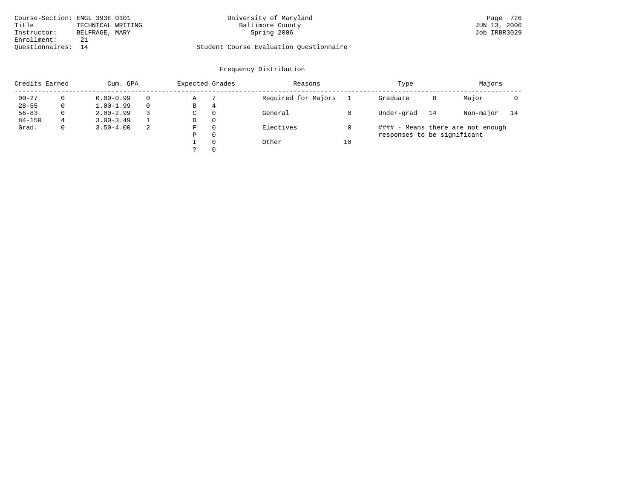| Course-Section: ENGL 393E 0101 |                   |  | University of Maryland                  | Page 726     |  |
|--------------------------------|-------------------|--|-----------------------------------------|--------------|--|
| Title                          | TECHNICAL WRITING |  | Baltimore County                        | JUN 13, 2006 |  |
| Instructor:                    | BELFRAGE, MARY    |  | Spring 2006                             | Job IRBR3029 |  |
| Enrollment:                    |                   |  |                                         |              |  |
| Ouestionnaires: 14             |                   |  | Student Course Evaluation Ouestionnaire |              |  |

# University of Maryland 50 Page 726<br>Baltimore County 61 Page 726

| Credits Earned |             | Cum. GPA      |    | Expected Grades |          | Reasons             |    | Type                        |    | Majors                            |    |
|----------------|-------------|---------------|----|-----------------|----------|---------------------|----|-----------------------------|----|-----------------------------------|----|
| $00 - 27$      |             | $0.00 - 0.99$ |    | Α               |          | Required for Majors |    | Graduate                    | 0  | Major                             |    |
| $28 - 55$      | 0           | $1.00 - 1.99$ |    | В               | 4        |                     |    |                             |    |                                   |    |
| $56 - 83$      | $\Omega$    | $2.00 - 2.99$ |    | C               | $\Omega$ | General             |    | Under-grad                  | 14 | Non-major                         | 14 |
| $84 - 150$     | 4           | $3.00 - 3.49$ |    | D               | $\Omega$ |                     |    |                             |    |                                   |    |
| Grad.          | $\mathbf 0$ | $3.50 - 4.00$ | -2 | F               | $\Omega$ | Electives           |    |                             |    | #### - Means there are not enough |    |
|                |             |               |    | Ρ               | $\Omega$ |                     |    | responses to be significant |    |                                   |    |
|                |             |               |    |                 | $\Omega$ | Other               | 10 |                             |    |                                   |    |
|                |             |               |    |                 | $\Omega$ |                     |    |                             |    |                                   |    |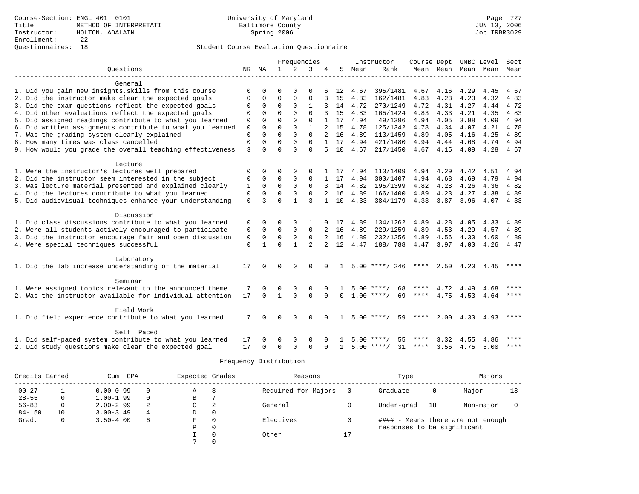|                                                           |             |             |              |              | Frequencies    |          |              |      | Instructor         | Course Dept UMBC Level |                |      |                              | Sect        |
|-----------------------------------------------------------|-------------|-------------|--------------|--------------|----------------|----------|--------------|------|--------------------|------------------------|----------------|------|------------------------------|-------------|
| Ouestions                                                 | NR          | NA          | $\mathbf{1}$ | 2            | 3              | 4        | 5            | Mean | Rank               |                        | Mean Mean Mean |      | Mean                         | Mean        |
|                                                           |             |             |              |              |                |          |              |      |                    |                        |                |      |                              |             |
| General                                                   |             |             |              |              |                |          |              |      |                    |                        |                |      |                              |             |
| 1. Did you gain new insights, skills from this course     | 0           | $\Omega$    | $\Omega$     | $\Omega$     | $\Omega$       |          | 12           | 4.67 | 395/1481           | 4.67                   | 4.16           | 4.29 | 4.45                         | 4.67        |
| 2. Did the instructor make clear the expected goals       | 0           | 0           | $\mathbf 0$  | 0            | $\mathbf 0$    |          | 15           | 4.83 | 162/1481           | 4.83                   | 4.23           | 4.23 | 4.32                         | 4.83        |
| 3. Did the exam questions reflect the expected goals      |             | $\mathbf 0$ | $\Omega$     | $\Omega$     | $\mathbf{1}$   | 3        | 14           | 4.72 | 270/1249           | 4.72                   | 4.31           | 4.27 | 4.44                         | 4.72        |
| 4. Did other evaluations reflect the expected goals       | $\Omega$    | $\Omega$    | $\Omega$     | $\cap$       | $\Omega$       |          | 15           | 4.83 | 165/1424           | 4.83                   | 4.33           | 4.21 | 4.35                         | 4.83        |
| 5. Did assigned readings contribute to what you learned   | $\mathbf 0$ | $\Omega$    | $\Omega$     | $\Omega$     | $\Omega$       |          | 17           | 4.94 | 49/1396            | 4.94                   | 4.05           | 3.98 | 4.09                         | 4.94        |
| 6. Did written assignments contribute to what you learned | $\mathbf 0$ |             | $\Omega$     | $\Omega$     |                |          | 15           | 4.78 | 125/1342           | 4.78                   | 4.34           | 4.07 | 4.21                         | 4.78        |
| 7. Was the grading system clearly explained               | $\Omega$    | $\Omega$    | $\Omega$     | $\Omega$     | $\Omega$       |          | 16           | 4.89 | 113/1459           | 4.89                   | 4.05           | 4.16 | 4.25                         | 4.89        |
| 8. How many times was class cancelled                     | $\mathbf 0$ | $\Omega$    | $\Omega$     | $\Omega$     | $\Omega$       |          | $1 \quad 17$ | 4.94 | 421/1480           | 4.94                   | 4.44           | 4.68 | 4.74                         | 4.94        |
| 9. How would you grade the overall teaching effectiveness | 3           | $\Omega$    | $\Omega$     | $\Omega$     | $\Omega$       |          | 10           | 4.67 | 217/1450           | 4.67 4.15              |                | 4.09 | 4.28                         | 4.67        |
|                                                           |             |             |              |              |                |          |              |      |                    |                        |                |      |                              |             |
| Lecture                                                   |             |             |              |              |                |          |              |      |                    |                        |                |      |                              |             |
| 1. Were the instructor's lectures well prepared           | $\Omega$    | $\Omega$    | $\Omega$     | $\Omega$     | $\Omega$       |          | 17           | 4.94 | 113/1409           | 4.94                   | 4.29           | 4.42 | 4.51                         | 4.94        |
| 2. Did the instructor seem interested in the subject      | 0           | $\mathbf 0$ | 0            | $\Omega$     | $\Omega$       |          | 1 17         | 4.94 | 300/1407           | 4.94                   | 4.68           | 4.69 | 4.79                         | 4.94        |
| 3. Was lecture material presented and explained clearly   | 1           | $\Omega$    | $\Omega$     | $\Omega$     | $\Omega$       |          | 3 14         | 4.82 | 195/1399           | 4.82                   | 4.28           | 4.26 | 4.36                         | 4.82        |
| 4. Did the lectures contribute to what you learned        | $\Omega$    | $\Omega$    | $\Omega$     | $\Omega$     | $\Omega$       |          | 16           | 4.89 | 166/1400           | 4.89                   | 4.23           | 4.27 | 4.38                         | 4.89        |
| 5. Did audiovisual techniques enhance your understanding  | $\Omega$    | 3           | $\Omega$     |              | ζ              |          | 10           | 4.33 | 384/1179           |                        | 4.33 3.87      | 3.96 |                              | 4.07 4.33   |
|                                                           |             |             |              |              |                |          |              |      |                    |                        |                |      |                              |             |
| Discussion                                                |             |             |              |              |                |          |              |      |                    |                        |                |      |                              |             |
| 1. Did class discussions contribute to what you learned   | 0           | $\Omega$    | $\Omega$     | $\Omega$     | 1              |          | 17           | 4.89 | 134/1262           | 4.89                   | 4.28           | 4.05 | 4.33                         | 4.89        |
| 2. Were all students actively encouraged to participate   | 0           | $\Omega$    | $\Omega$     | $\Omega$     | $\Omega$       | 2        | 16           | 4.89 | 229/1259           | 4.89                   | 4.53           | 4.29 | 4.57                         | 4.89        |
| 3. Did the instructor encourage fair and open discussion  | $\mathbf 0$ | $\mathbf 0$ | $\mathbf 0$  | $\mathbf 0$  | $\Omega$       |          | 16           | 4.89 | 232/1256           | 4.89                   | 4.56           | 4.30 | 4.60                         | 4.89        |
| 4. Were special techniques successful                     | $\Omega$    |             | $\Omega$     | $\mathbf{1}$ | $\overline{2}$ |          | 12           | 4.47 | 188/788            | 4.47 3.97              |                | 4.00 |                              | 4.26 4.47   |
| Laboratory                                                |             |             |              |              |                |          |              |      |                    |                        |                |      |                              |             |
| 1. Did the lab increase understanding of the material     | 17          | $\Omega$    | $\Omega$     | $\Omega$     | $\Omega$       | $\Omega$ | $\mathbf{1}$ |      | $5.00$ ****/ 246   | ****                   |                |      | $2.50 \quad 4.20 \quad 4.45$ | ****        |
|                                                           |             |             |              |              |                |          |              |      |                    |                        |                |      |                              |             |
| Seminar                                                   |             |             |              |              |                |          |              |      |                    |                        |                |      |                              |             |
| 1. Were assigned topics relevant to the announced theme   | 17          | $\Omega$    | $\Omega$     | $\Omega$     | $\Omega$       |          |              |      | $5.00$ ****/<br>68 |                        | 4.72           | 4.49 | 4.68                         | ****        |
| 2. Was the instructor available for individual attention  | 17          | $\Omega$    | $\mathbf{1}$ | $\Omega$     | $\Omega$       | $\Omega$ | $\Omega$     |      | $1.00$ ****/<br>69 | ****                   | 4.75           | 4.53 | 4.64                         | $* * * * *$ |
|                                                           |             |             |              |              |                |          |              |      |                    |                        |                |      |                              |             |
| Field Work                                                |             |             |              |              |                |          |              |      |                    |                        |                |      |                              |             |
| 1. Did field experience contribute to what you learned    | 17          | $\Omega$    | $\Omega$     | $\Omega$     | $\Omega$       | $\Omega$ | -1.          |      | $5.00$ ****/<br>59 | ****                   | 2.00           | 4.30 | 4.93                         | ****        |
|                                                           |             |             |              |              |                |          |              |      |                    |                        |                |      |                              |             |
| Self Paced                                                |             |             |              |              |                |          |              |      |                    |                        |                |      |                              |             |
| 1. Did self-paced system contribute to what you learned   | 17          |             | $\Omega$     | $\Omega$     | $\Omega$       |          |              | 5.00 | ****/<br>55        | ****                   | 3.32           | 4.55 | 4.86                         | ****        |
| 2. Did study questions make clear the expected goal       | 17          | $\Omega$    | $\Omega$     | $\Omega$     | $\Omega$       | $\Omega$ | $\mathbf{1}$ |      | $5.00$ ****/<br>31 | **** 3.56 4.75         |                |      | 5.00                         | $***$       |

| Credits Earned |    | Cum. GPA      |   | Expected Grades |          | Reasons             |    | Type                        |    | Majors                            |    |
|----------------|----|---------------|---|-----------------|----------|---------------------|----|-----------------------------|----|-----------------------------------|----|
| $00 - 27$      |    | $0.00 - 0.99$ |   | Α               | 8        | Required for Majors |    | Graduate                    | 0  | Major                             | 18 |
| $28 - 55$      | 0  | $1.00 - 1.99$ |   | В               |          |                     |    |                             |    |                                   |    |
| $56 - 83$      | 0  | $2.00 - 2.99$ | 2 | C.              | 2        | General             |    | Under-grad                  | 18 | Non-major                         |    |
| $84 - 150$     | 10 | $3.00 - 3.49$ | 4 | D               | 0        |                     |    |                             |    |                                   |    |
| Grad.          | 0  | $3.50 - 4.00$ | 6 | F               | $\Omega$ | Electives           |    |                             |    | #### - Means there are not enough |    |
|                |    |               |   | P               | $\Omega$ |                     |    | responses to be significant |    |                                   |    |
|                |    |               |   |                 | $\Omega$ | Other               | 17 |                             |    |                                   |    |
|                |    |               |   |                 |          |                     |    |                             |    |                                   |    |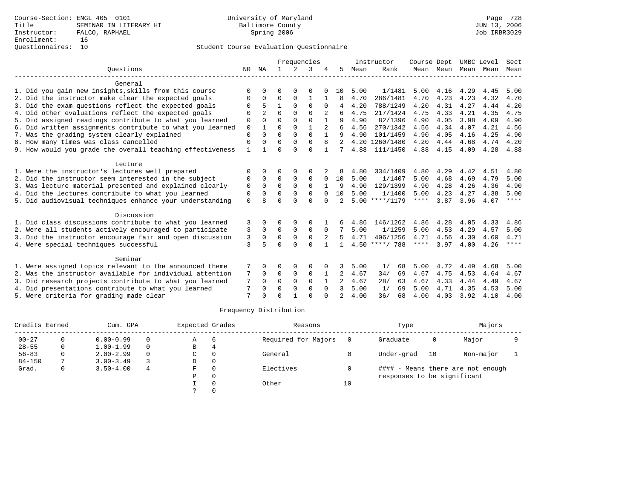# Questionnaires: 10 Student Course Evaluation Questionnaire

|                                                           |              |          |          |          | Frequencies |                |                |      | Instructor       | Course Dept |                     | UMBC Level |      | Sect        |
|-----------------------------------------------------------|--------------|----------|----------|----------|-------------|----------------|----------------|------|------------------|-------------|---------------------|------------|------|-------------|
| Ouestions                                                 | NR           | NA       |          | 2        | 3           |                | 5              | Mean | Rank             |             | Mean Mean Mean Mean |            |      | Mean        |
| General                                                   |              |          |          |          |             |                |                |      |                  |             |                     |            |      |             |
| 1. Did you gain new insights, skills from this course     | ∩            |          | $\Omega$ |          | 0           |                | 10             | 5.00 | 1/1481           | 5.00        | 4.16                | 4.29       | 4.45 | 5.00        |
| 2. Did the instructor make clear the expected goals       | 0            | $\Omega$ | 0        | 0        | 1           |                | 8              | 4.70 | 286/1481         | 4.70        | 4.23                | 4.23       | 4.32 | 4.70        |
| 3. Did the exam questions reflect the expected goals      | O            |          | 1        | $\Omega$ | $\Omega$    | $\Omega$       |                | 4.20 | 788/1249         | 4.20        | 4.31                | 4.27       | 4.44 | 4.20        |
| 4. Did other evaluations reflect the expected goals       | $\Omega$     |          | $\Omega$ | $\cap$   | $\cap$      |                |                | 4.75 | 217/1424         | 4.75        | 4.33                | 4.21       | 4.35 | 4.75        |
| 5. Did assigned readings contribute to what you learned   | $\mathbf 0$  | $\cap$   | $\Omega$ | $\Omega$ | $\cap$      |                |                | 4.90 | 82/1396          | 4.90        | 4.05                | 3.98       | 4.09 | 4.90        |
| 6. Did written assignments contribute to what you learned | 0            |          | $\Omega$ | $\Omega$ |             | $\overline{a}$ | 6              | 4.56 | 270/1342         | 4.56        | 4.34                | 4.07       | 4.21 | 4.56        |
| 7. Was the grading system clearly explained               | $\Omega$     | $\cap$   | $\cap$   | $\Omega$ | $\cap$      |                |                | 4.90 | 101/1459         | 4.90        | 4.05                | 4.16       | 4.25 | 4.90        |
| 8. How many times was class cancelled                     | $\Omega$     |          | $\Omega$ | $\Omega$ | $\Omega$    | 8              |                |      | 4.20 1260/1480   | 4.20        | 4.44                | 4.68       | 4.74 | 4.20        |
| 9. How would you grade the overall teaching effectiveness | $\mathbf{1}$ |          | $\cap$   | $\cap$   | $\Omega$    | $\mathbf{1}$   | 7              | 4.88 | 111/1450         | 4.88        | 4.15                | 4.09       | 4.28 | 4.88        |
| Lecture                                                   |              |          |          |          |             |                |                |      |                  |             |                     |            |      |             |
| 1. Were the instructor's lectures well prepared           |              |          | ∩        |          |             |                |                | 4.80 | 334/1409         | 4.80        | 4.29                | 4.42       | 4.51 | 4.80        |
| 2. Did the instructor seem interested in the subject      | $\Omega$     | $\Omega$ | $\Omega$ | $\Omega$ | $\Omega$    | $\Omega$       | 10             | 5.00 | 1/1407           | 5.00        | 4.68                | 4.69       | 4.79 | 5.00        |
| 3. Was lecture material presented and explained clearly   | $\mathbf 0$  | $\Omega$ | $\Omega$ | $\Omega$ | $\Omega$    |                | 9              | 4.90 | 129/1399         | 4.90        | 4.28                | 4.26       | 4.36 | 4.90        |
| 4. Did the lectures contribute to what you learned        | 0            | $\Omega$ | $\Omega$ | $\Omega$ | $\Omega$    |                | 10             | 5.00 | 1/1400           | 5.00        | 4.23                | 4.27       | 4.38 | 5.00        |
| 5. Did audiovisual techniques enhance your understanding  | $\Omega$     |          | $\Omega$ | $\cap$   | $\Omega$    |                | $\mathfrak{D}$ |      | $5.00$ ****/1179 | $***$ * * * | 3.87                | 3.96       | 4.07 | $***$ * * * |
| Discussion                                                |              |          |          |          |             |                |                |      |                  |             |                     |            |      |             |
| 1. Did class discussions contribute to what you learned   | 3            |          | ∩        | $\Omega$ | $\Omega$    |                | 6              | 4.86 | 146/1262         | 4.86        | 4.28                | 4.05       | 4.33 | 4.86        |
| 2. Were all students actively encouraged to participate   | 3            | $\Omega$ | $\Omega$ | $\Omega$ | $\Omega$    | $\Omega$       |                | 5.00 | 1/1259           | 5.00        | 4.53                | 4.29       | 4.57 | 5.00        |
| 3. Did the instructor encourage fair and open discussion  | 3            | $\Omega$ | $\Omega$ | $\Omega$ | $\Omega$    | 2              | .5             | 4.71 | 406/1256         | 4.71        | 4.56                | 4.30       | 4.60 | 4.71        |
| 4. Were special techniques successful                     | 3            |          | $\Omega$ | $\cap$   | $\Omega$    |                |                |      | $4.50$ ****/ 788 | $***$ * *   | 3.97                | 4.00       | 4.26 | ****        |
| Seminar                                                   |              |          |          |          |             |                |                |      |                  |             |                     |            |      |             |
| 1. Were assigned topics relevant to the announced theme   |              |          | O        | $\Omega$ | O           |                | 3              | 5.00 | 1/<br>68         | 5.00        | 4.72                | 4.49       | 4.68 | 5.00        |
| 2. Was the instructor available for individual attention  | 7            | $\Omega$ | $\Omega$ | 0        | 0           |                | 2              | 4.67 | 34/<br>69        | 4.67        | 4.75                | 4.53       | 4.64 | 4.67        |
| 3. Did research projects contribute to what you learned   | 7            | $\Omega$ | $\Omega$ | $\Omega$ | $\Omega$    |                |                | 4.67 | 28/<br>63        | 4.67        | 4.33                | 4.44       | 4.49 | 4.67        |
| 4. Did presentations contribute to what you learned       | 7            |          | $\Omega$ | $\Omega$ | $\Omega$    | $\Omega$       | 3              | 5.00 | 1/<br>69         | 5.00        | 4.71                | 4.35       | 4.53 | 5.00        |
| 5. Were criteria for grading made clear                   | 7            |          | $\Omega$ |          | $\cap$      |                |                | 4.00 | 36/<br>68        | 4.00        | 4.03                | 3.92       | 4.10 | 4.00        |

| Credits Earned |   | Cum. GPA      |          | Expected Grades |     | Reasons             |    | Type                        |    | Majors                            |  |
|----------------|---|---------------|----------|-----------------|-----|---------------------|----|-----------------------------|----|-----------------------------------|--|
| $00 - 27$      |   | $0.00 - 0.99$ | $\Omega$ | Α               | - 6 | Required for Majors |    | Graduate                    | 0  | Major                             |  |
| $28 - 55$      | 0 | $1.00 - 1.99$ | $\Omega$ | В               |     |                     |    |                             |    |                                   |  |
| $56 - 83$      |   | $2.00 - 2.99$ | $\Omega$ | C               |     | General             |    | Under-grad                  | 10 | Non-major                         |  |
| $84 - 150$     |   | $3.00 - 3.49$ |          | D               |     |                     |    |                             |    |                                   |  |
| Grad.          | 0 | $3.50 - 4.00$ | 4        | F               |     | Electives           |    |                             |    | #### - Means there are not enough |  |
|                |   |               |          | P               |     |                     |    | responses to be significant |    |                                   |  |
|                |   |               |          |                 |     | Other               | 10 |                             |    |                                   |  |
|                |   |               |          |                 |     |                     |    |                             |    |                                   |  |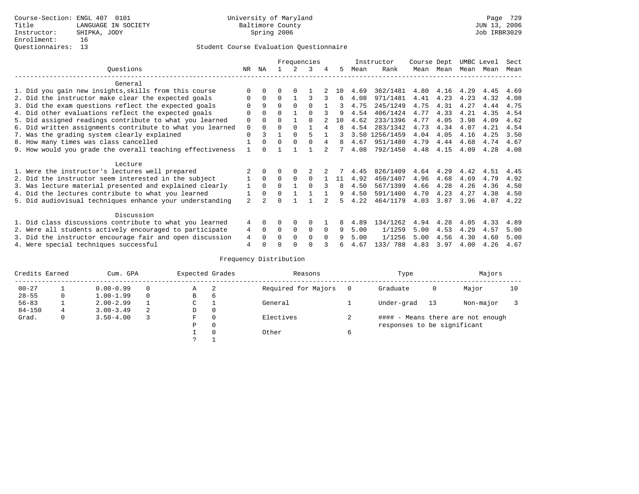# Questionnaires: 13 Student Course Evaluation Questionnaire

|                                                           |                |          |          |          | Frequencies |          |          |      | Instructor | Course Dept |      | UMBC Level |      | Sect |
|-----------------------------------------------------------|----------------|----------|----------|----------|-------------|----------|----------|------|------------|-------------|------|------------|------|------|
| Ouestions                                                 | NR.            | ΝA       |          |          | 3           | 4        | 5        | Mean | Rank       | Mean        | Mean | Mean       | Mean | Mean |
| General                                                   |                |          |          |          |             |          |          |      |            |             |      |            |      |      |
| 1. Did you gain new insights, skills from this course     |                | 0        | U        | 0        |             |          | $10^{-}$ | 4.69 | 362/1481   | 4.80        | 4.16 | 4.29       | 4.45 | 4.69 |
| 2. Did the instructor make clear the expected goals       |                | $\Omega$ | $\Omega$ |          | ς           |          | 6        | 4.08 | 971/1481   | 4.41        | 4.23 | 4.23       | 4.32 | 4.08 |
| 3. Did the exam questions reflect the expected goals      |                | 9        | $\Omega$ | $\Omega$ | $\Omega$    |          |          | 4.75 | 245/1249   | 4.75        | 4.31 | 4.27       | 4.44 | 4.75 |
| 4. Did other evaluations reflect the expected goals       | O              | $\Omega$ | 0        |          |             |          | q        | 4.54 | 406/1424   | 4.77        | 4.33 | 4.21       | 4.35 | 4.54 |
| 5. Did assigned readings contribute to what you learned   | 0              | $\Omega$ | 0        |          | $\Omega$    |          | 10       | 4.62 | 233/1396   | 4.77        | 4.05 | 3.98       | 4.09 | 4.62 |
| 6. Did written assignments contribute to what you learned | 0              | 0        | U        | $\Omega$ |             |          | 8        | 4.54 | 283/1342   | 4.73        | 4.34 | 4.07       | 4.21 | 4.54 |
| 7. Was the grading system clearly explained               | 0              |          |          | $\Omega$ | 5           |          |          | 3.50 | 1256/1459  | 4.04        | 4.05 | 4.16       | 4.25 | 3.50 |
| 8. How many times was class cancelled                     |                | 0        | 0        | $\Omega$ | 0           |          | 8        | 4.67 | 951/1480   | 4.79        | 4.44 | 4.68       | 4.74 | 4.67 |
| 9. How would you grade the overall teaching effectiveness |                |          |          |          |             |          |          | 4.08 | 792/1450   | 4.48        | 4.15 | 4.09       | 4.28 | 4.08 |
| Lecture                                                   |                |          |          |          |             |          |          |      |            |             |      |            |      |      |
| 1. Were the instructor's lectures well prepared           |                |          |          |          |             |          |          | 4.45 | 826/1409   | 4.64        | 4.29 | 4.42       | 4.51 | 4.45 |
| 2. Did the instructor seem interested in the subject      |                | $\Omega$ | 0        | 0        | $\Omega$    |          | 11       | 4.92 | 450/1407   | 4.96        | 4.68 | 4.69       | 4.79 | 4.92 |
| 3. Was lecture material presented and explained clearly   |                | $\Omega$ | $\Omega$ |          | $\Omega$    |          | 8        | 4.50 | 567/1399   | 4.66        | 4.28 | 4.26       | 4.36 | 4.50 |
| 4. Did the lectures contribute to what you learned        |                | $\Omega$ | $\Omega$ |          |             |          | 9        | 4.50 | 591/1400   | 4.70        | 4.23 | 4.27       | 4.38 | 4.50 |
| 5. Did audiovisual techniques enhance your understanding  | $\overline{a}$ |          |          |          |             |          |          | 4.22 | 464/1179   | 4.03        | 3.87 | 3.96       | 4.07 | 4.22 |
| Discussion                                                |                |          |          |          |             |          |          |      |            |             |      |            |      |      |
| 1. Did class discussions contribute to what you learned   | 4              | $\Omega$ | U        | 0        | $\Omega$    |          |          | 4.89 | 134/1262   | 4.94        | 4.28 | 4.05       | 4.33 | 4.89 |
| 2. Were all students actively encouraged to participate   | 4              | $\Omega$ | 0        | 0        | 0           | $\Omega$ | 9        | 5.00 | 1/1259     | 5.00        | 4.53 | 4.29       | 4.57 | 5.00 |
| 3. Did the instructor encourage fair and open discussion  | 4              |          |          | $\Omega$ | $\Omega$    | $\Omega$ | 9        | 5.00 | 1/1256     | 5.00        | 4.56 | 4.30       | 4.60 | 5.00 |
| 4. Were special techniques successful                     | 4              |          |          |          |             |          | F        | 4.67 | 133/ 788   | 4.83        | 3.97 | 4.00       | 4.26 | 4.67 |

| Credits Earned |   | Cum. GPA      |   | Expected Grades |          | Reasons             |   | Type                        |     | Majors                            |    |
|----------------|---|---------------|---|-----------------|----------|---------------------|---|-----------------------------|-----|-----------------------------------|----|
| $00 - 27$      |   | $0.00 - 0.99$ |   | А               | -2       | Required for Majors | 0 | Graduate                    | 0   | Major                             | 10 |
| $28 - 55$      | 0 | $1.00 - 1.99$ |   | В               | 6        |                     |   |                             |     |                                   |    |
| $56 - 83$      |   | $2.00 - 2.99$ |   | $\sim$<br>J     |          | General             |   | Under-grad                  | -13 | Non-major                         |    |
| $84 - 150$     | 4 | $3.00 - 3.49$ | 2 | D               | 0        |                     |   |                             |     |                                   |    |
| Grad.          | 0 | $3.50 - 4.00$ |   | F               | 0        | Electives           |   |                             |     | #### - Means there are not enough |    |
|                |   |               |   | Ρ               | 0        |                     |   | responses to be significant |     |                                   |    |
|                |   |               |   |                 | $\Omega$ | Other               | 6 |                             |     |                                   |    |
|                |   |               |   | C               |          |                     |   |                             |     |                                   |    |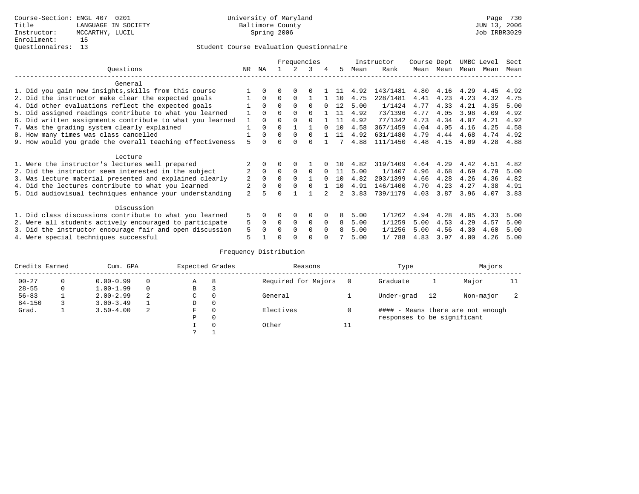|                                                           |    |          |              |          | Frequencies |          |     |      | Instructor | Course Dept |      |      | UMBC Level | Sect |
|-----------------------------------------------------------|----|----------|--------------|----------|-------------|----------|-----|------|------------|-------------|------|------|------------|------|
| Ouestions                                                 | NR | ΝA       |              | 2        | 3           | 4        | .5  | Mean | Rank       | Mean        | Mean | Mean | Mean       | Mean |
| General                                                   |    |          |              |          |             |          |     |      |            |             |      |      |            |      |
| 1. Did you gain new insights, skills from this course     |    |          |              |          |             |          |     | 4.92 | 143/1481   | 4.80        | 4.16 | 4.29 | 4.45       | 4.92 |
| 2. Did the instructor make clear the expected goals       |    | $\Omega$ | O            | 0        |             |          | 1 N | 4.75 | 228/1481   | 4.41        | 4.23 | 4.23 | 4.32       | 4.75 |
| 4. Did other evaluations reflect the expected goals       |    | $\Omega$ | <sup>0</sup> |          |             |          | 12  | 5.00 | 1/1424     | 4.77        | 4.33 | 4.21 | 4.35       | 5.00 |
| 5. Did assigned readings contribute to what you learned   |    |          |              |          |             |          | 11  | 4.92 | 73/1396    | 4.77        | 4.05 | 3.98 | 4.09       | 4.92 |
| 6. Did written assignments contribute to what you learned |    | $\Omega$ | U            |          |             |          | 11  | 4.92 | 77/1342    | 4.73        | 4.34 | 4.07 | 4.21       | 4.92 |
| 7. Was the grading system clearly explained               |    |          | $\Omega$     |          |             | $\cap$   | 10  | 4.58 | 367/1459   | 4.04        | 4.05 | 4.16 | 4.25       | 4.58 |
| 8. How many times was class cancelled                     |    | $\Omega$ | $\Omega$     | $\Omega$ | $\cap$      |          | 11  | 4.92 | 631/1480   | 4.79        | 4.44 | 4.68 | 4.74       | 4.92 |
| 9. How would you grade the overall teaching effectiveness |    |          | U            |          | ∩           |          |     | 4.88 | 111/1450   | 4.48        | 4.15 | 4.09 | 4.28       | 4.88 |
| Lecture                                                   |    |          |              |          |             |          |     |      |            |             |      |      |            |      |
| 1. Were the instructor's lectures well prepared           |    | 0        | 0            | 0        |             |          | 1 N | 4.82 | 319/1409   | 4.64        | 4.29 | 4.42 | 4.51       | 4.82 |
| 2. Did the instructor seem interested in the subject      |    | $\Omega$ | $\Omega$     | $\Omega$ | $\Omega$    | $\cap$   | 11  | 5.00 | 1/1407     | 4.96        | 4.68 | 4.69 | 4.79       | 5.00 |
| 3. Was lecture material presented and explained clearly   |    | $\Omega$ | $\Omega$     |          |             | $\cap$   | 10  | 4.82 | 203/1399   | 4.66        | 4.28 | 4.26 | 4.36       | 4.82 |
| 4. Did the lectures contribute to what you learned        |    | $\Omega$ | <sup>0</sup> |          |             |          | 10  | 4.91 | 146/1400   | 4.70        | 4.23 | 4.27 | 4.38       | 4.91 |
| 5. Did audiovisual techniques enhance your understanding  | 2  |          | $\cap$       |          |             |          | 2   | 3.83 | 739/1179   | 4.03        | 3.87 | 3.96 | 4.07       | 3.83 |
| Discussion                                                |    |          |              |          |             |          |     |      |            |             |      |      |            |      |
| 1. Did class discussions contribute to what you learned   | 5  | 0        | 0            | $\Omega$ | $\Omega$    |          | 8   | 5.00 | 1/1262     | 4.94        | 4.28 | 4.05 | 4.33       | 5.00 |
| 2. Were all students actively encouraged to participate   |    | $\Omega$ | $\Omega$     | $\Omega$ | $\Omega$    | $\Omega$ | 8   | 5.00 | 1/1259     | 5.00        | 4.53 | 4.29 | 4.57       | 5.00 |
| 3. Did the instructor encourage fair and open discussion  | 5  |          | U            | $\Omega$ | $\Omega$    | $\cap$   |     | 5.00 | 1/1256     | 5.00        | 4.56 | 4.30 | 4.60       | 5.00 |
| 4. Were special techniques successful                     | 5  |          | U            |          | ∩           |          |     | 5.00 | 1/ 788     | 4.83        | 3.97 | 4.00 | 4.26       | 5.00 |

| Credits Earned | Cum. GPA |               | Expected Grades |               | Reasons  |                     | Type     |                             | Majors |                                   |    |
|----------------|----------|---------------|-----------------|---------------|----------|---------------------|----------|-----------------------------|--------|-----------------------------------|----|
| $00 - 27$      |          | $0.00 - 0.99$ |                 | Α             | 8        | Required for Majors | $\Omega$ | Graduate                    |        | Major                             | 11 |
| $28 - 55$      | 0        | $1.00 - 1.99$ |                 | В             |          |                     |          |                             |        |                                   |    |
| $56 - 83$      |          | $2.00 - 2.99$ | 2               | C             | 0        | General             |          | Under-grad                  | 12     | Non-major                         |    |
| $84 - 150$     |          | $3.00 - 3.49$ |                 | D             | 0        |                     |          |                             |        |                                   |    |
| Grad.          |          | $3.50 - 4.00$ | 2               | F             | $\Omega$ | Electives           |          |                             |        | #### - Means there are not enough |    |
|                |          |               |                 | Ρ             | 0        |                     |          | responses to be significant |        |                                   |    |
|                |          |               |                 |               | $\Omega$ | Other               | ŦΤ       |                             |        |                                   |    |
|                |          |               |                 | $\mathcal{D}$ |          |                     |          |                             |        |                                   |    |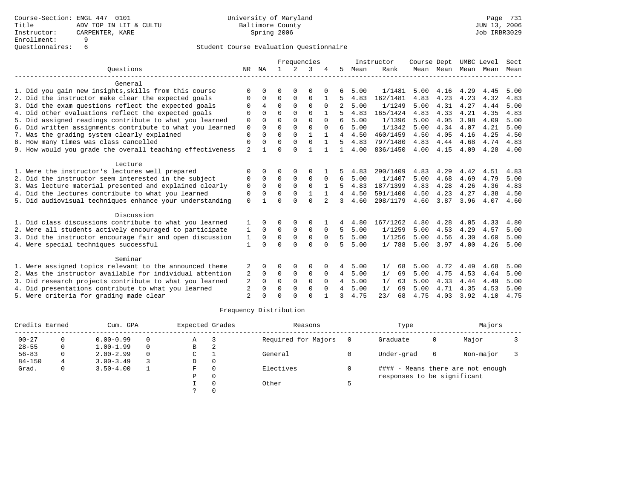|                                                           |                |          | Frequencies<br>NA |          |              |               |              |      | Instructor | Course Dept |                     | UMBC Level |      | Sect |
|-----------------------------------------------------------|----------------|----------|-------------------|----------|--------------|---------------|--------------|------|------------|-------------|---------------------|------------|------|------|
| Ouestions                                                 |                |          | $\mathbf{1}$      | 2        | 3            |               | 5            | Mean | Rank       |             | Mean Mean Mean Mean |            |      | Mean |
| General                                                   |                |          |                   |          |              |               |              |      |            |             |                     |            |      |      |
| 1. Did you gain new insights, skills from this course     | ∩              |          | $\Omega$          |          | $\Omega$     |               |              | 5.00 | 1/1481     | 5.00        | 4.16                | 4.29       | 4.45 | 5.00 |
| 2. Did the instructor make clear the expected goals       | $\Omega$       | $\Omega$ | $\Omega$          | 0        | $\Omega$     |               |              | 4.83 | 162/1481   | 4.83        | 4.23                | 4.23       | 4.32 | 4.83 |
| 3. Did the exam questions reflect the expected goals      | $\Omega$       | 4        | $\Omega$          | $\Omega$ | $\Omega$     | 0             |              | 5.00 | 1/1249     | 5.00        | 4.31                | 4.27       | 4.44 | 5.00 |
| 4. Did other evaluations reflect the expected goals       | $\Omega$       | $\cap$   | $\Omega$          | $\Omega$ | $\cap$       |               | 5            | 4.83 | 165/1424   | 4.83        | 4.33                | 4.21       | 4.35 | 4.83 |
| 5. Did assigned readings contribute to what you learned   | $\mathbf 0$    | $\cap$   | $\Omega$          | $\Omega$ | $\Omega$     | $\Omega$      | 6            | 5.00 | 1/1396     | 5.00        | 4.05                | 3.98       | 4.09 | 5.00 |
| 6. Did written assignments contribute to what you learned | $\mathbf 0$    | $\Omega$ | $\Omega$          | $\Omega$ | $\Omega$     | $\Omega$      | 6            | 5.00 | 1/1342     | 5.00        | 4.34                | 4.07       | 4.21 | 5.00 |
| 7. Was the grading system clearly explained               | $\Omega$       | $\cap$   | $\Omega$          | $\Omega$ | $\mathbf{1}$ |               | 4            | 4.50 | 460/1459   | 4.50        | 4.05                | 4.16       | 4.25 | 4.50 |
| 8. How many times was class cancelled                     | $\Omega$       |          | $\Omega$          |          | $\Omega$     |               | 5            | 4.83 | 797/1480   | 4.83        | 4.44                | 4.68       | 4.74 | 4.83 |
| 9. How would you grade the overall teaching effectiveness | $\overline{2}$ |          | $\Omega$          | $\Omega$ | 1            |               | $\mathbf{1}$ | 4.00 | 836/1450   | 4.00        | 4.15                | 4.09       | 4.28 | 4.00 |
| Lecture                                                   |                |          |                   |          |              |               |              |      |            |             |                     |            |      |      |
| 1. Were the instructor's lectures well prepared           |                |          | $\Omega$          |          | $\Omega$     |               |              | 4.83 | 290/1409   | 4.83        | 4.29                | 4.42       | 4.51 | 4.83 |
| 2. Did the instructor seem interested in the subject      | 0              | $\Omega$ | $\Omega$          | 0        | 0            | $\Omega$      | 6            | 5.00 | 1/1407     | 5.00        | 4.68                | 4.69       | 4.79 | 5.00 |
| 3. Was lecture material presented and explained clearly   | 0              | $\Omega$ | $\Omega$          | $\Omega$ | $\Omega$     |               | 5            | 4.83 | 187/1399   | 4.83        | 4.28                | 4.26       | 4.36 | 4.83 |
| 4. Did the lectures contribute to what you learned        | 0              | $\Omega$ | $\Omega$          | $\Omega$ | $\mathbf{1}$ |               | 4            | 4.50 | 591/1400   | 4.50        | 4.23                | 4.27       | 4.38 | 4.50 |
| 5. Did audiovisual techniques enhance your understanding  | $\Omega$       |          | $\Omega$          | $\cap$   | $\Omega$     | $\mathcal{L}$ | 3            | 4.60 | 208/1179   | 4.60        | 3.87                | 3.96       | 4.07 | 4.60 |
| Discussion                                                |                |          |                   |          |              |               |              |      |            |             |                     |            |      |      |
| 1. Did class discussions contribute to what you learned   |                |          | $\Omega$          |          | $\Omega$     |               |              | 4.80 | 167/1262   | 4.80        | 4.28                | 4.05       | 4.33 | 4.80 |
| 2. Were all students actively encouraged to participate   | 1              | $\Omega$ | $\Omega$          | $\Omega$ | $\Omega$     | $\Omega$      | 5            | 5.00 | 1/1259     | 5.00        | 4.53                | 4.29       | 4.57 | 5.00 |
| 3. Did the instructor encourage fair and open discussion  | 1              | $\Omega$ | $\Omega$          | $\Omega$ | $\Omega$     | $\Omega$      | 5            | 5.00 | 1/1256     | 5.00        | 4.56                | 4.30       | 4.60 | 5.00 |
| 4. Were special techniques successful                     |                | $\Omega$ | $\Omega$          | $\Omega$ | $\Omega$     | $\Omega$      | 5            | 5.00 | 1/788      | 5.00        | 3.97                | 4.00       | 4.26 | 5.00 |
| Seminar                                                   |                |          |                   |          |              |               |              |      |            |             |                     |            |      |      |
| 1. Were assigned topics relevant to the announced theme   | 2              |          |                   | $\Omega$ | $\Omega$     |               | 4            | 5.00 | 1/<br>68   | 5.00        | 4.72                | 4.49       | 4.68 | 5.00 |
| 2. Was the instructor available for individual attention  | 2              | $\Omega$ | 0                 | 0        | 0            | 0             | 4            | 5.00 | 1/<br>69   | 5.00        | 4.75                | 4.53       | 4.64 | 5.00 |
| 3. Did research projects contribute to what you learned   | 2              | $\Omega$ | $\Omega$          | $\Omega$ | $\Omega$     | $\Omega$      | 4            | 5.00 | 1/<br>63   | 5.00        | 4.33                | 4.44       | 4.49 | 5.00 |
| 4. Did presentations contribute to what you learned       | 2              | $\Omega$ | $\Omega$          | $\Omega$ | $\Omega$     | $\Omega$      | 4            | 5.00 | 1/<br>69   | 5.00        | 4.71                | 4.35       | 4.53 | 5.00 |
| 5. Were criteria for grading made clear                   | $\mathfrak{D}$ |          | $\Omega$          | $\cap$   | $\Omega$     |               | 3            | 4.75 | 23/<br>68  | 4.75        | 4.03                | 3.92       | 4.10 | 4.75 |

| Credits Earned |   | Cum. GPA      |   | Expected Grades |   | Reasons             | Type                        | Majors |                                   |  |
|----------------|---|---------------|---|-----------------|---|---------------------|-----------------------------|--------|-----------------------------------|--|
| $00 - 27$      |   | $0.00 - 0.99$ | 0 | Α               |   | Required for Majors | Graduate                    | 0      | Major                             |  |
| $28 - 55$      | 0 | $1.00 - 1.99$ | 0 | В               | 2 |                     |                             |        |                                   |  |
| $56 - 83$      |   | $2.00 - 2.99$ | 0 | C               |   | General             | Under-grad                  | 6      | Non-major                         |  |
| $84 - 150$     |   | $3.00 - 3.49$ |   | D               |   |                     |                             |        |                                   |  |
| Grad.          |   | $3.50 - 4.00$ |   | F               |   | Electives           |                             |        | #### - Means there are not enough |  |
|                |   |               |   | Ρ               | 0 |                     | responses to be significant |        |                                   |  |
|                |   |               |   |                 |   | Other               |                             |        |                                   |  |
|                |   |               |   |                 |   |                     |                             |        |                                   |  |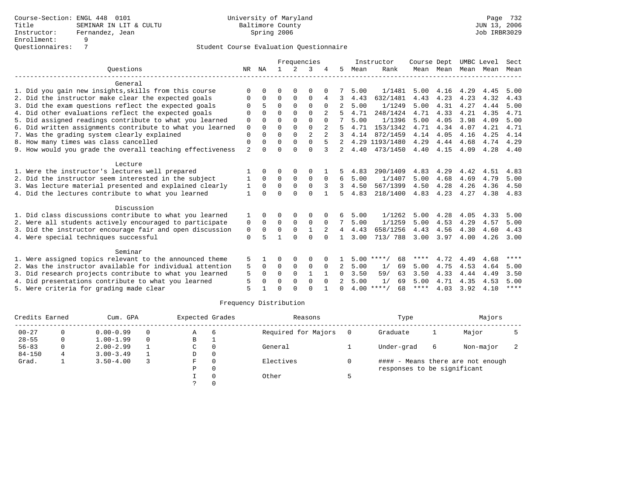|                                                           |                |          | Frequencies |             |                |                |               | Instructor |                    | Course Dept |           | UMBC Level |      | Sect        |
|-----------------------------------------------------------|----------------|----------|-------------|-------------|----------------|----------------|---------------|------------|--------------------|-------------|-----------|------------|------|-------------|
| Ouestions                                                 | NR             | ΝA       |             | 2           | 3              |                | 5             | Mean       | Rank               |             | Mean Mean | Mean       | Mean | Mean        |
| General                                                   |                |          |             |             |                |                |               |            |                    |             |           |            |      |             |
| 1. Did you gain new insights, skills from this course     | <sup>0</sup>   |          | ∩           |             |                |                |               | 5.00       | 1/1481             | 5.00        | 4.16      | 4.29       | 4.45 | 5.00        |
| 2. Did the instructor make clear the expected goals       | O              | $\Omega$ | $\Omega$    | $\Omega$    | $\Omega$       | 4              | 3             | 4.43       | 632/1481           | 4.43        | 4.23      | 4.23       | 4.32 | 4.43        |
| 3. Did the exam questions reflect the expected goals      |                |          | $\Omega$    | $\Omega$    | $\Omega$       | $\Omega$       | 2             | 5.00       | 1/1249             | 5.00        | 4.31      | 4.27       | 4.44 | 5.00        |
| 4. Did other evaluations reflect the expected goals       | n              | $\cap$   | $\cap$      | $\cap$      | $\cap$         | $\overline{a}$ |               | 4.71       | 248/1424           | 4.71        | 4.33      | 4.21       | 4.35 | 4.71        |
| 5. Did assigned readings contribute to what you learned   | $\Omega$       |          | $\Omega$    |             | $\cap$         | $\Omega$       |               | 5.00       | 1/1396             | 5.00        | 4.05      | 3.98       | 4.09 | 5.00        |
| 6. Did written assignments contribute to what you learned | $\mathbf 0$    | $\Omega$ | $\Omega$    | $\Omega$    | $\Omega$       |                |               | 4.71       | 153/1342           | 4.71        | 4.34      | 4.07       | 4.21 | 4.71        |
| 7. Was the grading system clearly explained               | $\Omega$       | $\cap$   | $\Omega$    | $\Omega$    | $\overline{a}$ |                | 3             | 4.14       | 872/1459           | 4.14        | 4.05      | 4.16       | 4.25 | 4.14        |
| 8. How many times was class cancelled                     |                |          | $\Omega$    | $\Omega$    |                |                |               |            | 4.29 1193/1480     | 4.29        | 4.44      | 4.68       | 4.74 | 4.29        |
| 9. How would you grade the overall teaching effectiveness | $\overline{a}$ | $\Omega$ | $\Omega$    | $\cap$      | $\cap$         |                | 2             | 4.40       | 473/1450           | 4.40        | 4.15      | 4.09       | 4.28 | 4.40        |
| Lecture                                                   |                |          |             |             |                |                |               |            |                    |             |           |            |      |             |
| 1. Were the instructor's lectures well prepared           |                | $\Omega$ | $\Omega$    |             | 0              |                |               | 4.83       | 290/1409           | 4.83        | 4.29      | 4.42       | 4.51 | 4.83        |
| 2. Did the instructor seem interested in the subject      |                | $\Omega$ | $\Omega$    | $\Omega$    | $\Omega$       | $\Omega$       | 6             | 5.00       | 1/1407             | 5.00        | 4.68      | 4.69       | 4.79 | 5.00        |
| 3. Was lecture material presented and explained clearly   | 1              | 0        | $\Omega$    | $\Omega$    |                |                | 3             | 4.50       | 567/1399           | 4.50        | 4.28      | 4.26       | 4.36 | 4.50        |
| 4. Did the lectures contribute to what you learned        | 1              | $\Omega$ | $\Omega$    | $\cap$      | $\Omega$       |                | 5             | 4.83       | 218/1400           | 4.83        | 4.23      | 4.27       | 4.38 | 4.83        |
| Discussion                                                |                |          |             |             |                |                |               |            |                    |             |           |            |      |             |
| 1. Did class discussions contribute to what you learned   |                |          |             |             | $\Omega$       |                |               | 5.00       | 1/1262             | 5.00        | 4.28      | 4.05       | 4.33 | 5.00        |
| 2. Were all students actively encouraged to participate   | 0              | $\Omega$ | 0           | $\mathbf 0$ | 0              | $\Omega$       | 7             | 5.00       | 1/1259             | 5.00        | 4.53      | 4.29       | 4.57 | 5.00        |
| 3. Did the instructor encourage fair and open discussion  | $\mathbf 0$    | $\Omega$ | $\Omega$    | $\Omega$    |                |                | 4             | 4.43       | 658/1256           | 4.43        | 4.56      | 4.30       | 4.60 | 4.43        |
| 4. Were special techniques successful                     | $\Omega$       |          |             | $\cap$      | $\Omega$       |                | $\mathbf{1}$  | 3.00       | 713/ 788           | 3.00        | 3.97      | 4.00       | 4.26 | 3.00        |
|                                                           |                |          |             |             |                |                |               |            |                    |             |           |            |      |             |
| Seminar                                                   |                |          |             |             |                |                |               |            |                    |             |           |            |      |             |
| 1. Were assigned topics relevant to the announced theme   | 5              |          |             |             | 0              |                |               | 5.00       | $***$ /<br>68      | ****        | 4.72      | 4.49       | 4.68 | ****        |
| 2. Was the instructor available for individual attention  | 5              | $\Omega$ | $\Omega$    | $\Omega$    | $\Omega$       | $\Omega$       | 2             | 5.00       | 1/<br>69           | 5.00        | 4.75      | 4.53       | 4.64 | 5.00        |
| 3. Did research projects contribute to what you learned   | 5              | $\Omega$ | $\Omega$    | $\Omega$    |                |                |               | 3.50       | 59/<br>63          | 3.50        | 4.33      | 4.44       | 4.49 | 3.50        |
| 4. Did presentations contribute to what you learned       |                | $\cap$   | $\Omega$    | $\Omega$    | $\Omega$       | $\Omega$       | $\mathcal{L}$ | 5.00       | 1/<br>69           | 5.00        | 4.71      | 4.35       | 4.53 | 5.00        |
| 5. Were criteria for grading made clear                   | 5              |          | ∩           |             | $\cap$         |                | $\cap$        |            | $4.00$ ****/<br>68 | ****        | 4.03      | 3.92       | 4.10 | $***$ * * * |

| Credits Earned |   | Cum. GPA      |          |   | Expected Grades | Reasons             | Type                        | Majors |                                   |  |
|----------------|---|---------------|----------|---|-----------------|---------------------|-----------------------------|--------|-----------------------------------|--|
| $00 - 27$      | 0 | $0.00 - 0.99$ | 0        | Α | b               | Required for Majors | Graduate                    |        | Major                             |  |
| $28 - 55$      | 0 | $1.00 - 1.99$ | $\Omega$ | В |                 |                     |                             |        |                                   |  |
| $56 - 83$      | 0 | $2.00 - 2.99$ |          | C | $\Omega$        | General             | Under-grad                  | 6      | Non-major                         |  |
| $84 - 150$     | 4 | $3.00 - 3.49$ |          | D | $\Omega$        |                     |                             |        |                                   |  |
| Grad.          |   | $3.50 - 4.00$ |          | F | $\Omega$        | Electives           |                             |        | #### - Means there are not enough |  |
|                |   |               |          | Ρ | 0               |                     | responses to be significant |        |                                   |  |
|                |   |               |          |   |                 | Other               |                             |        |                                   |  |
|                |   |               |          |   |                 |                     |                             |        |                                   |  |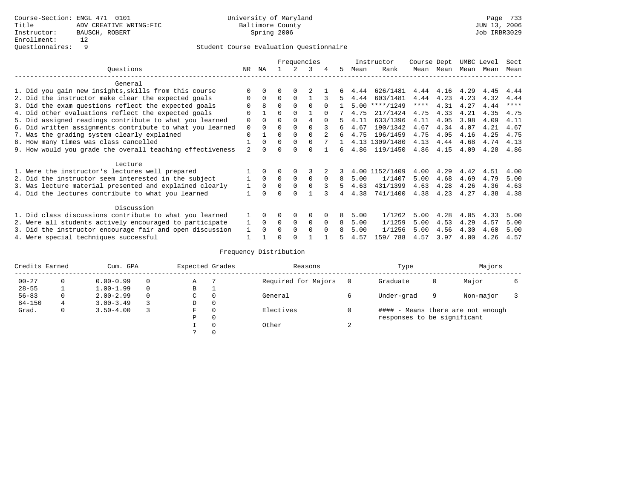|                                                           |          |              | Frequencies  |          |          |              |    |      | Instructor | Course Dept |      | UMBC Level |      | Sect        |
|-----------------------------------------------------------|----------|--------------|--------------|----------|----------|--------------|----|------|------------|-------------|------|------------|------|-------------|
| Ouestions                                                 | NR       | ΝA           |              |          | 3        | 4            | 5. | Mean | Rank       | Mean        | Mean | Mean       | Mean | Mean        |
| General                                                   |          |              |              |          |          |              |    |      |            |             |      |            |      |             |
| 1. Did you gain new insights, skills from this course     |          |              |              |          |          |              |    | 4.44 | 626/1481   | 4.44        | 4.16 | 4.29       | 4.45 | 4.44        |
| 2. Did the instructor make clear the expected goals       |          | 0            | O            | $\Omega$ |          |              |    | 4.44 | 603/1481   | 4.44        | 4.23 | 4.23       | 4.32 | 4.44        |
| 3. Did the exam questions reflect the expected goals      |          | 8            | $\Omega$     | $\Omega$ | $\Omega$ |              |    | 5.00 | $***/1249$ | $***$ * * * | 4.31 | 4.27       | 4.44 | $* * * * *$ |
| 4. Did other evaluations reflect the expected goals       | ∩        |              | $\Omega$     |          |          |              |    | 4.75 | 217/1424   | 4.75        | 4.33 | 4.21       | 4.35 | 4.75        |
| 5. Did assigned readings contribute to what you learned   | $\Omega$ | $\Omega$     | $\Omega$     | $\Omega$ | 4        | $\cap$       | 5  | 4.11 | 633/1396   | 4.11        | 4.05 | 3.98       | 4.09 | 4.11        |
| 6. Did written assignments contribute to what you learned | $\Omega$ |              | U            |          | ∩        |              | б. | 4.67 | 190/1342   | 4.67        | 4.34 | 4.07       | 4.21 | 4.67        |
| 7. Was the grading system clearly explained               | $\Omega$ |              | $\Omega$     | $\Omega$ | $\Omega$ |              | б. | 4.75 | 196/1459   | 4.75        | 4.05 | 4.16       | 4.25 | 4.75        |
| 8. How many times was class cancelled                     |          | <sup>0</sup> | <sup>0</sup> | $\Omega$ | $\Omega$ |              |    | 4.13 | 1309/1480  | 4.13        | 4.44 | 4.68       | 4.74 | 4.13        |
| 9. How would you grade the overall teaching effectiveness |          | 0            | U            | ∩        | ∩        |              | б. | 4.86 | 119/1450   | 4.86        | 4.15 | 4.09       | 4.28 | 4.86        |
| Lecture                                                   |          |              |              |          |          |              |    |      |            |             |      |            |      |             |
| 1. Were the instructor's lectures well prepared           |          |              | 0            | $\Omega$ |          |              |    | 4.00 | 1152/1409  | 4.00        | 4.29 | 4.42       | 4.51 | 4.00        |
| 2. Did the instructor seem interested in the subject      |          | $\Omega$     | $\Omega$     | $\Omega$ | $\Omega$ | $\Omega$     | 8  | 5.00 | 1/1407     | 5.00        | 4.68 | 4.69       | 4.79 | 5.00        |
| 3. Was lecture material presented and explained clearly   |          | 0            | 0            | $\Omega$ | $\Omega$ |              |    | 4.63 | 431/1399   | 4.63        | 4.28 | 4.26       | 4.36 | 4.63        |
| 4. Did the lectures contribute to what you learned        |          |              | U            | $\cap$   |          |              | 4  | 4.38 | 741/1400   | 4.38        | 4.23 | 4.27       | 4.38 | 4.38        |
| Discussion                                                |          |              |              |          |          |              |    |      |            |             |      |            |      |             |
| 1. Did class discussions contribute to what you learned   |          | $\Omega$     | 0            | $\Omega$ | $\Omega$ |              | 8  | 5.00 | 1/1262     | 5.00        | 4.28 | 4.05       | 4.33 | 5.00        |
| 2. Were all students actively encouraged to participate   |          | $\Omega$     | $\Omega$     | $\Omega$ | $\Omega$ | $\Omega$     | 8  | 5.00 | 1/1259     | 5.00        | 4.53 | 4.29       | 4.57 | 5.00        |
| 3. Did the instructor encourage fair and open discussion  |          |              | O            | ∩        | $\Omega$ | <sup>0</sup> |    | 5.00 | 1/1256     | 5.00        | 4.56 | 4.30       | 4.60 | 5.00        |
| 4. Were special techniques successful                     |          |              | U            | ∩        |          |              |    | 4.57 | 159/ 788   | 4.57        | 3.97 | 4.00       | 4.26 | 4.57        |

| Credits Earned<br>Cum. GPA |   |               |   | Expected Grades |          | Reasons             |   | Type                        | Majors |                                   |  |
|----------------------------|---|---------------|---|-----------------|----------|---------------------|---|-----------------------------|--------|-----------------------------------|--|
| $00 - 27$                  |   | $0.00 - 0.99$ |   | Α               |          | Required for Majors |   | Graduate                    | 0      | Major                             |  |
| $28 - 55$                  |   | $1.00 - 1.99$ | 0 | В               |          |                     |   |                             |        |                                   |  |
| $56 - 83$                  | 0 | $2.00 - 2.99$ |   | C               | $\Omega$ | General             |   | Under-grad                  | 9      | Non-major                         |  |
| $84 - 150$                 |   | $3.00 - 3.49$ |   | D               | 0        |                     |   |                             |        |                                   |  |
| Grad.                      |   | $3.50 - 4.00$ |   | F               | $\Omega$ | Electives           |   |                             |        | #### - Means there are not enough |  |
|                            |   |               |   | Ρ               | 0        |                     |   | responses to be significant |        |                                   |  |
|                            |   |               |   |                 | $\Omega$ | Other               | A |                             |        |                                   |  |
|                            |   |               |   |                 |          |                     |   |                             |        |                                   |  |